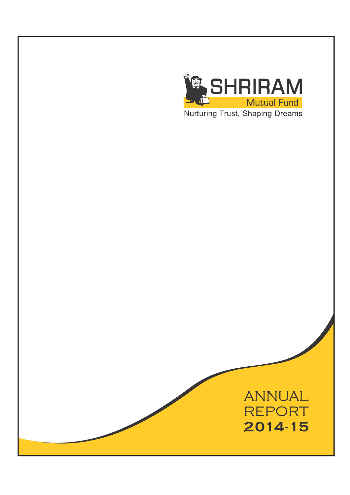

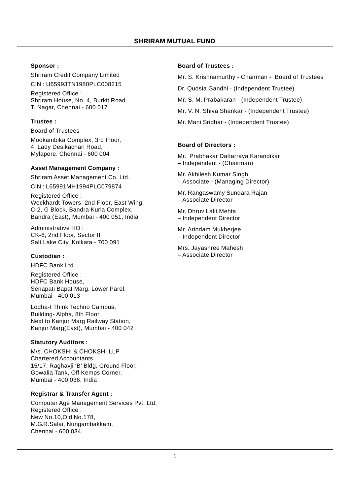## **Sponsor :**

Shriram Credit Company Limited CIN : U65993TN1980PLC008215

Registered Office : Shriram House, No. 4, Burkit Road T. Nagar, Chennai - 600 017

#### **Trustee :**

Board of Trustees Mookambika Complex, 3rd Floor,

4, Lady Desikachari Road, Mylapore, Chennai - 600 004

#### **Asset Management Company :**

Shriram Asset Management Co. Ltd. CIN : L65991MH1994PLC079874

Registered Office : Wockhardt Towers, 2nd Floor, East Wing, C-2, G Block, Bandra Kurla Complex, Bandra (East), Mumbai - 400 051, India

Administrative HO : CK-6, 2nd Floor, Sector II Salt Lake City, Kolkata - 700 091

#### **Custodian :**

HDFC Bank Ltd

Registered Office : HDFC Bank House, Senapati Bapat Marg, Lower Parel, Mumbai - 400 013

Lodha-I Think Techno Campus, Building- Alpha, 8th Floor, Next to Kanjur Marg Railway Station, Kanjur Marg(East), Mumbai - 400 042

#### **Statutory Auditors :**

M/s. CHOKSHI & CHOKSHI LLP Chartered Accountants 15/17, Raghavji 'B' Bldg, Ground Floor, Gowalia Tank, Off Kemps Corner, Mumbai - 400 036, India

## **Registrar & Transfer Agent :**

Computer Age Management Services Pvt. Ltd. Registered Office : New No.10,Old No.178, M.G.R.Salai, Nungambakkam, Chennai - 600 034

#### **Board of Trustees :**

Mr. S. Krishnamurthy - Chairman - Board of Trustees

- Dr. Qudsia Gandhi (Independent Trustee)
- Mr. S. M. Prabakaran (Independent Trustee)
- Mr. V. N. Shiva Shankar (Independent Trustee)
- Mr. Mani Sridhar (Independent Trustee)

#### **Board of Directors :**

Mr. Prabhakar Dattarraya Karandikar – Independent - (Chairman)

Mr. Akhilesh Kumar Singh – Associate - (Managing Director)

Mr. Rangaswamy Sundara Rajan – Associate Director

Mr. Dhruv Lalit Mehta – Independent Director

Mr. Arindam Mukherjee – Independent Director

Mrs. Jayashree Mahesh – Associate Director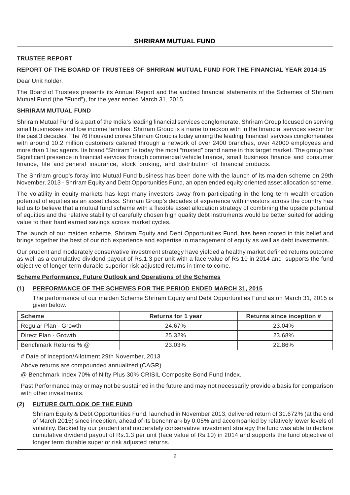# **TRUSTEE REPORT**

## **REPORT OF THE BOARD OF TRUSTEES OF SHRIRAM MUTUAL FUND FOR THE FINANCIAL YEAR 2014-15**

Dear Unit holder,

The Board of Trustees presents its Annual Report and the audited financial statements of the Schemes of Shriram Mutual Fund (the "Fund"), for the year ended March 31, 2015.

#### **SHRIRAM MUTUAL FUND**

Shriram Mutual Fund is a part of the India's leading financial services conglomerate, Shriram Group focused on serving small businesses and low income families. Shriram Group is a name to reckon with in the financial services sector for the past 3 decades. The 76 thousand crores Shriram Group is today among the leading financial services conglomerates with around 10.2 million customers catered through a network of over 2400 branches, over 42000 employees and more than 1 lac agents. Its brand "Shriram" is today the most "trusted" brand name in this target market. The group has Significant presence in financial services through commercial vehicle finance, small business finance and consumer finance, life and general insurance, stock broking, and distribution of financial products.

The Shriram group's foray into Mutual Fund business has been done with the launch of its maiden scheme on 29th November, 2013 - Shriram Equity and Debt Opportunities Fund, an open ended equity oriented asset allocation scheme.

The volatility in equity markets has kept many investors away from participating in the long term wealth creation potential of equities as an asset class. Shriram Group's decades of experience with investors across the country has led us to believe that a mutual fund scheme with a flexible asset allocation strategy of combining the upside potential of equities and the relative stability of carefully chosen high quality debt instruments would be better suited for adding value to their hard earned savings across market cycles.

The launch of our maiden scheme, Shriram Equity and Debt Opportunities Fund, has been rooted in this belief and brings together the best of our rich experience and expertise in management of equity as well as debt investments.

Our prudent and moderately conservative investment strategy have yielded a healthy market defined returns outcome as well as a cumulative dividend payout of Rs.1.3 per unit with a face value of Rs 10 in 2014 and supports the fund objective of longer term durable superior risk adjusted returns in time to come.

#### **Scheme Performance, Future Outlook and Operations of the Schemes**

#### **(1) PERFORMANCE OF THE SCHEMES FOR THE PERIOD ENDED MARCH 31, 2015**

The performance of our maiden Scheme Shriram Equity and Debt Opportunities Fund as on March 31, 2015 is given below.

| <b>Scheme</b>         | <b>Returns for 1 year</b> | Returns since inception # |
|-----------------------|---------------------------|---------------------------|
| Regular Plan - Growth | 24.67%                    | 23.04%                    |
| Direct Plan - Growth  | 25.32%                    | 23.68%                    |
| Benchmark Returns % @ | 23.03%                    | 22.86%                    |

# Date of Inception/Allotment 29th November, 2013

Above returns are compounded annualized (CAGR)

@ Benchmark Index 70% of Nifty Plus 30% CRISIL Composite Bond Fund Index.

Past Performance may or may not be sustained in the future and may not necessarily provide a basis for comparison with other investments.

#### **(2) FUTURE OUTLOOK OF THE FUND**

Shriram Equity & Debt Opportunities Fund, launched in November 2013, delivered return of 31.672% (at the end of March 2015) since inception, ahead of its benchmark by 0.05% and accompanied by relatively lower levels of volatility. Backed by our prudent and moderately conservative investment strategy the fund was able to declare cumulative dividend payout of Rs.1.3 per unit (face value of Rs 10) in 2014 and supports the fund objective of longer term durable superior risk adjusted returns.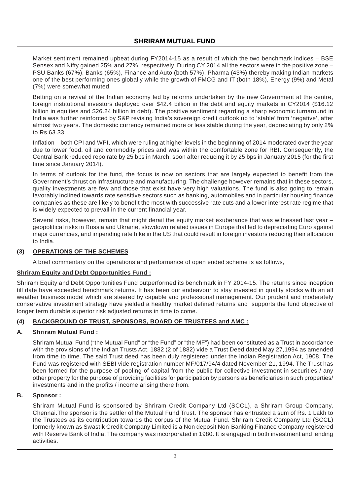Market sentiment remained upbeat during FY2014-15 as a result of which the two benchmark indices – BSE Sensex and Nifty gained 25% and 27%, respectively. During CY 2014 all the sectors were in the positive zone – PSU Banks (67%), Banks (65%), Finance and Auto (both 57%), Pharma (43%) thereby making Indian markets one of the best performing ones globally while the growth of FMCG and IT (both 18%), Energy (9%) and Metal (7%) were somewhat muted.

Betting on a revival of the Indian economy led by reforms undertaken by the new Government at the centre, foreign institutional investors deployed over \$42.4 billion in the debt and equity markets in CY2014 (\$16.12 billion in equities and \$26.24 billion in debt). The positive sentiment regarding a sharp economic turnaround in India was further reinforced by S&P revising India's sovereign credit outlook up to 'stable' from 'negative', after almost two years. The domestic currency remained more or less stable during the year, depreciating by only 2% to Rs 63.33.

Inflation – both CPI and WPI, which were ruling at higher levels in the beginning of 2014 moderated over the year due to lower food, oil and commodity prices and was within the comfortable zone for RBI. Consequently, the Central Bank reduced repo rate by 25 bps in March, soon after reducing it by 25 bps in January 2015 (for the first time since January 2014).

In terms of outlook for the fund, the focus is now on sectors that are largely expected to benefit from the Government's thrust on infrastructure and manufacturing. The challenge however remains that in these sectors, quality investments are few and those that exist have very high valuations. The fund is also going to remain favorably inclined towards rate sensitive sectors such as banking, automobiles and in particular housing finance companies as these are likely to benefit the most with successive rate cuts and a lower interest rate regime that is widely expected to prevail in the current financial year.

Several risks, however, remain that might derail the equity market exuberance that was witnessed last year – geopolitical risks in Russia and Ukraine, slowdown related issues in Europe that led to depreciating Euro against major currencies, and impending rate hike in the US that could result in foreign investors reducing their allocation to India.

## **(3) OPERATIONS OF THE SCHEMES**

A brief commentary on the operations and performance of open ended scheme is as follows,

# **Shriram Equity and Debt Opportunities Fund :**

Shriram Equity and Debt Opportunities Fund outperformed its benchmark in FY 2014-15. The returns since inception till date have exceeded benchmark returns. It has been our endeavour to stay invested in quality stocks with an all weather business model which are steered by capable and professional management. Our prudent and moderately conservative investment strategy have yielded a healthy market defined returns and supports the fund objective of longer term durable superior risk adjusted returns in time to come.

## **(4) BACKGROUND OF TRUST, SPONSORS, BOARD OF TRUSTEES and AMC :**

## **A. Shriram Mutual Fund :**

Shriram Mutual Fund ("the Mutual Fund" or "the Fund" or "the MF") had been constituted as a Trust in accordance with the provisions of the Indian Trusts Act, 1882 (2 of 1882) vide a Trust Deed dated May 27,1994 as amended from time to time. The said Trust deed has been duly registered under the Indian Registration Act, 1908. The Fund was registered with SEBI vide registration number MF/017/94/4 dated November 21, 1994. The Trust has been formed for the purpose of pooling of capital from the public for collective investment in securities / any other property for the purpose of providing facilities for participation by persons as beneficiaries in such properties/ investments and in the profits / income arising there from.

#### **B. Sponsor :**

Shriram Mutual Fund is sponsored by Shriram Credit Company Ltd (SCCL), a Shriram Group Company, Chennai.The sponsor is the settler of the Mutual Fund Trust. The sponsor has entrusted a sum of Rs. 1 Lakh to the Trustees as its contribution towards the corpus of the Mutual Fund. Shriram Credit Company Ltd (SCCL) formerly known as Swastik Credit Company Limited is a Non deposit Non-Banking Finance Company registered with Reserve Bank of India. The company was incorporated in 1980. It is engaged in both investment and lending activities.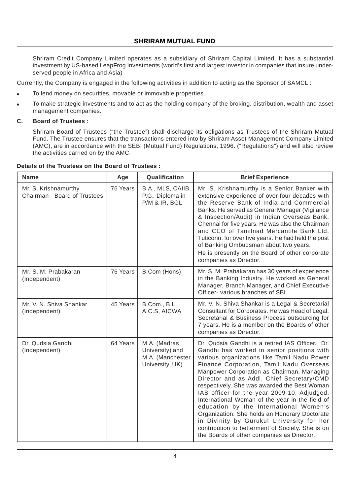Shriram Credit Company Limited operates as a subsidiary of Shriram Capital Limited. It has a substantial investment by US-based LeapFrog Investments (world's first and largest investor in companies that insure underserved people in Africa and Asia)

Currently, the Company is engaged in the following activities in addition to acting as the Sponsor of SAMCL :

- To lend money on securities, movable or immovable properties.
- To make strategic investments and to act as the holding company of the broking, distribution, wealth and asset management companies.

#### **C. Board of Trustees :**

Shriram Board of Trustees ("the Trustee") shall discharge its obligations as Trustees of the Shriram Mutual Fund. The Trustee ensures that the transactions entered into by Shriram Asset Management Company Limited (AMC), are in accordance with the SEBI (Mutual Fund) Regulations, 1996. ("Regulations") and will also review the activities carried on by the AMC.

| <b>Name</b>                                          | Age      | Qualification                                                          | <b>Brief Experience</b>                                                                                                                                                                                                                                                                                                                                                                                                                                                                                                                                                                                                                                                         |
|------------------------------------------------------|----------|------------------------------------------------------------------------|---------------------------------------------------------------------------------------------------------------------------------------------------------------------------------------------------------------------------------------------------------------------------------------------------------------------------------------------------------------------------------------------------------------------------------------------------------------------------------------------------------------------------------------------------------------------------------------------------------------------------------------------------------------------------------|
| Mr. S. Krishnamurthy<br>Chairman - Board of Trustees | 76 Years | B.A., MLS, CAIIB,<br>P.G., Diploma in<br>P/M & IR, BGL                 | Mr. S. Krishnamurthy is a Senior Banker with<br>extensive experience of over four decades with<br>the Reserve Bank of India and Commercial<br>Banks. He served as General Manager (Vigilance<br>& Inspection/Audit) in Indian Overseas Bank,<br>Chennai for five years. He was also the Chairman<br>and CEO of Tamilnad Mercantile Bank Ltd.<br>Tuticorin, for over five years. He had held the post<br>of Banking Ombudsman about two years.<br>He is presently on the Board of other corporate<br>companies as Director.                                                                                                                                                      |
| Mr. S. M. Prabakaran<br>(Independent)                | 76 Years | B.Com (Hons)                                                           | Mr. S. M. Prabakaran has 30 years of experience<br>in the Banking Industry. He worked as General<br>Manager, Branch Manager, and Chief Executive<br>Officer- various branches of SBI.                                                                                                                                                                                                                                                                                                                                                                                                                                                                                           |
| Mr. V. N. Shiva Shankar<br>(Independent)             | 45 Years | B.Com., B.L.,<br>A.C.S, AICWA                                          | Mr. V. N. Shiva Shankar is a Legal & Secretarial<br>Consultant for Corporates. He was Head of Legal,<br>Secretarial & Business Process outsourcing for<br>7 years. He is a member on the Boards of other<br>companies as Director.                                                                                                                                                                                                                                                                                                                                                                                                                                              |
| Dr. Qudsia Gandhi<br>(Independent)                   | 64 Years | M.A. (Madras<br>University) and<br>M.A. (Manchester<br>University, UK) | Dr. Qudsia Gandhi is a retired IAS Officer. Dr.<br>Gandhi has worked in senior positions with<br>various organizations like Tamil Nadu Power<br>Finance Corporation, Tamil Nadu Overseas<br>Manpower Corporation as Chairman, Managing<br>Director and as Addl. Chief Secretary/CMD<br>respectively. She was awarded the Best Woman<br>IAS officer for the year 2009-10. Adjudged,<br>International Woman of the year in the field of<br>education by the International Women's<br>Organization. She holds an Honorary Doctorate<br>in Divinity by Gurukul University for her<br>contribution to betterment of Society. She is on<br>the Boards of other companies as Director. |

#### **Details of the Trustees on the Board of Trustees :**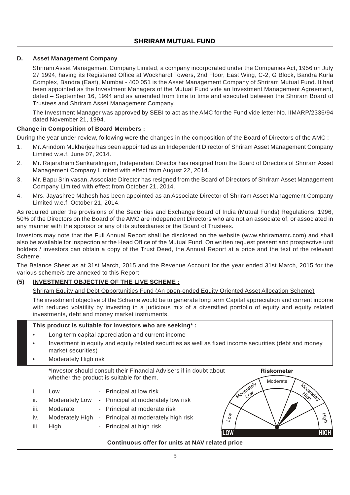## **D. Asset Management Company**

Shriram Asset Management Company Limited, a company incorporated under the Companies Act, 1956 on July 27 1994, having its Registered Office at Wockhardt Towers, 2nd Floor, East Wing, C-2, G Block, Bandra Kurla Complex, Bandra (East), Mumbai - 400 051 is the Asset Management Company of Shriram Mutual Fund. It had been appointed as the Investment Managers of the Mutual Fund vide an Investment Management Agreement, dated – September 16, 1994 and as amended from time to time and executed between the Shriram Board of Trustees and Shriram Asset Management Company.

The Investment Manager was approved by SEBI to act as the AMC for the Fund vide letter No. IIMARP/2336/94 dated November 21, 1994.

#### **Change in Composition of Board Members :**

During the year under review, following were the changes in the composition of the Board of Directors of the AMC :

- 1. Mr. Arindom Mukherjee has been appointed as an Independent Director of Shriram Asset Management Company Limited w.e.f. June 07, 2014.
- 2. Mr. Rajaratnam Sankaralingam, Independent Director has resigned from the Board of Directors of Shriram Asset Management Company Limited with effect from August 22, 2014.
- 3. Mr. Bapu Srinivasan, Associate Director has resigned from the Board of Directors of Shriram Asset Management Company Limited with effect from October 21, 2014.
- 4. Mrs. Jayashree Mahesh has been appointed as an Associate Director of Shriram Asset Management Company Limited w.e.f. October 21, 2014.

As required under the provisions of the Securities and Exchange Board of India (Mutual Funds) Regulations, 1996, 50% of the Directors on the Board of the AMC are independent Directors who are not an associate of, or associated in any manner with the sponsor or any of its subsidiaries or the Board of Trustees.

Investors may note that the Full Annual Report shall be disclosed on the website (www.shriramamc.com) and shall also be available for inspection at the Head Office of the Mutual Fund. On written request present and prospective unit holders / investors can obtain a copy of the Trust Deed, the Annual Report at a price and the text of the relevant Scheme.

The Balance Sheet as at 31st March, 2015 and the Revenue Account for the year ended 31st March, 2015 for the various scheme/s are annexed to this Report.

## **(5) INVESTMENT OBJECTIVE OF THE LIVE SCHEME :**

Shriram Equity and Debt Opportunities Fund (An open-ended Equity Oriented Asset Allocation Scheme) :

The investment objective of the Scheme would be to generate long term Capital appreciation and current income with reduced volatility by investing in a judicious mix of a diversified portfolio of equity and equity related investments, debt and money market instruments.

#### **This product is suitable for investors who are seeking\* :**

- Long term capital appreciation and current income
- Investment in equity and equity related securities as well as fixed income securities (debt and money market securities)

**Riskometer**

Moderate

Moderately

High

**HIGH** 

Low

LOW

Moderately

• Moderately High risk

\*Investor should consult their Financial Advisers if in doubt about whether the product is suitable for them.

- i. Low Principal at low risk
- ii. Moderately Low Principal at moderately low risk
- iii. Moderate Principal at moderate risk
- iv. Moderately High Principal at moderately high risk
- iii. High Principal at high risk

## **Continuous offer for units at NAV related price**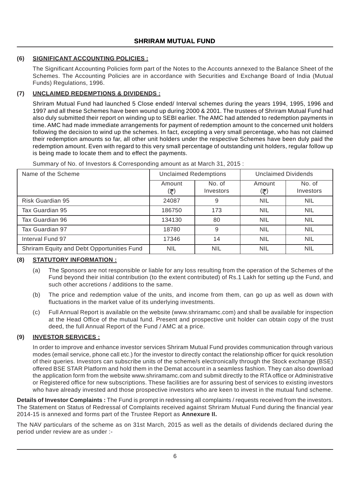## **(6) SIGNIFICANT ACCOUNTING POLICIES :**

The Significant Accounting Policies form part of the Notes to the Accounts annexed to the Balance Sheet of the Schemes. The Accounting Policies are in accordance with Securities and Exchange Board of India (Mutual Funds) Regulations, 1996.

# **(7) UNCLAIMED REDEMPTIONS & DIVIDENDS :**

Shriram Mutual Fund had launched 5 Close ended/ Interval schemes during the years 1994, 1995, 1996 and 1997 and all these Schemes have been wound up during 2000 & 2001. The trustees of Shriram Mutual Fund had also duly submitted their report on winding up to SEBI earlier. The AMC had attended to redemption payments in time. AMC had made immediate arrangements for payment of redemption amount to the concerned unit holders following the decision to wind up the schemes. In fact, excepting a very small percentage, who has not claimed their redemption amounts so far, all other unit holders under the respective Schemes have been duly paid the redemption amount. Even with regard to this very small percentage of outstanding unit holders, regular follow up is being made to locate them and to effect the payments.

| Name of the Scheme                         | <b>Unclaimed Redemptions</b> |                     | Unclaimed Dividends |                     |  |
|--------------------------------------------|------------------------------|---------------------|---------------------|---------------------|--|
|                                            | Amount<br>(₹)                | No. of<br>Investors | Amount<br>(₹)       | No. of<br>Investors |  |
| Risk Guardian 95                           | 24087                        | 9                   | <b>NIL</b>          | <b>NIL</b>          |  |
| Tax Guardian 95                            | 186750                       | 173                 | <b>NIL</b>          | <b>NIL</b>          |  |
| Tax Guardian 96                            | 134130                       | 80                  | <b>NIL</b>          | <b>NIL</b>          |  |
| Tax Guardian 97                            | 18780                        | 9                   | <b>NIL</b>          | <b>NIL</b>          |  |
| Interval Fund 97                           | 17346                        | 14                  | <b>NIL</b>          | <b>NIL</b>          |  |
| Shriram Equity and Debt Opportunities Fund | <b>NIL</b>                   | <b>NIL</b>          | <b>NIL</b>          | <b>NIL</b>          |  |

Summary of No. of Investors & Corresponding amount as at March 31, 2015 :

## **(8) STATUTORY INFORMATION :**

- (a) The Sponsors are not responsible or liable for any loss resulting from the operation of the Schemes of the Fund beyond their initial contribution (to the extent contributed) of Rs.1 Lakh for setting up the Fund, and such other accretions / additions to the same.
- (b) The price and redemption value of the units, and income from them, can go up as well as down with fluctuations in the market value of its underlying investments.
- (c) Full Annual Report is available on the website (www.shriramamc.com) and shall be available for inspection at the Head Office of the mutual fund. Present and prospective unit holder can obtain copy of the trust deed, the full Annual Report of the Fund / AMC at a price.

## **(9) INVESTOR SERVICES :**

In order to improve and enhance investor services Shriram Mutual Fund provides communication through various modes (email service, phone call etc.) for the investor to directly contact the relationship officer for quick resolution of their queries. Investors can subscribe units of the scheme/s electronically through the Stock exchange (BSE) offered BSE STAR Platform and hold them in the Demat account in a seamless fashion. They can also download the application form from the website www.shriramamc.com and submit directly to the RTA office or Administrative or Registered office for new subscriptions. These facilities are for assuring best of services to existing investors who have already invested and those prospective investors who are keen to invest in the mutual fund scheme.

**Details of Investor Complaints :** The Fund is prompt in redressing all complaints / requests received from the investors. The Statement on Status of Redressal of Complaints received against Shriram Mutual Fund during the financial year 2014-15 is annexed and forms part of the Trustee Report as **Annexure II.**

The NAV particulars of the scheme as on 31st March, 2015 as well as the details of dividends declared during the period under review are as under :-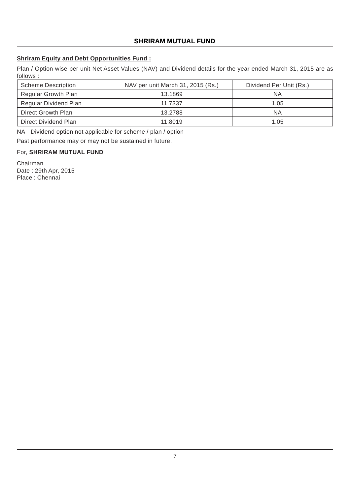# **SHRIRAM MUTUAL FUND**

# **Shriram Equity and Debt Opportunities Fund :**

Plan / Option wise per unit Net Asset Values (NAV) and Dividend details for the year ended March 31, 2015 are as follows :

| <b>Scheme Description</b>  | NAV per unit March 31, 2015 (Rs.) | Dividend Per Unit (Rs.) |  |  |
|----------------------------|-----------------------------------|-------------------------|--|--|
| <b>Regular Growth Plan</b> | 13.1869                           | NA.                     |  |  |
| Regular Dividend Plan      | 11.7337                           | 1.05                    |  |  |
| <b>Direct Growth Plan</b>  | 13.2788                           | ΝA                      |  |  |
| Direct Dividend Plan       | 11.8019                           | 1.05                    |  |  |

NA - Dividend option not applicable for scheme / plan / option Past performance may or may not be sustained in future.

#### For, **SHRIRAM MUTUAL FUND**

Chairman Date : 29th Apr, 2015 Place : Chennai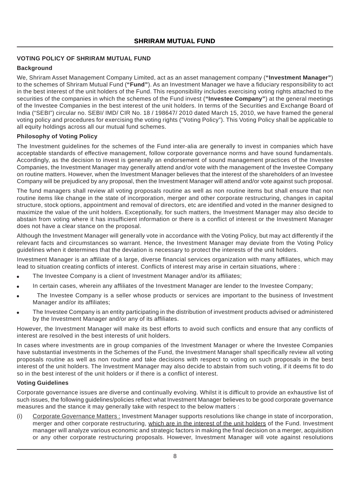# **VOTING POLICY OF SHRIRAM MUTUAL FUND**

# **Background**

We, Shriram Asset Management Company Limited, act as an asset management company (**"Investment Manager"**) to the schemes of Shriram Mutual Fund (**"Fund"**). As an Investment Manager we have a fiduciary responsibility to act in the best interest of the unit holders of the Fund. This responsibility includes exercising voting rights attached to the securities of the companies in which the schemes of the Fund invest (**"Investee Company"**) at the general meetings of the Investee Companies in the best interest of the unit holders. In terms of the Securities and Exchange Board of India ("SEBI") circular no. SEBI/ IMD/ CIR No. 18 / 198647/ 2010 dated March 15, 2010, we have framed the general voting policy and procedures for exercising the voting rights ("Voting Policy"). This Voting Policy shall be applicable to all equity holdings across all our mutual fund schemes.

# **Philosophy of Voting Policy**

The Investment guidelines for the schemes of the Fund inter-alia are generally to invest in companies which have acceptable standards of effective management, follow corporate governance norms and have sound fundamentals. Accordingly, as the decision to invest is generally an endorsement of sound management practices of the Investee Companies, the Investment Manager may generally attend and/or vote with the management of the Investee Company on routine matters. However, when the Investment Manager believes that the interest of the shareholders of an Investee Company will be prejudiced by any proposal, then the Investment Manager will attend and/or vote against such proposal.

The fund managers shall review all voting proposals routine as well as non routine items but shall ensure that non routine items like change in the state of incorporation, merger and other corporate restructuring, changes in capital structure, stock options, appointment and removal of directors, etc are identified and voted in the manner designed to maximize the value of the unit holders. Exceptionally, for such matters, the Investment Manager may also decide to abstain from voting where it has insufficient information or there is a conflict of interest or the Investment Manager does not have a clear stance on the proposal.

Although the Investment Manager will generally vote in accordance with the Voting Policy, but may act differently if the relevant facts and circumstances so warrant. Hence, the Investment Manager may deviate from the Voting Policy guidelines when it determines that the deviation is necessary to protect the interests of the unit holders.

Investment Manager is an affiliate of a large, diverse financial services organization with many affiliates, which may lead to situation creating conflicts of interest. Conflicts of interest may arise in certain situations, where :

- The Investee Company is a client of Investment Manager and/or its affiliates;
- In certain cases, wherein any affiliates of the Investment Manager are lender to the Investee Company;
- The Investee Company is a seller whose products or services are important to the business of Investment Manager and/or its affiliates;
- The Investee Company is an entity participating in the distribution of investment products advised or administered by the Investment Manager and/or any of its affiliates.

However, the Investment Manager will make its best efforts to avoid such conflicts and ensure that any conflicts of interest are resolved in the best interests of unit holders.

In cases where investments are in group companies of the Investment Manager or where the Investee Companies have substantial investments in the Schemes of the Fund, the Investment Manager shall specifically review all voting proposals routine as well as non routine and take decisions with respect to voting on such proposals in the best interest of the unit holders. The Investment Manager may also decide to abstain from such voting, if it deems fit to do so in the best interest of the unit holders or if there is a conflict of interest.

## **Voting Guidelines**

Corporate governance issues are diverse and continually evolving. Whilst it is difficult to provide an exhaustive list of such issues, the following guidelines/policies reflect what Investment Manager believes to be good corporate governance measures and the stance it may generally take with respect to the below matters :

(i) Corporate Governance Matters : Investment Manager supports resolutions like change in state of incorporation, merger and other corporate restructuring, which are in the interest of the unit holders of the Fund. Investment manager will analyze various economic and strategic factors in making the final decision on a merger, acquisition or any other corporate restructuring proposals. However, Investment Manager will vote against resolutions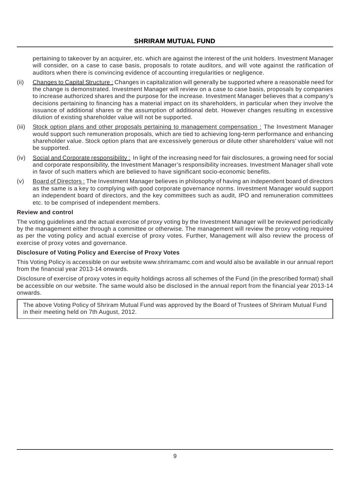pertaining to takeover by an acquirer, etc. which are against the interest of the unit holders. Investment Manager will consider, on a case to case basis, proposals to rotate auditors, and will vote against the ratification of auditors when there is convincing evidence of accounting irregularities or negligence.

- (ii) Changes to Capital Structure : Changes in capitalization will generally be supported where a reasonable need for the change is demonstrated. Investment Manager will review on a case to case basis, proposals by companies to increase authorized shares and the purpose for the increase. Investment Manager believes that a company's decisions pertaining to financing has a material impact on its shareholders, in particular when they involve the issuance of additional shares or the assumption of additional debt. However changes resulting in excessive dilution of existing shareholder value will not be supported.
- (iii) Stock option plans and other proposals pertaining to management compensation : The Investment Manager would support such remuneration proposals, which are tied to achieving long-term performance and enhancing shareholder value. Stock option plans that are excessively generous or dilute other shareholders' value will not be supported.
- (iv) Social and Corporate responsibility : In light of the increasing need for fair disclosures, a growing need for social and corporate responsibility, the Investment Manager's responsibility increases. Investment Manager shall vote in favor of such matters which are believed to have significant socio-economic benefits.
- (v) Board of Directors : The Investment Manager believes in philosophy of having an independent board of directors as the same is a key to complying with good corporate governance norms. Investment Manager would support an independent board of directors, and the key committees such as audit, IPO and remuneration committees etc. to be comprised of independent members.

#### **Review and control**

The voting guidelines and the actual exercise of proxy voting by the Investment Manager will be reviewed periodically by the management either through a committee or otherwise. The management will review the proxy voting required as per the voting policy and actual exercise of proxy votes. Further, Management will also review the process of exercise of proxy votes and governance.

#### **Disclosure of Voting Policy and Exercise of Proxy Votes**

This Voting Policy is accessible on our website www.shriramamc.com and would also be available in our annual report from the financial year 2013-14 onwards.

Disclosure of exercise of proxy votes in equity holdings across all schemes of the Fund (in the prescribed format) shall be accessible on our website. The same would also be disclosed in the annual report from the financial year 2013-14 onwards.

The above Voting Policy of Shriram Mutual Fund was approved by the Board of Trustees of Shriram Mutual Fund in their meeting held on 7th August, 2012.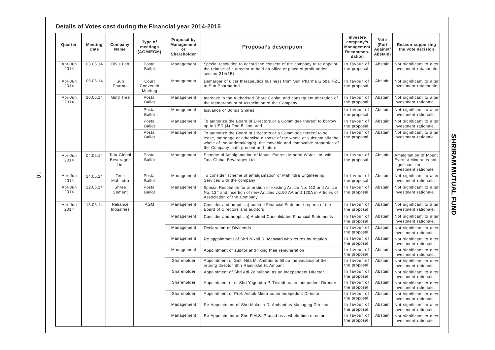# **Details of Votes cast during the Financial year 2014-2015**

| Quarter         | <b>Meeting</b><br>Date | Company<br>Name                                | Type of<br>meetings<br>(AGM/EGM) | Proposal by<br>Management<br>or<br>Shareholder | Proposal's description                                                                                                                                                                                                                                         | Investee<br>company's<br><b>Management</b><br>Recommen-<br>dation | Vote<br>(For/<br>Against/<br>Abstain) | <b>Reason supporting</b><br>the vote decision                                             |
|-----------------|------------------------|------------------------------------------------|----------------------------------|------------------------------------------------|----------------------------------------------------------------------------------------------------------------------------------------------------------------------------------------------------------------------------------------------------------------|-------------------------------------------------------------------|---------------------------------------|-------------------------------------------------------------------------------------------|
| Apr-Jun<br>2014 | 03.05.14               | Divis Lab                                      | Postal<br><b>Ballot</b>          | Management                                     | Special resolution to accord the consent of the company to re appoint<br>the relative of a director to hold an office or place of profit under<br>section 314(1B)                                                                                              | In favour of<br>the proposal                                      | Abstain                               | Not significant to alter<br>investment rotationale.                                       |
| Apr-Jun<br>2014 | 05.05.14               | Sun<br>Pharma                                  | Court<br>Convened<br>Meeting     | Management                                     | Demarger of ulcer therapeutics business from Sun Pharma Global FZE<br>to Sun Pharma Ind.                                                                                                                                                                       | In favour of<br>the proposal                                      | Abstain                               | Not significant to alter<br>investment rotationale.                                       |
| Apr-Jun<br>2014 | 20.05.14               | Mind Tree                                      | Postal<br><b>Ballot</b>          | Management                                     | Increase in the Authorised Share Capital and consequent alteration of<br>the Memorandum of Association of the Company;                                                                                                                                         | In favour of<br>the proposal                                      | Abstain                               | Not significant to alter<br>investment rationale.                                         |
|                 |                        |                                                | Postal<br><b>Ballot</b>          | Management                                     | <b>Issuance of Bonus Shares</b>                                                                                                                                                                                                                                | In favour of<br>the proposal                                      | Abstain                               | Not significant to alter<br>investment rationale.                                         |
|                 |                        |                                                | Postal<br><b>Ballot</b>          | Management                                     | To authorize the Board of Directors or a Committee thereof to borrow<br>up to USD (\$) One Billion; and                                                                                                                                                        | In favour of<br>the proposal                                      | Abstain                               | Not significant to alter<br>investment rationale.                                         |
|                 |                        |                                                | Postal<br><b>Ballot</b>          | Management                                     | To authorize the Board of Directors or a Committee thereof to sell,<br>lease, mortgage or otherwise dispose of the whole or substantially the<br>whole of the undertaking(s), the movable and immovable properties of<br>the Company, both present and future. | In favour of<br>the proposal                                      | Abstain                               | Not significant to alter<br>investment rationale.                                         |
| Apr-Jun<br>2014 | 04.06.14               | <b>Tata Global</b><br><b>Beverages</b><br>Ltd. | Postal<br><b>Ballot</b>          | Management                                     | Scheme of Amalgamation of Mount Everest Mineral Water Ltd. with<br>Tata Global Bevarages Ltd.                                                                                                                                                                  | In favour of<br>the proposal                                      | Abstain                               | Amalgmation of Mount<br>Everest Mineral is not<br>significant for<br>investment rationale |
| Apr-Jun<br>2014 | 24.06.14               | Tech<br>Mahindra                               | Postal<br><b>Ballot</b>          | Management                                     | To consider scheme of amalgamation of Mahindra Engineering<br>Services with the company                                                                                                                                                                        | In favour of<br>the proposal                                      | Abstain                               | Not significant to alter<br>investment rationale.                                         |
| Apr-Jun<br>2014 | 12.06.14               | Shree<br>Cement                                | Postal<br><b>Ballot</b>          | Management                                     | Special Resolution for alteration of existing Article No. 112 and Article<br>No. 134 and insertion of new Articles viz.90 AA and 120A in Articles of<br>Association of the Company                                                                             | In favour of<br>the proposal                                      | Abstain                               | Not significant to alter<br>investment rationale.                                         |
| Apr-Jun<br>2014 | 18.06.14               | Reliance<br>Industries                         | <b>AGM</b>                       | Management                                     | Consider and adopt : a) audited Financial Statement reports of the<br>Board of Directors and auditors                                                                                                                                                          | In favour of<br>the proposal                                      | Abstain                               | Not significant to alter<br>investment rationale.                                         |
|                 |                        |                                                |                                  | Management                                     | Consider and adopt : b) Audited Consolidated Financial Statements                                                                                                                                                                                              | In favour of<br>the proposal                                      | Abstain                               | Not significant to alter<br>investment rationale.                                         |
|                 |                        |                                                |                                  | Management                                     | Declaration of Dividends                                                                                                                                                                                                                                       | In favour of<br>the proposal                                      | Abstain                               | Not significant to alter<br>investment rationale.                                         |
|                 |                        |                                                |                                  | Management                                     | Re appointment of Shri Nikhil R. Meswari who retires by rotation                                                                                                                                                                                               | In favour of<br>the proposal                                      | Abstain                               | Not significant to alter<br>investment rationale.                                         |
|                 |                        |                                                |                                  | Management                                     | Appointment of auditor and fixing their remuneration                                                                                                                                                                                                           | In favour of<br>the proposal                                      | Abstain                               | Not significant to alter<br>investment rationale.                                         |
|                 |                        |                                                |                                  | Shareholder                                    | Appointment of Smt. Nita M. Ambani to fill up the vacancy of the<br>retiring director Shri Ramniklal H. Ambani                                                                                                                                                 | In favour of<br>the proposal                                      | Abstain                               | Not significant to alter<br>investment rationale.                                         |
|                 |                        |                                                |                                  | Shareholder                                    | Appointment of Shri Adi Zainulbhai as an independent Director.                                                                                                                                                                                                 | In favour of<br>the proposal                                      | Abstain                               | Not significant to alter<br>investment rationale.                                         |
|                 |                        |                                                |                                  | Shareholder                                    | Appointment of of Shri Yogendra P. Trivedi as an indepedent Director                                                                                                                                                                                           | In favour of<br>the proposal                                      | Abstain                               | Not significant to alter<br>investment rationale.                                         |
|                 |                        |                                                |                                  | Shareholder                                    | Appointment of Prof. Ashok Misra as an Indepedent Director                                                                                                                                                                                                     | In favour of<br>the proposal                                      | Abstain                               | Not significant to alter<br>investment rationale.                                         |
|                 |                        |                                                |                                  | Management                                     | Re-Appointment of Shri Mukesh D. Ambani as Managing Director                                                                                                                                                                                                   | In favour of<br>the proposal                                      | Abstain                               | Not significant to alter<br>investment rationale.                                         |
|                 |                        |                                                |                                  | Management                                     | Re-Appointment of Shri P.M.S. Prasad as a whole time director                                                                                                                                                                                                  | In favour of<br>the proposal                                      | Abstain                               | Not significant to alter<br>investment rationale.                                         |

 $\vec{o}$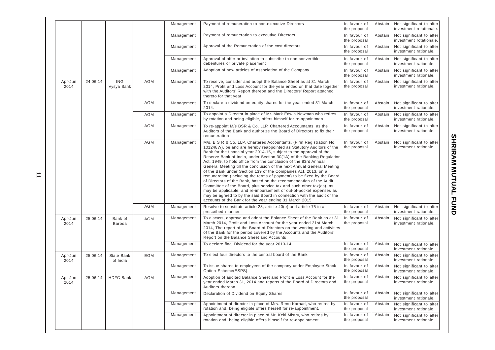|                 |          |                          |     | Management | Payment of remuneration to non-executive Directors                                                                                                                                                                                                                                                                                                                                                                                                                                                                                                                                                                                                                                                                                                                                                                                                                                                                                           | In favour of<br>the proposal | Abstain | Not significant to alter<br>investment rotationale. |
|-----------------|----------|--------------------------|-----|------------|----------------------------------------------------------------------------------------------------------------------------------------------------------------------------------------------------------------------------------------------------------------------------------------------------------------------------------------------------------------------------------------------------------------------------------------------------------------------------------------------------------------------------------------------------------------------------------------------------------------------------------------------------------------------------------------------------------------------------------------------------------------------------------------------------------------------------------------------------------------------------------------------------------------------------------------------|------------------------------|---------|-----------------------------------------------------|
|                 |          |                          |     | Management | Payment of remuneration to executive Directors                                                                                                                                                                                                                                                                                                                                                                                                                                                                                                                                                                                                                                                                                                                                                                                                                                                                                               | In favour of<br>the proposal | Abstain | Not significant to alter<br>investment rotationale. |
|                 |          |                          |     | Management | Approval of the Remuneration of the cost directors                                                                                                                                                                                                                                                                                                                                                                                                                                                                                                                                                                                                                                                                                                                                                                                                                                                                                           | In favour of<br>the proposal | Abstain | Not significant to alter<br>investment rationale.   |
|                 |          |                          |     | Management | Approval of offer or invitation to subscribe to non convertible<br>debentures or private placement                                                                                                                                                                                                                                                                                                                                                                                                                                                                                                                                                                                                                                                                                                                                                                                                                                           | In favour of<br>the proposal | Abstain | Not significant to alter<br>investment rationale.   |
|                 |          |                          |     | Management | Adoption of new articles of association of the Company.                                                                                                                                                                                                                                                                                                                                                                                                                                                                                                                                                                                                                                                                                                                                                                                                                                                                                      | In favour of<br>the proposal | Abstain | Not significant to alter<br>investment rationale.   |
| Apr-Jun<br>2014 | 24.06.14 | <b>ING</b><br>Vysya Bank | AGM | Management | To receive, consider and adopt the Balance Sheet as at 31 March<br>2014, Profit and Loss Account for the year ended on that date together<br>with the Auditors' Report thereon and the Directors' Report attached<br>thereto for that year                                                                                                                                                                                                                                                                                                                                                                                                                                                                                                                                                                                                                                                                                                   | In favour of<br>the proposal | Abstain | Not significant to alter<br>investment rationale.   |
|                 |          |                          | AGM | Management | To declare a dividend on equity shares for the year ended 31 March<br>2014.                                                                                                                                                                                                                                                                                                                                                                                                                                                                                                                                                                                                                                                                                                                                                                                                                                                                  | In favour of<br>the proposal | Abstain | Not significant to alter<br>investment rationale.   |
|                 |          |                          | AGM | Management | To appoint a Director in place of Mr. Mark Edwin Newman who retires<br>by rotation and being eligible, offers himself for re-appointmen                                                                                                                                                                                                                                                                                                                                                                                                                                                                                                                                                                                                                                                                                                                                                                                                      | In favour of<br>the proposal | Abstain | Not significant to alter<br>investment rationale.   |
|                 |          |                          | AGM | Management | To re-appoint M/s BSR & Co. LLP, Chartered Accountants, as the<br>Auditors of the Bank and authorize the Board of Directors to fix their<br>remuneration                                                                                                                                                                                                                                                                                                                                                                                                                                                                                                                                                                                                                                                                                                                                                                                     | In favour of<br>the proposal | Abstain | Not significant to alter<br>investment rationale.   |
|                 |          |                          | AGM | Management | M/s. B S R & Co. LLP, Chartered Accountants, (Firm Registration No.<br>101248W), be and are hereby reappointed as Statutory Auditors of the<br>Bank for the financial year 2014-15, subject to the approval of the<br>Reserve Bank of India, under Section 30(1A) of the Banking Regulation<br>Act, 1949, to hold office from the conclusion of the 83rd Annual<br>General Meeting till the conclusion of the next Annual General Meeting<br>of the Bank under Section 139 of the Companies Act, 2013, on a<br>remuneration (including the terms of payment) to be fixed by the Board<br>of Directors of the Bank, based on the recommendation of the Audit<br>Committee of the Board, plus service tax and such other tax(es), as<br>may be applicable, and re-imbursement of out-of-pocket expenses as<br>may be agreed to by the said Board in connection with the audit of the<br>accounts of the Bank for the year ending 31 March 2015 | In favour of<br>the proposal | Abstain | Not significant to alter<br>investment rationale.   |
|                 |          |                          | AGM | Management | Resolve to substitute article 28, article 40(e) and article 75 in a<br>prescribed manner.                                                                                                                                                                                                                                                                                                                                                                                                                                                                                                                                                                                                                                                                                                                                                                                                                                                    | In favour of<br>the proposal | Abstain | Not significant to alter<br>investment rationale.   |
| Apr-Jun<br>2014 | 25.06.14 | Bank of<br>Baroda        | AGM | Management | To discuss, approve and adopt the Balance Sheet of the Bank as at 31<br>March 2014, Profit and Loss Account for the year ended 31st March<br>2014, The report of the Board of Directors on the working and activities<br>of the Bank for the period covered by the Accounts and the Auditors'<br>Report on the Balance Sheet and Accounts                                                                                                                                                                                                                                                                                                                                                                                                                                                                                                                                                                                                    | In favour of<br>the proposal | Abstain | Not significant to alter<br>investment rationale.   |
|                 |          |                          |     | Management | To declare final Dividend for the year 2013-14                                                                                                                                                                                                                                                                                                                                                                                                                                                                                                                                                                                                                                                                                                                                                                                                                                                                                               | In favour of<br>the proposal | Abstain | Not significant to alter<br>investment rationale.   |
| Apr-Jun<br>2014 | 25.06.14 | State Bank<br>of India   | EGM | Management | To elect four directors to the central board of the Bank.                                                                                                                                                                                                                                                                                                                                                                                                                                                                                                                                                                                                                                                                                                                                                                                                                                                                                    | In favour of<br>the proposal | Abstain | Not significant to alter<br>investment rationale.   |
|                 |          |                          |     | Management | To issue shares to employees of the company under Employee Stock<br>Option Scheme(ESPS).                                                                                                                                                                                                                                                                                                                                                                                                                                                                                                                                                                                                                                                                                                                                                                                                                                                     | In favour of<br>the proposal | Abstain | Not significant to alter<br>investment rationale.   |
| Apr-Jun<br>2014 | 25.06.14 | <b>HDFC Bank</b>         | AGM | Management | Adoption of audited Balance Sheet and Profit & Loss Account for the<br>year ended March 31, 2014 and reports of the Board of Directors and<br>Auditors thereon.                                                                                                                                                                                                                                                                                                                                                                                                                                                                                                                                                                                                                                                                                                                                                                              | In favour of<br>the proposal | Abstain | Not significant to alter<br>investment rationale.   |
|                 |          |                          |     | Management | Declaration of Dividend on Equity Shares                                                                                                                                                                                                                                                                                                                                                                                                                                                                                                                                                                                                                                                                                                                                                                                                                                                                                                     | In favour of<br>the proposal | Abstain | Not significant to alter<br>investment rationale.   |
|                 |          |                          |     | Management | Appointment of director in place of Mrs. Renu Karnad, who retires by<br>rotation and, being eligible offers herself for re-appointment.                                                                                                                                                                                                                                                                                                                                                                                                                                                                                                                                                                                                                                                                                                                                                                                                      | In favour of<br>the proposal | Abstain | Not significant to alter<br>investment rationale.   |
|                 |          |                          |     | Management | Appointment of director in place of Mr. Keki Mistry, who retires by<br>rotation and, being eligible offers himself for re-appointment.                                                                                                                                                                                                                                                                                                                                                                                                                                                                                                                                                                                                                                                                                                                                                                                                       | In favour of<br>the proposal | Abstain | Not significant to alter<br>investment rationale.   |
|                 |          |                          |     |            |                                                                                                                                                                                                                                                                                                                                                                                                                                                                                                                                                                                                                                                                                                                                                                                                                                                                                                                                              |                              |         |                                                     |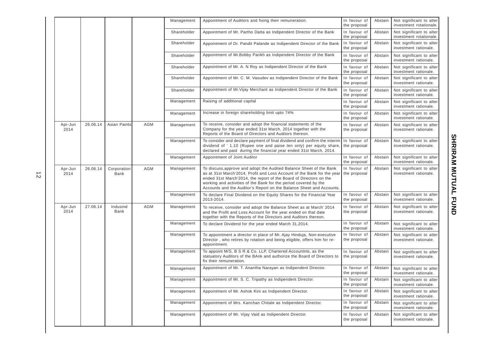|                 |          |                     |     | Management  | Appointment of Auditors and fixing their remuneration.                                                                                                                                                                                                                                                                                                           | In favour of<br>the proposal | Abstain | Not significant to alter<br>investment rotationale.         |
|-----------------|----------|---------------------|-----|-------------|------------------------------------------------------------------------------------------------------------------------------------------------------------------------------------------------------------------------------------------------------------------------------------------------------------------------------------------------------------------|------------------------------|---------|-------------------------------------------------------------|
|                 |          |                     |     | Shareholder | Appointment of Mr. Partho Datta as Indipendent Director of the Bank                                                                                                                                                                                                                                                                                              | In favour of<br>the proposal | Abstain | Not significant to alter<br>investment rotationale.         |
|                 |          |                     |     | Shareholder | Appointment of Dr. Pandit Palande as Indipendent Director of the Bank                                                                                                                                                                                                                                                                                            | In favour of<br>the proposal | Abstain | Not significant to alter<br>investment rationale.           |
|                 |          |                     |     | Shareholder | Appointment of Mr. Bobby Parikh as Indipendent Director of the Bank                                                                                                                                                                                                                                                                                              | In favour of<br>the proposal | Abstain | Not significant to alter<br>investment rationale.           |
|                 |          |                     |     | Shareholder | Appointment of Mr. A. N Roy as Indipendent Director of the Bank                                                                                                                                                                                                                                                                                                  | In favour of<br>the proposal | Abstain | Not significant to alter<br>investment rationale.           |
|                 |          |                     |     | Shareholder | Appointment of Mr. C. M. Vasudev as Indipendent Director of the Bank                                                                                                                                                                                                                                                                                             | In favour of<br>the proposal | Abstain | Not significant to alter<br>investment rationale.           |
|                 |          |                     |     | Shareholder | Appointment of Mr. Vijay Merchant as Indipendent Director of the Bank                                                                                                                                                                                                                                                                                            | In favour of<br>the proposal | Abstain | Not significant to alter<br>investment rationale.           |
|                 |          |                     |     | Management  | Raising of additional capital                                                                                                                                                                                                                                                                                                                                    | In favour of<br>the proposal | Abstain | Not significant to alter<br>investment rationale.           |
|                 |          |                     |     | Management  | Increase in foreign shareholding limit upto 74%                                                                                                                                                                                                                                                                                                                  | In favour of<br>the proposal | Abstain | Not significant to alter<br>investment rationale.           |
| Apr-Jun<br>2014 | 26.06.14 | Asian Paints        | AGM | Management  | To receive, consider and adopt the financial statements of the<br>Company for the year ended 31st March, 2014 together with the<br>Reports of the Board of Directors and Auditors thereon.                                                                                                                                                                       | In favour of<br>the proposal | Abstain | Not significant to alter<br>investment rationale.           |
|                 |          |                     |     | Management  | To consider and declare payment of final dividend and confirm the interim<br>dividend of '1.10 (Rupee one and paise ten only) per equity share,<br>declared and paid during the financial year ended 31st March, 2014.                                                                                                                                           | In favour of<br>the proposal | Abstain | Not significant to alter<br>investment rationale.           |
|                 |          |                     |     | Management  | Appointment of Joint Auditor                                                                                                                                                                                                                                                                                                                                     | In favour of<br>the proposal | Abstain | Not significant to alter<br>investment rationale.           |
| Apr-Jun<br>2014 | 26.06.14 | Corporation<br>Bank | AGM | Management  | To discuss, approve and adopt the Audited Balance Sheet of the Bank<br>as at 31st March'2014, Profit and Loss Account of the Bank for the year<br>ended 31st March'2014, the report of the Board of Directors on the<br>working and activities of the Bank for the period covered by the<br>Accounts and the Auditor's Report on the Balance Sheet and Accounts. | In favour of<br>the proposal | Abstain | Not significant to alter<br>investment rationale.           |
|                 |          |                     |     | Management  | To declare Final Dividend on the Equity Shares for the Financial Year<br>2013-2014.                                                                                                                                                                                                                                                                              | In favour of<br>the proposal | Abstain | Not significant to alter<br>investment rationale.           |
| Apr-Jun<br>2014 | 27.06.14 | Indusind<br>Bank    | AGM | Management  | To receive, consider and adopt the Balance Sheet as at March' 2014<br>and the Profit and Loss Account for the year ended on that date<br>together with the Reports of the Directors and Auditors thereon.                                                                                                                                                        | In favour of<br>the proposal | Abstain | Not significant to alter<br>investment rationale.           |
|                 |          |                     |     | Management  | To declare Dividend for the year ended March 31,2014.                                                                                                                                                                                                                                                                                                            | In favour of<br>the proposal | Abstain | Not significant to alter<br>investment rationale.           |
|                 |          |                     |     | Management  | To appointment a director in place of Mr. Ajay Hinduja, Non-executive<br>Director, who retires by rotation and being eligible, offers him for re-<br>appointment.                                                                                                                                                                                                | In favour of<br>the proposal | Abstain | Not significant to alter<br>investment rationale.           |
|                 |          |                     |     | Management  | To appoint M/S, B S R & Co. LLP, Chartered Accountnts, as the<br>statuatory Auditors of the BAnk and authorize the Board of Directors to<br>fix their remuneration.                                                                                                                                                                                              | In favour of<br>the proposal | Abstain | Not significant to alter<br>investment rationale.           |
|                 |          |                     |     | Management  | Appointment of Mr. T. Anantha Narayan as Indipendent Director.                                                                                                                                                                                                                                                                                                   | In favour of<br>the proposal | Abstain | Not significant to alter<br>investment rationale.           |
|                 |          |                     |     | Management  | Appointment of Mr. S. C. Tripathy as Indipendent Director.                                                                                                                                                                                                                                                                                                       | In favour of<br>the proposal |         | Abstain   Not significant to alter<br>investment rationale. |
|                 |          |                     |     | Management  | Appointment of Mr. Ashok Kini as Indipendent Director.                                                                                                                                                                                                                                                                                                           | In favour of<br>the proposal | Abstain | Not significant to alter<br>investment rationale.           |
|                 |          |                     |     | Management  | Appointment of Mrs. Kanchan Chitale as Indipendent Director.                                                                                                                                                                                                                                                                                                     | In favour of<br>the proposal | Abstain | Not significant to alter<br>investment rationale.           |
|                 |          |                     |     | Management  | Appointment of Mr. Vijay Vaid as Indipendent Director.                                                                                                                                                                                                                                                                                                           | In favour of<br>the proposal | Abstain | Not significant to alter<br>investment rationale.           |

 $\vec{z}$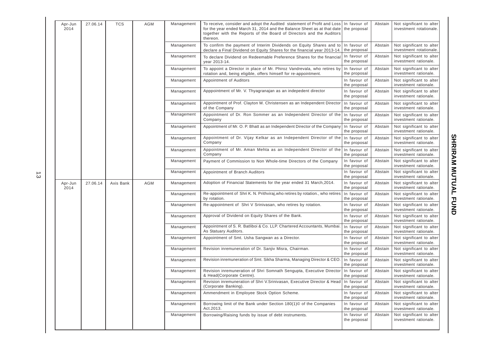| Apr-Jun<br>2014 | 27.06.14 | <b>TCS</b> | <b>AGM</b> | Management | To receive, consider and adopt the Audited statement of Profit and Loss In favour of<br>for the year ended March 31, 2014 and the Balance Sheet as at that date<br>together with the Reports of the Board of Directors and the Auditors<br>thereon. | the proposal                                                                 | Abstain                                                                    | Not significant to alter<br>investment rotationale.         |                                                   |                                                   |                                                                                 |                              |         |                                                   |  |            |                                                        |                              |         |                                                   |
|-----------------|----------|------------|------------|------------|-----------------------------------------------------------------------------------------------------------------------------------------------------------------------------------------------------------------------------------------------------|------------------------------------------------------------------------------|----------------------------------------------------------------------------|-------------------------------------------------------------|---------------------------------------------------|---------------------------------------------------|---------------------------------------------------------------------------------|------------------------------|---------|---------------------------------------------------|--|------------|--------------------------------------------------------|------------------------------|---------|---------------------------------------------------|
|                 |          |            |            | Management | To confirm the payment of Interim Dividends on Equity Shares and to<br>declare a Final Dividend on Equity Shares for the financial year 2013-14.                                                                                                    | In favour of<br>the proposal                                                 | Abstain                                                                    | Not significant to alter<br>investment rotationale.         |                                                   |                                                   |                                                                                 |                              |         |                                                   |  |            |                                                        |                              |         |                                                   |
|                 |          |            |            | Management | To declare Dividend on Redeemable Preference Shares for the financial<br>vear 2013-14.                                                                                                                                                              | In favour of<br>the proposal                                                 | Abstain                                                                    | Not significant to alter<br>investment rationale.           |                                                   |                                                   |                                                                                 |                              |         |                                                   |  |            |                                                        |                              |         |                                                   |
|                 |          |            |            | Management | To appoint a Director in place of Mr. Phiroz Vandrevala, who retires by<br>rotation and, being eligible, offers himself for re-appointment.                                                                                                         | In favour of<br>the proposal                                                 | Abstain                                                                    | Not significant to alter<br>investment rationale.           |                                                   |                                                   |                                                                                 |                              |         |                                                   |  |            |                                                        |                              |         |                                                   |
|                 |          |            |            | Management | Appointment of Auditors                                                                                                                                                                                                                             | In favour of<br>the proposal                                                 | Abstain                                                                    | Not significant to alter<br>investment rationale.           |                                                   |                                                   |                                                                                 |                              |         |                                                   |  |            |                                                        |                              |         |                                                   |
|                 |          |            |            | Management | Apppointment of Mr. V. Thyagranajan as an indepedent director                                                                                                                                                                                       | In favour of<br>the proposal                                                 | Abstain                                                                    | Not significant to alter<br>investment rationale.           |                                                   |                                                   |                                                                                 |                              |         |                                                   |  |            |                                                        |                              |         |                                                   |
|                 |          |            |            | Management | Appointment of Prof. Clayton M. Christensen as an Independent Director<br>of the Company                                                                                                                                                            | In favour of<br>the proposal                                                 | Abstain                                                                    | Not significant to alter<br>investment rationale.           |                                                   |                                                   |                                                                                 |                              |         |                                                   |  |            |                                                        |                              |         |                                                   |
|                 |          |            |            | Management | Appointment of Dr. Ron Sommer as an Independent Director of the<br>Company                                                                                                                                                                          | In favour of<br>the proposal                                                 | Abstain                                                                    | Not significant to alter<br>investment rationale.           |                                                   |                                                   |                                                                                 |                              |         |                                                   |  |            |                                                        |                              |         |                                                   |
|                 |          |            |            | Management | Appointment of Mr. O. P. Bhatt as an Independent Director of the Company                                                                                                                                                                            | In favour of<br>the proposal                                                 | Abstain                                                                    | Not significant to alter<br>investment rationale.           |                                                   |                                                   |                                                                                 |                              |         |                                                   |  |            |                                                        |                              |         |                                                   |
|                 |          |            |            |            | Management                                                                                                                                                                                                                                          | Appointment of Dr. Vijay Kelkar as an Independent Director of the<br>Company | In favour of<br>the proposal                                               | Abstain                                                     | Not significant to alter<br>investment rationale. |                                                   |                                                                                 |                              |         |                                                   |  |            |                                                        |                              |         |                                                   |
|                 |          |            |            |            |                                                                                                                                                                                                                                                     | Management                                                                   | Appointment of Mr. Aman Mehta as an Independent Director of the<br>Company | In favour of<br>the proposal                                | Abstain                                           | Not significant to alter<br>investment rationale. |                                                                                 |                              |         |                                                   |  |            |                                                        |                              |         |                                                   |
|                 |          |            |            | Management | Payment of Commission to Non Whole-time Directors of the Company                                                                                                                                                                                    | In favour of<br>the proposal                                                 | Abstain                                                                    | Not significant to alter<br>investment rationale.           |                                                   |                                                   |                                                                                 |                              |         |                                                   |  |            |                                                        |                              |         |                                                   |
|                 |          |            |            | Management | Appointment of Branch Auditors                                                                                                                                                                                                                      | In favour of<br>the proposal                                                 | Abstain                                                                    | Not significant to alter<br>investment rationale.           |                                                   |                                                   |                                                                                 |                              |         |                                                   |  |            |                                                        |                              |         |                                                   |
| Apr-Jun<br>2014 | 27.06.14 | Axis Bank  | <b>AGM</b> | Management | Adoption of Financial Statements for the year ended 31 March, 2014.                                                                                                                                                                                 | In favour of<br>the proposal                                                 | Abstain                                                                    | Not significant to alter<br>investment rationale.           |                                                   |                                                   |                                                                                 |                              |         |                                                   |  |            |                                                        |                              |         |                                                   |
|                 |          |            |            | Management | Re-appointment of Shri K. N. Prithviraj, who retires by rotation., who retires<br>by rotation.                                                                                                                                                      | In favour of<br>the proposal                                                 | Abstain                                                                    | Not significant to alter<br>investment rationale.           |                                                   |                                                   |                                                                                 |                              |         |                                                   |  |            |                                                        |                              |         |                                                   |
|                 |          |            |            | Management | Re-appointment of Shri V Srinivasan, who retires by rotation.                                                                                                                                                                                       | In favour of<br>the proposal                                                 | Abstain                                                                    | Not significant to alter<br>investment rationale.           |                                                   |                                                   |                                                                                 |                              |         |                                                   |  |            |                                                        |                              |         |                                                   |
|                 |          |            |            | Management | Approval of Dividend on Equity Shares of the Bank.                                                                                                                                                                                                  | In favour of<br>the proposal                                                 | Abstain                                                                    | Not significant to alter<br>investment rationale.           |                                                   |                                                   |                                                                                 |                              |         |                                                   |  |            |                                                        |                              |         |                                                   |
|                 |          |            |            | Management | Appointment of S. R. Batliboi & Co. LLP. Chartered Accountants, Mumbai.<br>As Statuary Auditors.                                                                                                                                                    | In favour of<br>the proposal                                                 | Abstain                                                                    | Not significant to alter<br>investment rationale.           |                                                   |                                                   |                                                                                 |                              |         |                                                   |  |            |                                                        |                              |         |                                                   |
|                 |          |            |            | Management | Appointment of Smt. Usha Sangwan as a Director.                                                                                                                                                                                                     | In favour of<br>the proposal                                                 | Abstain                                                                    | Not significant to alter<br>investment rationale.           |                                                   |                                                   |                                                                                 |                              |         |                                                   |  |            |                                                        |                              |         |                                                   |
|                 |          |            |            |            |                                                                                                                                                                                                                                                     |                                                                              |                                                                            |                                                             |                                                   |                                                   |                                                                                 |                              |         |                                                   |  | Management | Revision inremuneration of Dr. Sanjiv Misra, Chairman. | In favour of<br>the proposal | Abstain | Not significant to alter<br>investment rationale. |
|                 |          |            |            | Management | Revision inremuneration of Smt. Sikha Sharma, Managing Director & CEO.                                                                                                                                                                              | In favour of<br>the proposal                                                 | Abstain                                                                    | Not significant to alter<br>investment rationale.           |                                                   |                                                   |                                                                                 |                              |         |                                                   |  |            |                                                        |                              |         |                                                   |
|                 |          |            |            | Management | Revision inremuneration of Shri Somnath Sengupta, Executive Director<br>& Head(Corporate Centre).                                                                                                                                                   | In favour of<br>the proposal                                                 | Abstain                                                                    | Not significant to alter<br>investment rationale.           |                                                   |                                                   |                                                                                 |                              |         |                                                   |  |            |                                                        |                              |         |                                                   |
|                 |          |            |            | Management | Revision inremuneration of Shri V. Srinivasan, Executive Director & Head<br>(Corporate Banking).                                                                                                                                                    | In favour of<br>the proposal                                                 |                                                                            | Abstain   Not significant to alter<br>investment rationale. |                                                   |                                                   |                                                                                 |                              |         |                                                   |  |            |                                                        |                              |         |                                                   |
|                 |          |            |            | Management | Ammendment in Employee Stock Option Scheme.                                                                                                                                                                                                         | In favour of<br>the proposal                                                 | Abstain                                                                    | Not significant to alter<br>investment rationale.           |                                                   |                                                   |                                                                                 |                              |         |                                                   |  |            |                                                        |                              |         |                                                   |
|                 |          |            |            |            |                                                                                                                                                                                                                                                     |                                                                              |                                                                            |                                                             |                                                   | Management                                        | Borrowing limit of the Bank under Section 180(1)© of the Companies<br>Act.2013. | In favour of<br>the proposal | Abstain | Not significant to alter<br>investment rationale. |  |            |                                                        |                              |         |                                                   |
|                 |          |            |            | Management | Borrowing/Raising funds by issue of debt instruments.                                                                                                                                                                                               | In favour of<br>the proposal                                                 | Abstain                                                                    | Not significant to alter<br>investment rationale.           |                                                   |                                                   |                                                                                 |                              |         |                                                   |  |            |                                                        |                              |         |                                                   |
|                 |          |            |            |            |                                                                                                                                                                                                                                                     |                                                                              |                                                                            |                                                             |                                                   |                                                   |                                                                                 |                              |         |                                                   |  |            |                                                        |                              |         |                                                   |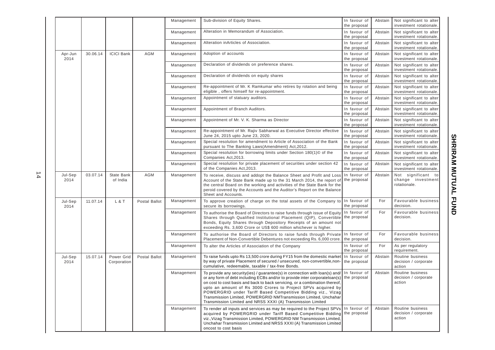|                 |          |                               |               | Management | Sub-division of Equity Shares.                                                                                                                                                                                                                                                                                                                                                                                                                                                                                            | In favour of<br>the proposal | Abstain | Not significant to alter<br>investment rotationale.     |
|-----------------|----------|-------------------------------|---------------|------------|---------------------------------------------------------------------------------------------------------------------------------------------------------------------------------------------------------------------------------------------------------------------------------------------------------------------------------------------------------------------------------------------------------------------------------------------------------------------------------------------------------------------------|------------------------------|---------|---------------------------------------------------------|
|                 |          |                               |               | Management | Alteration in Memorandum of Association.                                                                                                                                                                                                                                                                                                                                                                                                                                                                                  | In favour of<br>the proposal | Abstain | Not significant to alter<br>investment rotationale.     |
|                 |          |                               |               | Management | Alteration inArticles of Association.                                                                                                                                                                                                                                                                                                                                                                                                                                                                                     | In favour of<br>the proposal | Abstain | Not significant to alter<br>investment rotationale.     |
| Apr-Jun<br>2014 | 30.06.14 | <b>ICICI Bank</b>             | <b>AGM</b>    | Management | Adoption of accounts                                                                                                                                                                                                                                                                                                                                                                                                                                                                                                      | In favour of<br>the proposal | Abstain | Not significant to alter<br>investment rotationale.     |
|                 |          |                               |               | Management | Declaration of dividends on preference shares.                                                                                                                                                                                                                                                                                                                                                                                                                                                                            | In favour of<br>the proposal | Abstain | Not significant to alter<br>investment rotationale.     |
|                 |          |                               |               | Management | Declaration of dividends on equity shares                                                                                                                                                                                                                                                                                                                                                                                                                                                                                 | In favour of<br>the proposal | Abstain | Not significant to alter<br>investment rotationale.     |
|                 |          |                               |               | Management | Re-appointment of Mr. K Ramkumar who retires by rotation and being<br>eligible, offers himself for re-appointment.                                                                                                                                                                                                                                                                                                                                                                                                        | In favour of<br>the proposal | Abstain | Not significant to alter<br>investment rotationale.     |
|                 |          |                               |               | Management | Appointment of statuary auditors.                                                                                                                                                                                                                                                                                                                                                                                                                                                                                         | In favour of<br>the proposal | Abstain | Not significant to alter<br>investment rotationale.     |
|                 |          |                               |               | Management | Appointment of Branch Auditors.                                                                                                                                                                                                                                                                                                                                                                                                                                                                                           | In favour of<br>the proposal | Abstain | Not significant to alter<br>investment rotationale.     |
|                 |          |                               |               | Management | Appointment of Mr. V. K. Sharma as Director                                                                                                                                                                                                                                                                                                                                                                                                                                                                               | In favour of<br>the proposal | Abstain | Not significant to alter<br>investment rotationale.     |
|                 |          |                               |               | Management | Re-appointment of Mr. Rajiv Sabharwal as Executive Director effective<br>June 24, 2015 upto June 23, 2020.                                                                                                                                                                                                                                                                                                                                                                                                                | In favour of<br>the proposal | Abstain | Not significant to alter<br>investment rotationale.     |
|                 |          |                               |               | Management | Special resolution for amendment to Article of Association of the Bank<br>pursuant to The Banking Laws(Amendment) Act, 2012.                                                                                                                                                                                                                                                                                                                                                                                              | In favour of<br>the proposal | Abstain | Not significant to alter<br>investment rotationale.     |
|                 |          |                               |               | Management | Special resolution for borrowing limits under Section 180(1)© of the<br>Companies Act, 2013.                                                                                                                                                                                                                                                                                                                                                                                                                              | In favour of<br>the proposal | Abstain | Not significant to alter<br>investment rotationale.     |
|                 |          |                               |               | Management | Special resolution for private placement of securities under section 42<br>of the Companies Act, 2013.                                                                                                                                                                                                                                                                                                                                                                                                                    | In favour of<br>the proposal | Abstain | Not significant to alter<br>investment rotationale.     |
| Jul-Sep<br>2014 | 03.07.14 | <b>State Bank</b><br>of India | <b>AGM</b>    | Management | To receive, discuss and addopt the Balance Sheet and Profit and Loss<br>Account of the State Bank made up to the 31 March 2014, the report of<br>the central Board on the working and activities of the State Bank for the<br>peroid covered by the Accounts and the Auditor's Report on the Balance<br>Sheet and Accounts.                                                                                                                                                                                               | In favour of<br>the proposal | Abstain | Not significant to<br>change investment<br>rotationale. |
| Jul-Sep<br>2014 | 11.07.14 | L & T                         | Postal Ballot | Management | To approve creation of charge on the total assets of the Company to<br>secure its borrowings.                                                                                                                                                                                                                                                                                                                                                                                                                             | In favour of<br>the proposal | For     | Favourable business<br>decision.                        |
|                 |          |                               |               | Management | To authorise the Board of Directors to raise funds through issue of Equity<br>Shares through Qualified Institutional Placement (QIP), Convertible the proposal<br>Bonds, Equity Shares through Depository Receipts of an amount not<br>exceeding Rs. 3,600 Crore or US\$ 600 million whichever is higher.                                                                                                                                                                                                                 | In favour of                 | For     | Favourable business<br>decision.                        |
|                 |          |                               |               | Management | To authorise the Board of Directors to raise funds through Private<br>Placement of Non-Convertible Debentures not exceeding Rs. 6,000 crore.                                                                                                                                                                                                                                                                                                                                                                              | In favour of<br>the proposal | For     | Favourable business<br>decision.                        |
|                 |          |                               |               | Management | To alter the Articles of Association of the Company                                                                                                                                                                                                                                                                                                                                                                                                                                                                       | In favour of<br>the proposal | For     | As per regulatory<br>requirement.                       |
| Jul-Sep<br>2014 | 15.07.14 | Power Grid<br>Corporation     | Postal Ballot | Management | To raise funds upto Rs 13,500 crore during FY15 from the domestic market<br>by way of private Placement of secured / unsecured, non-convertible, non-<br>cumulative, redeemable, taxable / tax-free Bonds.                                                                                                                                                                                                                                                                                                                | In favour of<br>the proposal | Abstain | Routine business<br>decision / corporate<br>action      |
|                 |          |                               |               | Management | To provide any security(ies) / guarantee(s) in connection with loan(s) and/<br>or any form of debt including ECBs and/or to provide inter corporateloan(s) the proposal<br>on cost to cost basis and back to back servicing, or a combination thereof,<br>upto an amount of Rs 3000 Crores to Project SPVs acquired by<br>POWERGRID under Tariff Based Competitive Bidding viz., Vizag<br>Transmission Limited, POWERGRID NMTransmission Limited, Unchahar<br>Transmission Limited and NRSS XXXI (A) Transmission Limited | In favour of                 | Abstain | Routine business<br>decision / corporate<br>action      |
|                 |          |                               |               | Management | To render all inputs and services as may be required to the Project SPVs   In favour of<br>acquired by POWERGRID under Tariff Based Competitive Bidding the proposal<br>viz., Vizag Transmission Limited, POWERGRID NM Transmission Limited,<br>Unchahar Transmission Limited and NRSS XXXI (A) Transmission Limited<br>oncost to cost basis                                                                                                                                                                              |                              | Abstain | Routine business<br>decision / corporate<br>action      |

14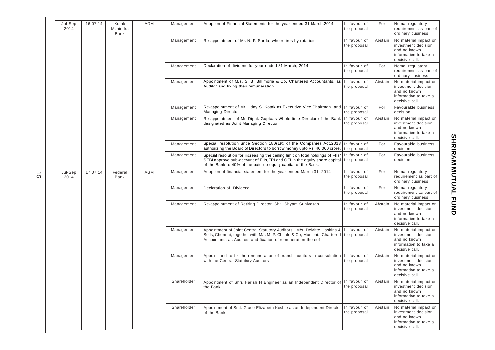| Jul-Sep<br>2014 | 16.07.14 | Kotak<br>Mahindra<br>Bank | <b>AGM</b> | Management  | Adoption of Financial Statements for the year ended 31 March, 2014.                                                                                                                                                          | In favour of<br>the proposal                                                                            | For                     | Nomal regulatory<br>requirement as part of<br>ordinary business                                         |                                 |                                                                 |            |                                                                                                                                                                                                                                                  |  |         |                                                                                                         |
|-----------------|----------|---------------------------|------------|-------------|------------------------------------------------------------------------------------------------------------------------------------------------------------------------------------------------------------------------------|---------------------------------------------------------------------------------------------------------|-------------------------|---------------------------------------------------------------------------------------------------------|---------------------------------|-----------------------------------------------------------------|------------|--------------------------------------------------------------------------------------------------------------------------------------------------------------------------------------------------------------------------------------------------|--|---------|---------------------------------------------------------------------------------------------------------|
|                 |          |                           |            | Management  | Re-appointment of Mr. N. P. Sarda, who retires by rotation.                                                                                                                                                                  | In favour of<br>the proposal                                                                            | Abstain                 | No material impact on<br>investment decision<br>and no known<br>information to take a<br>decisive call. |                                 |                                                                 |            |                                                                                                                                                                                                                                                  |  |         |                                                                                                         |
|                 |          |                           |            | Management  | Declaration of dividend for year ended 31 March, 2014.                                                                                                                                                                       | In favour of<br>the proposal                                                                            | For                     | Nomal regulatory<br>requirement as part of<br>ordinary business                                         |                                 |                                                                 |            |                                                                                                                                                                                                                                                  |  |         |                                                                                                         |
|                 |          |                           |            | Management  | Appointment of M/s. S. B. Billimoria & Co, Chartered Accountants, as<br>Auditor and fixing their remuneration.                                                                                                               | In favour of<br>the proposal                                                                            | Abstain                 | No material impact on<br>investment decision<br>and no known<br>information to take a<br>decisive call. |                                 |                                                                 |            |                                                                                                                                                                                                                                                  |  |         |                                                                                                         |
|                 |          |                           |            |             | Management                                                                                                                                                                                                                   | Re-appointment of Mr. Uday S. Kotak as Executive Vice Chairman and   In favour of<br>Managing Director. | the proposal            | For                                                                                                     | Favourable business<br>decision |                                                                 |            |                                                                                                                                                                                                                                                  |  |         |                                                                                                         |
|                 |          |                           |            | Management  | Re-appointment of Mr. Dipak Guptaas Whole-time Director of the Bank<br>designated as Joint Managing Director.                                                                                                                | In favour of<br>the proposal                                                                            | Abstain                 | No material impact on<br>investment decision<br>and no known<br>information to take a<br>decisive call. |                                 |                                                                 |            |                                                                                                                                                                                                                                                  |  |         |                                                                                                         |
|                 |          |                           |            | Management  | Special resolution unde Section 180(1)© of the Companies Act, 2013<br>authorizing the Board of Directors to borrow money upto Rs. 40,000 crore.                                                                              | In favour of<br>the proposal                                                                            | For                     | Favourable business<br>decision                                                                         |                                 |                                                                 |            |                                                                                                                                                                                                                                                  |  |         |                                                                                                         |
|                 |          |                           |            | Management  | Special resolution for increasing the ceiling limit on total holdings of FIIs,<br>SEBI approve sub-account of FIIs, FPI and QFI in the equity share capital<br>of the Bank to 40% of the paid-up equity capital of the Bank. | In favour of<br>the proposal                                                                            | For                     | Favourable business<br>decision                                                                         |                                 |                                                                 |            |                                                                                                                                                                                                                                                  |  |         |                                                                                                         |
| Jul-Sep<br>2014 | 17.07.14 | Federal<br>Bank           | AGM        | Management  | Adoption of financial statement for the year ended March 31, 2014                                                                                                                                                            | In favour of<br>the proposal                                                                            | For                     | Nomal regulatory<br>requirement as part of<br>ordinary business                                         |                                 |                                                                 |            |                                                                                                                                                                                                                                                  |  |         |                                                                                                         |
|                 |          |                           |            |             |                                                                                                                                                                                                                              | Management                                                                                              | Declaration of Dividend | In favour of<br>the proposal                                                                            | For                             | Nomal regulatory<br>requirement as part of<br>ordinary business |            |                                                                                                                                                                                                                                                  |  |         |                                                                                                         |
|                 |          |                           |            | Management  | Re-appointment of Retiring Director, Shri. Shyam Srinivasan                                                                                                                                                                  | In favour of<br>the proposal                                                                            | Abstain                 | No material impact on<br>investment decision<br>and no known<br>information to take a<br>decisive call. |                                 |                                                                 |            |                                                                                                                                                                                                                                                  |  |         |                                                                                                         |
|                 |          |                           |            |             |                                                                                                                                                                                                                              |                                                                                                         |                         |                                                                                                         |                                 |                                                                 | Management | Appointment of Joint Central Statutory Auditors, M/s. Deloitte Haskins & In favour of<br>Sells, Chennai, together with M/s M. P. Chitale & Co, Mumbai., Chartered   the proposal<br>Accountants as Auditors and fixation of remuneration thereof |  | Abstain | No material impact on<br>investment decision<br>and no known<br>information to take a<br>decisive call. |
|                 |          |                           |            | Management  | Appoint and to fix the remuneration of branch auditors in consultation<br>with the Central Statutory Auditors                                                                                                                | In favour of<br>the proposal                                                                            | Abstain                 | No material impact on<br>investment decision<br>and no known<br>information to take a<br>decisive call. |                                 |                                                                 |            |                                                                                                                                                                                                                                                  |  |         |                                                                                                         |
|                 |          |                           |            | Shareholder | Appointment of Shri. Harish H Engineer as an Independent Director of In favour of<br>the Bank                                                                                                                                | the proposal                                                                                            | Abstain                 | No material impact on<br>investment decision<br>and no known<br>information to take a<br>decisive call. |                                 |                                                                 |            |                                                                                                                                                                                                                                                  |  |         |                                                                                                         |
|                 |          |                           |            | Shareholder | Appointment of Smt. Grace Elizabeth Koshie as an Independent Director<br>of the Bank                                                                                                                                         | In favour of<br>the proposal                                                                            | Abstain                 | No material impact on<br>investment decision<br>and no known<br>information to take a<br>decisive call. |                                 |                                                                 |            |                                                                                                                                                                                                                                                  |  |         |                                                                                                         |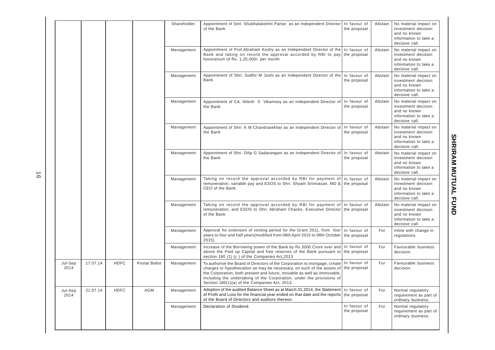|                 |          |             |               | Shareholder | Appointment of Smt. Shubhalakshmi Panse as an Independent Director In favour of<br>of the Bank                                                                                                                                                                                                                                                            | the proposal                 | Abstain | No material impact on<br>investment decision<br>and no known<br>information to take a<br>decisive call. |
|-----------------|----------|-------------|---------------|-------------|-----------------------------------------------------------------------------------------------------------------------------------------------------------------------------------------------------------------------------------------------------------------------------------------------------------------------------------------------------------|------------------------------|---------|---------------------------------------------------------------------------------------------------------|
|                 |          |             |               | Management  | Appointment of Prof. Abraham Koshy as an Independent Director of the In favour of<br>Bank and taking on record the approval accorded by RBI to pay the proposal<br>honorarium of Rs. 1,25,000/- per month                                                                                                                                                 |                              | Abstain | No material impact on<br>investment decision<br>and no known<br>information to take a<br>decisive call. |
|                 |          |             |               | Management  | Appointment of Shri. Sudhir M Joshi as an Independent Director of the<br>Bank                                                                                                                                                                                                                                                                             | In favour of<br>the proposal | Abstain | No material impact on<br>investment decision<br>and no known<br>information to take a<br>decisive call. |
|                 |          |             |               | Management  | Appointment of CA. Nilesh S Vikamsey as an Independent Director of<br>the Bank                                                                                                                                                                                                                                                                            | In favour of<br>the proposal | Abstain | No material impact on<br>investment decision<br>and no known<br>information to take a<br>decisive call. |
|                 |          |             |               | Management  | Appointment of Shri .K M Chandrasekhar as an Independent Director of<br>the Bank                                                                                                                                                                                                                                                                          | In favour of<br>the proposal | Abstain | No material impact on<br>investment decision<br>and no known<br>information to take a<br>decisive call. |
|                 |          |             |               | Management  | Appointment of Shri. Dilip G Sadarangani as an Independent Director of<br>the Bank                                                                                                                                                                                                                                                                        | In favour of<br>the proposal | Abstain | No material impact on<br>investment decision<br>and no known<br>information to take a<br>decisive call. |
|                 |          |             |               | Management  | Taking on record the approval accorded by RBI for payment of<br>remuneration, variable pay and ESOS to Shri. Shyam Srinivasan, MD &<br>CEO of the Bank                                                                                                                                                                                                    | In favour of<br>the proposal | Abstain | No material impact on<br>investment decision<br>and no known<br>information to take a<br>decisive call. |
|                 |          |             |               | Management  | Taking on record the approval accorded by RBI for payment of In favour of<br>remuneration, and ESOS to Shri. Abraham Chacko, Executive Director<br>of the Bank                                                                                                                                                                                            | the proposal                 | Abstain | No material impact on<br>investment decision<br>and no known<br>information to take a<br>decisive call. |
|                 |          |             |               | Management  | Approval for extension of vesting period for the Grant 2011, from four<br>years to four and half years (modified from 08th April 2015 to 08th October   the proposal<br>2015)                                                                                                                                                                             | In favour of                 | For     | Inline with change in<br>regulations.                                                                   |
|                 |          |             |               | Management  | Increase of the Borrowing power of the Bank by Rs 3000 Crore over and<br>above the Paid up Capital and free reserves of the Bank pursuant to<br>section 180 (1) (c) of the Companies Act, 2013                                                                                                                                                            | In favour of<br>the proposal | For     | Favourable business<br>decision.                                                                        |
| Jul-Sep<br>2014 | 17.07.14 | <b>HDFC</b> | Postal Ballot | Management  | To authorise the Board of Directors of the Corporation to mortgage, create<br>charges or hypothecation as may be necessary, on such of the assets of<br>the Corporation, both present and future, movable as well as immovable,<br>including the undertaking of the Corporation, under the provisions of<br>Section 180(1)(a) of the Companies Act, 2013. | In favour of<br>the proposal | For     | Favourable business<br>decision.                                                                        |
| Jul-Sep<br>2014 | 21.07.14 | <b>HDFC</b> | AGM           | Management  | Adoption of the audited Balance Sheet as at March 31, 2014, the Statement   In favour of<br>of Profit and Loss for the financial year ended on that date and the reports the proposal<br>of the Board of Directors and auditors thereon.                                                                                                                  |                              | For     | Normal regulatory<br>requirement as part of<br>ordinary business.                                       |
|                 |          |             |               | Management  | Declaration of Dividend.                                                                                                                                                                                                                                                                                                                                  | In favour of<br>the proposal | For     | Normal regulatory<br>requirement as part of<br>ordinary business.                                       |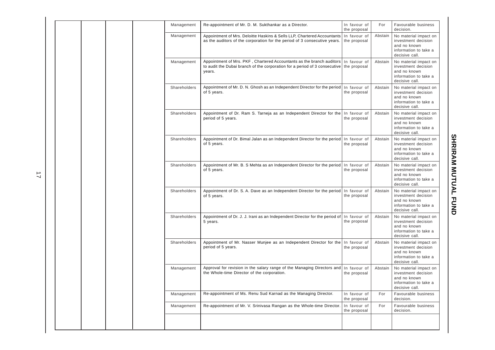|  |  | Management   | Re-appointment of Mr. D. M. Sukthankar as a Director.                                                                                                                                   | In favour of<br>the proposal | For     | Favourable business<br>decision.                                                                        |
|--|--|--------------|-----------------------------------------------------------------------------------------------------------------------------------------------------------------------------------------|------------------------------|---------|---------------------------------------------------------------------------------------------------------|
|  |  | Management   | Appointment of Mrs. Deloitte Haskins & Sells LLP, Chartered Accountants<br>as the auditors of the corporation for the period of 3 consecutive years.                                    | In favour of<br>the proposal | Abstain | No material impact on<br>investment decision<br>and no known<br>information to take a<br>decisive call. |
|  |  | Management   | Appointment of Mrs. PKF, Chartered Accountants as the branch auditors In favour of<br>to audit the Dubai branch of the corporation for a period of 3 consecutive the proposal<br>years. |                              | Abstain | No material impact on<br>investment decision<br>and no known<br>information to take a<br>decisive call. |
|  |  | Shareholders | Appointment of Mr. D. N. Ghosh as an Independent Director for the period In favour of<br>of 5 years.                                                                                    | the proposal                 | Abstain | No material impact on<br>investment decision<br>and no known<br>information to take a<br>decisive call. |
|  |  | Shareholders | Appointment of Dr. Ram S. Tarneja as an Independent Director for the<br>period of 5 years.                                                                                              | In favour of<br>the proposal | Abstain | No material impact on<br>investment decision<br>and no known<br>information to take a<br>decisive call. |
|  |  | Shareholders | Appointment of Dr. Bimal Jalan as an Independent Director for the period In favour of<br>of 5 years.                                                                                    | the proposal                 | Abstain | No material impact on<br>investment decision<br>and no known<br>information to take a<br>decisive call. |
|  |  | Shareholders | Appointment of Mr. B. S Mehta as an Independent Director for the period In favour of<br>of 5 years.                                                                                     | the proposal                 | Abstain | No material impact on<br>investment decision<br>and no known<br>information to take a<br>decisive call. |
|  |  | Shareholders | Appointment of Dr. S. A. Dave as an Independent Director for the period<br>of 5 years.                                                                                                  | In favour of<br>the proposal | Abstain | No material impact on<br>investment decision<br>and no known<br>information to take a<br>decisive call. |
|  |  | Shareholders | Appointment of Dr. J. J. Irani as an Independent Director for the period of In favour of<br>5 years.                                                                                    | the proposal                 | Abstain | No material impact on<br>investment decision<br>and no known<br>information to take a<br>decisive call. |
|  |  | Shareholders | Appointment of Mr. Nasser Munjee as an Independent Director for the<br>period of 5 years.                                                                                               | In favour of<br>the proposal | Abstain | No material impact on<br>investment decision<br>and no known<br>information to take a<br>decisive call. |
|  |  | Management   | Approval for revision in the salary range of the Managing Directors and<br>the Whole-time Director of the corporation.                                                                  | In favour of<br>the proposal | Abstain | No material impact on<br>investment decision<br>and no known<br>information to take a<br>decisive call. |
|  |  | Management   | Re-appointment of Ms. Renu Sud Karnad as the Managing Director.                                                                                                                         | In favour of<br>the proposal | For     | Favourable business<br>decision.                                                                        |
|  |  | Management   | Re-appointment of Mr. V. Srinivasa Rangan as the Whole-time Director                                                                                                                    | In favour of<br>the proposal | For     | Favourable business<br>decision.                                                                        |
|  |  |              |                                                                                                                                                                                         |                              |         |                                                                                                         |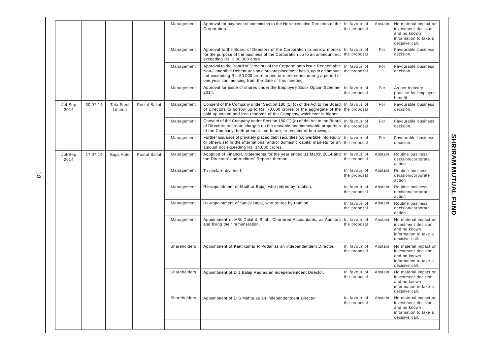|                 |          |                              |               | Management   | Approval for payment of commision to the Non-executive Directors of the In favour of<br>Corporation.                                                                                                                                                                                 | the proposal                 | Abstain | No material impact on<br>investment decision<br>and no known<br>information to take a<br>decisive call. |
|-----------------|----------|------------------------------|---------------|--------------|--------------------------------------------------------------------------------------------------------------------------------------------------------------------------------------------------------------------------------------------------------------------------------------|------------------------------|---------|---------------------------------------------------------------------------------------------------------|
|                 |          |                              |               | Management   | Approval to the Board of Directors of the Corporation to borrow monies<br>for the purpose of the business of the Corporation up to an ammount not<br>exceeding Rs. 3,00,000 crore.                                                                                                   | In favour of<br>the proposal | For     | Favourable business<br>decision.                                                                        |
|                 |          |                              |               | Management   | Approval to the Board of Directors of the Corporationto issue Redeemable<br>Non-Conertible Debentures on a private placement basis, up to an amount<br>not exceeding Rs. 50,000 crore in one or more series during a period of<br>one year commencing from the date of this meeting. | In favour of<br>the proposal | For     | Favourable business<br>decision.                                                                        |
|                 |          |                              |               | Management   | Approval for issue of shares under the Employee Stock Option Scheme-<br>2014.                                                                                                                                                                                                        | In favour of<br>the proposal | For     | As per industry<br>practice for employee<br>benefit.                                                    |
| Jul-Sep<br>2014 | 30.07.14 | <b>Tata Steel</b><br>Limited | Postal Ballot | Management   | Consent of the Company under Section 180 (1) (c) of the Act to the Board<br>of Directors to borrow up to Rs. 70,000 crores or the aggregate of the<br>paid up capital and free reserves of the Company, whichever is higher.                                                         | In favour of<br>the proposal | For     | Favourable business<br>decision.                                                                        |
|                 |          |                              |               | Management   | Consent of the Company under Section 180 (1) (a) of the Act to the Board<br>of Directors to create charges on the movable and immovable properties<br>of the Company, both present and future, in respect of borrowings.                                                             | In favour of<br>the proposal | For     | Favourable business<br>decision.                                                                        |
|                 |          |                              |               | Management   | Further issuance of privately placed debt securities (convertible into equity<br>or otherwise) in the international and/or domestic capital markets for an<br>amount not exceeding Rs. 14,000 crores.                                                                                | In favour of<br>the proposal | For     | Favourable business<br>decision.                                                                        |
| Jul-Sep<br>2014 | 17.07.14 | Bajaj Auto                   | Postal Ballot | Management   | Adoption of Financial Statements for the year ended 31 March 2014 and<br>the Directors' and Auditors' Reports thereon.                                                                                                                                                               | In favour of<br>the proposal | Abstain | Routine business<br>decision/corporate<br>action                                                        |
|                 |          |                              |               | Management   | To declare dividend.                                                                                                                                                                                                                                                                 | In favour of<br>the proposal | Abstain | Routine business<br>decision/corporate<br>action                                                        |
|                 |          |                              |               | Management   | Re-appointment of Madhur Bajaj, who retires by rotation.                                                                                                                                                                                                                             | In favour of<br>the proposal | Abstain | Routine business<br>decision/corporate<br>action                                                        |
|                 |          |                              |               | Management   | Re-appointment of Sanjiv Bajaj, who retires by rotation.                                                                                                                                                                                                                             | In favour of<br>the proposal | Abstain | Routine business<br>decision/corporate<br>action                                                        |
|                 |          |                              |               | Management   | Appointment of M/S Dalal & Shah, Chartered Accountants, as Auditors<br>and fixing their remuneration.                                                                                                                                                                                | In favour of<br>the proposal | Abstain | No material impact on<br>investment decision<br>and no known<br>information to take a<br>decisive call. |
|                 |          |                              |               | Shareholders | Appointment of Kantikumar R Podar as an independendent Director.                                                                                                                                                                                                                     | In favour of<br>the proposal | Abstain | No material impact on<br>investment decision<br>and no known<br>information to take a<br>decisive call. |
|                 |          |                              |               | Shareholders | Appointment of D J Balaji Rao as an independentdent Director.                                                                                                                                                                                                                        | In favour of<br>the proposal | Abstain | No material impact on<br>investment decision<br>and no known<br>information to take a<br>decisive call. |
|                 |          |                              |               | Shareholders | Appointment of D S Mehta as an independentdent Director.                                                                                                                                                                                                                             | In favour of<br>the proposal | Abstain | No material impact on<br>investment decision<br>and no known<br>information to take a<br>decisive call. |
|                 |          |                              |               |              |                                                                                                                                                                                                                                                                                      |                              |         |                                                                                                         |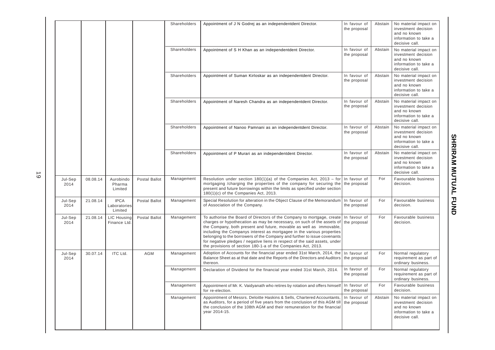|                 |          |                                        |               | Shareholders | Appointment of J N Godrej as an independentdent Director.                                                                                                                                                                                                                                                                                                                                                                                                                                                                    | In favour of<br>the proposal | Abstain | No material impact on<br>investment decision<br>and no known<br>information to take a<br>decisive call. |
|-----------------|----------|----------------------------------------|---------------|--------------|------------------------------------------------------------------------------------------------------------------------------------------------------------------------------------------------------------------------------------------------------------------------------------------------------------------------------------------------------------------------------------------------------------------------------------------------------------------------------------------------------------------------------|------------------------------|---------|---------------------------------------------------------------------------------------------------------|
|                 |          |                                        |               | Shareholders | Appointment of S H Khan as an independentdent Director.                                                                                                                                                                                                                                                                                                                                                                                                                                                                      | In favour of<br>the proposal | Abstain | No material impact on<br>investment decision<br>and no known<br>information to take a<br>decisive call. |
|                 |          |                                        |               | Shareholders | Appointment of Suman Kirloskar as an independentdent Director.                                                                                                                                                                                                                                                                                                                                                                                                                                                               | In favour of<br>the proposal | Abstain | No material impact on<br>investment decision<br>and no known<br>information to take a<br>decisive call. |
|                 |          |                                        |               | Shareholders | Appointment of Naresh Chandra as an independentdent Director.                                                                                                                                                                                                                                                                                                                                                                                                                                                                | In favour of<br>the proposal | Abstain | No material impact on<br>investment decision<br>and no known<br>information to take a<br>decisive call. |
|                 |          |                                        |               | Shareholders | Appointment of Nanoo Pamnani as an independentdent Director.                                                                                                                                                                                                                                                                                                                                                                                                                                                                 | In favour of<br>the proposal | Abstain | No material impact on<br>investment decision<br>and no known<br>information to take a<br>decisive call. |
|                 |          |                                        |               | Shareholders | Appointment of P Murari as an independentdent Director.                                                                                                                                                                                                                                                                                                                                                                                                                                                                      | In favour of<br>the proposal | Abstain | No material impact on<br>investment decision<br>and no known<br>information to take a<br>decisive call. |
| Jul-Sep<br>2014 | 08.08.14 | Aurobindo<br>Pharma<br>Limited         | Postal Ballot | Management   | Resolution under section $180(1)(a)$ of the Companies Act, 2013 - for<br>mortgaging /charging the properties of the company for securing the the proposal<br>present and future borrowings within the limits as specified under section<br>180(1)(c) of the Companies Act, 2013.                                                                                                                                                                                                                                             | In favour of                 | For     | Favourable business<br>decision.                                                                        |
| Jul-Sep<br>2014 | 21.08.14 | <b>IPCA</b><br>Laboratories<br>Limited | Postal Ballot | Management   | Special Resolution for alteration in the Object Clause of the Memorandum<br>of Association of the Company.                                                                                                                                                                                                                                                                                                                                                                                                                   | In favour of<br>the proposal | For     | Favourable business<br>decision.                                                                        |
| Jul-Sep<br>2014 | 21.08.14 | LIC Housing<br>Finance Ltd.            | Postal Ballot | Management   | To authorise the Board of Directors of the Company to mortgage, create<br>charges or hypothecation as may be necessary, on such of the assets of<br>the Company, both present and future, movable as well as immovable,<br>including the Companys interest as mortgagee in the various properties<br>belonging to the borrowers of the Company and further to issue covenants<br>for negative pledges / negative liens in respect of the said assets, under<br>the provisions of section 180-1-a of the Companies Act, 2013. | In favour of<br>the proposal | For     | Favourable business<br>decision.                                                                        |
| Jul-Sep<br>2014 | 30.07.14 | ITC Ltd.                               | AGM           | Management   | Adoption of Accounts for the financial year ended 31st March, 2014, the<br>Balance Sheet as at that date and the Reports of the Directors and Auditors<br>thereon.                                                                                                                                                                                                                                                                                                                                                           | In favour of<br>the proposal | For     | Normal regulatory<br>requirement as part of<br>ordinary business.                                       |
|                 |          |                                        |               | Management   | Declaration of Dividend for the financial year ended 31st March, 2014.                                                                                                                                                                                                                                                                                                                                                                                                                                                       | In favour of<br>the proposal | For     | Normal regulatory<br>requirement as part of<br>ordinary business.                                       |
|                 |          |                                        |               | Management   | Appointment of Mr. K. Vaidyanath who retires by rotation and offers himself In favour of<br>for re-election.                                                                                                                                                                                                                                                                                                                                                                                                                 | the proposal                 | For     | Favourable business<br>decision.                                                                        |
|                 |          |                                        |               | Management   | Appointment of Messrs. Deloitte Haskins & Sells, Chartered Accountants<br>as Auditors, for a period of five years from the conclusion of this AGM till<br>the conclusion of the 108th AGM and their remuneration for the financial<br>year 2014-15.                                                                                                                                                                                                                                                                          | In favour of<br>the proposal | Abstain | No material impact on<br>investment decision<br>and no known<br>information to take a<br>decisive call. |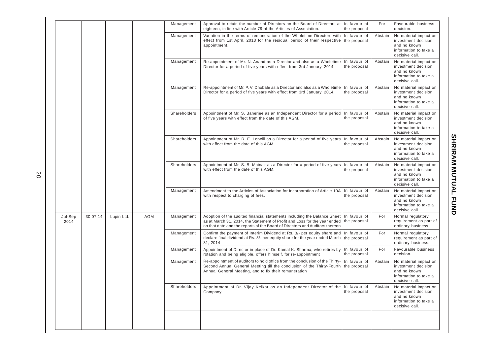|  |                 |          |            |            | Management   | Approval to retain the number of Directors on the Board of Directors at In favour of<br>eighteen, in line with Article 79 of the Articles of Association.                                                                                         | the proposal                 | For                                                                                                                 | Favourable business<br>decision.                                                                                  |         |                                                                                                         |                                                                                                                                                                    |                              |     |                                                                   |
|--|-----------------|----------|------------|------------|--------------|---------------------------------------------------------------------------------------------------------------------------------------------------------------------------------------------------------------------------------------------------|------------------------------|---------------------------------------------------------------------------------------------------------------------|-------------------------------------------------------------------------------------------------------------------|---------|---------------------------------------------------------------------------------------------------------|--------------------------------------------------------------------------------------------------------------------------------------------------------------------|------------------------------|-----|-------------------------------------------------------------------|
|  |                 |          |            |            | Management   | Variation in the terms of remuneration of the Wholetime Directors with<br>effect from 1st April, 2013 for the residual period of their respective the proposal<br>appointment.                                                                    | In favour of                 | Abstain                                                                                                             | No material impact on<br>investment decision<br>and no known<br>information to take a<br>decisive call.           |         |                                                                                                         |                                                                                                                                                                    |                              |     |                                                                   |
|  |                 |          |            |            | Management   | Re-appointment of Mr. N. Anand as a Director and also as a Wholetime<br>Director for a period of five years with effect from 3rd January, 2014.                                                                                                   | In favour of<br>the proposal | Abstain                                                                                                             | No material impact on<br>investment decision<br>and no known<br>information to take a<br>decisive call.           |         |                                                                                                         |                                                                                                                                                                    |                              |     |                                                                   |
|  |                 |          |            |            | Management   | Re-appointment of Mr. P. V. Dhobale as a Director and also as a Wholetime<br>Director for a period of five years with effect from 3rd January, 2014.                                                                                              | In favour of<br>the proposal | Abstain                                                                                                             | No material impact on<br>investment decision<br>and no known<br>information to take a<br>decisive call.           |         |                                                                                                         |                                                                                                                                                                    |                              |     |                                                                   |
|  |                 |          |            |            | Shareholders | Appointment of Mr. S. Banerjee as an Independent Director for a period<br>of five years with effect from the date of this AGM.                                                                                                                    | In favour of<br>the proposal | Abstain                                                                                                             | No material impact on<br>investment decision<br>and no known<br>information to take a<br>decisive call.           |         |                                                                                                         |                                                                                                                                                                    |                              |     |                                                                   |
|  |                 |          |            |            |              |                                                                                                                                                                                                                                                   | Shareholders                 | Appointment of Mr. R. E. Lerwill as a Director for a period of five years<br>with effect from the date of this AGM. | In favour of<br>the proposal                                                                                      | Abstain | No material impact on<br>investment decision<br>and no known<br>information to take a<br>decisive call. |                                                                                                                                                                    |                              |     |                                                                   |
|  |                 |          |            |            | Shareholders | Appointment of Mr. S. B. Mainak as a Director for a period of five years   In favour of<br>with effect from the date of this AGM.                                                                                                                 | the proposal                 | Abstain                                                                                                             | No material impact on<br>investment decision<br>and no known<br>information to take a<br>decisive call.           |         |                                                                                                         |                                                                                                                                                                    |                              |     |                                                                   |
|  |                 |          |            |            | Management   | Amendment to the Articles of Association for incorporation of Article 10A<br>with respect to charging of fees.                                                                                                                                    | In favour of<br>the proposal | Abstain                                                                                                             | No material impact on<br>investment decision<br>and no known<br>information to take a<br>decisive call.           |         |                                                                                                         |                                                                                                                                                                    |                              |     |                                                                   |
|  | Jul-Sep<br>2014 | 30.07.14 | Lupin Ltd. | <b>AGM</b> | Management   | Adoption of the audited financial statements including the Balance Sheet<br>as at March 31, 2014, the Statement of Profit and Loss for the year ended the proposal<br>on that date and the reports of the Board of Directors and Auditors thereon | In favour of                 | For                                                                                                                 | Normal regulatory<br>requirement as part of<br>ordinary business                                                  |         |                                                                                                         |                                                                                                                                                                    |                              |     |                                                                   |
|  |                 |          |            |            |              |                                                                                                                                                                                                                                                   |                              |                                                                                                                     |                                                                                                                   |         | Management                                                                                              | Confirm the payment of Interim Dividend at Rs. 3/- per equity share and<br>declare final dividend at Rs. 3/- per equity share for the year ended March<br>31, 2014 | In favour of<br>the proposal | For | Normal regulatory<br>requirement as part of<br>ordinary business. |
|  |                 |          |            |            | Management   | Appointment of Director in place of Dr. Kamal K. Sharma, who retires by In favour of<br>rotation and being eligible, offers himself, for re-appointment                                                                                           | the proposal                 | For                                                                                                                 | Favourable business<br>decision.                                                                                  |         |                                                                                                         |                                                                                                                                                                    |                              |     |                                                                   |
|  |                 |          |            |            | Management   | Re-appointment of auditors to hold office from the conclusion of the Thirty-<br>Second Annual General Meeting till the conclusion of the Thirty-Fourth<br>Annual General Meeting, and to fix their remuneration                                   | In favour of<br>the proposal | Abstain                                                                                                             | No material impact on<br>investment decision<br>and no known<br>information to take a<br>decisive call.           |         |                                                                                                         |                                                                                                                                                                    |                              |     |                                                                   |
|  |                 |          |            |            | Shareholders | Appointment of Dr. Vijay Kelkar as an Independent Director of the In favour of<br>Company                                                                                                                                                         | the proposal                 |                                                                                                                     | Abstain   No material impact on<br>investment decision<br>and no known<br>information to take a<br>decisive call. |         |                                                                                                         |                                                                                                                                                                    |                              |     |                                                                   |
|  |                 |          |            |            |              |                                                                                                                                                                                                                                                   |                              |                                                                                                                     |                                                                                                                   |         |                                                                                                         |                                                                                                                                                                    |                              |     |                                                                   |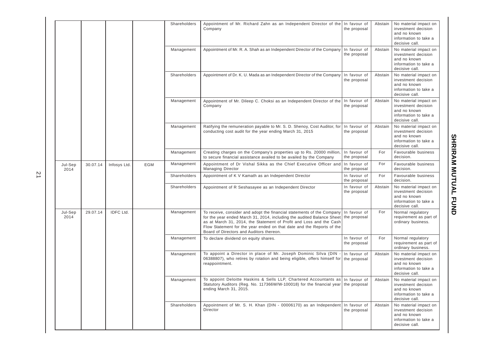|                 |          |                  |     | Shareholders | Appointment of Mr. Richard Zahn as an Independent Director of the In favour of<br>Company                                                                                                                                                                                                                                                    | the proposal                 | Abstain | No material impact on<br>investment decision<br>and no known<br>information to take a<br>decisive call. |
|-----------------|----------|------------------|-----|--------------|----------------------------------------------------------------------------------------------------------------------------------------------------------------------------------------------------------------------------------------------------------------------------------------------------------------------------------------------|------------------------------|---------|---------------------------------------------------------------------------------------------------------|
|                 |          |                  |     | Management   | Appointment of Mr. R. A. Shah as an Independent Director of the Company                                                                                                                                                                                                                                                                      | In favour of<br>the proposal | Abstain | No material impact on<br>investment decision<br>and no known<br>information to take a<br>decisive call. |
|                 |          |                  |     | Shareholders | Appointment of Dr. K. U. Mada as an Independent Director of the Company                                                                                                                                                                                                                                                                      | In favour of<br>the proposal | Abstain | No material impact on<br>investment decision<br>and no known<br>information to take a<br>decisive call. |
|                 |          |                  |     | Management   | Appointment of Mr. Dileep C. Choksi as an Independent Director of the<br>Company                                                                                                                                                                                                                                                             | In favour of<br>the proposal | Abstain | No material impact on<br>investment decision<br>and no known<br>information to take a<br>decisive call. |
|                 |          |                  |     | Management   | Ratifying the remuneration payable to Mr. S. D. Shenoy, Cost Auditor, for<br>conducting cost audit for the year ending March 31, 2015                                                                                                                                                                                                        | In favour of<br>the proposal | Abstain | No material impact on<br>investment decision<br>and no known<br>information to take a<br>decisive call. |
|                 |          |                  |     | Management   | Creating charges on the Company's properties up to Rs. 20000 million<br>to secure financial assistance availed to be availed by the Company                                                                                                                                                                                                  | In favour of<br>the proposal | For     | Favourable business<br>decision.                                                                        |
| Jul-Sep<br>2014 | 30.07.14 | Infosys Ltd.     | EGM | Management   | Appointment of Dr Vishal Sikka as the Chief Executive Officer and<br><b>Managing Director</b>                                                                                                                                                                                                                                                | In favour of<br>the proposal | For     | Favourable business<br>decision.                                                                        |
|                 |          |                  |     | Shareholders | Appointment of K V Kamath as an Independent Director                                                                                                                                                                                                                                                                                         | In favour of<br>the proposal | For     | Favourable business<br>decision.                                                                        |
|                 |          |                  |     | Shareholders | Appointment of R Seshasayee as an Independent Director                                                                                                                                                                                                                                                                                       | In favour of<br>the proposal | Abstain | No material impact on<br>investment decision<br>and no known<br>information to take a<br>decisive call. |
| Jul-Sep<br>2014 | 29.07.14 | <b>IDFC Ltd.</b> |     | Management   | To receive, consider and adopt the financial statements of the Company<br>for the year ended March 31, 2014, including the audited Balance Sheet<br>as at March 31, 2014, the Statement of Profit and Loss and the Cash<br>Flow Statement for the year ended on that date and the Reports of the<br>Board of Directors and Auditors thereon. | In favour of<br>the proposal | For     | Normal regulatory<br>requirement as part of<br>ordinary business.                                       |
|                 |          |                  |     | Management   | To declare dividend on equity shares.                                                                                                                                                                                                                                                                                                        | In favour of<br>the proposal | For     | Normal regulatory<br>requirement as part of<br>ordinary business.                                       |
|                 |          |                  |     | Management   | To appoint a Director in place of Mr. Joseph Dominic Silva (DIN<br>06388807), who retires by rotation and being eligible, offers himself for<br>reappointment.                                                                                                                                                                               | In favour of<br>the proposal | Abstain | No material impact on<br>investment decision<br>and no known<br>information to take a<br>decisive call. |
|                 |          |                  |     | Management   | To appoint Deloitte Haskins & Sells LLP, Chartered Accountants as In favour of<br>Statutory Auditors (Reg. No. 117366W/W-100018) for the financial year the proposal<br>ending March 31, 2015.                                                                                                                                               |                              | Abstain | No material impact on<br>investment decision<br>and no known<br>information to take a<br>decisive call. |
|                 |          |                  |     | Shareholders | Appointment of Mr. S. H. Khan (DIN - 00006170) as an Independent In favour of<br>Director                                                                                                                                                                                                                                                    | the proposal                 | Abstain | No material impact on<br>investment decision<br>and no known<br>information to take a<br>decisive call. |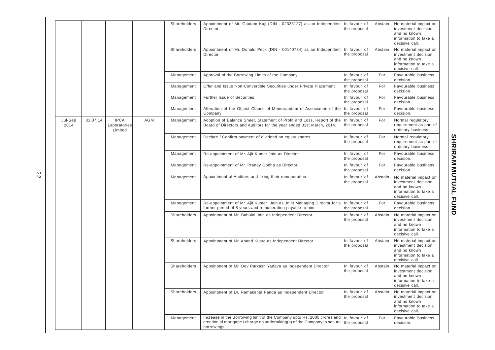|                 |          |                                        |            | Shareholders                                       | Appointment of Mr. Gautam Kaji (DIN - 02333127) as an Independent In favour of<br>Director                                                     | the proposal                                                | Abstain                                                                                                                                                            | No material impact on<br>investment decision<br>and no known<br>information to take a<br>decisive call. |                                                                                                         |                                  |              |                                                         |                              |         |                                                                                                         |                                                                |
|-----------------|----------|----------------------------------------|------------|----------------------------------------------------|------------------------------------------------------------------------------------------------------------------------------------------------|-------------------------------------------------------------|--------------------------------------------------------------------------------------------------------------------------------------------------------------------|---------------------------------------------------------------------------------------------------------|---------------------------------------------------------------------------------------------------------|----------------------------------|--------------|---------------------------------------------------------|------------------------------|---------|---------------------------------------------------------------------------------------------------------|----------------------------------------------------------------|
|                 |          |                                        |            | Shareholders                                       | Appointment of Mr. Donald Peck (DIN - 00140734) as an Independent<br>Director                                                                  | In favour of<br>the proposal                                | Abstain                                                                                                                                                            | No material impact on<br>investment decision<br>and no known<br>information to take a<br>decisive call. |                                                                                                         |                                  |              |                                                         |                              |         |                                                                                                         |                                                                |
|                 |          |                                        |            | Management                                         | Approval of the Borrowing Limits of the Company                                                                                                | In favour of<br>the proposal                                | For                                                                                                                                                                | Favourable business<br>decision.                                                                        |                                                                                                         |                                  |              |                                                         |                              |         |                                                                                                         |                                                                |
|                 |          |                                        |            | Management                                         | Offer and Issue Non-Convertible Securities under Private Placement                                                                             | In favour of<br>the proposal                                | For                                                                                                                                                                | Favourable business<br>decision.                                                                        |                                                                                                         |                                  |              |                                                         |                              |         |                                                                                                         |                                                                |
|                 |          |                                        |            | Management                                         | Further Issue of Securities                                                                                                                    | In favour of<br>the proposal                                | For                                                                                                                                                                | Favourable business<br>decision.                                                                        |                                                                                                         |                                  |              |                                                         |                              |         |                                                                                                         |                                                                |
|                 |          |                                        |            | Management                                         | Alteration of the Object Clause of Memorandum of Association of the<br>Company                                                                 | In favour of<br>the proposal                                | For                                                                                                                                                                | Favourable business<br>decision.                                                                        |                                                                                                         |                                  |              |                                                         |                              |         |                                                                                                         |                                                                |
| Jul-Sep<br>2014 | 31.07.14 | <b>IPCA</b><br>Laboratories<br>Limited | <b>AGM</b> | Management                                         | Adoption of Balance Sheet, Statement of Profit and Loss, Report of the<br>Board of Directors and Auditors for the year ended 31st March, 2014. | In favour of<br>the proposal                                | For                                                                                                                                                                | Normal regulatory<br>requirement as part of<br>ordinary business.                                       |                                                                                                         |                                  |              |                                                         |                              |         |                                                                                                         |                                                                |
|                 |          |                                        |            | Management                                         | Declare / Confirm payment of dividend on equity shares.                                                                                        | In favour of<br>the proposal                                | For                                                                                                                                                                | Normal regulatory<br>requirement as part of<br>ordinary business.                                       |                                                                                                         |                                  |              |                                                         |                              |         |                                                                                                         |                                                                |
|                 |          |                                        | Management | Re-appointment of Mr. Ajit Kumar Jain as Director. | In favour of<br>the proposal                                                                                                                   | For                                                         | Favourable business<br>decision.                                                                                                                                   |                                                                                                         |                                                                                                         |                                  |              |                                                         |                              |         |                                                                                                         |                                                                |
|                 |          |                                        |            | Management                                         | Re-appointment of Mr. Pranay Godha as Director.                                                                                                | In favour of<br>the proposal                                | For                                                                                                                                                                | Favourable business<br>decision.                                                                        |                                                                                                         |                                  |              |                                                         |                              |         |                                                                                                         |                                                                |
|                 |          |                                        |            | Management                                         | Appointment of Auditors and fixing their remuneration.                                                                                         | In favour of<br>the proposal                                | Abstain                                                                                                                                                            | No material impact on<br>investment decision<br>and no known<br>information to take a<br>decisive call. |                                                                                                         |                                  |              |                                                         |                              |         |                                                                                                         |                                                                |
|                 |          |                                        |            | Management                                         | Re-appointment of Mr. Ajit Kumar Jain as Joint Managing Director for a<br>further period of 5 years and remuneration payable to him            | In favour of<br>the proposal                                | For                                                                                                                                                                | Favourable business<br>decision.                                                                        |                                                                                                         |                                  |              |                                                         |                              |         |                                                                                                         |                                                                |
|                 |          |                                        |            | Shareholders                                       | Appointment of Mr. Babulal Jain as Independent Director.                                                                                       | In favour of<br>the proposal                                | Abstain                                                                                                                                                            | No material impact on<br>investment decision<br>and no known<br>information to take a<br>decisive call. |                                                                                                         |                                  |              |                                                         |                              |         |                                                                                                         |                                                                |
|                 |          |                                        |            |                                                    |                                                                                                                                                |                                                             |                                                                                                                                                                    |                                                                                                         |                                                                                                         |                                  | Shareholders | Appointment of Mr. Anand Kusre as Independent Director. | In favour of<br>the proposal | Abstain | No material impact on<br>investment decision<br>and no known<br>information to take a<br>decisive call. |                                                                |
|                 |          |                                        |            |                                                    |                                                                                                                                                |                                                             |                                                                                                                                                                    |                                                                                                         |                                                                                                         |                                  |              |                                                         |                              |         | Shareholders                                                                                            | Appointment of Mr. Dev Parkash Yadava as Independent Director. |
|                 |          |                                        |            |                                                    | Shareholders                                                                                                                                   | Appointment of Dr. Ramakanta Panda as Independent Director. | In favour of<br>the proposal                                                                                                                                       | Abstain                                                                                                 | No material impact on<br>investment decision<br>and no known<br>information to take a<br>decisive call. |                                  |              |                                                         |                              |         |                                                                                                         |                                                                |
|                 |          |                                        |            |                                                    |                                                                                                                                                | Management                                                  | Increase in the Borrowing limit of the Company upto Rs. 2000 crores and<br>creation of mortgage / charge on undertaking(s) of the Company to secure<br>borrowings. | In favour of<br>the proposal                                                                            | For                                                                                                     | Favourable business<br>decision. |              |                                                         |                              |         |                                                                                                         |                                                                |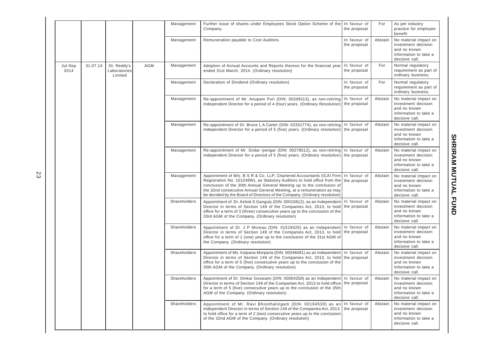|                 |          |                                        |            | Management   | Further issue of shares under Employees Stock Option Scheme of the In favour of<br>Company.                                                                                                                                                                                                                                                                                       | the proposal                 | For                                                                                                                                                                                                                                                                             | As per industry<br>practice for employee<br>benefit                                                     |         |                                                                                                         |  |  |  |  |  |  |  |  |  |  |  |  |              |                                                                                                                                                                                                                                                                                |                              |         |
|-----------------|----------|----------------------------------------|------------|--------------|-----------------------------------------------------------------------------------------------------------------------------------------------------------------------------------------------------------------------------------------------------------------------------------------------------------------------------------------------------------------------------------|------------------------------|---------------------------------------------------------------------------------------------------------------------------------------------------------------------------------------------------------------------------------------------------------------------------------|---------------------------------------------------------------------------------------------------------|---------|---------------------------------------------------------------------------------------------------------|--|--|--|--|--|--|--|--|--|--|--|--|--------------|--------------------------------------------------------------------------------------------------------------------------------------------------------------------------------------------------------------------------------------------------------------------------------|------------------------------|---------|
|                 |          |                                        |            | Management   | Remuneration payable to Cost Auditors.                                                                                                                                                                                                                                                                                                                                            | In favour of<br>the proposal | Abstain                                                                                                                                                                                                                                                                         | No material impact on<br>investment decision<br>and no known<br>information to take a<br>decisive call. |         |                                                                                                         |  |  |  |  |  |  |  |  |  |  |  |  |              |                                                                                                                                                                                                                                                                                |                              |         |
| Jul-Sep<br>2014 | 31.07.14 | Dr. Reddy's<br>Laboratories<br>Limited | <b>AGM</b> | Management   | Adoption of Annual Accounts and Reports thereon for the financial year<br>ended 31st March, 2014. (Ordinary resolution)                                                                                                                                                                                                                                                           | In favour of<br>the proposal | For                                                                                                                                                                                                                                                                             | Normal regulatory<br>requirement as part of<br>ordinary business.                                       |         |                                                                                                         |  |  |  |  |  |  |  |  |  |  |  |  |              |                                                                                                                                                                                                                                                                                |                              |         |
|                 |          |                                        |            | Management   | Declaration of Dividend (Ordinary resolution)                                                                                                                                                                                                                                                                                                                                     | In favour of<br>the proposal | For                                                                                                                                                                                                                                                                             | Normal regulatory<br>requirement as part of<br>ordinary business.                                       |         |                                                                                                         |  |  |  |  |  |  |  |  |  |  |  |  |              |                                                                                                                                                                                                                                                                                |                              |         |
|                 |          |                                        |            | Management   | Re-appointment of Mr. Anupam Puri (DIN: 00209113), as non-retiring<br>Independent Director for a period of 4 (four) years. (Ordinary Resolution)                                                                                                                                                                                                                                  | In favour of<br>the proposal | Abstain                                                                                                                                                                                                                                                                         | No material impact on<br>investment decision<br>and no known<br>information to take a<br>decisive call. |         |                                                                                                         |  |  |  |  |  |  |  |  |  |  |  |  |              |                                                                                                                                                                                                                                                                                |                              |         |
|                 |          |                                        |            | Management   | Re-appointment of Dr. Bruce LA Carter (DIN: 02331774), as non-retiring In favour of<br>Independent Director for a period of 5 (five) years. (Ordinary resolution)                                                                                                                                                                                                                 | the proposal                 | Abstain                                                                                                                                                                                                                                                                         | No material impact on<br>investment decision<br>and no known<br>information to take a<br>decisive call. |         |                                                                                                         |  |  |  |  |  |  |  |  |  |  |  |  |              |                                                                                                                                                                                                                                                                                |                              |         |
|                 |          |                                        |            | Management   | Re-appointment of Mr. Sridar Iyengar (DIN: 00278512), as non-retiring<br>Independent Director for a period of 5 (five) years. (Ordinary resolution)                                                                                                                                                                                                                               | In favour of<br>the proposal | Abstain                                                                                                                                                                                                                                                                         | No material impact on<br>investment decision<br>and no known<br>information to take a<br>decisive call. |         |                                                                                                         |  |  |  |  |  |  |  |  |  |  |  |  |              |                                                                                                                                                                                                                                                                                |                              |         |
|                 |          |                                        |            | Management   | Appointment of M/s. B S R & Co. LLP, Chartered Accountants (ICAI Firm<br>Registration No. 101248W), as Statutory Auditors to hold office from the<br>conclusion of the 30th Annual General Meeting up to the conclusion of<br>the 32nd consecutive Annual General Meeting, at a remuneration as may<br>be decided by the Board of Directors of the Company. (Ordinary resolution) | In favour of<br>the proposal | Abstain                                                                                                                                                                                                                                                                         | No material impact on<br>investment decision<br>and no known<br>information to take a<br>decisive call. |         |                                                                                                         |  |  |  |  |  |  |  |  |  |  |  |  |              |                                                                                                                                                                                                                                                                                |                              |         |
|                 |          |                                        |            | Shareholders | Appointment of Dr. Ashok S Ganguly (DIN: 00010812), as an Independent<br>Director in terms of Section 149 of the Companies Act, 2013, to hold<br>office for a term of 3 (three) consecutive years up to the conclusion of the<br>33rd AGM of the Company. (Ordinary resolution)                                                                                                   | In favour of<br>the proposal | Abstain                                                                                                                                                                                                                                                                         | No material impact on<br>investment decision<br>and no known<br>information to take a<br>decisive call. |         |                                                                                                         |  |  |  |  |  |  |  |  |  |  |  |  |              |                                                                                                                                                                                                                                                                                |                              |         |
|                 |          |                                        |            | Shareholders | Appointment of Dr. J P Moreau (DIN: 01519325) as an Independent<br>Director in terms of Section 149 of the Companies Act, 2013, to hold<br>office for a term of 1 (one) year up to the conclusion of the 31st AGM of<br>the Company. (Ordinary resolution)                                                                                                                        | In favour of<br>the proposal | Abstain                                                                                                                                                                                                                                                                         | No material impact on<br>investment decision<br>and no known<br>information to take a<br>decisive call. |         |                                                                                                         |  |  |  |  |  |  |  |  |  |  |  |  |              |                                                                                                                                                                                                                                                                                |                              |         |
|                 |          |                                        |            |              |                                                                                                                                                                                                                                                                                                                                                                                   |                              |                                                                                                                                                                                                                                                                                 |                                                                                                         |         |                                                                                                         |  |  |  |  |  |  |  |  |  |  |  |  | Shareholders | Appointment of Ms. Kalpana Morparia (DIN: 00046081) as an Independent<br>Director in terms of Section 149 of the Companies Act, 2013, to hold<br>office for a term of 5 (five) consecutive years up to the conclusion of the<br>35th AGM of the Company. (Ordinary resolution) | In favour of<br>the proposal | Abstain |
|                 |          |                                        |            | Shareholders | Appointment of Dr. Omkar Goswami (DIN: 00004258) as an Independent In favour of<br>Director in terms of Section 149 of the Companies Act, 2013 to hold office the proposal<br>for a term of 5 (five) consecutive years up to the conclusion of the 35th<br>AGM of the Company. (Ordinary resolution)                                                                              |                              | Abstain                                                                                                                                                                                                                                                                         | No material impact on<br>investment decision<br>and no known<br>information to take a<br>decisive call. |         |                                                                                                         |  |  |  |  |  |  |  |  |  |  |  |  |              |                                                                                                                                                                                                                                                                                |                              |         |
|                 |          |                                        |            |              |                                                                                                                                                                                                                                                                                                                                                                                   | Shareholders                 | Appointment of Mr. Ravi Bhoothalingam (DIN: 00194530) as an<br>Independent Director in terms of Section 149 of the Companies Act, 2013,<br>to hold office for a term of 2 (two) consecutive years up to the conclusion<br>of the 32nd AGM of the Company. (Ordinary resolution) | In favour of<br>the proposal                                                                            | Abstain | No material impact on<br>investment decision<br>and no known<br>information to take a<br>decisive call. |  |  |  |  |  |  |  |  |  |  |  |  |              |                                                                                                                                                                                                                                                                                |                              |         |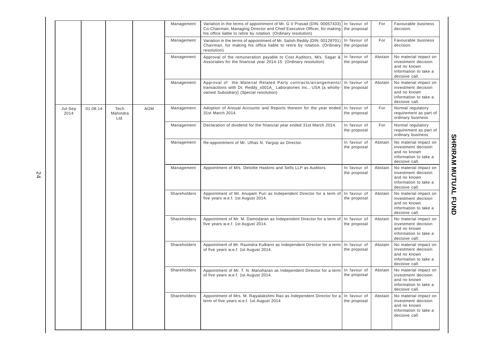|                 |          |                          |     | Management   | Variation in the terms of appointment of Mr. G V Prasad (DIN: 00057433) In favour of<br>Co-Chairman, Managing Director and Chief Executive Officer, for making the proposal<br>his office liable to retire by rotation. (Ordinary resolution) |                              | For     | Favourable business<br>decision.                                                                        |
|-----------------|----------|--------------------------|-----|--------------|-----------------------------------------------------------------------------------------------------------------------------------------------------------------------------------------------------------------------------------------------|------------------------------|---------|---------------------------------------------------------------------------------------------------------|
|                 |          |                          |     | Management   | Variation in the terms of appointment of Mr. Satish Reddy (DIN: 00129701) In favour of<br>Chairman, for making his office liable to retire by rotation. (Ordinary the proposal<br>resolution)                                                 |                              | For     | Favourable business<br>decision.                                                                        |
|                 |          |                          |     | Management   | Approval of the remuneration payable to Cost Auditors, M/s. Sagar &<br>Associates for the financial year 2014-15. (Ordinary resolution)                                                                                                       | In favour of<br>the proposal | Abstain | No material impact on<br>investment decision<br>and no known<br>information to take a<br>decisive call. |
|                 |          |                          |     | Management   | Approval of the Material Related Party contracts/arrangements/<br>transactions with Dr. Reddy_x001A_ Laboratories Inc., USA (a wholly-<br>owned Subsidiary) (Special resolution)                                                              | In favour of<br>the proposal | Abstain | No material impact on<br>investment decision<br>and no known<br>information to take a<br>decisive call. |
| Jul-Sep<br>2014 | 01.08.14 | Tech<br>Mahindra<br>Ltd. | AGM | Management   | Adoption of Annual Accounts and Reports thereon for the year ended<br>31st March 2014.                                                                                                                                                        | In favour of<br>the proposal | For     | Normal regulatory<br>requirement as part of<br>ordinary business                                        |
|                 |          |                          |     | Management   | Declaration of dividend for the financial year ended 31st March 2014.                                                                                                                                                                         | In favour of<br>the proposal | For     | Normal regulatory<br>requirement as part of<br>ordinary business                                        |
|                 |          |                          |     | Management   | Re-appointment of Mr. Ulhas N. Yargop as Director.                                                                                                                                                                                            | In favour of<br>the proposal | Abstain | No material impact on<br>investment decision<br>and no known<br>information to take a<br>decisive call. |
|                 |          |                          |     | Management   | Appointment of M/s. Deloitte Haskins and Sells LLP as Auditors.                                                                                                                                                                               | In favour of<br>the proposal | Abstain | No material impact on<br>investment decision<br>and no known<br>information to take a<br>decisive call. |
|                 |          |                          |     | Shareholders | Appointment of Mr. Anupam Puri as Independent Director for a term of In favour of<br>five years w.e.f. 1st August 2014.                                                                                                                       | the proposal                 | Abstain | No material impact on<br>investment decision<br>and no known<br>information to take a<br>decisive call. |
|                 |          |                          |     | Shareholders | Appointment of Mr. M. Damodaran as Independent Director for a term of<br>five years w.e.f. 1st August 2014.                                                                                                                                   | In favour of<br>the proposal | Abstain | No material impact on<br>investment decision<br>and no known<br>information to take a<br>decisive call. |
|                 |          |                          |     | Shareholders | Appointment of Mr. Ravindra Kulkarni as Independent Director for a term<br>of five years w.e.f. 1st August 2014.                                                                                                                              | In favour of<br>the proposal | Abstain | No material impact on<br>investment decision<br>and no known<br>information to take a<br>decisive call. |
|                 |          |                          |     | Shareholders | Appointment of Mr. T. N. Manoharan as Independent Director for a term<br>of five years w.e.f. 1st August 2014.                                                                                                                                | In favour of<br>the proposal | Abstain | No material impact on<br>investment decision<br>and no known<br>information to take a<br>decisive call. |
|                 |          |                          |     | Shareholders | Appointment of Mrs. M. Rajyalakshmi Rao as Independent Director for a In favour of<br>term of five years w.e.f. 1st August 2014                                                                                                               | the proposal                 | Abstain | No material impact on<br>investment decision<br>and no known<br>information to take a<br>decisive call. |
|                 |          |                          |     |              |                                                                                                                                                                                                                                               |                              |         |                                                                                                         |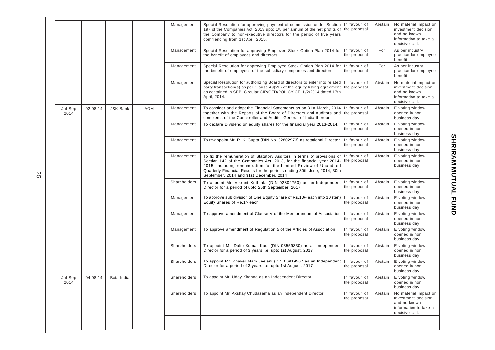|                 |          |                     |            | Management   | Special Resolution for approving payment of commission under Section<br>197 of the Companies Act, 2013 upto 1% per annum of the net profits of<br>the Company to non-executive directors for the period of five years<br>commencing from 1st April 2015.                                                                                   | In favour of<br>the proposal                                           | Abstain                      | No material impact on<br>investment decision<br>and no known<br>information to take a<br>decisive call. |                                                  |
|-----------------|----------|---------------------|------------|--------------|--------------------------------------------------------------------------------------------------------------------------------------------------------------------------------------------------------------------------------------------------------------------------------------------------------------------------------------------|------------------------------------------------------------------------|------------------------------|---------------------------------------------------------------------------------------------------------|--------------------------------------------------|
|                 |          |                     |            | Management   | Special Resolution for approving Employee Stock Option Plan 2014 for<br>the benefit of employees and directors                                                                                                                                                                                                                             | In favour of<br>the proposal                                           | For                          | As per industry<br>practice for employee<br>benefit                                                     |                                                  |
|                 |          |                     |            | Management   | Special Resolution for approving Employee Stock Option Plan 2014 for<br>the benefit of employees of the subsidiary companies and directors.                                                                                                                                                                                                | In favour of<br>the proposal                                           | For                          | As per industry<br>practice for employee<br>benefit                                                     |                                                  |
|                 |          |                     |            | Management   | Special Resolution for authorizing Board of directors to enter into related<br>party transaction(s) as per Clause 49(VII) of the equity listing agreement<br>as contained in SEBI Circular CIR/CFD/POLICY CELL/2/2014 dated 17th<br>April, 2014.                                                                                           | In favour of<br>the proposal                                           | Abstain                      | No material impact on<br>investment decision<br>and no known<br>information to take a<br>decisive call. |                                                  |
| Jul-Sep<br>2014 | 02.08.14 | <b>J&amp;K Bank</b> | <b>AGM</b> | Management   | To consider and adopt the Financial Statements as on 31st March, 2014<br>together with the Reports of the Board of Directors and Auditors and   the proposal<br>comments of the Comptroller and Auditor General of India thereon.                                                                                                          | In favour of                                                           | Abstain                      | E voting window<br>opened in non<br>business day                                                        |                                                  |
|                 |          |                     |            |              | Management                                                                                                                                                                                                                                                                                                                                 | To declare Dividend on equity shares for the financial year 2013-2014. | In favour of<br>the proposal | Abstain                                                                                                 | E voting window<br>opened in non<br>business day |
|                 |          |                     |            | Management   | To re-appoint Mr. R. K. Gupta (DIN No. 02802973) as rotational Director.                                                                                                                                                                                                                                                                   | In favour of<br>the proposal                                           | Abstain                      | E voting window<br>opened in non<br>business day                                                        |                                                  |
|                 |          |                     |            | Management   | To fix the remuneration of Statutory Auditors in terms of provisions of<br>Section 142 of the Companies Act, 2013, for the financial year 2014-<br>2015, including remuneration for the Limited Review of Unaudited<br>Quarterly Financial Results for the periods ending 30th June, 2014; 30th<br>September, 2014 and 31st December, 2014 | In favour of<br>the proposal                                           | Abstain                      | E voting window<br>opened in non<br>business day                                                        |                                                  |
|                 |          |                     |            | Shareholders | To appoint Mr. Vikrant Kuthiala (DIN 02802750) as an Independent<br>Director for a period of upto 25th September, 2017                                                                                                                                                                                                                     | In favour of<br>the proposal                                           | Abstain                      | E voting window<br>opened in non<br>business day                                                        |                                                  |
|                 |          |                     |            | Management   | To approve sub division of One Equity Share of Rs.10/- each into 10 (ten)<br>Equity Shares of Re.1/- each                                                                                                                                                                                                                                  | In favour of<br>the proposal                                           | Abstain                      | E voting window<br>opened in non<br>business day                                                        |                                                  |
|                 |          |                     |            | Management   | To approve amendment of Clause V of the Memorandum of Association                                                                                                                                                                                                                                                                          | In favour of<br>the proposal                                           | Abstain                      | E voting window<br>opened in non<br>business day                                                        |                                                  |
|                 |          |                     |            | Management   | To approve amendment of Regulation 5 of the Articles of Association                                                                                                                                                                                                                                                                        | In favour of<br>the proposal                                           | Abstain                      | E voting window<br>opened in non<br>business day                                                        |                                                  |
|                 |          |                     |            | Shareholders | To appoint Mr. Dalip Kumar Kaul (DIN 03559330) as an Independent<br>Director for a period of 3 years i.e. upto 1st August, 2017                                                                                                                                                                                                            | In favour of<br>the proposal                                           | Abstain                      | E voting window<br>opened in non<br>business day                                                        |                                                  |
|                 |          |                     |            | Shareholders | To appoint Mr. Khaver Alam Jeelani (DIN 06919567 as an Independent<br>Director for a period of 3 years i.e. upto 1st August, 2017                                                                                                                                                                                                          | In favour of<br>the proposal                                           | Abstain                      | E voting window<br>opened in non<br>business day                                                        |                                                  |
| Jul-Sep<br>2014 | 04.08.14 | Bata India          |            | Shareholders | To appoint Mr. Uday Khanna as an Independent Director                                                                                                                                                                                                                                                                                      | In favour of<br>the proposal                                           | Abstain                      | E voting window<br>opened in non<br>business day                                                        |                                                  |
|                 |          |                     |            | Shareholders | To appoint Mr. Akshay Chudasama as an Independent Director                                                                                                                                                                                                                                                                                 | In favour of<br>the proposal                                           | Abstain                      | No material impact on<br>investment decision<br>and no known<br>information to take a<br>decisive call. |                                                  |
|                 |          |                     |            |              |                                                                                                                                                                                                                                                                                                                                            |                                                                        |                              |                                                                                                         |                                                  |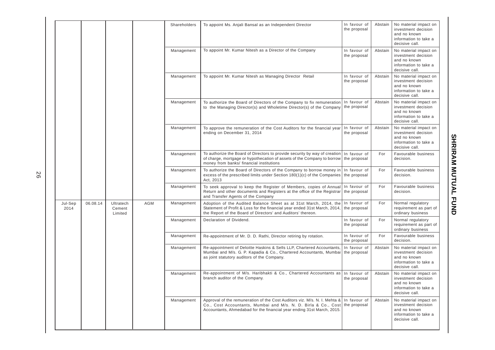|                 |          |                                |            | Shareholders | To appoint Ms. Anjali Bansal as an Independent Director                                                                                                                                                               | In favour of<br>the proposal | Abstain | No material impact on<br>investment decision<br>and no known<br>information to take a<br>decisive call. |  |  |  |  |  |  |  |  |  |  |  |  |  |  |  |  |  |  |            |                                                                                                                                                                                             |                              |         |                                                                                                         |
|-----------------|----------|--------------------------------|------------|--------------|-----------------------------------------------------------------------------------------------------------------------------------------------------------------------------------------------------------------------|------------------------------|---------|---------------------------------------------------------------------------------------------------------|--|--|--|--|--|--|--|--|--|--|--|--|--|--|--|--|--|--|------------|---------------------------------------------------------------------------------------------------------------------------------------------------------------------------------------------|------------------------------|---------|---------------------------------------------------------------------------------------------------------|
|                 |          |                                |            | Management   | To appoint Mr. Kumar Nitesh as a Director of the Company                                                                                                                                                              | In favour of<br>the proposal | Abstain | No material impact on<br>investment decision<br>and no known<br>information to take a<br>decisive call. |  |  |  |  |  |  |  |  |  |  |  |  |  |  |  |  |  |  |            |                                                                                                                                                                                             |                              |         |                                                                                                         |
|                 |          |                                |            | Management   | To appoint Mr. Kumar Nitesh as Managing Director Retail                                                                                                                                                               | In favour of<br>the proposal | Abstain | No material impact on<br>investment decision<br>and no known<br>information to take a<br>decisive call. |  |  |  |  |  |  |  |  |  |  |  |  |  |  |  |  |  |  |            |                                                                                                                                                                                             |                              |         |                                                                                                         |
|                 |          |                                |            | Management   | To authorize the Board of Directors of the Company to fix remuneration<br>to the Managing Director(s) and Wholetime Director(s) of the Company                                                                        | In favour of<br>the proposal | Abstain | No material impact on<br>investment decision<br>and no known<br>information to take a<br>decisive call. |  |  |  |  |  |  |  |  |  |  |  |  |  |  |  |  |  |  |            |                                                                                                                                                                                             |                              |         |                                                                                                         |
|                 |          |                                |            | Management   | To approve the remuneration of the Cost Auditors for the financial year<br>ending on December 31, 2014                                                                                                                | In favour of<br>the proposal | Abstain | No material impact on<br>investment decision<br>and no known<br>information to take a<br>decisive call. |  |  |  |  |  |  |  |  |  |  |  |  |  |  |  |  |  |  |            |                                                                                                                                                                                             |                              |         |                                                                                                         |
|                 |          |                                |            | Management   | To authorize the Board of Directors to provide security by way of creation<br>of charge, mortgage or hypothecation of assets of the Company to borrow<br>money from banks/ financial institutions                     | In favour of<br>the proposal | For     | Favourable business<br>decision.                                                                        |  |  |  |  |  |  |  |  |  |  |  |  |  |  |  |  |  |  |            |                                                                                                                                                                                             |                              |         |                                                                                                         |
|                 |          |                                |            | Management   | To authorize the Board of Directors of the Company to borrow money in<br>excess of the prescribed limits under Section 180(1)(c) of the Companies<br>Act, 2013                                                        | In favour of<br>the proposal | For     | Favourable business<br>decision.                                                                        |  |  |  |  |  |  |  |  |  |  |  |  |  |  |  |  |  |  |            |                                                                                                                                                                                             |                              |         |                                                                                                         |
|                 |          |                                |            | Management   | To seek approval to keep the Register of Members, copies of Annual<br>Return and other documents and Registers at the office of the Registrar<br>and Transfer Agents of the Company                                   | In favour of<br>the proposal | For     | Favourable business<br>decision.                                                                        |  |  |  |  |  |  |  |  |  |  |  |  |  |  |  |  |  |  |            |                                                                                                                                                                                             |                              |         |                                                                                                         |
| Jul-Sep<br>2014 | 06.08.14 | Ultratech<br>Cement<br>Limited | <b>AGM</b> | Management   | Adoption of the Audited Balance Sheet as at 31st March, 2014, the<br>Statement of Profit & Loss for the financial year ended 31st March, 2014,<br>the Report of the Board of Directors' and Auditors' thereon.        | In favour of<br>the proposal | For     | Normal regulatory<br>requirement as part of<br>ordinary business                                        |  |  |  |  |  |  |  |  |  |  |  |  |  |  |  |  |  |  |            |                                                                                                                                                                                             |                              |         |                                                                                                         |
|                 |          |                                |            | Management   | Declaration of Dividend.                                                                                                                                                                                              | In favour of<br>the proposal | For     | Normal regulatory<br>requirement as part of<br>ordinary business                                        |  |  |  |  |  |  |  |  |  |  |  |  |  |  |  |  |  |  |            |                                                                                                                                                                                             |                              |         |                                                                                                         |
|                 |          |                                |            | Management   | Re-appointment of Mr. D. D. Rathi, Director retiring by rotation.                                                                                                                                                     | In favour of<br>the proposal | For     | Favourable business<br>decision.                                                                        |  |  |  |  |  |  |  |  |  |  |  |  |  |  |  |  |  |  |            |                                                                                                                                                                                             |                              |         |                                                                                                         |
|                 |          |                                |            |              |                                                                                                                                                                                                                       |                              |         |                                                                                                         |  |  |  |  |  |  |  |  |  |  |  |  |  |  |  |  |  |  | Management | Re-appointment of Deloitte Haskins & Sells LLP, Chartered Accountants,<br>Mumbai and M/s. G. P. Kapadia & Co., Chartered Accountants, Mumbai<br>as joint statutory auditors of the Company. | In favour of<br>the proposal | Abstain | No material impact on<br>investment decision<br>and no known<br>information to take a<br>decisive call. |
|                 |          |                                |            | Management   | Re-appointment of M/s. Haribhakti & Co., Chartered Accountants as<br>branch auditor of the Company.                                                                                                                   | In favour of<br>the proposal | Abstain | No material impact on<br>investment decision<br>and no known<br>information to take a<br>decisive call. |  |  |  |  |  |  |  |  |  |  |  |  |  |  |  |  |  |  |            |                                                                                                                                                                                             |                              |         |                                                                                                         |
|                 |          |                                |            | Management   | Approval of the remuneration of the Cost Auditors viz. M/s. N. I. Mehta &<br>Co., Cost Accountants, Mumbai and M/s. N. D. Birla & Co., Cost<br>Accountants, Ahmedabad for the financial year ending 31st March, 2015. | In favour of<br>the proposal | Abstain | No material impact on<br>investment decision<br>and no known<br>information to take a<br>decisive call. |  |  |  |  |  |  |  |  |  |  |  |  |  |  |  |  |  |  |            |                                                                                                                                                                                             |                              |         |                                                                                                         |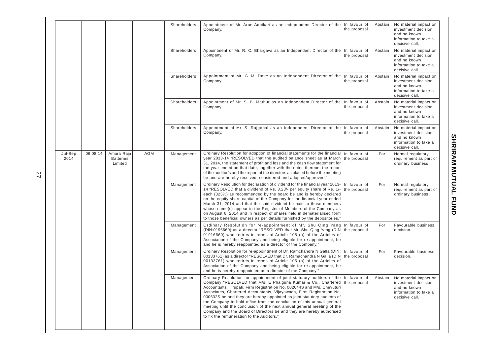|                 |          |                                           |              | Shareholders                                                                | Appointment of Mr. Arun Adhikari as an independent Director of the<br>Company.                                                                                                                                                                                                                                                                                                                                                                                                                                                                                                                           | In favour of<br>the proposal                                                              | Abstain                                                                                                 | No material impact on<br>investment decision<br>and no known<br>information to take a<br>decisive call.                                                                                                                                                                                                                                                                                                                                                                                                                                                                                                                                                                 |                                                                                                                                                                                                                                                                                                                                                                           |         |                                                                                                         |                                  |  |  |  |  |  |  |  |  |  |  |  |  |  |  |  |  |  |  |  |  |  |  |  |
|-----------------|----------|-------------------------------------------|--------------|-----------------------------------------------------------------------------|----------------------------------------------------------------------------------------------------------------------------------------------------------------------------------------------------------------------------------------------------------------------------------------------------------------------------------------------------------------------------------------------------------------------------------------------------------------------------------------------------------------------------------------------------------------------------------------------------------|-------------------------------------------------------------------------------------------|---------------------------------------------------------------------------------------------------------|-------------------------------------------------------------------------------------------------------------------------------------------------------------------------------------------------------------------------------------------------------------------------------------------------------------------------------------------------------------------------------------------------------------------------------------------------------------------------------------------------------------------------------------------------------------------------------------------------------------------------------------------------------------------------|---------------------------------------------------------------------------------------------------------------------------------------------------------------------------------------------------------------------------------------------------------------------------------------------------------------------------------------------------------------------------|---------|---------------------------------------------------------------------------------------------------------|----------------------------------|--|--|--|--|--|--|--|--|--|--|--|--|--|--|--|--|--|--|--|--|--|--|--|
|                 |          |                                           |              | Shareholders                                                                | Appointment of Mr. R. C. Bhargava as an Independent Director of the In favour of<br>Company.                                                                                                                                                                                                                                                                                                                                                                                                                                                                                                             | the proposal                                                                              | Abstain                                                                                                 | No material impact on<br>investment decision<br>and no known<br>information to take a<br>decisive call.                                                                                                                                                                                                                                                                                                                                                                                                                                                                                                                                                                 |                                                                                                                                                                                                                                                                                                                                                                           |         |                                                                                                         |                                  |  |  |  |  |  |  |  |  |  |  |  |  |  |  |  |  |  |  |  |  |  |  |  |
|                 |          |                                           | Shareholders | Appointment of Mr. G. M. Dave as an Independent Director of the<br>Company. | In favour of<br>the proposal                                                                                                                                                                                                                                                                                                                                                                                                                                                                                                                                                                             | Abstain                                                                                   | No material impact on<br>investment decision<br>and no known<br>information to take a<br>decisive call. |                                                                                                                                                                                                                                                                                                                                                                                                                                                                                                                                                                                                                                                                         |                                                                                                                                                                                                                                                                                                                                                                           |         |                                                                                                         |                                  |  |  |  |  |  |  |  |  |  |  |  |  |  |  |  |  |  |  |  |  |  |  |  |
|                 |          |                                           |              |                                                                             | Shareholders                                                                                                                                                                                                                                                                                                                                                                                                                                                                                                                                                                                             | Appointment of Mr. S. B. Mathur as an Independent Director of the<br>Company.             | In favour of<br>the proposal                                                                            | Abstain                                                                                                                                                                                                                                                                                                                                                                                                                                                                                                                                                                                                                                                                 | No material impact on<br>investment decision<br>and no known<br>information to take a<br>decisive call.                                                                                                                                                                                                                                                                   |         |                                                                                                         |                                  |  |  |  |  |  |  |  |  |  |  |  |  |  |  |  |  |  |  |  |  |  |  |  |
|                 |          |                                           |              |                                                                             | Shareholders                                                                                                                                                                                                                                                                                                                                                                                                                                                                                                                                                                                             | Appointment of Mr. S. Rajgopal as an Independent Director of the In favour of<br>Company. | the proposal                                                                                            | Abstain                                                                                                                                                                                                                                                                                                                                                                                                                                                                                                                                                                                                                                                                 | No material impact on<br>investment decision<br>and no known<br>information to take a<br>decisive call.                                                                                                                                                                                                                                                                   |         |                                                                                                         |                                  |  |  |  |  |  |  |  |  |  |  |  |  |  |  |  |  |  |  |  |  |  |  |  |
| Jul-Sep<br>2014 | 06.08.14 | Amara Raia<br><b>Batteries</b><br>Limited | <b>AGM</b>   | Management                                                                  | Ordinary Resolution for adoption of financial statements for the financial<br>vear 2013-14 "RESOLVED that the audited balance sheet as at March   the proposal<br>31, 2014, the statement of profit and loss and the cash flow statement for<br>the year ended on that date, together with the notes thereon, the report<br>of the auditor's and the report of the directors as placed before the meeting<br>be and are hereby received, considered and adopted/approved."                                                                                                                               | In favour of                                                                              | For                                                                                                     | Normal regulatory<br>requirement as part of<br>ordinary business                                                                                                                                                                                                                                                                                                                                                                                                                                                                                                                                                                                                        |                                                                                                                                                                                                                                                                                                                                                                           |         |                                                                                                         |                                  |  |  |  |  |  |  |  |  |  |  |  |  |  |  |  |  |  |  |  |  |  |  |  |
|                 |          |                                           |              | Management                                                                  | Ordinary Resolution for declaration of dividend for the financial year 2013-<br>14 "RESOLVED that a dividend of Rs. 3.23/- per equity share of Re. 1/-<br>each (323%) as recommended by the board be and is hereby declared<br>on the equity share capital of the Company for the financial year ended<br>March 31, 2014 and that the said dividend be paid to those members<br>whose name(s) appear in the Register of Members of the Company as<br>on August 6, 2014 and in respect of shares held in dematerialised form<br>to those beneficial owners as per details furnished by the depositories." | In favour of<br>the proposal                                                              | For                                                                                                     | Normal regulatory<br>requirement as part of<br>ordinary business                                                                                                                                                                                                                                                                                                                                                                                                                                                                                                                                                                                                        |                                                                                                                                                                                                                                                                                                                                                                           |         |                                                                                                         |                                  |  |  |  |  |  |  |  |  |  |  |  |  |  |  |  |  |  |  |  |  |  |  |  |
|                 |          |                                           |              |                                                                             |                                                                                                                                                                                                                                                                                                                                                                                                                                                                                                                                                                                                          |                                                                                           |                                                                                                         | Management                                                                                                                                                                                                                                                                                                                                                                                                                                                                                                                                                                                                                                                              | Ordinary Resolution for re-appointment of Mr. Shu Qing Yang In favour of<br>(DIN:0196660) as a director "RESOLVED that Mr. Shu Qing Yang (DIN the proposal<br>01916660) who retires in terms of Article 105 (a) of the Articles of<br>Association of the Company and being eligible for re-appointment, be<br>and he is hereby reappointed as a director of the Company." |         | For                                                                                                     | Favourable business<br>decision. |  |  |  |  |  |  |  |  |  |  |  |  |  |  |  |  |  |  |  |  |  |  |  |
|                 |          |                                           |              |                                                                             |                                                                                                                                                                                                                                                                                                                                                                                                                                                                                                                                                                                                          |                                                                                           |                                                                                                         |                                                                                                                                                                                                                                                                                                                                                                                                                                                                                                                                                                                                                                                                         |                                                                                                                                                                                                                                                                                                                                                                           |         |                                                                                                         |                                  |  |  |  |  |  |  |  |  |  |  |  |  |  |  |  |  |  |  |  |  |  |  |  |
|                 |          |                                           |              |                                                                             |                                                                                                                                                                                                                                                                                                                                                                                                                                                                                                                                                                                                          |                                                                                           | Management                                                                                              | Ordinary Resolution for appointment of joint statutory auditors of the In favour of<br>Company "RESOLVED that M/s. E Phalguna Kumar & Co., Chartered the proposal<br>Accountants, Tirupati, Firm Registration No. 002644S and M/s. Chevuturi<br>Associates, Chartered Accountants, Vijayawada, Firm Registration No.<br>000632S be and they are hereby appointed as joint statutory auditors of<br>the Company to hold office from the conclusion of this annual general<br>meeting until the conclusion of the next annual general meeting of the<br>Company and the Board of Directors be and they are hereby authorised<br>to fix the remuneration to the Auditors." |                                                                                                                                                                                                                                                                                                                                                                           | Abstain | No material impact on<br>investment decision<br>and no known<br>information to take a<br>decisive call. |                                  |  |  |  |  |  |  |  |  |  |  |  |  |  |  |  |  |  |  |  |  |  |  |  |
|                 |          |                                           |              |                                                                             |                                                                                                                                                                                                                                                                                                                                                                                                                                                                                                                                                                                                          |                                                                                           |                                                                                                         |                                                                                                                                                                                                                                                                                                                                                                                                                                                                                                                                                                                                                                                                         |                                                                                                                                                                                                                                                                                                                                                                           |         |                                                                                                         |                                  |  |  |  |  |  |  |  |  |  |  |  |  |  |  |  |  |  |  |  |  |  |  |  |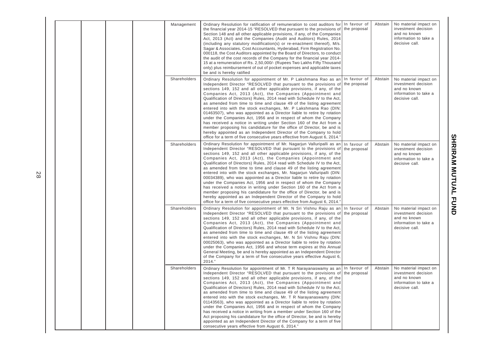| Management   | Ordinary Resolution for ratification of remuneration to cost auditors for<br>the financial year 2014-15 "RESOLVED that pursuant to the provisions of<br>Section 148 and all other applicable provisions, if any, of the Companies<br>Act, 2013 (Act) and the Companies (Audit and Auditors) Rules, 2014<br>(including any statutory modification(s) or re-enactment thereof), M/s.<br>Sagar & Associates, Cost Accountants, Hyderabad, Firm Registration No.<br>000118, the Cost Auditors appointed by the Board of Directors, to conduct<br>the audit of the cost records of the Company for the financial year 2014-<br>15 at a remuneration of Rs. 2,50,000/- (Rupees Two Lakhs Fifty Thousand<br>only) plus reimbursement of out of pocket expenses and applicable taxes<br>be and is hereby ratified                                                                                                                                                             | In favour of<br>the proposal | Abstain | No material impact on<br>investment decision<br>and no known<br>information to take a<br>decisive call. |
|--------------|-----------------------------------------------------------------------------------------------------------------------------------------------------------------------------------------------------------------------------------------------------------------------------------------------------------------------------------------------------------------------------------------------------------------------------------------------------------------------------------------------------------------------------------------------------------------------------------------------------------------------------------------------------------------------------------------------------------------------------------------------------------------------------------------------------------------------------------------------------------------------------------------------------------------------------------------------------------------------|------------------------------|---------|---------------------------------------------------------------------------------------------------------|
| Shareholders | Ordinary Resolution for appointment of Mr. P Lakshmana Rao as an<br>Independent Director "RESOLVED that pursuant to the provisions of<br>sections 149, 152 and all other applicable provisions, if any, of the<br>Companies Act, 2013 (Act), the Companies (Appointment and<br>Qualification of Directors) Rules, 2014 read with Schedule IV to the Act<br>as amended from time to time and clause 49 of the listing agreement<br>entered into with the stock exchanges, Mr. P Lakshmana Rao (DIN:<br>01463507), who was appointed as a Director liable to retire by rotation<br>under the Companies Act, 1956 and in respect of whom the Company<br>has received a notice in writing under Section 160 of the Act from a<br>member proposing his candidature for the office of Director, be and is<br>hereby appointed as an Independent Director of the Company to hold<br>office for a term of five consecutive years effective from August 6, 2014."              | In favour of<br>the proposal | Abstain | No material impact on<br>investment decision<br>and no known<br>information to take a<br>decisive call. |
| Shareholders | Ordinary Resolution for appointment of Mr. Nagarjun Valluripalli as an<br>Independent Director "RESOLVED that pursuant to the provisions of<br>sections 149, 152 and all other applicable provisions, if any, of the<br>Companies Act, 2013 (Act), the Companies (Appointment and<br>Qualification of Directors) Rules, 2014 read with Schedule IV to the Act,<br>as amended from time to time and clause 49 of the listing agreement<br>entered into with the stock exchanges, Mr. Nagarjun Valluripalli (DIN:<br>00034389), who was appointed as a Director liable to retire by rotation<br>under the Companies Act, 1956 and in respect of whom the Company<br>has received a notice in writing under Section 160 of the Act from a<br>member proposing his candidature for the office of Director, be and is<br>hereby appointed as an Independent Director of the Company to hold<br>office for a term of five consecutive years effective from August 6, 2014." | In favour of<br>the proposal | Abstain | No material impact on<br>investment decision<br>and no known<br>information to take a<br>decisive call. |
| Shareholders | Ordinary Resolution for appointment of Mr. N Sri Vishnu Raju as an<br>Independent Director "RESOLVED that pursuant to the provisions of<br>sections 149, 152 and all other applicable provisions, if any, of the<br>Companies Act, 2013 (Act), the Companies (Appointment and<br>Qualification of Directors) Rules, 2014 read with Schedule IV to the Act,<br>as amended from time to time and clause 49 of the listing agreement<br>entered into with the stock exchanges, Mr. N Sri Vishnu Raju (DIN:<br>00025063), who was appointed as a Director liable to retire by rotation<br>under the Companies Act, 1956 and whose term expires at this Annual<br>General Meeting, be and is hereby appointed as an Independent Director<br>of the Company for a term of five consecutive years effective August 6,<br>2014."                                                                                                                                              | In favour of<br>the proposal | Abstain | No material impact on<br>investment decision<br>and no known<br>information to take a<br>decisive call. |
| Shareholders | Ordinary Resolution for appointment of Mr. T R Narayanaswamy as an<br>Independent Director "RESOLVED that pursuant to the provisions of<br>sections 149, 152 and all other applicable provisions, if any, of the<br>Companies Act, 2013 (Act), the Companies (Appointment and<br>Qualification of Directors) Rules, 2014 read with Schedule IV to the Act,<br>as amended from time to time and clause 49 of the listing agreement<br>entered into with the stock exchanges, Mr. T R Narayanaswamy (DIN:<br>01143563), who was appointed as a Director liable to retire by rotation<br>under the Companies Act, 1956 and in respect of whom the Company<br>has received a notice in writing from a member under Section 160 of the<br>Act proposing his candidature for the office of Director, be and is hereby<br>appointed as an Independent Director of the Company for a term of five<br>consecutive years effective from August 6, 2014."                        | In favour of<br>the proposal | Abstain | No material impact on<br>investment decision<br>and no known<br>information to take a<br>decisive call. |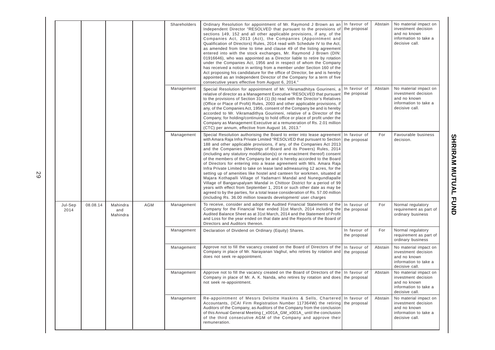|                 |          |                                                                                                                                                         |                                                                                                                                                                                                                                                                                                                                 | Shareholders | Ordinary Resolution for appointment of Mr. Raymond J Brown as an In favour of<br>Independent Director "RESOLVED that pursuant to the provisions of the proposal<br>sections 149, 152 and all other applicable provisions, if any, of the<br>Companies Act, 2013 (Act), the Companies (Appointment and<br>Qualification of Directors) Rules, 2014 read with Schedule IV to the Act,<br>as amended from time to time and clause 49 of the listing agreement<br>entered into with the stock exchanges, Mr. Raymond J Brown (DIN:<br>01916646), who was appointed as a Director liable to retire by rotation<br>under the Companies Act, 1956 and in respect of whom the Company<br>has received a notice in writing from a member under Section 160 of the<br>Act proposing his candidature for the office of Director, be and is hereby<br>appointed as an Independent Director of the Company for a term of five<br>consecutive years effective from August 6, 2014."                                                                                                                             |                                                                  | Abstain    | No material impact on<br>investment decision<br>and no known<br>information to take a<br>decisive call.                                                                                                                                                                                                                                                                                                                                                                                                                                                                                                                                                                                                   |  |         |                                                                                                         |                              |     |                                                                  |  |  |  |  |  |  |  |  |  |  |  |  |  |  |  |  |                                                                                                                                                                               |  |         |
|-----------------|----------|---------------------------------------------------------------------------------------------------------------------------------------------------------|---------------------------------------------------------------------------------------------------------------------------------------------------------------------------------------------------------------------------------------------------------------------------------------------------------------------------------|--------------|--------------------------------------------------------------------------------------------------------------------------------------------------------------------------------------------------------------------------------------------------------------------------------------------------------------------------------------------------------------------------------------------------------------------------------------------------------------------------------------------------------------------------------------------------------------------------------------------------------------------------------------------------------------------------------------------------------------------------------------------------------------------------------------------------------------------------------------------------------------------------------------------------------------------------------------------------------------------------------------------------------------------------------------------------------------------------------------------------|------------------------------------------------------------------|------------|-----------------------------------------------------------------------------------------------------------------------------------------------------------------------------------------------------------------------------------------------------------------------------------------------------------------------------------------------------------------------------------------------------------------------------------------------------------------------------------------------------------------------------------------------------------------------------------------------------------------------------------------------------------------------------------------------------------|--|---------|---------------------------------------------------------------------------------------------------------|------------------------------|-----|------------------------------------------------------------------|--|--|--|--|--|--|--|--|--|--|--|--|--|--|--|--|-------------------------------------------------------------------------------------------------------------------------------------------------------------------------------|--|---------|
|                 |          |                                                                                                                                                         |                                                                                                                                                                                                                                                                                                                                 |              |                                                                                                                                                                                                                                                                                                                                                                                                                                                                                                                                                                                                                                                                                                                                                                                                                                                                                                                                                                                                                                                                                                  |                                                                  | Management | Special Resolution for appointment of Mr. Vikramadhitya Gourineni, a In favour of<br>relative of director as a Management Executive "RESOLVED that pursuant the proposal<br>to the provisions of Section 314 (1) (b) read with the Director's Relatives<br>(Office or Place of Profit) Rules, 2003 and other applicable provisions, if<br>any, of the Companies Act, 1956, consent of the Company be and is hereby<br>accorded to Mr. Vikramadithya Gourineni, relative of a Director of the<br>Company, for holding/continuing to hold office or place of profit under the<br>Company as Management Executive at a remuneration of Rs. 2.01 million<br>(CTC) per annum, effective from August 16, 2013." |  | Abstain | No material impact on<br>investment decision<br>and no known<br>information to take a<br>decisive call. |                              |     |                                                                  |  |  |  |  |  |  |  |  |  |  |  |  |  |  |  |  |                                                                                                                                                                               |  |         |
|                 |          |                                                                                                                                                         |                                                                                                                                                                                                                                                                                                                                 | Management   | Special Resolution authorising the Board to enter into lease agreement In favour of<br>with Amara Raja Infra Private Limited "RESOLVED that pursuant to Section   the proposal<br>188 and other applicable provisions, if any, of the Companies Act 2013<br>and the Companies (Meetings of Board and its Powers) Rules, 2014<br>(including any statutory modification(s) or re-enactment thereof) consent<br>of the members of the Company be and is hereby accorded to the Board<br>of Directors for entering into a lease agreement with M/s. Amara Raja<br>Infra Private Limited to take on lease land admeasuring 12 acres, for the<br>setting up of amenities like hostel and canteen for workmen, situated at<br>Majara Kothapalli Village of Yadamarri Mandal and Nunegundlapalle<br>Village of Bangarupalyam Mandal in Chittoor District for a period of 99<br>years with effect from September 1, 2014 or such other date as may be<br>agreed to by the parties, for a total lease consideration of Rs. 57.00 million<br>(including Rs. 36.00 million towards development/ user charges |                                                                  | For        | Favourable business<br>decision.                                                                                                                                                                                                                                                                                                                                                                                                                                                                                                                                                                                                                                                                          |  |         |                                                                                                         |                              |     |                                                                  |  |  |  |  |  |  |  |  |  |  |  |  |  |  |  |  |                                                                                                                                                                               |  |         |
| Jul-Sep<br>2014 | 08.08.14 | Management<br>Mahindra<br><b>AGM</b><br>and<br>Mahindra<br>Directors and Auditors thereon.<br>Management<br>Management<br>does not seek re-appointment. | To receive, consider and adopt the Audited Financial Statements of the In favour of<br>Company for the Financial Year ended 31st March, 2014 including the the proposal<br>Audited Balance Sheet as at 31st March, 2014 and the Statement of Profit<br>and Loss for the year ended on that date and the Reports of the Board of |              | For                                                                                                                                                                                                                                                                                                                                                                                                                                                                                                                                                                                                                                                                                                                                                                                                                                                                                                                                                                                                                                                                                              | Normal regulatory<br>requirement as part of<br>ordinary business |            |                                                                                                                                                                                                                                                                                                                                                                                                                                                                                                                                                                                                                                                                                                           |  |         |                                                                                                         |                              |     |                                                                  |  |  |  |  |  |  |  |  |  |  |  |  |  |  |  |  |                                                                                                                                                                               |  |         |
|                 |          |                                                                                                                                                         |                                                                                                                                                                                                                                                                                                                                 |              |                                                                                                                                                                                                                                                                                                                                                                                                                                                                                                                                                                                                                                                                                                                                                                                                                                                                                                                                                                                                                                                                                                  |                                                                  |            |                                                                                                                                                                                                                                                                                                                                                                                                                                                                                                                                                                                                                                                                                                           |  |         | Declaration of Dividend on Ordinary (Equity) Shares.                                                    | In favour of<br>the proposal | For | Normal regulatory<br>requirement as part of<br>ordinary business |  |  |  |  |  |  |  |  |  |  |  |  |  |  |  |  |                                                                                                                                                                               |  |         |
|                 |          |                                                                                                                                                         |                                                                                                                                                                                                                                                                                                                                 |              |                                                                                                                                                                                                                                                                                                                                                                                                                                                                                                                                                                                                                                                                                                                                                                                                                                                                                                                                                                                                                                                                                                  |                                                                  |            |                                                                                                                                                                                                                                                                                                                                                                                                                                                                                                                                                                                                                                                                                                           |  |         |                                                                                                         |                              |     |                                                                  |  |  |  |  |  |  |  |  |  |  |  |  |  |  |  |  | Approve not to fill the vacancy created on the Board of Directors of the In favour of<br>Company in place of Mr. Narayanan Vaghul, who retires by rotation and   the proposal |  | Abstain |
|                 |          |                                                                                                                                                         |                                                                                                                                                                                                                                                                                                                                 | Management   | Approve not to fill the vacancy created on the Board of Directors of the In favour of<br>Company in place of Mr. A. K. Nanda, who retires by rotation and does the proposal<br>not seek re-appointment.                                                                                                                                                                                                                                                                                                                                                                                                                                                                                                                                                                                                                                                                                                                                                                                                                                                                                          |                                                                  | Abstain    | No material impact on<br>investment decision<br>and no known<br>information to take a<br>decisive call.                                                                                                                                                                                                                                                                                                                                                                                                                                                                                                                                                                                                   |  |         |                                                                                                         |                              |     |                                                                  |  |  |  |  |  |  |  |  |  |  |  |  |  |  |  |  |                                                                                                                                                                               |  |         |
|                 |          |                                                                                                                                                         |                                                                                                                                                                                                                                                                                                                                 | Management   | Re-appointment of Messrs Deloitte Haskins & Sells, Chartered In favour of<br>Accountants, (ICAI Firm Registration Number 117364W) the retiring the proposal<br>Auditors of the Company, as Auditors of the Company from the conclusion<br>of this Annual General Meeting ( x001A GM x001A until the conclusion<br>of the third consecutive AGM of the Company and approve their<br>remuneration.                                                                                                                                                                                                                                                                                                                                                                                                                                                                                                                                                                                                                                                                                                 |                                                                  | Abstain    | No material impact on<br>investment decision<br>and no known<br>information to take a<br>decisive call.                                                                                                                                                                                                                                                                                                                                                                                                                                                                                                                                                                                                   |  |         |                                                                                                         |                              |     |                                                                  |  |  |  |  |  |  |  |  |  |  |  |  |  |  |  |  |                                                                                                                                                                               |  |         |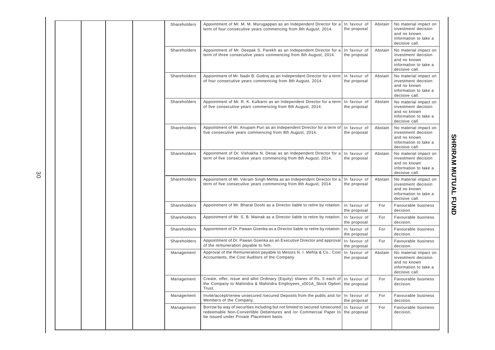|  |  | Shareholders | Appointment of Mr. M. M. Murugappan as an Independent Director for a   In favour of<br>term of four consecutive years commencing from 8th August, 2014.                                                       | the proposal                 | Abstain | No material impact on<br>investment decision<br>and no known<br>information to take a<br>decisive call. |
|--|--|--------------|---------------------------------------------------------------------------------------------------------------------------------------------------------------------------------------------------------------|------------------------------|---------|---------------------------------------------------------------------------------------------------------|
|  |  | Shareholders | Appointment of Mr. Deepak S. Parekh as an Independent Director for a<br>term of three consecutive years commencing from 8th August, 2014.                                                                     | In favour of<br>the proposal | Abstain | No material impact on<br>investment decision<br>and no known<br>information to take a<br>decisive call. |
|  |  | Shareholders | Appointment of Mr. Nadir B. Godrej as an Independent Director for a term<br>of four consecutive years commencing from 8th August, 2014.                                                                       | In favour of<br>the proposal | Abstain | No material impact on<br>investment decision<br>and no known<br>information to take a<br>decisive call. |
|  |  | Shareholders | Appointment of Mr. R. K. Kulkarni as an Independent Director for a term<br>of five consecutive years commencing from 8th August, 2014.                                                                        | In favour of<br>the proposal | Abstain | No material impact on<br>investment decision<br>and no known<br>information to take a<br>decisive call. |
|  |  | Shareholders | Appointment of Mr. Anupam Puri as an Independent Director for a term of<br>five consecutive years commencing from 8th August, 2014.                                                                           | In favour of<br>the proposal | Abstain | No material impact on<br>investment decision<br>and no known<br>information to take a<br>decisive call. |
|  |  | Shareholders | Appointment of Dr. Vishakha N. Desai as an Independent Director for a   In favour of<br>term of five consecutive years commencing from 8th August, 2014.                                                      | the proposal                 | Abstain | No material impact on<br>investment decision<br>and no known<br>information to take a<br>decisive call. |
|  |  | Shareholders | Appointment of Mr. Vikram Singh Mehta as an Independent Director for a<br>term of five consecutive years commencing from 8th August, 2014.                                                                    | In favour of<br>the proposal | Abstain | No material impact on<br>investment decision<br>and no known<br>information to take a<br>decisive call. |
|  |  | Shareholders | Appointment of Mr. Bharat Doshi as a Director liable to retire by rotation.                                                                                                                                   | In favour of<br>the proposal | For     | Favourable business<br>decision.                                                                        |
|  |  | Shareholders | Appointment of Mr. S. B. Mainak as a Director liable to retire by rotation.                                                                                                                                   | In favour of<br>the proposal | For     | Favourable business<br>decision.                                                                        |
|  |  | Shareholders | Appointment of Dr. Pawan Goenka as a Director liable to retire by rotation.                                                                                                                                   | In favour of<br>the proposal | For     | Favourable business<br>decision.                                                                        |
|  |  | Shareholders | Appointment of Dr. Pawan Goenka as an Executive Director and approval<br>of the remuneration payable to him.                                                                                                  | In favour of<br>the proposal | For     | Favourable business<br>decision.                                                                        |
|  |  | Management   | Approval of the Remuneration payable to Messrs N. I. Mehta & Co., Cost<br>Accountants, the Cost Auditors of the Company.                                                                                      | In favour of<br>the proposal | Abstain | No material impact on<br>investment decision<br>and no known<br>information to take a<br>decisive call. |
|  |  | Management   | Create, offer, issue and allot Ordinary (Equity) shares of Rs. 5 each of In favour of<br>the Company to Mahindra & Mahindra Employees_x001A_Stock Option   the proposal<br>Trust.                             |                              | For     | Favourable business<br>decision.                                                                        |
|  |  | Management   | Invite/accept/renew unsecured /secured Deposits from the public and /or In favour of<br>Members of the Company.                                                                                               | the proposal                 | For     | Favourable business<br>decision.                                                                        |
|  |  | Management   | Borrow by way of securities including but not limited to secured /unsecured  <br>redeemable Non-Convertible Debentures and /or Commercial Paper to   the proposal<br>be issued under Private Placement basis. | In favour of                 | For     | Favourable business<br>decision.                                                                        |
|  |  |              |                                                                                                                                                                                                               |                              |         |                                                                                                         |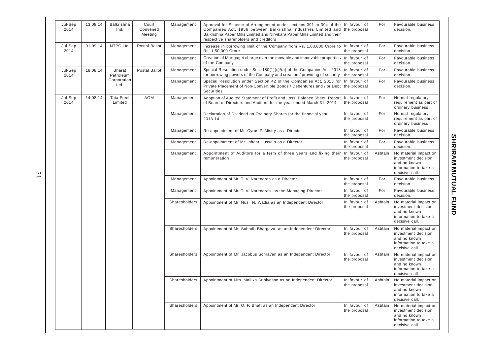| Jul-Sep<br>2014 | 13.08.14 | <b>Balkrishna</b><br>Ind.    | Court<br>Convened<br>Meeting | Management    | Approval for Scheme of Arrangement under sections 391 to 394 of the<br>Companies Act, 1956 between Balkrishna Industries Limited and<br>Balkrishna Paper Mills Limited and Nirvikara Paper Mills Limited and their<br>respective shareholders and creditors | In favour of<br>the proposal                                      | For                          | Favourable business<br>decision.                                                                        |                                                                                                         |  |               |                                                                |                              |         |                                                                                                         |               |                                                               |                              |         |                                                                                                         |
|-----------------|----------|------------------------------|------------------------------|---------------|-------------------------------------------------------------------------------------------------------------------------------------------------------------------------------------------------------------------------------------------------------------|-------------------------------------------------------------------|------------------------------|---------------------------------------------------------------------------------------------------------|---------------------------------------------------------------------------------------------------------|--|---------------|----------------------------------------------------------------|------------------------------|---------|---------------------------------------------------------------------------------------------------------|---------------|---------------------------------------------------------------|------------------------------|---------|---------------------------------------------------------------------------------------------------------|
| Jul-Sep<br>2014 | 01.09.14 | NTPC Ltd.                    | Postal Ballot                | Management    | Increase in borrowing limit of the Company from Rs. 1,00,000 Crore to<br>Rs. 1,50,000 Crore                                                                                                                                                                 | In favour of<br>the proposal                                      | For                          | Favourable business<br>decision.                                                                        |                                                                                                         |  |               |                                                                |                              |         |                                                                                                         |               |                                                               |                              |         |                                                                                                         |
|                 |          |                              |                              | Management    | Creation of Mortgage/ charge over the movable and immovable properties<br>of the Company                                                                                                                                                                    | In favour of<br>the proposal                                      | For                          | Favourable business<br>decision.                                                                        |                                                                                                         |  |               |                                                                |                              |         |                                                                                                         |               |                                                               |                              |         |                                                                                                         |
| Jul-Sep<br>2014 | 18.08.14 | Bharat<br>Petroleum          | Postal Ballot                | Management    | Special Resolution under Sec. 180(1)(c)/(a) of the Companies Act, 2013<br>for borrowing powers of the Company and creation / providing of security.                                                                                                         | In favour of<br>the proposal                                      | For                          | Favourable business<br>decision.                                                                        |                                                                                                         |  |               |                                                                |                              |         |                                                                                                         |               |                                                               |                              |         |                                                                                                         |
|                 |          | Corporation<br>Ltd.          |                              | Management    | Special Resolution under Section 42 of the Companies Act, 2013 for<br>Private Placement of Non-Convertible Bonds / Debentures and / or Debt<br>Securities.                                                                                                  | In favour of<br>the proposal                                      | For                          | Favourable business<br>decision.                                                                        |                                                                                                         |  |               |                                                                |                              |         |                                                                                                         |               |                                                               |                              |         |                                                                                                         |
| Jul-Sep<br>2014 | 14.08.14 | <b>Tata Steel</b><br>Limited | AGM                          | Management    | Adoption of Audited Statement of Profit and Loss, Balance Sheet, Report<br>of Board of Directors and Auditors for the year ended March 31, 2014                                                                                                             | In favour of<br>the proposal                                      | For                          | Normal regulatory<br>requirement as part of<br>ordinary business                                        |                                                                                                         |  |               |                                                                |                              |         |                                                                                                         |               |                                                               |                              |         |                                                                                                         |
|                 |          |                              |                              | Management    | Declaration of Dividend on Ordinary Shares for the financial year<br>2013-14                                                                                                                                                                                | In favour of<br>the proposal                                      | For                          | Normal regulatory<br>requirement as part of<br>ordinary business                                        |                                                                                                         |  |               |                                                                |                              |         |                                                                                                         |               |                                                               |                              |         |                                                                                                         |
|                 |          |                              |                              | Management    | Re-appointment of Mr. Cyrus P. Mistry as a Director                                                                                                                                                                                                         | In favour of<br>the proposal                                      | For                          | Favourable business<br>decision.                                                                        |                                                                                                         |  |               |                                                                |                              |         |                                                                                                         |               |                                                               |                              |         |                                                                                                         |
|                 |          |                              |                              | Management    | Re-appointment of Mr. Ishaat Hussain as a Director                                                                                                                                                                                                          | In favour of<br>the proposal                                      | For                          | Favourable business<br>decision.                                                                        |                                                                                                         |  |               |                                                                |                              |         |                                                                                                         |               |                                                               |                              |         |                                                                                                         |
|                 |          |                              |                              | Management    | Appointment of Auditors for a term of three years and fixing their<br>remuneration                                                                                                                                                                          | In favour of<br>the proposal                                      | Asbtain                      | No material impact on<br>investment decision<br>and no known<br>information to take a<br>decisive call. |                                                                                                         |  |               |                                                                |                              |         |                                                                                                         |               |                                                               |                              |         |                                                                                                         |
|                 |          |                              |                              | Management    | Appointment of Mr. T. V. Narendran as a Director                                                                                                                                                                                                            | In favour of<br>the proposal                                      | For                          | Favourable business<br>decision.                                                                        |                                                                                                         |  |               |                                                                |                              |         |                                                                                                         |               |                                                               |                              |         |                                                                                                         |
|                 |          |                              |                              | Management    | Appointment of Mr. T. V. Narendran as the Managing Director                                                                                                                                                                                                 | In favour of<br>the proposal                                      | For                          | Favourable business<br>decision.                                                                        |                                                                                                         |  |               |                                                                |                              |         |                                                                                                         |               |                                                               |                              |         |                                                                                                         |
|                 |          |                              |                              | Sharesholders | Appointment of Mr. Nusli N. Wadia as an Independent Director                                                                                                                                                                                                | In favour of<br>the proposal                                      | Asbtain                      | No material impact on<br>investment decision<br>and no known<br>information to take a<br>decisive call. |                                                                                                         |  |               |                                                                |                              |         |                                                                                                         |               |                                                               |                              |         |                                                                                                         |
|                 |          |                              |                              |               |                                                                                                                                                                                                                                                             |                                                                   |                              |                                                                                                         |                                                                                                         |  |               |                                                                |                              |         |                                                                                                         | Sharesholders | Appointment of Mr. Subodh Bhargava as an Independent Director | In favour of<br>the proposal | Asbtain | No material impact on<br>investment decision<br>and no known<br>information to take a<br>decisive call. |
|                 |          |                              |                              |               |                                                                                                                                                                                                                                                             |                                                                   |                              |                                                                                                         |                                                                                                         |  | Sharesholders | Appointment of Mr. Jacobus Schraven as an Independent Director | In favour of<br>the proposal | Asbtain | No material impact on<br>investment decision<br>and no known<br>information to take a<br>decisive call. |               |                                                               |                              |         |                                                                                                         |
|                 |          |                              |                              |               | Sharesholders                                                                                                                                                                                                                                               | Appointment of Mrs. Mallika Srinivasan as an Independent Director | In favour of<br>the proposal | Asbtain                                                                                                 | No material impact on<br>investment decision<br>and no known<br>information to take a<br>decisive call. |  |               |                                                                |                              |         |                                                                                                         |               |                                                               |                              |         |                                                                                                         |
|                 |          |                              |                              |               | Sharesholders                                                                                                                                                                                                                                               | Appointment of Mr. O. P. Bhatt as an Independent Director         | In favour of<br>the proposal | Asbtain                                                                                                 | No material impact on<br>investment decision<br>and no known<br>information to take a<br>decisive call. |  |               |                                                                |                              |         |                                                                                                         |               |                                                               |                              |         |                                                                                                         |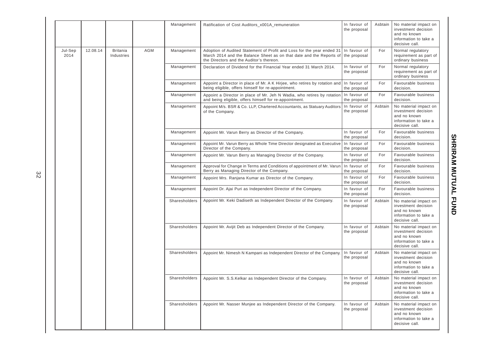|                 |          |                               |     | Management    | Ratification of Cost Auditors_x001A_remuneration                                                                                                                                                       | In favour of<br>the proposal                                         | Asbtain                                                        | No material impact on<br>investment decision<br>and no known<br>information to take a<br>decisive call. |                                                                                                         |
|-----------------|----------|-------------------------------|-----|---------------|--------------------------------------------------------------------------------------------------------------------------------------------------------------------------------------------------------|----------------------------------------------------------------------|----------------------------------------------------------------|---------------------------------------------------------------------------------------------------------|---------------------------------------------------------------------------------------------------------|
| Jul-Sep<br>2014 | 12.08.14 | <b>Britania</b><br>Industries | AGM | Management    | Adoption of Audited Statement of Profit and Loss for the year ended 31<br>March 2014 and the Balance Sheet as on that date and the Reports of the proposal<br>the Directors and the Auditor's thereon. | In favour of                                                         | For                                                            | Normal regulatory<br>requirement as part of<br>ordinary business                                        |                                                                                                         |
|                 |          |                               |     | Management    | Declaration of Dividend for the Financial Year ended 31 March 2014.                                                                                                                                    | In favour of<br>the proposal                                         | For                                                            | Normal regulatory<br>requirement as part of<br>ordinary business                                        |                                                                                                         |
|                 |          |                               |     | Management    | Appoint a Director in place of Mr. A K Hirjee, who retires by rotation and<br>being eligible, offers himself for re-appointment.                                                                       | In favour of<br>the proposal                                         | For                                                            | Favourable business<br>decision.                                                                        |                                                                                                         |
|                 |          |                               |     | Management    | Appoint a Director in place of Mr. Jeh N Wadia, who retires by rotation<br>and being eligible, offers himself for re-appointment.                                                                      | In favour of<br>the proposal                                         | For                                                            | Favourable business<br>decision.                                                                        |                                                                                                         |
|                 |          |                               |     | Management    | Appoint M/s. BSR & Co. LLP, Chartered Accountants, as Statuary Auditors<br>of the Company.                                                                                                             | In favour of<br>the proposal                                         | Asbtain                                                        | No material impact on<br>investment decision<br>and no known<br>information to take a<br>decisive call. |                                                                                                         |
|                 |          |                               |     | Management    | Appoint Mr. Varun Berry as Director of the Company.                                                                                                                                                    | In favour of<br>the proposal                                         | For                                                            | Favourable business<br>decision.                                                                        |                                                                                                         |
|                 |          |                               |     | Management    | Appoint Mr. Varun Berry as Whole Time Director designated as Executive<br>Director of the Company.                                                                                                     | In favour of<br>the proposal                                         | For                                                            | Favourable business<br>decision.                                                                        |                                                                                                         |
|                 |          |                               |     | Management    | Appoint Mr. Varun Berry as Managing Director of the Company.                                                                                                                                           | In favour of<br>the proposal                                         | For                                                            | Favourable business<br>decision.                                                                        |                                                                                                         |
|                 |          |                               |     | Management    | Approval for Change in Terms and Conditions of appointment of Mr. Varun<br>Berry as Managing Director of the Company.                                                                                  | In favour of<br>the proposal                                         | For                                                            | Favourable business<br>decision.                                                                        |                                                                                                         |
|                 |          |                               |     | Management    | Appoint Mrs. Ranjana Kumar as Director of the Company.                                                                                                                                                 | In favour of<br>the proposal                                         | For                                                            | Favourable business<br>decision.                                                                        |                                                                                                         |
|                 |          |                               |     | Management    | Appoint Dr. Ajai Puri as Independent Director of the Company.                                                                                                                                          | In favour of<br>the proposal                                         | For                                                            | Favourable business<br>decision.                                                                        |                                                                                                         |
|                 |          |                               |     | Sharesholders | Appoint Mr. Keki Dadiseth as Independent Director of the Company.                                                                                                                                      | In favour of<br>the proposal                                         | Asbtain                                                        | No material impact on<br>investment decision<br>and no known<br>information to take a<br>decisive call. |                                                                                                         |
|                 |          |                               |     |               |                                                                                                                                                                                                        | Sharesholders                                                        | Appoint Mr. Avijit Deb as Independent Director of the Company. | In favour of<br>the proposal                                                                            | Asbtain                                                                                                 |
|                 |          |                               |     |               | Sharesholders                                                                                                                                                                                          | Appoint Mr. Nimesh N Kampani as Independent Director of the Company. | In favour of<br>the proposal                                   | Asbtain                                                                                                 | No material impact on<br>investment decision<br>and no known<br>information to take a<br>decisive call. |
|                 |          |                               |     | Sharesholders | Appoint Mr. S.S. Kelkar as Independent Director of the Company.                                                                                                                                        | In favour of<br>the proposal                                         | Asbtain                                                        | No material impact on<br>investment decision<br>and no known<br>information to take a<br>decisive call. |                                                                                                         |
|                 |          |                               |     | Sharesholders | Appoint Mr. Nasser Munjee as Independent Director of the Company.                                                                                                                                      | In favour of<br>the proposal                                         | Asbtain                                                        | No material impact on<br>investment decision<br>and no known<br>information to take a<br>decisive call. |                                                                                                         |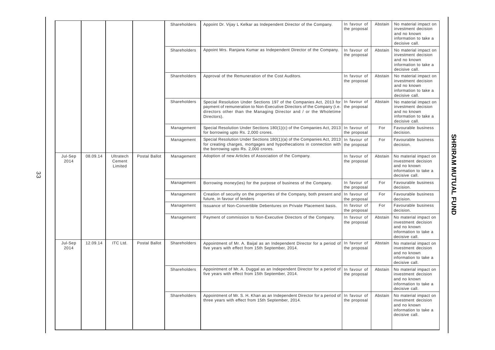|                 |          |                                |               | Shareholders | Appoint Dr. Vijay L Kelkar as Independent Director of the Company.                                                                                                                                                                  | In favour of<br>the proposal | Abstain | No material impact on<br>investment decision<br>and no known<br>information to take a<br>decisive call. |
|-----------------|----------|--------------------------------|---------------|--------------|-------------------------------------------------------------------------------------------------------------------------------------------------------------------------------------------------------------------------------------|------------------------------|---------|---------------------------------------------------------------------------------------------------------|
|                 |          |                                |               | Shareholders | Appoint Mrs. Ranjana Kumar as Independent Director of the Company.                                                                                                                                                                  | In favour of<br>the proposal | Abstain | No material impact on<br>investment decision<br>and no known<br>information to take a<br>decisive call. |
|                 |          |                                |               | Shareholders | Approval of the Remuneration of the Cost Auditors.                                                                                                                                                                                  | In favour of<br>the proposal | Abstain | No material impact on<br>investment decision<br>and no known<br>information to take a<br>decisive call. |
|                 |          |                                |               | Shareholders | Special Resolution Under Sections 197 of the Companies Act, 2013 for<br>payment of remuneration to Non-Executive Directors of the Company (i.e.<br>directors other than the Managing Director and / or the Wholetime<br>Directors). | In favour of<br>the proposal | Abstain | No material impact on<br>investment decision<br>and no known<br>information to take a<br>decisive call. |
|                 |          |                                |               | Management   | Special Resolution Under Sections 180(1)(c) of the Companies Act, 2013<br>for borrowing upto Rs. 2,000 crores.                                                                                                                      | In favour of<br>the proposal | For     | Favourable business<br>decision.                                                                        |
|                 |          |                                |               | Management   | Special Resolution Under Sections 180(1)(a) of the Companies Act, 2013<br>for creating charges, mortgages and hypothecations in connection with<br>the borrowing upto Rs. 2,000 crores.                                             | In favour of<br>the proposal | For     | Favourable business<br>decision.                                                                        |
| Jul-Sep<br>2014 | 08.09.14 | Ultratech<br>Cement<br>Limited | Postal Ballot | Management   | Adoption of new Articles of Association of the Company.                                                                                                                                                                             | In favour of<br>the proposal | Abstain | No material impact on<br>investment decision<br>and no known<br>information to take a<br>decisive call. |
|                 |          |                                |               | Management   | Borrowing money(ies) for the purpose of business of the Company.                                                                                                                                                                    | In favour of<br>the proposal | For     | Favourable business<br>decision.                                                                        |
|                 |          |                                |               | Management   | Creation of security on the properties of the Company, both present and<br>future, in favour of lenders                                                                                                                             | In favour of<br>the proposal | For     | Favourable business<br>decision.                                                                        |
|                 |          |                                |               | Management   | Issuance of Non-Convertible Debentures on Private Placement basis.                                                                                                                                                                  | In favour of<br>the proposal | For     | Favourable business<br>decision.                                                                        |
|                 |          |                                |               | Management   | Payment of commission to Non-Executive Directors of the Company.                                                                                                                                                                    | In favour of<br>the proposal | Abstain | No material impact on<br>investment decision<br>and no known<br>information to take a<br>decisive call. |
| Jul-Sep<br>2014 | 12.09.14 | <b>ITC Ltd.</b>                | Postal Ballot | Shareholders | Appointment of Mr. A. Baijal as an Independent Director for a period of<br>five years with effect from 15th September, 2014.                                                                                                        | In favour of<br>the proposal | Abstain | No material impact on<br>investment decision<br>and no known<br>information to take a<br>decisive call. |
|                 |          |                                |               | Shareholders | Appointment of Mr. A. Duggal as an Independent Director for a period of<br>five years with effect from 15th September, 2014.                                                                                                        | In favour of<br>the proposal | Abstain | No material impact on<br>investment decision<br>and no known<br>information to take a<br>decisive call. |
|                 |          |                                |               | Shareholders | Appointment of Mr. S. H. Khan as an Independent Director for a period of<br>three years with effect from 15th September, 2014.                                                                                                      | In favour of<br>the proposal | Abstain | No material impact on<br>investment decision<br>and no known<br>information to take a<br>decisive call. |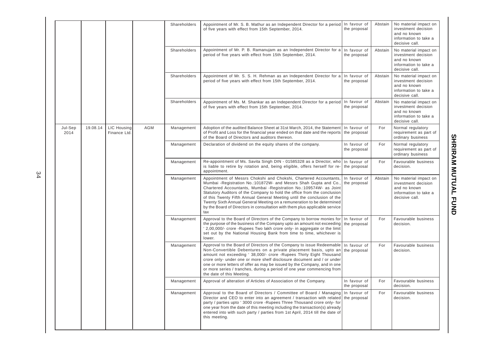|                 |          |                             |            | Shareholders | Appointment of Mr. S. B. Mathur as an Independent Director for a period In favour of<br>of five years with effect from 15th September, 2014.                                                                                                                                                                                                                                                                                                                                                                                     | the proposal                 | Abstain | No material impact on<br>investment decision<br>and no known<br>information to take a<br>decisive call. |
|-----------------|----------|-----------------------------|------------|--------------|----------------------------------------------------------------------------------------------------------------------------------------------------------------------------------------------------------------------------------------------------------------------------------------------------------------------------------------------------------------------------------------------------------------------------------------------------------------------------------------------------------------------------------|------------------------------|---------|---------------------------------------------------------------------------------------------------------|
|                 |          |                             |            | Shareholders | Appointment of Mr. P. B. Ramanujam as an Independent Director for a<br>period of five years with effect from 15th September, 2014.                                                                                                                                                                                                                                                                                                                                                                                               | In favour of<br>the proposal | Abstain | No material impact on<br>investment decision<br>and no known<br>information to take a<br>decisive call. |
|                 |          |                             |            | Shareholders | Appointment of Mr. S. S. H. Rehman as an Independent Director for a<br>period of five years with effect from 15th September, 2014.                                                                                                                                                                                                                                                                                                                                                                                               | In favour of<br>the proposal | Abstain | No material impact on<br>investment decision<br>and no known<br>information to take a<br>decisive call. |
|                 |          |                             |            | Shareholders | Appointment of Ms. M. Shankar as an Independent Director for a period<br>of five years with effect from 15th September, 2014.                                                                                                                                                                                                                                                                                                                                                                                                    | In favour of<br>the proposal | Abstain | No material impact on<br>investment decision<br>and no known<br>information to take a<br>decisive call. |
| Jul-Sep<br>2014 | 19.08.14 | LIC Housing<br>Finance Ltd. | <b>AGM</b> | Management   | Adoption of the audited Balance Sheet at 31st March, 2014, the Statement<br>of Profit and Loss for the financial year ended on that date and the reports the proposal<br>of the Board of Directors and auditors thereon.                                                                                                                                                                                                                                                                                                         | In favour of                 | For     | Normal regulatory<br>requirement as part of<br>ordinary business                                        |
|                 |          |                             |            | Management   | Declaration of dividend on the equity shares of the company.                                                                                                                                                                                                                                                                                                                                                                                                                                                                     | In favour of<br>the proposal | For     | Normal regulatory<br>requirement as part of<br>ordinary business                                        |
|                 |          |                             |            | Management   | Re-appointment of Ms. Savita Singh DIN - 01585328 as a Director, who In favour of<br>is liable to retire by rotation and, being eligible, offers herself for re-<br>appointment.                                                                                                                                                                                                                                                                                                                                                 | the proposal                 | For     | Favourable business<br>decision.                                                                        |
|                 |          |                             |            | Management   | Appointment of Messrs Chokshi and Chokshi, Chartered Accountants,<br>Mumbai -Registration No.:101872W- and Messrs Shah Gupta and Co.<br>Chartered Accountants, Mumbai -Registration No.:109574W- as Joint<br>Statutory Auditors of the Company to hold the office from the conclusion<br>of this Twenty Fifth Annual General Meeting until the conclusion of the<br>Twenty Sixth Annual General Meeting on a remuneration to be determined<br>by the Board of Directors in consultation with them plus applicable service<br>tax | In favour of<br>the proposal | Abstain | No material impact on<br>investment decision<br>and no known<br>information to take a<br>decisive call. |
|                 |          |                             |            | Management   | Approval to the Board of Directors of the Company to borrow monies for In favour of<br>the purpose of the business of the Company upto an amount not exceeding the proposal<br>2,00,000/- crore -Rupees Two lakh crore only- in aggregate or the limit<br>set out by the National Housing Bank from time to time, whichever is<br>lower.                                                                                                                                                                                         |                              | For     | Favourable business<br>decision.                                                                        |
|                 |          |                             |            | Management   | Approval to the Board of Directors of the Company to issue Redeemable<br>Non-Convertible Debentures on a private placement basis, upto an<br>amount not exceeding ' 38,000/- crore -Rupees Thirty Eight Thousand<br>crore only- under one or more shelf disclosure document and / or under<br>one or more letters of offer as may be issued by the Company, and in one<br>or more series / tranches, during a period of one year commencing from<br>the date of this Meeting.                                                    | In favour of<br>the proposal | For     | Favourable business<br>decision.                                                                        |
|                 |          |                             |            | Management   | Approval of alteration of Articles of Association of the Company.                                                                                                                                                                                                                                                                                                                                                                                                                                                                | In favour of<br>the proposal | For     | Favourable business<br>decision.                                                                        |
|                 |          |                             |            | Management   | Approval to the Board of Directors / Committee of Board / Managing<br>Director and CEO to enter into an agreement / transaction with related the proposal<br>party / parties upto ' 3000 crore -Rupees Three Thousand crore only- for<br>one year from the date of this meeting including the transaction(s) already<br>entered into with such party / parties from 1st April, 2014 till the date of<br>this meeting.                                                                                                            | In favour of                 | For     | Favourable business<br>decision.                                                                        |
|                 |          |                             |            |              |                                                                                                                                                                                                                                                                                                                                                                                                                                                                                                                                  |                              |         |                                                                                                         |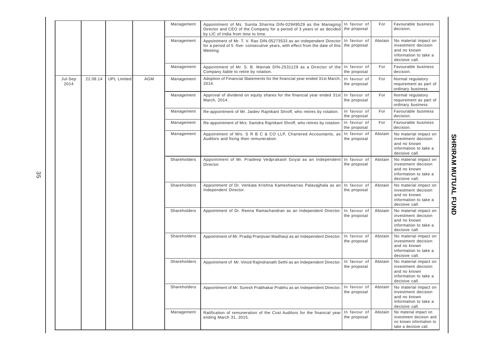|                 |          |                    |     | Management   | Appointment of Ms. Sunita Sharma DIN-02949529 as the Managing In favour of<br>Director and CEO of the Company for a period of 3 years or as decided<br>by LIC of India from time to time. | the proposal                 | For     | Favourable business<br>decision.                                                                                  |                                                                         |                              |                                                                          |                                                                                                         |         |                                                                                                         |
|-----------------|----------|--------------------|-----|--------------|-------------------------------------------------------------------------------------------------------------------------------------------------------------------------------------------|------------------------------|---------|-------------------------------------------------------------------------------------------------------------------|-------------------------------------------------------------------------|------------------------------|--------------------------------------------------------------------------|---------------------------------------------------------------------------------------------------------|---------|---------------------------------------------------------------------------------------------------------|
|                 |          |                    |     | Management   | Appointment of Mr. T. V. Rao DIN-05273533 as an independent Director<br>for a period of 5 -five- consecutive years, with effect from the date of this<br>Meeting.                         | In favour of<br>the proposal | Abstain | No material impact on<br>investment decision<br>and no known<br>information to take a<br>decisive call.           |                                                                         |                              |                                                                          |                                                                                                         |         |                                                                                                         |
|                 |          |                    |     | Management   | Appointment of Mr. S. B. Mainak DIN-2531129 as a Director of the In favour of<br>Company liable to retire by rotation.                                                                    | the proposal                 | For     | Favourable business<br>decision.                                                                                  |                                                                         |                              |                                                                          |                                                                                                         |         |                                                                                                         |
| Jul-Sep<br>2014 | 22.08.14 | <b>UPL Limited</b> | AGM | Management   | Adoption of Financial Statements for the financial year ended 31st March,<br>2014.                                                                                                        | In favour of<br>the proposal | For     | Normal regulatory<br>requirement as part of<br>ordinary business                                                  |                                                                         |                              |                                                                          |                                                                                                         |         |                                                                                                         |
|                 |          |                    |     | Management   | Approval of dividend on equity shares for the financial year ended 31st<br>March, 2014.                                                                                                   | In favour of<br>the proposal | For     | Normal regulatory<br>requirement as part of<br>ordinary business                                                  |                                                                         |                              |                                                                          |                                                                                                         |         |                                                                                                         |
|                 |          |                    |     | Management   | Re-appointment of Mr. Jaidev Rajnikant Shroff, who retires by rotation.                                                                                                                   | In favour of<br>the proposal | For     | Favourable business<br>decision.                                                                                  |                                                                         |                              |                                                                          |                                                                                                         |         |                                                                                                         |
|                 |          |                    |     | Management   | Re-appointment of Mrs. Samdra Rajnikant Shroff, who retires by rotation.                                                                                                                  | In favour of<br>the proposal | For     | Favourable business<br>decision.                                                                                  |                                                                         |                              |                                                                          |                                                                                                         |         |                                                                                                         |
|                 |          |                    |     | Management   | Appointment of M/s. S R B C & CO LLP, Chartered Accountants, as<br>Auditors and fixing their remuneration.                                                                                | In favour of<br>the proposal | Abstain | No material impact on<br>investment decision<br>and no known<br>information to take a<br>decisive call.           |                                                                         |                              |                                                                          |                                                                                                         |         |                                                                                                         |
|                 |          |                    |     | Shareholders | Appointment of Mr. Pradeep Vedprakash Goyal as an Independent<br>Director.                                                                                                                | In favour of<br>the proposal | Abstain | No material impact on<br>investment decision<br>and no known<br>information to take a<br>decisive call.           |                                                                         |                              |                                                                          |                                                                                                         |         |                                                                                                         |
|                 |          |                    |     | Shareholders | Appointment of Dr. Venkata Krishna Kameshwarrao Palavajjhala as an<br>Independent Director.                                                                                               | In favour of<br>the proposal | Abstain | No material impact on<br>investment decision<br>and no known<br>information to take a<br>decisive call.           |                                                                         |                              |                                                                          |                                                                                                         |         |                                                                                                         |
|                 |          |                    |     | Shareholders | Appointment of Dr. Reena Ramachandran as an Independent Director.                                                                                                                         | In favour of<br>the proposal | Abstain | No material impact on<br>investment decision<br>and no known<br>information to take a<br>decisive call.           |                                                                         |                              |                                                                          |                                                                                                         |         |                                                                                                         |
|                 |          |                    |     |              |                                                                                                                                                                                           |                              |         |                                                                                                                   |                                                                         | Shareholders                 | Appointment of Mr. Pradip Pranjivan Madhavji as an Independent Director. | In favour of<br>the proposal                                                                            | Abstain | No material impact on<br>investment decision<br>and no known<br>information to take a<br>decisive call. |
|                 |          |                    |     |              |                                                                                                                                                                                           |                              |         | Shareholders                                                                                                      | Appointment of Mr. Vinod Rajindranath Sethi as an Independent Director. | In favour of<br>the proposal | Abstain                                                                  | No material impact on<br>investment decision<br>and no known<br>information to take a<br>decisive call. |         |                                                                                                         |
|                 |          |                    |     | Shareholders | Appointment of Mr. Suresh Prabhakar Prabhu as an Independent Director.                                                                                                                    | In favour of<br>the proposal |         | Abstain   No material impact on<br>investment decision<br>and no known<br>information to take a<br>decisive call. |                                                                         |                              |                                                                          |                                                                                                         |         |                                                                                                         |
|                 |          |                    |     | Management   | Ratification of remuneration of the Cost Auditors for the financial year<br>ending March 31, 2015.                                                                                        | In favour of<br>the proposal | Abstain | No material impact on<br>investment decision and<br>no known information to<br>take a decisive call.              |                                                                         |                              |                                                                          |                                                                                                         |         |                                                                                                         |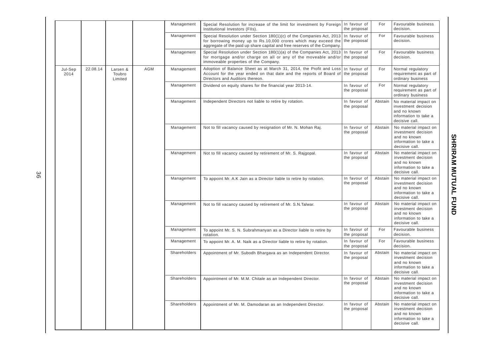|                 |          |                               |     | Management   | Special Resolution for increase of the limit for investment by Foreign In favour of<br>Institutional Investors (FIIs).                                                                                               | the proposal                 | For     | Favourable business<br>decision.                                                                        |
|-----------------|----------|-------------------------------|-----|--------------|----------------------------------------------------------------------------------------------------------------------------------------------------------------------------------------------------------------------|------------------------------|---------|---------------------------------------------------------------------------------------------------------|
|                 |          |                               |     | Management   | Special Resolution under Section 180(1)(c) of the Companies Act, 2013<br>for borrowing money up to Rs.10,000 crores which may exceed the<br>aggregate of the paid up share capital and free reserves of the Company. | In favour of<br>the proposal | For     | Favourable business<br>decision.                                                                        |
|                 |          |                               |     | Management   | Special Resolution under Section 180(1)(a) of the Companies Act, 2013<br>for mortgage and/or charge on all or any of the moveable and/or<br>immoveable properties of the Company.                                    | In favour of<br>the proposal | For     | Favourable business<br>decision.                                                                        |
| Jul-Sep<br>2014 | 22.08.14 | Larsen &<br>Toubro<br>Limited | AGM | Management   | Adoption of Balance Sheet as at March 31, 2014, the Profit and Loss In favour of<br>Account for the year ended on that date and the reports of Board of the proposal<br>Directors and Auditors thereon.              |                              | For     | Normal regulatory<br>requirement as part of<br>ordinary business                                        |
|                 |          |                               |     | Management   | Dividend on equity shares for the financial year 2013-14.                                                                                                                                                            | In favour of<br>the proposal | For     | Normal regulatory<br>requirement as part of<br>ordinary business                                        |
|                 |          |                               |     | Management   | Independent Directors not liable to retire by rotation.                                                                                                                                                              | In favour of<br>the proposal | Abstain | No material impact on<br>investment decision<br>and no known<br>information to take a<br>decisive call. |
|                 |          |                               |     | Management   | Not to fill vacancy caused by resignation of Mr. N. Mohan Raj.                                                                                                                                                       | In favour of<br>the proposal | Abstain | No material impact on<br>investment decision<br>and no known<br>information to take a<br>decisive call. |
|                 |          |                               |     | Management   | Not to fill vacancy caused by retirement of Mr. S. Rajgopal.                                                                                                                                                         | In favour of<br>the proposal | Abstain | No material impact on<br>investment decision<br>and no known<br>information to take a<br>decisive call. |
|                 |          |                               |     | Management   | To appoint Mr. A.K Jain as a Director liable to retire by rotation.                                                                                                                                                  | In favour of<br>the proposal | Abstain | No material impact on<br>investment decision<br>and no known<br>information to take a<br>decisive call. |
|                 |          |                               |     | Management   | Not to fill vacancy caused by retirement of Mr. S.N. Talwar.                                                                                                                                                         | In favour of<br>the proposal | Abstain | No material impact on<br>investment decision<br>and no known<br>information to take a<br>decisive call. |
|                 |          |                               |     | Management   | To appoint Mr. S. N. Subrahmanyan as a Director liable to retire by<br>rotation.                                                                                                                                     | In favour of<br>the proposal | For     | Favourable business<br>decision.                                                                        |
|                 |          |                               |     | Management   | To appoint Mr. A. M. Naik as a Director liable to retire by rotation.                                                                                                                                                | In favour of<br>the proposal | For     | Favourable business<br>decision.                                                                        |
|                 |          |                               |     | Shareholders | Appointment of Mr. Subodh Bhargava as an Independent Director.                                                                                                                                                       | In favour of<br>the proposal | Abstain | No material impact on<br>investment decision<br>and no known<br>information to take a<br>decisive call. |
|                 |          |                               |     | Shareholders | Appointment of Mr. M.M. Chitale as an Independent Director.                                                                                                                                                          | In favour of<br>the proposal | Abstain | No material impact on<br>investment decision<br>and no known<br>information to take a<br>decisive call. |
|                 |          |                               |     | Shareholders | Appointment of Mr. M. Damodaran as an Independent Director.                                                                                                                                                          | In favour of<br>the proposal | Abstain | No material impact on<br>investment decision<br>and no known<br>information to take a<br>decisive call. |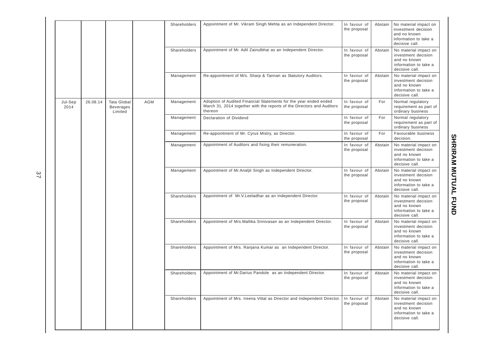|                 |          |                                            |     | Shareholders | Appointment of Mr. Vikram Singh Mehta as an Independent Director.                                                                                      | In favour of<br>the proposal | Abstain | No material impact on<br>investment decision<br>and no known<br>information to take a<br>decisive call. |
|-----------------|----------|--------------------------------------------|-----|--------------|--------------------------------------------------------------------------------------------------------------------------------------------------------|------------------------------|---------|---------------------------------------------------------------------------------------------------------|
|                 |          |                                            |     | Shareholders | Appointment of Mr. Adil Zainulbhai as an Independent Director.                                                                                         | In favour of<br>the proposal | Abstain | No material impact on<br>investment decision<br>and no known<br>information to take a<br>decisive call. |
|                 |          |                                            |     | Management   | Re-appointment of M/s. Sharp & Tannan as Statutory Auditors.                                                                                           | In favour of<br>the proposal | Abstain | No material impact on<br>investment decision<br>and no known<br>information to take a<br>decisive call. |
| Jul-Sep<br>2014 | 26.08.14 | Tata Global<br><b>Beverages</b><br>Limited | AGM | Management   | Adoption of Audited Financial Statements for the year ended ended<br>March 31, 2014 together with the reports of the Directors and Auditors<br>thereon | In favour of<br>the proposal | For     | Normal regulatory<br>requirement as part of<br>ordinary business                                        |
|                 |          |                                            |     | Management   | Declaration of Dividend                                                                                                                                | In favour of<br>the proposal | For     | Normal regulatory<br>requirement as part of<br>ordinary business                                        |
|                 |          |                                            |     | Management   | Re-appointment of Mr. Cyrus Mistry, as Director.                                                                                                       | In favour of<br>the proposal | For     | Favourable business<br>decision.                                                                        |
|                 |          |                                            |     | Management   | Appointment of Auditors and fixing their remuneration.                                                                                                 | In favour of<br>the proposal | Abstain | No material impact on<br>investment decision<br>and no known<br>information to take a<br>decisive call. |
|                 |          |                                            |     | Management   | Appointment of Mr. Analjit Singh as Independent Director.                                                                                              | In favour of<br>the proposal | Abstain | No material impact on<br>investment decision<br>and no known<br>information to take a<br>decisive call. |
|                 |          |                                            |     | Shareholders | Appointment of Mr.V.Leeladhar as an Independent Director.                                                                                              | In favour of<br>the proposal | Abstain | No material impact on<br>investment decision<br>and no known<br>information to take a<br>decisive call. |
|                 |          |                                            |     | Shareholders | Appointment of Mrs. Mallika Srinivasan as an Independent Director.                                                                                     | In favour of<br>the proposal | Abstain | No material impact on<br>investment decision<br>and no known<br>information to take a<br>decisive call. |
|                 |          |                                            |     | Shareholders | Appointment of Mrs. Ranjana Kumar as an Independent Director.                                                                                          | In favour of<br>the proposal | Abstain | No material impact on<br>investment decision<br>and no known<br>information to take a<br>decisive call. |
|                 |          |                                            |     | Shareholders | Appointment of Mr.Darius Pandole as an Independent Director.                                                                                           | In favour of<br>the proposal | Abstain | No material impact on<br>investment decision<br>and no known<br>information to take a<br>decisive call. |
|                 |          |                                            |     | Shareholders | Appointment of Mrs. Ireena Vittal as Director and Independent Director.                                                                                | In favour of<br>the proposal | Abstain | No material impact on<br>investment decision<br>and no known<br>information to take a<br>decisive call. |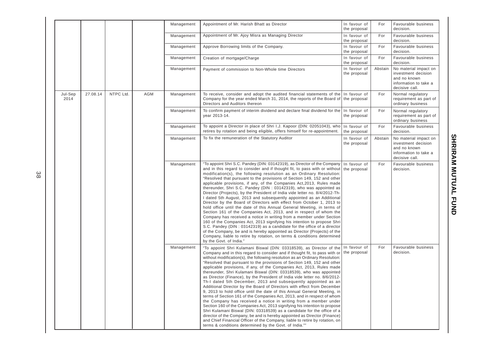|                 |          |           |     | Management | Appointment of Mr. Harish Bhatt as Director                                                                                                                                                                                                                                                                                                                                                                                                                                                                                                                                                                                                                                                                                                                                                                                                                                                                                                                                                                                                                                                                                                                                                                                                                                                         | In favour of<br>the proposal | For                                                                                                                                                                                                                                                                                                                                                                                                                                                                                                                                                                                                                                                                                                                                                                                                                                                                                                                                                                                                                                                                                                                                                                                                                                                       | Favourable business<br>decision.                                                                        |     |                                  |
|-----------------|----------|-----------|-----|------------|-----------------------------------------------------------------------------------------------------------------------------------------------------------------------------------------------------------------------------------------------------------------------------------------------------------------------------------------------------------------------------------------------------------------------------------------------------------------------------------------------------------------------------------------------------------------------------------------------------------------------------------------------------------------------------------------------------------------------------------------------------------------------------------------------------------------------------------------------------------------------------------------------------------------------------------------------------------------------------------------------------------------------------------------------------------------------------------------------------------------------------------------------------------------------------------------------------------------------------------------------------------------------------------------------------|------------------------------|-----------------------------------------------------------------------------------------------------------------------------------------------------------------------------------------------------------------------------------------------------------------------------------------------------------------------------------------------------------------------------------------------------------------------------------------------------------------------------------------------------------------------------------------------------------------------------------------------------------------------------------------------------------------------------------------------------------------------------------------------------------------------------------------------------------------------------------------------------------------------------------------------------------------------------------------------------------------------------------------------------------------------------------------------------------------------------------------------------------------------------------------------------------------------------------------------------------------------------------------------------------|---------------------------------------------------------------------------------------------------------|-----|----------------------------------|
|                 |          |           |     | Management | Appointment of Mr. Ajoy Misra as Managing Director                                                                                                                                                                                                                                                                                                                                                                                                                                                                                                                                                                                                                                                                                                                                                                                                                                                                                                                                                                                                                                                                                                                                                                                                                                                  | In favour of<br>the proposal | For                                                                                                                                                                                                                                                                                                                                                                                                                                                                                                                                                                                                                                                                                                                                                                                                                                                                                                                                                                                                                                                                                                                                                                                                                                                       | Favourable business<br>decision.                                                                        |     |                                  |
|                 |          |           |     | Management | Approve Borrowing limits of the Company.                                                                                                                                                                                                                                                                                                                                                                                                                                                                                                                                                                                                                                                                                                                                                                                                                                                                                                                                                                                                                                                                                                                                                                                                                                                            | In favour of<br>the proposal | For                                                                                                                                                                                                                                                                                                                                                                                                                                                                                                                                                                                                                                                                                                                                                                                                                                                                                                                                                                                                                                                                                                                                                                                                                                                       | Favourable business<br>decision.                                                                        |     |                                  |
|                 |          |           |     | Management | Creation of mortgage/Charge                                                                                                                                                                                                                                                                                                                                                                                                                                                                                                                                                                                                                                                                                                                                                                                                                                                                                                                                                                                                                                                                                                                                                                                                                                                                         | In favour of<br>the proposal | For                                                                                                                                                                                                                                                                                                                                                                                                                                                                                                                                                                                                                                                                                                                                                                                                                                                                                                                                                                                                                                                                                                                                                                                                                                                       | Favourable business<br>decision.                                                                        |     |                                  |
|                 |          |           |     | Management | Payment of commission to Non-Whole time Directors                                                                                                                                                                                                                                                                                                                                                                                                                                                                                                                                                                                                                                                                                                                                                                                                                                                                                                                                                                                                                                                                                                                                                                                                                                                   | In favour of<br>the proposal | Abstain                                                                                                                                                                                                                                                                                                                                                                                                                                                                                                                                                                                                                                                                                                                                                                                                                                                                                                                                                                                                                                                                                                                                                                                                                                                   | No material impact on<br>investment decision<br>and no known<br>information to take a<br>decisive call. |     |                                  |
| Jul-Sep<br>2014 | 27.08.14 | NTPC Ltd. | AGM | Management | To receive, consider and adopt the audited financial statements of the<br>Company for the year ended March 31, 2014, the reports of the Board of<br>Directors and Auditors thereon                                                                                                                                                                                                                                                                                                                                                                                                                                                                                                                                                                                                                                                                                                                                                                                                                                                                                                                                                                                                                                                                                                                  | In favour of<br>the proposal | For                                                                                                                                                                                                                                                                                                                                                                                                                                                                                                                                                                                                                                                                                                                                                                                                                                                                                                                                                                                                                                                                                                                                                                                                                                                       | Normal regulatory<br>requirement as part of<br>ordinary business                                        |     |                                  |
|                 |          |           |     | Management | To confirm payment of interim dividend and declare final dividend for the<br>year 2013-14.                                                                                                                                                                                                                                                                                                                                                                                                                                                                                                                                                                                                                                                                                                                                                                                                                                                                                                                                                                                                                                                                                                                                                                                                          | In favour of<br>the proposal | For                                                                                                                                                                                                                                                                                                                                                                                                                                                                                                                                                                                                                                                                                                                                                                                                                                                                                                                                                                                                                                                                                                                                                                                                                                                       | Normal regulatory<br>requirement as part of<br>ordinary business                                        |     |                                  |
|                 |          |           |     | Management | To appoint a Director in place of Shri I.J. Kapoor (DIN: 02051043), who<br>retires by rotation and being eligible, offers himself for re-appointment.                                                                                                                                                                                                                                                                                                                                                                                                                                                                                                                                                                                                                                                                                                                                                                                                                                                                                                                                                                                                                                                                                                                                               | In favour of<br>the proposal | For                                                                                                                                                                                                                                                                                                                                                                                                                                                                                                                                                                                                                                                                                                                                                                                                                                                                                                                                                                                                                                                                                                                                                                                                                                                       | Favourable business<br>decision.                                                                        |     |                                  |
|                 |          |           |     | Management | To fix the remuneration of the Statutory Auditor                                                                                                                                                                                                                                                                                                                                                                                                                                                                                                                                                                                                                                                                                                                                                                                                                                                                                                                                                                                                                                                                                                                                                                                                                                                    | In favour of<br>the proposal | Abstain                                                                                                                                                                                                                                                                                                                                                                                                                                                                                                                                                                                                                                                                                                                                                                                                                                                                                                                                                                                                                                                                                                                                                                                                                                                   | No material impact on<br>investment decision<br>and no known<br>information to take a<br>decisive call. |     |                                  |
|                 |          |           |     |            |                                                                                                                                                                                                                                                                                                                                                                                                                                                                                                                                                                                                                                                                                                                                                                                                                                                                                                                                                                                                                                                                                                                                                                                                                                                                                                     | Management                   | "To appoint Shri S.C. Pandey (DIN: 03142319), as Director of the Company<br>and in this regard to consider and if thought fit, to pass with or without<br>modification(s), the following resolution as an Ordinary Resolution:<br>"Resolved that pursuant to the provisions of Section 149, 152 and other<br>applicable provisions, if any, of the Companies Act, 2013, Rules made<br>thereunder, Shri S.C. Pandey (DIN: 03142319), who was appointed as<br>Director (Projects), by the President of India vide letter no. 8/4/2012-Th-<br>I dated 5th August, 2013 and subsequently appointed as an Additional<br>Director by the Board of Directors with effect from October 1, 2013 to<br>hold office until the date of this Annual General Meeting, in terms of<br>Section 161 of the Companies Act, 2013, and in respect of whom the<br>Company has received a notice in writing from a member under Section<br>160 of the Companies Act, 2013 signifying his intention to propose Shri<br>S.C. Pandey (DIN: 03142319) as a candidate for the office of a director<br>of the Company, be and is hereby appointed as Director (Projects) of the<br>Company, liable to retire by rotation, on terms & conditions determined<br>by the Govt. of India." | In favour of<br>the proposal                                                                            | For | Favourable business<br>decision. |
|                 |          |           |     | Management | "To appoint Shri Kulamani Biswal (DIN: 03318539), as Director of the<br>Company and in this regard to consider and if thought fit, to pass with or<br>without modification(s), the following resolution as an Ordinary Resolution:<br>"Resolved that pursuant to the provisions of Section 149, 152 and other<br>applicable provisions, if any, of the Companies Act, 2013, Rules made<br>thereunder, Shri Kulamani Biswal (DIN: 03318539), who was appointed<br>as Director (Finance), by the President of India vide letter no. 8/6/2012-<br>Th-I dated 5th December, 2013 and subsequently appointed as an<br>Additional Director by the Board of Directors with effect from December<br>9, 2013 to hold office until the date of this Annual General Meeting, in<br>terms of Section 161 of the Companies Act, 2013, and in respect of whom<br>the Company has received a notice in writing from a member under<br>Section 160 of the Companies Act, 2013 signifying his intention to propose<br>Shri Kulamani Biswal (DIN: 03318539) as a candidate for the office of a<br>director of the Company, be and is hereby appointed as Director (Finance)<br>and Chief Financial Officer of the Company, liable to retire by rotation, on<br>terms & conditions determined by the Govt. of India."" | In favour of<br>the proposal | For                                                                                                                                                                                                                                                                                                                                                                                                                                                                                                                                                                                                                                                                                                                                                                                                                                                                                                                                                                                                                                                                                                                                                                                                                                                       | Favourable business<br>decision.                                                                        |     |                                  |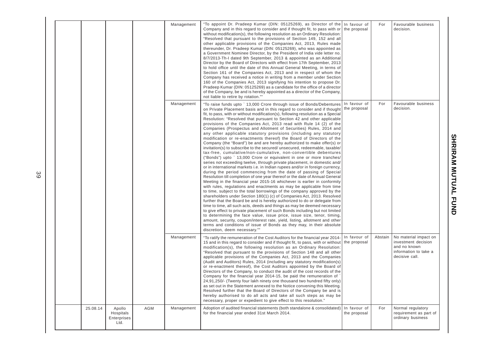|          |                                            |     | Management | "To appoint Dr. Pradeep Kumar (DIN: 05125269), as Director of the In favour of<br>Company and in this regard to consider and if thought fit, to pass with or the proposal<br>without modification(s), the following resolution as an Ordinary Resolution:<br>"Resolved that pursuant to the provisions of Section 149, 152 and all<br>other applicable provisions of the Companies Act, 2013, Rules made<br>thereunder, Dr. Pradeep Kumar (DIN: 05125269), who was appointed as<br>a Government Nominee Director, by the President of India vide letter no.<br>8/7/2013-Th-I dated 9th September, 2013 & appointed as an Additional<br>Director by the Board of Directors with effect from 17th September, 2013<br>to hold office until the date of this Annual General Meeting, in terms of<br>Section 161 of the Companies Act, 2013 and in respect of whom the<br>Company has received a notice in writing from a member under Section<br>160 of the Companies Act, 2013 signifying his intention to propose Dr.<br>Pradeep Kumar (DIN: 05125269) as a candidate for the office of a director<br>of the Company, be and is hereby appointed as a director of the Company,<br>not liable to retire by rotation."                                                                                                                                                                                                                                                                                                                                                                                                                                                                                                                                                                                                                                                                                                                                                                                                                                 |                              | For     | Favourable business<br>decision.                                                                        |
|----------|--------------------------------------------|-----|------------|----------------------------------------------------------------------------------------------------------------------------------------------------------------------------------------------------------------------------------------------------------------------------------------------------------------------------------------------------------------------------------------------------------------------------------------------------------------------------------------------------------------------------------------------------------------------------------------------------------------------------------------------------------------------------------------------------------------------------------------------------------------------------------------------------------------------------------------------------------------------------------------------------------------------------------------------------------------------------------------------------------------------------------------------------------------------------------------------------------------------------------------------------------------------------------------------------------------------------------------------------------------------------------------------------------------------------------------------------------------------------------------------------------------------------------------------------------------------------------------------------------------------------------------------------------------------------------------------------------------------------------------------------------------------------------------------------------------------------------------------------------------------------------------------------------------------------------------------------------------------------------------------------------------------------------------------------------------------------------------------------------------------------------------------------|------------------------------|---------|---------------------------------------------------------------------------------------------------------|
|          |                                            |     | Management | "To raise funds upto ` 13,000 Crore through issue of Bonds/Debentures<br>on Private Placement basis and in this regard to consider and if thought<br>fit, to pass, with or without modification(s), following resolution as a Special<br>Resolution: "Resolved that pursuant to Section 42 and other applicable<br>provisions of the Companies Act, 2013 read with Rule 14 (2) of the<br>Companies (Prospectus and Allotment of Securities) Rules, 2014 and<br>any other applicable statutory provisions (including any statutory<br>modification or re-enactments thereof) the Board of Directors of the<br>Company (the "Board") be and are hereby authorized to make offer(s) or<br>invitation(s) to subscribe to the secured/ unsecured, redeemable, taxable/<br>tax-free, cumulative/non-cumulative, non-convertible debentures<br>("Bonds") upto ` 13,000 Crore or equivalent in one or more tranches/<br>series not exceeding twelve, through private placement, in domestic and/<br>or in international markets i.e. in Indian rupees and/or in foreign currency,<br>during the period commencing from the date of passing of Special<br>Resolution till completion of one year thereof or the date of Annual General<br>Meeting in the financial year 2015-16 whichever is earlier in conformity<br>with rules, regulations and enactments as may be applicable from time<br>to time, subject to the total borrowings of the company approved by the<br>shareholders under Section 180(1) (c) of Companies Act, 2013. Resolved<br>further that the Board be and is hereby authorized to do or delegate from<br>time to time, all such acts, deeds and things as may be deemed necessary<br>to give effect to private placement of such Bonds including but not limited<br>to determining the face value, issue price, issue size, tenor, timing,<br>amount, security, coupon/interest rate, yield, listing, allotment and other<br>terms and conditions of issue of Bonds as they may, in their absolute<br>discretion, deem necessary."" | In favour of<br>the proposal | For     | Favourable business<br>decision.                                                                        |
|          |                                            |     | Management | "To ratify the remuneration of the Cost Auditors for the financial year 2014-<br>15 and in this regard to consider and if thought fit, to pass, with or without<br>modification(s), the following resolution as an Ordinary Resolution:<br>"Resolved that pursuant to the provisions of Section 148 and all other<br>applicable provisions of the Companies Act, 2013 and the Companies<br>(Audit and Auditors) Rules, 2014 (including any statutory modification(s)<br>or re-enactment thereof), the Cost Auditors appointed by the Board of<br>Directors of the Company, to conduct the audit of the cost records of the<br>Company for the financial year 2014-15, be paid the remuneration of<br>24,91,250/- (Twenty four lakh ninety one thousand two hundred fifty only)<br>as set out in the Statement annexed to the Notice convening this Meeting.<br>Resolved further that the Board of Directors of the Company be and is<br>hereby authorised to do all acts and take all such steps as may be<br>necessary, proper or expedient to give effect to this resolution."                                                                                                                                                                                                                                                                                                                                                                                                                                                                                                                                                                                                                                                                                                                                                                                                                                                                                                                                                                   | In favour of<br>the proposal | Abstain | No material impact on<br>investment decision<br>and no known<br>information to take a<br>decisive call. |
| 25.08.14 | Apollo<br>Hospitals<br>Enterprises<br>Ltd. | AGM | Management | Adoption of audited financial statements (both standalone & consolidated)<br>for the financial year ended 31st March 2014.                                                                                                                                                                                                                                                                                                                                                                                                                                                                                                                                                                                                                                                                                                                                                                                                                                                                                                                                                                                                                                                                                                                                                                                                                                                                                                                                                                                                                                                                                                                                                                                                                                                                                                                                                                                                                                                                                                                         | In favour of<br>the proposal | For     | Normal regulatory<br>requirement as part of<br>ordinary business                                        |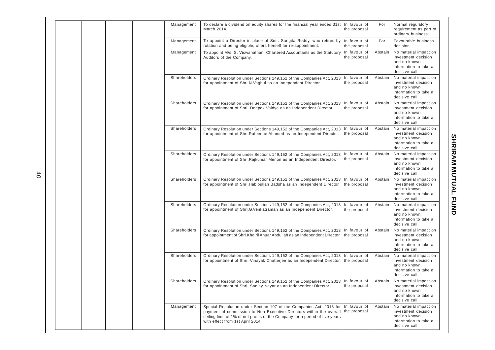| Management   | To declare a dividend on equity shares for the financial year ended 31st In favour of<br>March 2014.                                                                                                                                                                        | the proposal                 | For     | Normal regulatory<br>requirement as part of<br>ordinary business                                        |
|--------------|-----------------------------------------------------------------------------------------------------------------------------------------------------------------------------------------------------------------------------------------------------------------------------|------------------------------|---------|---------------------------------------------------------------------------------------------------------|
| Management   | To appoint a Director in place of Smt. Sangita Reddy, who retires by<br>rotation and being eligible, offers herself for re-appointment.                                                                                                                                     | In favour of<br>the proposal | For     | Favourable business<br>decision.                                                                        |
| Management   | To appoint M/s. S. Viswanathan, Chartered Accountants as the Statutory<br>Auditors of the Company.                                                                                                                                                                          | In favour of<br>the proposal | Abstain | No material impact on<br>investment decision<br>and no known<br>information to take a<br>decisive call. |
| Shareholders | Ordinary Resolution under Sections 149,152 of the Companies Act, 2013<br>for appointment of Shri.N.Vaghul as an Independent Director.                                                                                                                                       | In favour of<br>the proposal | Abstain | No material impact on<br>investment decision<br>and no known<br>information to take a<br>decisive call. |
| Shareholders | Ordinary Resolution under Sections 149,152 of the Companies Act, 2013<br>for appointment of Shri. Deepak Vaidya as an Independent Director.                                                                                                                                 | In favour of<br>the proposal | Abstain | No material impact on<br>investment decision<br>and no known<br>information to take a<br>decisive call. |
| Shareholders | Ordinary Resolution under Sections 149,152 of the Companies Act, 2013<br>for appointment of Shri.Rafeeque Ahamed as an Independent Director.                                                                                                                                | In favour of<br>the proposal | Abstain | No material impact on<br>investment decision<br>and no known<br>information to take a<br>decisive call. |
| Shareholders | Ordinary Resolution under Sections 149,152 of the Companies Act, 2013<br>for appointment of Shri. Rajkumar Menon as an Independent Director.                                                                                                                                | In favour of<br>the proposal | Abstain | No material impact on<br>investment decision<br>and no known<br>information to take a<br>decisive call. |
| Shareholders | Ordinary Resolution under Sections 149,152 of the Companies Act, 2013<br>for appointment of Shri. Habibullah Badsha as an Independent Director.                                                                                                                             | In favour of<br>the proposal | Abstain | No material impact on<br>investment decision<br>and no known<br>information to take a<br>decisive call. |
| Shareholders | Ordinary Resolution under Sections 149,152 of the Companies Act, 2013<br>for appointment of Shri.G.Venkatraman as an Independent Director.                                                                                                                                  | In favour of<br>the proposal | Abstain | No material impact on<br>investment decision<br>and no known<br>information to take a<br>decisive call. |
| Shareholders | Ordinary Resolution under Sections 149,152 of the Companies Act, 2013<br>for appointment of Shri. Khairil Anuar Abdullah as an Independent Director.                                                                                                                        | In favour of<br>the proposal | Abstain | No material impact on<br>investment decision<br>and no known<br>information to take a<br>decisive call. |
| Shareholders | Ordinary Resolution under Sections 149,152 of the Companies Act, 2013<br>for appointment of Shri. Vinayak Chatterjee as an Independent Director.                                                                                                                            | In favour of<br>the proposal | Abstain | No material impact on<br>investment decision<br>and no known<br>information to take a<br>decisive call. |
| Shareholders | Ordinary Resolution under Sections 149,152 of the Companies Act, 2013 In favour of<br>for appointment of Shri. Sanjay Nayar as an Independent Director.                                                                                                                     | the proposal                 | Abstain | No material impact on<br>investment decision<br>and no known<br>information to take a<br>decisive call. |
| Management   | Special Resolution under Section 197 of the Companies Act, 2013 for<br>payment of commission to Non Executive Directors within the overall the proposal<br>ceiling limit of 1% of net profits of the Company for a period of five years<br>with effect from 1st April 2014. | In favour of                 | Abstain | No material impact on<br>investment decision<br>and no known<br>information to take a<br>decisive call. |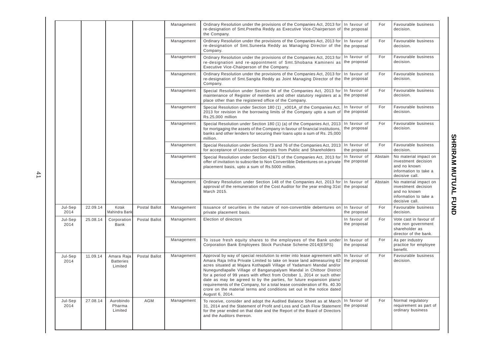|                 |          |                                           |               | Management | Ordinary Resolution under the provisions of the Companies Act, 2013 for In favour of<br>re-designation of Smt. Preetha Reddy as Executive Vice-Chairperson of<br>the Company.                                                                                                                                                                                                                                                                                                                                                                                                                                                    | the proposal                 | For     | Favourable business<br>decision.                                                                        |
|-----------------|----------|-------------------------------------------|---------------|------------|----------------------------------------------------------------------------------------------------------------------------------------------------------------------------------------------------------------------------------------------------------------------------------------------------------------------------------------------------------------------------------------------------------------------------------------------------------------------------------------------------------------------------------------------------------------------------------------------------------------------------------|------------------------------|---------|---------------------------------------------------------------------------------------------------------|
|                 |          |                                           |               | Management | Ordinary Resolution under the provisions of the Companies Act, 2013 for In favour of<br>re-designation of Smt. Suneeta Reddy as Managing Director of the the proposal<br>Company.                                                                                                                                                                                                                                                                                                                                                                                                                                                |                              | For     | Favourable business<br>decision.                                                                        |
|                 |          |                                           |               | Management | Ordinary Resolution under the provisions of the Companies Act, 2013 for<br>re-designation and re-appointment of Smt. Shobana Kamineni as<br>Executive Vice-Chairperson of the Company.                                                                                                                                                                                                                                                                                                                                                                                                                                           | In favour of<br>the proposal | For     | Favourable business<br>decision.                                                                        |
|                 |          |                                           |               | Management | Ordinary Resolution under the provisions of the Companies Act, 2013 for<br>re-designation of Smt. Sangita Reddy as Joint Managing Director of the<br>Company.                                                                                                                                                                                                                                                                                                                                                                                                                                                                    | In favour of<br>the proposal | For     | Favourable business<br>decision.                                                                        |
|                 |          |                                           |               | Management | Special Resolution under Section 94 of the Companies Act, 2013 for In favour of<br>maintenance of Register of members and other statutory registers at a<br>place other than the registered office of the Company.                                                                                                                                                                                                                                                                                                                                                                                                               | the proposal                 | For     | Favourable business<br>decision.                                                                        |
|                 |          |                                           |               | Management | Special Resolution under Section 180 (1) _x001A_of the Companies Act<br>2013 for revision in the borrowing limits of the Company upto a sum of<br>Rs.25,000 million                                                                                                                                                                                                                                                                                                                                                                                                                                                              | In favour of<br>the proposal | For     | Favourable business<br>decision.                                                                        |
|                 |          |                                           |               | Management | Special Resolution under Section 180 (1) (a) of the Companies Act, 2013<br>for mortgaging the assets of the Company in favour of financial institutions,<br>banks and other lenders for securing their loans upto a sum of Rs. 25,000<br>million.                                                                                                                                                                                                                                                                                                                                                                                | In favour of<br>the proposal | For     | Favourable business<br>decision.                                                                        |
|                 |          |                                           |               | Management | Special Resolution under Sections 73 and 76 of the Companies Act, 2013<br>for acceptance of Unsecured Deposits from Public and Shareholders                                                                                                                                                                                                                                                                                                                                                                                                                                                                                      | In favour of<br>the proposal | For     | Favourable business<br>decision.                                                                        |
|                 |          |                                           |               | Management | Special Resolution under Section 42&71 of the Companies Act, 2013 for<br>offer of invitation to subscribe to Non Convertible Debentures on a private<br>placement basis, upto a sum of Rs.5000 million.                                                                                                                                                                                                                                                                                                                                                                                                                          | In favour of<br>the proposal | Abstain | No material impact on<br>investment decision<br>and no known<br>information to take a<br>decisive call. |
|                 |          |                                           |               | Management | Ordinary Resolution under Section 148 of the Companies Act, 2013 for In favour of<br>approval of the remuneration of the Cost Auditor for the year ending 31st the proposal<br>March 2015.                                                                                                                                                                                                                                                                                                                                                                                                                                       |                              | Abstain | No material impact on<br>investment decision<br>and no known<br>information to take a<br>decisive call. |
| Jul-Sep<br>2014 | 22.09.14 | Kotak<br>Mahindra Bank                    | Postal Ballot | Management | Issuance of securities in the nature of non-convertible debentures or<br>private placement basis.                                                                                                                                                                                                                                                                                                                                                                                                                                                                                                                                | In favour of<br>the proposal | For     | Favourable business<br>decision.                                                                        |
| Jul-Sep<br>2014 | 25.08.14 | Corporation<br>Bank                       | Postal Ballot | Management | Election of directors                                                                                                                                                                                                                                                                                                                                                                                                                                                                                                                                                                                                            | In favour of<br>the proposal | For     | Vote cast in favour of<br>one non government<br>shareholder as<br>director of the bank.                 |
|                 |          |                                           |               | Management | To issue fresh equity shares to the employees of the Bank under<br>Corporation Bank Employees Stock Purchase Scheme-2014(ESPS)                                                                                                                                                                                                                                                                                                                                                                                                                                                                                                   | In favour of<br>the proposal | For     | As per industry<br>practice for employee<br>benefit.                                                    |
| Jul-Sep<br>2014 | 11.09.14 | Amara Raja<br><b>Batteries</b><br>Limited | Postal Ballot | Management | Approval by way of special resolution to enter into lease agreement with<br>Amara Raja Infra Private Limited to take on lease land admeasuring 62<br>acres situated at Majara Kothapalli Village of Yadamarri Mandal and/or<br>Nunegundlapalle Village of Bangarupalyam Mandal in Chittoor District<br>for a period of 99 years with effect from October 1, 2014 or such other<br>date as may be agreed to by the parties, for future expansion plans/<br>requirements of the Company, for a total lease consideration of Rs. 40.30<br>crore on the material terms and conditions set out in the notice dated<br>August 6, 2014. | In favour of<br>the proposal | For     | Favourable business<br>decision.                                                                        |
| Jul-Sep<br>2014 | 27.08.14 | Aurobindo<br>Pharma<br>Limited            | AGM           | Management | To receive, consider and adopt the Audited Balance Sheet as at March   In favour of<br>31, 2014 and the Statement of Profit and Loss and Cash Flow Statement   the proposal<br>for the year ended on that date and the Report of the Board of Directors<br>and the Auditors thereon.                                                                                                                                                                                                                                                                                                                                             |                              | For     | Normal regulatory<br>requirement as part of<br>ordinary business                                        |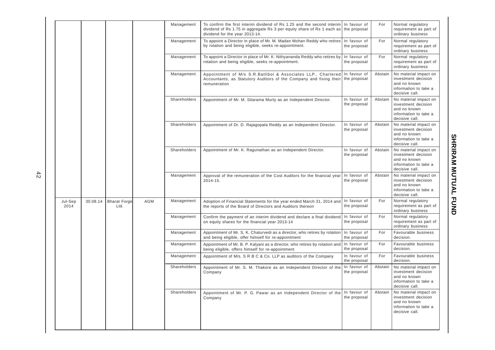|                 |          |                             |     | Management   | To confirm the first interim dividend of Rs 1.25 and the second interim In favour of<br>dividend of Rs 1.75 in aggregate Rs 3 per equity share of Rs 1 each as the proposal<br>dividend for the year 2013-14. |                              | For     | Normal regulatory<br>requirement as part of<br>ordinary business                                        |
|-----------------|----------|-----------------------------|-----|--------------|---------------------------------------------------------------------------------------------------------------------------------------------------------------------------------------------------------------|------------------------------|---------|---------------------------------------------------------------------------------------------------------|
|                 |          |                             |     | Management   | To appoint a Director in place of Mr. M. Madan Mohan Reddy who retires<br>by rotation and being eligible, seeks re-appointment.                                                                               | In favour of<br>the proposal | For     | Normal regulatory<br>requirement as part of<br>ordinary business                                        |
|                 |          |                             |     | Management   | To appoint a Director in place of Mr. K. Nithyananda Reddy who retires by<br>rotation and being eligible, seeks re-appointment.                                                                               | In favour of<br>the proposal | For     | Normal regulatory<br>requirement as part of<br>ordinary business                                        |
|                 |          |                             |     | Management   | Appointment of M/s S.R.Batliboi & Associates LLP., Chartered<br>Accountants, as Statutory Auditors of the Company and fixing their the proposal<br>remuneration                                               | In favour of                 | Abstain | No material impact on<br>investment decision<br>and no known<br>information to take a<br>decisive call. |
|                 |          |                             |     | Shareholders | Appointment of Mr. M. Sitarama Murty as an Independent Director.                                                                                                                                              | In favour of<br>the proposal | Abstain | No material impact on<br>investment decision<br>and no known<br>information to take a<br>decisive call. |
|                 |          |                             |     | Shareholders | Appointment of Dr. D. Rajagopala Reddy as an Independent Director.                                                                                                                                            | In favour of<br>the proposal | Abstain | No material impact on<br>investment decision<br>and no known<br>information to take a<br>decisive call. |
|                 |          |                             |     | Shareholders | Appointment of Mr. K. Ragunathan as an Independent Director.                                                                                                                                                  | In favour of<br>the proposal | Abstain | No material impact on<br>investment decision<br>and no known<br>information to take a<br>decisive call. |
|                 |          |                             |     | Management   | Approval of the remuneration of the Cost Auditors for the financial year<br>2014-15.                                                                                                                          | In favour of<br>the proposal | Abstain | No material impact on<br>investment decision<br>and no known<br>information to take a<br>decisive call. |
| Jul-Sep<br>2014 | 30.08.14 | <b>Bharat Forge</b><br>Ltd. | AGM | Management   | Adoption of Financial Statements for the year ended March 31, 2014 and<br>the reports of the Board of Directors and Auditors thereon                                                                          | In favour of<br>the proposal | For     | Normal regulatory<br>requirement as part of<br>ordinary business                                        |
|                 |          |                             |     | Management   | Confirm the payment of an interim dividend and declare a final dividend<br>on equity shares for the financial year 2013-14                                                                                    | In favour of<br>the proposal | For     | Normal regulatory<br>requirement as part of<br>ordinary business                                        |
|                 |          |                             |     | Management   | Appointment of Mr. S. K. Chaturvedi as a director, who retires by rotation<br>and being eligible, offer himself for re-appointment                                                                            | In favour of<br>the proposal | For     | Favourable business<br>decision.                                                                        |
|                 |          |                             |     | Management   | Appointment of Mr. B. P. Kalyani as a director, who retires by rotation and<br>being eligible, offers himself for re-appointment                                                                              | In favour of<br>the proposal | For     | Favourable business<br>decision.                                                                        |
|                 |          |                             |     | Management   | Appointment of M/s. S R B C & Co. LLP as auditors of the Company                                                                                                                                              | In favour of<br>the proposal | For     | Favourable business<br>decision.                                                                        |
|                 |          |                             |     | Shareholders | Appointment of Mr. S. M. Thakore as an Independent Director of the<br>Company                                                                                                                                 | In favour of<br>the proposal | Abstain | No material impact on<br>investment decision<br>and no known<br>information to take a<br>decisive call. |
|                 |          |                             |     | Shareholders | Appointment of Mr. P. G. Pawar as an Independent Director of the<br>Company                                                                                                                                   | In favour of<br>the proposal | Abstain | No material impact on<br>investment decision<br>and no known<br>information to take a<br>decisive call. |
|                 |          |                             |     |              |                                                                                                                                                                                                               |                              |         |                                                                                                         |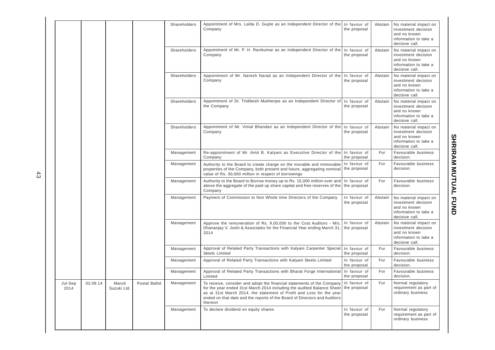|                 |          |                       |               | Shareholders | Appointment of Mrs. Lalita D. Gupte as an Independent Director of the In favour of<br>Company                                                                                                                                                                                                                                              | the proposal                 | Abstain | No material impact on<br>investment decision<br>and no known<br>information to take a<br>decisive call. |
|-----------------|----------|-----------------------|---------------|--------------|--------------------------------------------------------------------------------------------------------------------------------------------------------------------------------------------------------------------------------------------------------------------------------------------------------------------------------------------|------------------------------|---------|---------------------------------------------------------------------------------------------------------|
|                 |          |                       |               | Shareholders | Appointment of Mr. P. H. Ravikumar as an Independent Director of the<br>Company                                                                                                                                                                                                                                                            | In favour of<br>the proposal | Abstain | No material impact on<br>investment decision<br>and no known<br>information to take a<br>decisive call. |
|                 |          |                       |               | Shareholders | Appointment of Mr. Naresh Narad as an Independent Director of the In favour of<br>Company                                                                                                                                                                                                                                                  | the proposal                 | Abstain | No material impact on<br>investment decision<br>and no known<br>information to take a<br>decisive call. |
|                 |          |                       |               | Shareholders | Appointment of Dr. Tridibesh Mukherjee as an Independent Director of In favour of<br>the Company                                                                                                                                                                                                                                           | the proposal                 | Abstain | No material impact on<br>investment decision<br>and no known<br>information to take a<br>decisive call. |
|                 |          |                       |               | Shareholders | Appointment of Mr. Vimal Bhandari as an Independent Director of the<br>Company                                                                                                                                                                                                                                                             | In favour of<br>the proposal | Abstain | No material impact on<br>investment decision<br>and no known<br>information to take a<br>decisive call. |
|                 |          |                       |               | Management   | Re-appointment of Mr. Amit B. Kalyani as Executive Director of the In favour of<br>Company                                                                                                                                                                                                                                                 | the proposal                 | For     | Favourable business<br>decision.                                                                        |
|                 |          |                       |               | Management   | Authority to the Board to create charge on the movable and immovable<br>properties of the Company, both present and future, aggregating nominal<br>value of Rs. 30,000 million in respect of borrowings                                                                                                                                    | In favour of<br>the proposal | For     | Favourable business<br>decision.                                                                        |
|                 |          |                       |               | Management   | Authority to the Board to Borrow money up to Rs. 15,000 million over and In favour of<br>above the aggregate of the paid up share capital and free reserves of the the proposal<br>Company                                                                                                                                                 |                              | For     | Favourable business<br>decision.                                                                        |
|                 |          |                       |               | Management   | Payment of Commission to Non Whole time Directors of the Company                                                                                                                                                                                                                                                                           | In favour of<br>the proposal | Abstain | No material impact on<br>investment decision<br>and no known<br>information to take a<br>decisive call. |
|                 |          |                       |               | Management   | Approve the remuneration of Rs. 9,00,000 to the Cost Auditors - M/s.<br>Dhananjay V. Joshi & Associates for the Financial Year ending March 31,<br>2014                                                                                                                                                                                    | In favour of<br>the proposal | Abstain | No material impact on<br>investment decision<br>and no known<br>information to take a<br>decisive call. |
|                 |          |                       |               | Management   | Approval of Related Party Transactions with Kalyani Carpenter Special<br><b>Steels Limited</b>                                                                                                                                                                                                                                             | In favour of<br>the proposal | For     | Favourable business<br>decision.                                                                        |
|                 |          |                       |               | Management   | Approval of Related Party Transactions with Kalyani Steels Limited                                                                                                                                                                                                                                                                         | In favour of<br>the proposal | For     | Favourable business<br>decision.                                                                        |
|                 |          |                       |               | Management   | Approval of Related Party Transactions with Bharat Forge International<br>Limited                                                                                                                                                                                                                                                          | In favour of<br>the proposal | For     | Favourable business<br>decision.                                                                        |
| Jul-Sep<br>2014 | 02.09.14 | Maruti<br>Suzuki Ltd. | Postal Ballot | Management   | To receive, consider and adopt the financial statements of the Company In favour of<br>for the year ended 31st March 2014 including the audited Balance Sheet the proposal<br>as at 31st March 2014, the statement of Profit and Loss for the year<br>ended on that date and the reports of the Board of Directors and Auditors<br>thereon |                              | For     | Normal regulatory<br>requirement as part of<br>ordinary business                                        |
|                 |          |                       |               | Management   | To declare dividend on equity shares                                                                                                                                                                                                                                                                                                       | In favour of<br>the proposal | For     | Normal regulatory<br>requirement as part of<br>ordinary business                                        |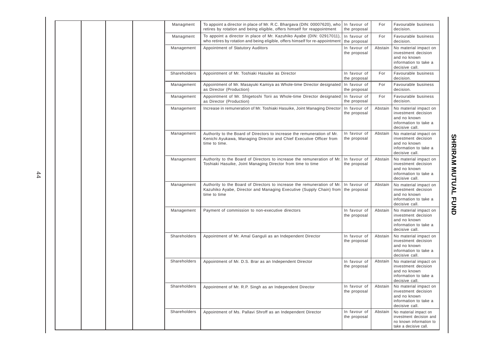|  |  | Managment    | To appoint a director in place of Mr. R.C. Bhargava (DIN: 00007620), who In favour of<br>retires by rotation and being eligible, offers himself for reappointment           | the proposal                 | For     | Favourable business<br>decision.                                                                        |
|--|--|--------------|-----------------------------------------------------------------------------------------------------------------------------------------------------------------------------|------------------------------|---------|---------------------------------------------------------------------------------------------------------|
|  |  | Managment    | To appoint a director in place of Mr. Kazuhiko Ayabe (DIN: 02917011)<br>who retires by rotation and being eligible, offers himself for re-appointment                       | In favour of<br>the proposal | For     | Favourable business<br>decision.                                                                        |
|  |  | Management   | Appointment of Statutory Auditors                                                                                                                                           | In favour of<br>the proposal | Abstain | No material impact on<br>investment decision<br>and no known<br>information to take a<br>decisive call. |
|  |  | Shareholders | Appointment of Mr. Toshiaki Hasuike as Director                                                                                                                             | In favour of<br>the proposal | For     | Favourable business<br>decision.                                                                        |
|  |  | Management   | Appointment of Mr. Masayuki Kamiya as Whole-time Director designated<br>as Director (Production)                                                                            | In favour of<br>the proposal | For     | Favourable business<br>decision.                                                                        |
|  |  | Management   | Appointment of Mr. Shigetoshi Torii as Whole-time Director designated<br>as Director (Production)                                                                           | In favour of<br>the proposal | For     | Favourable business<br>decision.                                                                        |
|  |  | Management   | Increase in remuneration of Mr. Toshiaki Hasuike, Joint Managing Director                                                                                                   | In favour of<br>the proposal | Abstain | No material impact on<br>investment decision<br>and no known<br>information to take a<br>decisive call. |
|  |  | Management   | Authority to the Board of Directors to increase the remuneration of Mr.<br>Kenichi Ayukawa, Managing Director and Chief Executive Officer from<br>time to time.             | In favour of<br>the proposal | Abstain | No material impact on<br>investment decision<br>and no known<br>information to take a<br>decisive call. |
|  |  | Management   | Authority to the Board of Directors to increase the remuneration of Mr.<br>Toshiaki Hasuike, Joint Managing Director from time to time                                      | In favour of<br>the proposal | Abstain | No material impact on<br>investment decision<br>and no known<br>information to take a<br>decisive call. |
|  |  | Management   | Authority to the Board of Directors to increase the remuneration of Mr.<br>Kazuhiko Ayabe, Director and Managing Executive (Supply Chain) from the proposal<br>time to time | In favour of                 | Abstain | No material impact on<br>investment decision<br>and no known<br>information to take a<br>decisive call. |
|  |  | Management   | Payment of commission to non-executive directors                                                                                                                            | In favour of<br>the proposal | Abstain | No material impact on<br>investment decision<br>and no known<br>information to take a<br>decisive call. |
|  |  | Shareholders | Appointment of Mr. Amal Ganguli as an Independent Director                                                                                                                  | In favour of<br>the proposal | Abstain | No material impact on<br>investment decision<br>and no known<br>information to take a<br>decisive call. |
|  |  | Shareholders | Appointment of Mr. D.S. Brar as an Independent Director                                                                                                                     | In favour of<br>the proposal | Abstain | No material impact on<br>investment decision<br>and no known<br>information to take a<br>decisive call. |
|  |  | Shareholders | Appointment of Mr. R.P. Singh as an Independent Director                                                                                                                    | In favour of<br>the proposal | Abstain | No material impact on<br>investment decision<br>and no known<br>information to take a<br>decisive call. |
|  |  | Shareholders | Appointment of Ms. Pallavi Shroff as an Independent Director                                                                                                                | In favour of<br>the proposal | Abstain | No material impact on<br>investment decision and<br>no known information to<br>take a decisive call.    |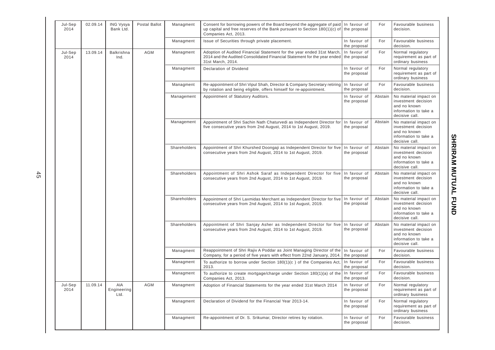| Jul-Sep<br>2014 | 02.09.14 | <b>ING Vysya</b><br>Bank Ltd. | Postal Ballot | Managment    | Consent for borrowing powers of the Board beyond the aggregate of paid In favour of<br>up capital and free reserves of the Bank pursuant to Section $180(1)(c)$ of the proposal<br>Companies Act, 2013. |                              | For     | Favourable business<br>decision.                                                                        |  |  |  |  |  |  |  |  |  |  |           |                                                                                 |                              |     |                                  |           |                                                                                                                                                    |                              |     |                                  |
|-----------------|----------|-------------------------------|---------------|--------------|---------------------------------------------------------------------------------------------------------------------------------------------------------------------------------------------------------|------------------------------|---------|---------------------------------------------------------------------------------------------------------|--|--|--|--|--|--|--|--|--|--|-----------|---------------------------------------------------------------------------------|------------------------------|-----|----------------------------------|-----------|----------------------------------------------------------------------------------------------------------------------------------------------------|------------------------------|-----|----------------------------------|
|                 |          |                               |               | Managment    | Issue of Securities through private placement.                                                                                                                                                          | In favour of<br>the proposal | For     | Favourable business<br>decision.                                                                        |  |  |  |  |  |  |  |  |  |  |           |                                                                                 |                              |     |                                  |           |                                                                                                                                                    |                              |     |                                  |
| Jul-Sep<br>2014 | 13.09.14 | <b>Balkrishna</b><br>Ind.     | AGM           | Managment    | Adoption of Audited Financial Statement for the year ended 31st March<br>2014 and the Audited Consolidated Financial Statement for the year ended<br>31st March, 2014.                                  | In favour of<br>the proposal | For     | Normal regulatory<br>requirement as part of<br>ordinary business                                        |  |  |  |  |  |  |  |  |  |  |           |                                                                                 |                              |     |                                  |           |                                                                                                                                                    |                              |     |                                  |
|                 |          |                               |               | Managment    | Declaration of Dividend                                                                                                                                                                                 | In favour of<br>the proposal | For     | Normal regulatory<br>requirement as part of<br>ordinary business                                        |  |  |  |  |  |  |  |  |  |  |           |                                                                                 |                              |     |                                  |           |                                                                                                                                                    |                              |     |                                  |
|                 |          |                               |               | Managment    | Re-appointment of Shri Vipul Shah, Director & Company Secretary retiring<br>by rotation and being eligible, offers himself for re-appointment.                                                          | In favour of<br>the proposal | For     | Favourable business<br>decision.                                                                        |  |  |  |  |  |  |  |  |  |  |           |                                                                                 |                              |     |                                  |           |                                                                                                                                                    |                              |     |                                  |
|                 |          |                               |               | Management   | Appointment of Statutory Auditors.                                                                                                                                                                      | In favour of<br>the proposal | Abstain | No material impact on<br>investment decision<br>and no known<br>information to take a<br>decisive call. |  |  |  |  |  |  |  |  |  |  |           |                                                                                 |                              |     |                                  |           |                                                                                                                                                    |                              |     |                                  |
|                 |          |                               |               | Management   | Appointment of Shri Sachin Nath Chaturvedi as Independent Director for<br>five consecutive years from 2nd August, 2014 to 1st August, 2019.                                                             | In favour of<br>the proposal | Abstain | No material impact on<br>investment decision<br>and no known<br>information to take a<br>decisive call. |  |  |  |  |  |  |  |  |  |  |           |                                                                                 |                              |     |                                  |           |                                                                                                                                                    |                              |     |                                  |
|                 |          |                               |               | Shareholders | Appointment of Shri Khurshed Doongaji as Independent Director for five<br>consecutive years from 2nd August, 2014 to 1st August, 2019.                                                                  | In favour of<br>the proposal | Abstain | No material impact on<br>investment decision<br>and no known<br>information to take a<br>decisive call. |  |  |  |  |  |  |  |  |  |  |           |                                                                                 |                              |     |                                  |           |                                                                                                                                                    |                              |     |                                  |
|                 |          |                               |               | Shareholders | Appointment of Shri Ashok Saraf as Independent Director for five<br>consecutive years from 2nd August, 2014 to 1st August, 2019.                                                                        | In favour of<br>the proposal | Abstain | No material impact on<br>investment decision<br>and no known<br>information to take a<br>decisive call. |  |  |  |  |  |  |  |  |  |  |           |                                                                                 |                              |     |                                  |           |                                                                                                                                                    |                              |     |                                  |
|                 |          |                               |               | Shareholders | Appointment of Shri Laxmidas Merchant as Independent Director for five<br>consecutive years from 2nd August, 2014 to 1st August, 2019.                                                                  | In favour of<br>the proposal | Abstain | No material impact on<br>investment decision<br>and no known<br>information to take a<br>decisive call. |  |  |  |  |  |  |  |  |  |  |           |                                                                                 |                              |     |                                  |           |                                                                                                                                                    |                              |     |                                  |
|                 |          |                               |               | Shareholders | Appointment of Shri Sanjay Asher as Independent Director for five<br>consecutive years from 2nd August, 2014 to 1st August, 2019.                                                                       | In favour of<br>the proposal | Abstain | No material impact on<br>investment decision<br>and no known<br>information to take a<br>decisive call. |  |  |  |  |  |  |  |  |  |  |           |                                                                                 |                              |     |                                  |           |                                                                                                                                                    |                              |     |                                  |
|                 |          |                               |               |              |                                                                                                                                                                                                         |                              |         |                                                                                                         |  |  |  |  |  |  |  |  |  |  |           |                                                                                 |                              |     |                                  | Managment | Reappointment of Shri Rajiv A Poddar as Joint Managing Director of the<br>Company, for a period of five years with effect from 22nd January, 2014. | In favour of<br>the proposal | For | Favourable business<br>decision. |
|                 |          |                               |               |              |                                                                                                                                                                                                         |                              |         |                                                                                                         |  |  |  |  |  |  |  |  |  |  | Managment | To authorize to borrow under Section $180(1)(c)$ of the Companies Act,<br>2013. | In favour of<br>the proposal | For | Favourable business<br>decision. |           |                                                                                                                                                    |                              |     |                                  |
|                 |          |                               |               | Managment    | To authorize to create mortgage/charge under Section 180(1)(a) of the<br>Companies Act, 2013.                                                                                                           | In favour of<br>the proposal | For     | Favourable business<br>decision.                                                                        |  |  |  |  |  |  |  |  |  |  |           |                                                                                 |                              |     |                                  |           |                                                                                                                                                    |                              |     |                                  |
| Jul-Sep<br>2014 | 11.09.14 | AIA<br>Engineering<br>Ltd.    | AGM           | Managment    | Adoption of Financial Statements for the year ended 31st March 2014                                                                                                                                     | In favour of<br>the proposal | For     | Normal regulatory<br>requirement as part of<br>ordinary business                                        |  |  |  |  |  |  |  |  |  |  |           |                                                                                 |                              |     |                                  |           |                                                                                                                                                    |                              |     |                                  |
|                 |          |                               |               | Managment    | Declaration of Dividend for the Financial Year 2013-14.                                                                                                                                                 | In favour of<br>the proposal | For     | Normal regulatory<br>requirement as part of<br>ordinary business                                        |  |  |  |  |  |  |  |  |  |  |           |                                                                                 |                              |     |                                  |           |                                                                                                                                                    |                              |     |                                  |
|                 |          |                               |               | Managment    | Re-appointment of Dr. S. Srikumar, Director retires by rotation.                                                                                                                                        | In favour of<br>the proposal | For     | Favourable business<br>decision.                                                                        |  |  |  |  |  |  |  |  |  |  |           |                                                                                 |                              |     |                                  |           |                                                                                                                                                    |                              |     |                                  |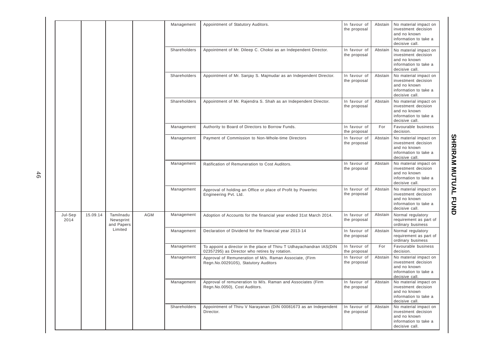|                 |          |                                      |     | Management   | Appointment of Statutory Auditors.                                                              | In favour of<br>the proposal | Abstain                                                                       | No material impact on<br>investment decision<br>and no known<br>information to take a<br>decisive call. |         |                                                                                                         |  |  |  |  |  |            |                                                                                                                        |                              |     |                                  |
|-----------------|----------|--------------------------------------|-----|--------------|-------------------------------------------------------------------------------------------------|------------------------------|-------------------------------------------------------------------------------|---------------------------------------------------------------------------------------------------------|---------|---------------------------------------------------------------------------------------------------------|--|--|--|--|--|------------|------------------------------------------------------------------------------------------------------------------------|------------------------------|-----|----------------------------------|
|                 |          |                                      |     | Shareholders | Appointment of Mr. Dileep C. Choksi as an Independent Director.                                 | In favour of<br>the proposal | Abstain                                                                       | No material impact on<br>investment decision<br>and no known<br>information to take a<br>decisive call. |         |                                                                                                         |  |  |  |  |  |            |                                                                                                                        |                              |     |                                  |
|                 |          |                                      |     | Shareholders | Appointment of Mr. Sanjay S. Majmudar as an Independent Director.                               | In favour of<br>the proposal | Abstain                                                                       | No material impact on<br>investment decision<br>and no known<br>information to take a<br>decisive call. |         |                                                                                                         |  |  |  |  |  |            |                                                                                                                        |                              |     |                                  |
|                 |          |                                      |     | Shareholders | Appointment of Mr. Rajendra S. Shah as an Independent Director.                                 | In favour of<br>the proposal | Abstain                                                                       | No material impact on<br>investment decision<br>and no known<br>information to take a<br>decisive call. |         |                                                                                                         |  |  |  |  |  |            |                                                                                                                        |                              |     |                                  |
|                 |          |                                      |     | Management   | Authority to Board of Directors to Borrow Funds.                                                | In favour of<br>the proposal | For                                                                           | Favourable business<br>decision.                                                                        |         |                                                                                                         |  |  |  |  |  |            |                                                                                                                        |                              |     |                                  |
|                 |          |                                      |     | Management   | Payment of Commission to Non-Whole-time Directors                                               | In favour of<br>the proposal | Abstain                                                                       | No material impact on<br>investment decision<br>and no known<br>information to take a<br>decisive call. |         |                                                                                                         |  |  |  |  |  |            |                                                                                                                        |                              |     |                                  |
|                 |          |                                      |     | Management   | Ratification of Remuneration to Cost Auditors.                                                  | In favour of<br>the proposal | Abstain                                                                       | No material impact on<br>investment decision<br>and no known<br>information to take a<br>decisive call. |         |                                                                                                         |  |  |  |  |  |            |                                                                                                                        |                              |     |                                  |
|                 |          |                                      |     | Management   | Approval of holding an Office or place of Profit by Powertec<br>Engineering Pvt. Ltd.           | In favour of<br>the proposal | Abstain                                                                       | No material impact on<br>investment decision<br>and no known<br>information to take a<br>decisive call. |         |                                                                                                         |  |  |  |  |  |            |                                                                                                                        |                              |     |                                  |
| Jul-Sep<br>2014 | 15.09.14 | Tamilnadu<br>Newsprint<br>and Papers | AGM | Management   | Adoption of Accounts for the financial year ended 31st March 2014.                              | In favour of<br>the proposal | Abstain                                                                       | Normal regulatory<br>requirement as part of<br>ordinary business                                        |         |                                                                                                         |  |  |  |  |  |            |                                                                                                                        |                              |     |                                  |
|                 |          | Limited                              |     | Management   | Declaration of Dividend for the financial year 2013-14                                          | In favour of<br>the proposal | Abstain                                                                       | Normal regulatory<br>requirement as part of<br>ordinary business                                        |         |                                                                                                         |  |  |  |  |  |            |                                                                                                                        |                              |     |                                  |
|                 |          |                                      |     |              |                                                                                                 |                              |                                                                               |                                                                                                         |         |                                                                                                         |  |  |  |  |  | Management | To appoint a director in the place of Thiru T Udhayachandran IAS(DIN<br>02357295) as Director who retires by rotation. | In favour of<br>the proposal | For | Favourable business<br>decision. |
|                 |          |                                      |     | Management   | Approval of Remuneration of M/s. Raman Associate, (Firm<br>Regn.No.002910S), Statutory Auditors | In favour of<br>the proposal | Abstain                                                                       | No material impact on<br>investment decision<br>and no known<br>information to take a<br>decisive call. |         |                                                                                                         |  |  |  |  |  |            |                                                                                                                        |                              |     |                                  |
|                 |          |                                      |     | Management   | Approval of remuneration to M/s. Raman and Associates (Firm<br>Regn.No.0050), Cost Auditors.    | In favour of<br>the proposal | Abstain                                                                       | No material impact on<br>investment decision<br>and no known<br>information to take a<br>decisive call. |         |                                                                                                         |  |  |  |  |  |            |                                                                                                                        |                              |     |                                  |
|                 |          |                                      |     |              |                                                                                                 | Shareholders                 | Appointment of Thiru V Narayanan (DIN 00081673 as an Independent<br>Director. | In favour of<br>the proposal                                                                            | Abstain | No material impact on<br>investment decision<br>and no known<br>information to take a<br>decisive call. |  |  |  |  |  |            |                                                                                                                        |                              |     |                                  |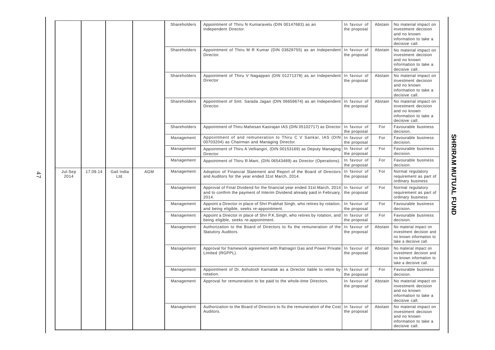|                 |          |                    |            | Shareholders | Appointment of Thiru N Kumaravelu (DIN 00147683) as an<br>Independent Director.                                                                               | In favour of<br>the proposal | Abstain | No material impact on<br>investment decision<br>and no known<br>information to take a<br>decisive call.           |  |  |  |            |                                                                                     |                              |     |                                  |
|-----------------|----------|--------------------|------------|--------------|---------------------------------------------------------------------------------------------------------------------------------------------------------------|------------------------------|---------|-------------------------------------------------------------------------------------------------------------------|--|--|--|------------|-------------------------------------------------------------------------------------|------------------------------|-----|----------------------------------|
|                 |          |                    |            | Shareholders | Appointment of Thiru M R Kumar (DIN 03628755) as an Independent<br>Director.                                                                                  | In favour of<br>the proposal | Abstain | No material impact on<br>investment decision<br>and no known<br>information to take a<br>decisive call.           |  |  |  |            |                                                                                     |                              |     |                                  |
|                 |          |                    |            | Shareholders | Appointment of Thiru V Nagappan (DIN 01271378) as an Independent<br>Director                                                                                  | In favour of<br>the proposal | Abstain | No material impact on<br>investment decision<br>and no known<br>information to take a<br>decisive call.           |  |  |  |            |                                                                                     |                              |     |                                  |
|                 |          |                    |            | Shareholders | Appointment of Smt. Sarada Jagan (DIN 06658674) as an Independent<br>Director.                                                                                | In favour of<br>the proposal | Abstain | No material impact on<br>investment decision<br>and no known<br>information to take a<br>decisive call.           |  |  |  |            |                                                                                     |                              |     |                                  |
|                 |          |                    |            | Shareholders | Appointment of Thiru Mahesan Kasirajan IAS (DIN 05102717) as Director                                                                                         | In favour of<br>the proposal | For     | Favourable business<br>decision.                                                                                  |  |  |  |            |                                                                                     |                              |     |                                  |
|                 |          |                    |            | Management   | Appointment of and remuneration to Thiru C V Sankar, IAS (DIN<br>00703204) as Chairman and Managing Director.                                                 | In favour of<br>the proposal | For     | Favourable business<br>decision.                                                                                  |  |  |  |            |                                                                                     |                              |     |                                  |
|                 |          |                    |            | Management   | Appointment of Thiru A Velliangiri, (DIN 00153169) as Deputy Managing<br>Director                                                                             | In favour of<br>the proposal | For     | Favourable business<br>decision.                                                                                  |  |  |  |            |                                                                                     |                              |     |                                  |
|                 |          |                    |            | Management   | Appointment of Thiru R.Mani, (DIN 06543489) as Director (Operations)                                                                                          | In favour of<br>the proposal | For     | Favourable business<br>decision.                                                                                  |  |  |  |            |                                                                                     |                              |     |                                  |
| Jul-Sep<br>2014 | 17.09.14 | Gail India<br>Ltd. | <b>AGM</b> | Management   | Adoption of Financial Statement and Report of the Board of Directors<br>and Auditors for the year ended 31st March, 2014.                                     | In favour of<br>the proposal | For     | Normal regulatory<br>requirement as part of<br>ordinary business                                                  |  |  |  |            |                                                                                     |                              |     |                                  |
|                 |          |                    |            | Management   | Approval of Final Dividend for the financial year ended 31st March, 2014<br>and to confirm the payment of Interim Dividend already paid in February,<br>2014. | In favour of<br>the proposal | For     | Normal regulatory<br>requirement as part of<br>ordinary business                                                  |  |  |  |            |                                                                                     |                              |     |                                  |
|                 |          |                    |            | Management   | Appoint a Director in place of Shri Prabhat Singh, who retires by rotation,<br>and being eligible, seeks re-appointment.                                      | In favour of<br>the proposal | For     | Favourable business<br>decision.                                                                                  |  |  |  |            |                                                                                     |                              |     |                                  |
|                 |          |                    |            | Management   | Appoint a Director in place of Shri P.K.Singh, who retires by rotation, and<br>being eligible, seeks re-appointment.                                          | In favour of<br>the proposal | For     | Favourable business<br>decision.                                                                                  |  |  |  |            |                                                                                     |                              |     |                                  |
|                 |          |                    |            | Management   | Authorization to the Board of Directors to fix the remuneration of the<br>Statutory Auditors.                                                                 | In favour of<br>the proposal | Abstain | No material impact on<br>investment decision and<br>no known information to<br>take a decisive call.              |  |  |  |            |                                                                                     |                              |     |                                  |
|                 |          |                    |            | Management   | Approval for framework agreement with Ratnagiri Gas and Power Private<br>Limited (RGPPL).                                                                     | In favour of<br>the proposal | Abstain | No material impact on<br>investment decision and<br>no known information to<br>take a decisive call.              |  |  |  |            |                                                                                     |                              |     |                                  |
|                 |          |                    |            |              |                                                                                                                                                               |                              |         |                                                                                                                   |  |  |  | Management | Appointment of Dr. Ashutosh Karnatak as a Director liable to retire by<br>rotation. | In favour of<br>the proposal | For | Favourable business<br>decision. |
|                 |          |                    |            | Management   | Approval for remuneration to be paid to the whole-time Directors.                                                                                             | In favour of<br>the proposal |         | Abstain   No material impact on<br>investment decision<br>and no known<br>information to take a<br>decisive call. |  |  |  |            |                                                                                     |                              |     |                                  |
|                 |          |                    |            | Management   | Authorization to the Board of Directors to fix the remuneration of the Cost<br>Auditors.                                                                      | In favour of<br>the proposal | Abstain | No material impact on<br>investment decision<br>and no known<br>information to take a<br>decisive call.           |  |  |  |            |                                                                                     |                              |     |                                  |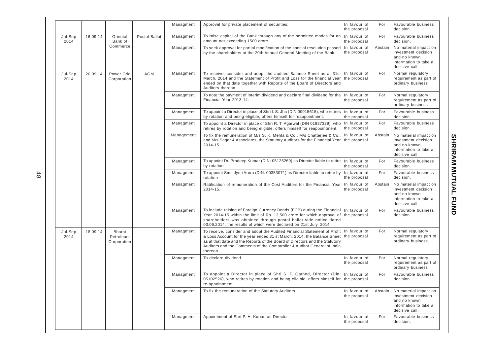|                 |          |                                           |               | Managment | Approval for private placement of securities.                                                                                                                                                                                                                                                                            | In favour of<br>the proposal                                                                                                                                    | For                          | Favourable business<br>decision.                                                                        |                                                                                                         |
|-----------------|----------|-------------------------------------------|---------------|-----------|--------------------------------------------------------------------------------------------------------------------------------------------------------------------------------------------------------------------------------------------------------------------------------------------------------------------------|-----------------------------------------------------------------------------------------------------------------------------------------------------------------|------------------------------|---------------------------------------------------------------------------------------------------------|---------------------------------------------------------------------------------------------------------|
| Jul-Sep<br>2014 | 16.09.14 | Oriental<br>Bank of                       | Postal Ballot | Managment | To raise capital of the Bank through any of the permitted modes for an<br>amount not exceeding 1500 crore.                                                                                                                                                                                                               | In favour of<br>the proposal                                                                                                                                    | For                          | Favourable business<br>decision.                                                                        |                                                                                                         |
|                 |          | Commerce                                  |               | Managment | To seek approval for partial modification of the special resolution passed<br>by the shareholders at the 20th Annual General Meeting of the Bank.                                                                                                                                                                        | In favour of<br>the proposal                                                                                                                                    | Abstain                      | No material impact on<br>investment decision<br>and no known<br>information to take a<br>decisive call. |                                                                                                         |
| Jul-Sep<br>2014 | 20.09.14 | Power Grid<br>Corporation                 | AGM           | Managment | To receive, consider and adopt the audited Balance Sheet as at 31st<br>March, 2014 and the Statement of Profit and Loss for the financial year<br>ended on that date together with Reports of the Board of Directors and<br>Auditors thereon.                                                                            | In favour of<br>the proposal                                                                                                                                    | For                          | Normal regulatory<br>requirement as part of<br>ordinary business                                        |                                                                                                         |
|                 |          |                                           |               | Managment | To note the payment of interim dividend and declare final dividend for the<br>Financial Year 2013-14.                                                                                                                                                                                                                    | In favour of<br>the proposal                                                                                                                                    | For                          | Normal regulatory<br>requirement as part of<br>ordinary business                                        |                                                                                                         |
|                 |          |                                           |               | Managment | To appoint a Director in place of Shri I. S. Jha (DIN 00015615), who retires<br>by rotation and being eligible, offers himself for reappointment.                                                                                                                                                                        | In favour of<br>the proposal                                                                                                                                    | For                          | Favourable business<br>decision.                                                                        |                                                                                                         |
|                 |          |                                           |               | Managment | To appoint a Director in place of Shri R. T. Agarwal (DIN 01937329), who<br>retires by rotation and being eligible, offers himself for reappointment.                                                                                                                                                                    | In favour of<br>the proposal                                                                                                                                    | For                          | Favourable business<br>decision.                                                                        |                                                                                                         |
|                 |          |                                           |               |           | Management                                                                                                                                                                                                                                                                                                               | To fix the remuneration of M/s S. K. Mehta & Co., M/s Chatterjee & Co.<br>and M/s Sagar & Associates, the Statutory Auditors for the Financial Year<br>2014-15. | In favour of<br>the proposal | Abstain                                                                                                 | No material impact on<br>investment decision<br>and no known<br>information to take a<br>decisive call. |
|                 |          |                                           |               | Managment | To appoint Dr. Pradeep Kumar (DIN: 05125269) as Director liable to retire In favour of<br>by rotation                                                                                                                                                                                                                    | the proposal                                                                                                                                                    | For                          | Favourable business<br>decision.                                                                        |                                                                                                         |
|                 |          |                                           |               | Managment | To appoint Smt. Jyoti Arora (DIN: 00353071) as Director liable to retire by<br>rotation                                                                                                                                                                                                                                  | In favour of<br>the proposal                                                                                                                                    | For                          | Favourable business<br>decision.                                                                        |                                                                                                         |
|                 |          |                                           |               | Managment | Ratification of remuneration of the Cost Auditors for the Financial Year<br>2014-15.                                                                                                                                                                                                                                     | In favour of<br>the proposal                                                                                                                                    | Abstain                      | No material impact on<br>investment decision<br>and no known<br>information to take a<br>decisive call. |                                                                                                         |
|                 |          |                                           |               | Managment | To include raising of Foreign Currency Bonds (FCB) during the Financial<br>Year 2014-15 within the limit of Rs. 13,500 crore for which approval of<br>shareholders was obtained through postal ballot vide notice dated<br>03.06.2014, the results of which were declared on 21st July, 2014.                            | In favour of<br>the proposal                                                                                                                                    | For                          | Favourable business<br>decision.                                                                        |                                                                                                         |
| Jul-Sep<br>2014 | 18.09.14 | <b>Bharat</b><br>Petroleum<br>Corporation |               | Managment | To receive, consider and adopt the Audited Financial Statement of Profit<br>& Loss Account for the year ended 31 st March, 2014, the Balance Sheet<br>as at that date and the Reports of the Board of Directors and the Statutory<br>Auditors and the Comments of the Comptroller & Auditor General of India<br>thereon. | In favour of<br>the proposal                                                                                                                                    | For                          | Normal regulatory<br>requirement as part of<br>ordinary business                                        |                                                                                                         |
|                 |          |                                           |               | Managment | To declare dividend.                                                                                                                                                                                                                                                                                                     | In favour of<br>the proposal                                                                                                                                    | For                          | Normal regulatory<br>requirement as part of<br>ordinary business                                        |                                                                                                         |
|                 |          |                                           |               | Managment | To appoint a Director in place of Shri S. P. Gathod, Director (Din:<br>05102526), who retires by rotation and being eligible, offers himself for<br>re-appointment.                                                                                                                                                      | In favour of<br>the proposal                                                                                                                                    | For                          | Favourable business<br>decision.                                                                        |                                                                                                         |
|                 |          |                                           |               | Managment | To fix the remuneration of the Statutory Auditors                                                                                                                                                                                                                                                                        | In favour of<br>the proposal                                                                                                                                    | Abstain                      | No material impact on<br>investment decision<br>and no known<br>information to take a<br>decisive call. |                                                                                                         |
|                 |          |                                           |               | Managment | Appointment of Shri P. H. Kurian as Director                                                                                                                                                                                                                                                                             | In favour of<br>the proposal                                                                                                                                    | For                          | Favourable business<br>decision.                                                                        |                                                                                                         |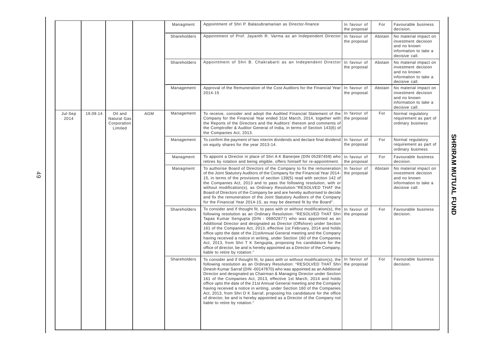|                 |          |                                                         |            | Managment    | Appointment of Shri P. Balasubramanian as Director-finance                                                                                                                                                                                                                                                                                                                                                                                                                                                                                                                                                                                                                                                                     | In favour of<br>the proposal                                                                                         | For                                                                                                                                                                                                                                                                                                                                                                                                                                                                                                                                                                                                              | Favourable business<br>decision.                                                                                                                                                                                                                                                                                                                                                                                                                                                                                                                                                                                                                                                                                                        |                                                                  |                                                                                                         |
|-----------------|----------|---------------------------------------------------------|------------|--------------|--------------------------------------------------------------------------------------------------------------------------------------------------------------------------------------------------------------------------------------------------------------------------------------------------------------------------------------------------------------------------------------------------------------------------------------------------------------------------------------------------------------------------------------------------------------------------------------------------------------------------------------------------------------------------------------------------------------------------------|----------------------------------------------------------------------------------------------------------------------|------------------------------------------------------------------------------------------------------------------------------------------------------------------------------------------------------------------------------------------------------------------------------------------------------------------------------------------------------------------------------------------------------------------------------------------------------------------------------------------------------------------------------------------------------------------------------------------------------------------|-----------------------------------------------------------------------------------------------------------------------------------------------------------------------------------------------------------------------------------------------------------------------------------------------------------------------------------------------------------------------------------------------------------------------------------------------------------------------------------------------------------------------------------------------------------------------------------------------------------------------------------------------------------------------------------------------------------------------------------------|------------------------------------------------------------------|---------------------------------------------------------------------------------------------------------|
|                 |          |                                                         |            | Shareholders | Appointment of Prof. Jayanth R. Varma as an Independent Director                                                                                                                                                                                                                                                                                                                                                                                                                                                                                                                                                                                                                                                               | In favour of<br>the proposal                                                                                         | Abstain                                                                                                                                                                                                                                                                                                                                                                                                                                                                                                                                                                                                          | No material impact on<br>investment decision<br>and no known<br>information to take a<br>decisive call.                                                                                                                                                                                                                                                                                                                                                                                                                                                                                                                                                                                                                                 |                                                                  |                                                                                                         |
|                 |          |                                                         |            | Shareholders | Appointment of Shri B. Chakrabarti as an Independent Director                                                                                                                                                                                                                                                                                                                                                                                                                                                                                                                                                                                                                                                                  | In favour of<br>the proposal                                                                                         | Abstain                                                                                                                                                                                                                                                                                                                                                                                                                                                                                                                                                                                                          | No material impact on<br>investment decision<br>and no known<br>information to take a<br>decisive call.                                                                                                                                                                                                                                                                                                                                                                                                                                                                                                                                                                                                                                 |                                                                  |                                                                                                         |
|                 |          |                                                         |            | Management   | Approval of the Remuneration of the Cost Auditors for the Financial Year<br>2014-15                                                                                                                                                                                                                                                                                                                                                                                                                                                                                                                                                                                                                                            | In favour of<br>the proposal                                                                                         | Abstain                                                                                                                                                                                                                                                                                                                                                                                                                                                                                                                                                                                                          | No material impact on<br>investment decision<br>and no known<br>information to take a<br>decisive call.                                                                                                                                                                                                                                                                                                                                                                                                                                                                                                                                                                                                                                 |                                                                  |                                                                                                         |
| Jul-Sep<br>2014 | 19.09.14 | Oil and<br><b>Natural Gas</b><br>Corporation<br>Limited | <b>AGM</b> | Management   | To receive, consider and adopt the Audited Financial Statement of the In favour of<br>Company for the Financial Year ended 31st March, 2014, together with<br>the Reports of the Directors and the Auditors' thereon and comments of<br>the Comptroller & Auditor General of India, in terms of Section 143(6) of<br>the Companies Act, 2013.                                                                                                                                                                                                                                                                                                                                                                                  | the proposal                                                                                                         | For                                                                                                                                                                                                                                                                                                                                                                                                                                                                                                                                                                                                              | Normal regulatory<br>requirement as part of<br>ordinary business                                                                                                                                                                                                                                                                                                                                                                                                                                                                                                                                                                                                                                                                        |                                                                  |                                                                                                         |
|                 |          |                                                         |            |              | Management                                                                                                                                                                                                                                                                                                                                                                                                                                                                                                                                                                                                                                                                                                                     | To confirm the payment of two interim dividends and declare final dividend<br>on equity shares for the year 2013-14. | In favour of<br>the proposal                                                                                                                                                                                                                                                                                                                                                                                                                                                                                                                                                                                     | For                                                                                                                                                                                                                                                                                                                                                                                                                                                                                                                                                                                                                                                                                                                                     | Normal regulatory<br>requirement as part of<br>ordinary business |                                                                                                         |
|                 |          |                                                         |            | Managment    | To appoint a Director in place of Shri A K Banerjee (DIN 05287459) who<br>retires by rotation and being eligible, offers himself for re-appointment.                                                                                                                                                                                                                                                                                                                                                                                                                                                                                                                                                                           | In favour of<br>the proposal                                                                                         | For                                                                                                                                                                                                                                                                                                                                                                                                                                                                                                                                                                                                              | Favourable business<br>decision.                                                                                                                                                                                                                                                                                                                                                                                                                                                                                                                                                                                                                                                                                                        |                                                                  |                                                                                                         |
|                 |          |                                                         |            |              |                                                                                                                                                                                                                                                                                                                                                                                                                                                                                                                                                                                                                                                                                                                                | Managment                                                                                                            | To authorise Board of Directors of the Company to fix the remuneration<br>of the Joint Statutory Auditors of the Company for the Financial Year 2014-<br>15, in terms of the provisions of section 139(5) read with section 142 of<br>the Companies Act, 2013 and to pass the following resolution, with or<br>without modification(s), as Ordinary Resolution: "RESOLVED THAT the<br>Board of Directors of the Company be and are hereby authorised to decide<br>and fix the remuneration of the Joint Statutory Auditors of the Company<br>for the Financial Year 2014-15, as may be deemed fit by the Board". | In favour of<br>the proposal                                                                                                                                                                                                                                                                                                                                                                                                                                                                                                                                                                                                                                                                                                            | Abstain                                                          | No material impact on<br>investment decision<br>and no known<br>information to take a<br>decisive call. |
|                 |          |                                                         |            |              |                                                                                                                                                                                                                                                                                                                                                                                                                                                                                                                                                                                                                                                                                                                                |                                                                                                                      | Shareholders                                                                                                                                                                                                                                                                                                                                                                                                                                                                                                                                                                                                     | To consider and if thought fit, to pass with or without modification(s), the   In favour of<br>following resolution as an Ordinary Resolution: "RESOLVED THAT Shri<br>Tapas Kumar Sengupta (DIN - 06802877) who was appointed as an<br>Additional Director and designated as Director (Offshore) under Section<br>161 of the Companies Act, 2013, effective 1st February, 2014 and holds<br>office upto the date of the 21stAnnual General meeting and the Company<br>having received a notice in writing, under Section 160 of the Companies<br>Act, 2013, from Shri T K Sengupta, proposing his candidature for the<br>office of director, be and is hereby appointed as a Director of the Company,<br>liable to retire by rotation." | the proposal                                                     | For                                                                                                     |
|                 |          |                                                         |            | Shareholders | To consider and if thought fit, to pass with or without modification(s), the<br>following resolution as an Ordinary Resolution: "RESOLVED THAT Shri<br>Dinesh Kumar Sarraf (DIN -00147870) who was appointed as an Additional<br>Director and designated as Chairman & Managing Director under Section<br>161 of the Companies Act, 2013, effective 1st March, 2014 and holds<br>office upto the date of the 21st Annual General meeting and the Company<br>having received a notice in writing, under Section 160 of the Companies<br>Act, 2013, from Shri D K Sarraf, proposing his candidature for the office<br>of director, be and is hereby appointed as a Director of the Company not<br>liable to retire by rotation." | In favour of<br>the proposal                                                                                         | For                                                                                                                                                                                                                                                                                                                                                                                                                                                                                                                                                                                                              | Favourable business<br>decision.                                                                                                                                                                                                                                                                                                                                                                                                                                                                                                                                                                                                                                                                                                        |                                                                  |                                                                                                         |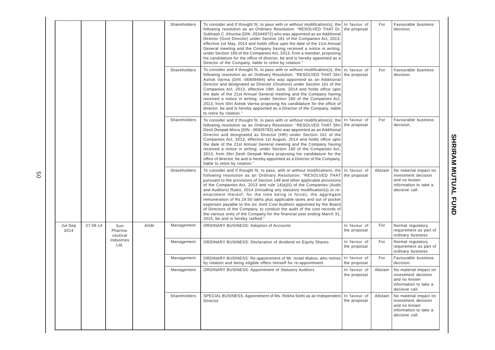|                 |          |                            |            | Shareholders | To consider and if thought fit, to pass with or without modification(s), the $\vert$ In favour of<br>following resolution as an Ordinary Resolution: "RESOLVED THAT Dr.<br>Subhash C. Khuntia (DIN -05344972) who was appointed as an Additional<br>Director (Govt Director) under Section 161 of the Companies Act, 2013,<br>effective 1st May, 2014 and holds office upto the date of the 21st Annual<br>General meeting and the Company having received a notice in writing,<br>under Section 160 of the Companies Act, 2013, from a member, proposing<br>his candidature for the office of director, be and is hereby appointed as a<br>Director of the Company, liable to retire by rotation."                                                                                                 | the proposal                 | For     | Favourable business<br>decision.                                                                        |
|-----------------|----------|----------------------------|------------|--------------|-----------------------------------------------------------------------------------------------------------------------------------------------------------------------------------------------------------------------------------------------------------------------------------------------------------------------------------------------------------------------------------------------------------------------------------------------------------------------------------------------------------------------------------------------------------------------------------------------------------------------------------------------------------------------------------------------------------------------------------------------------------------------------------------------------|------------------------------|---------|---------------------------------------------------------------------------------------------------------|
|                 |          |                            |            | Shareholders | To consider and if thought fit, to pass with or without modification(s), the In favour of<br>following resolution as an Ordinary Resolution: "RESOLVED THAT Shri the proposal<br>Ashok Varma (DIN -06909494) who was appointed as an Additional<br>Director and designated as Director (Onshore) under Section 161 of the<br>Companies Act, 2013, effective 19th June, 2014 and holds office upto<br>the date of the 21st Annual General meeting and the Company having<br>received a notice in writing, under Section 160 of the Companies Act,<br>2013, from Shri Ashok Varma proposing his candidature for the office of<br>director, be and is hereby appointed as a Director of the Company, liable<br>to retire by rotation."                                                                 |                              | For     | Favourable business<br>decision.                                                                        |
|                 |          |                            |            | Shareholders | To consider and if thought fit, to pass with or without modification(s), the   In favour of<br>following resolution as an Ordinary Resolution: "RESOLVED THAT Shri   the proposal<br>Desh Deepak Misra (DIN - 06926783) who was appointed as an Additional<br>Director and designated as Director (HR) under Section 161 of the<br>Companies Act, 2013, effective 1st August, 2014 and holds office upto<br>the date of the 21st Annual General meeting and the Company having<br>received a notice in writing, under Section 160 of the Companies Act,<br>2013, from Shri Desh Deepak Misra proposing his candidature for the<br>office of director, be and is hereby appointed as a Director of the Company,<br>liable to retire by rotation."                                                    |                              | For     | Favourable business<br>decision.                                                                        |
|                 |          |                            |            | Shareholders | To consider and if thought fit, to pass, with or without modifications, the<br>following resolution as an Ordinary Resolution: "RESOLVED THAT<br>pursuant to the provisions of Section 148 and other applicable provisions<br>of the Companies Act, 2013 and rule 14(a)(ii) of the Companies (Audit<br>and Auditors) Rules, 2014 (including any statutory modification(s) or re-<br>enactment thereof, for the time being in force), the aggregate<br>remuneration of Rs.19.50 lakhs plus applicable taxes and out of pocket<br>expenses payable to the six Joint Cost Auditors appointed by the Board<br>of Directors of the Company, to conduct the audit of the cost records of<br>the various units of the Company for the financial year ending March 31,<br>2015, be and is hereby ratified." | In favour of<br>the proposal | Abstain | No material impact on<br>investment decision<br>and no known<br>information to take a<br>decisive call. |
| Jul-Sep<br>2014 | 27.09.14 | Sun<br>Pharma-<br>ceutical | <b>AGM</b> | Management   | <b>ORDINARY BUSINESS: Adoption of Accounts</b>                                                                                                                                                                                                                                                                                                                                                                                                                                                                                                                                                                                                                                                                                                                                                      | In favour of<br>the proposal | For     | Normal regulatory<br>requirement as part of<br>ordinary business                                        |
|                 |          | Industries<br>Ltd.         |            | Management   | <b>ORDINARY BUSINESS: Declaration of dividend on Equity Shares</b>                                                                                                                                                                                                                                                                                                                                                                                                                                                                                                                                                                                                                                                                                                                                  | In favour of<br>the proposal | For     | Normal regulatory<br>requirement as part of<br>ordinary business                                        |
|                 |          |                            |            | Management   | ORDINARY BUSINESS: Re-appointment of Mr. Israel Makov, who retires<br>by rotation and being eligible offers himself for re-appointment.                                                                                                                                                                                                                                                                                                                                                                                                                                                                                                                                                                                                                                                             | In favour of<br>the proposal | For     | Favourable business<br>decision.                                                                        |
|                 |          |                            |            | Management   | <b>ORDINARY BUSINESS: Appointment of Statutory Auditors</b>                                                                                                                                                                                                                                                                                                                                                                                                                                                                                                                                                                                                                                                                                                                                         | In favour of<br>the proposal | Abstain | No material impact on<br>investment decision<br>and no known<br>information to take a<br>decisive call. |
|                 |          |                            |            | Shareholders | SPECIAL BUSINESS: Appointment of Ms. Rekha Sethi as an Independent<br>Director                                                                                                                                                                                                                                                                                                                                                                                                                                                                                                                                                                                                                                                                                                                      | In favour of<br>the proposal | Abstain | No material impact on<br>investment decision<br>and no known<br>information to take a<br>decisive call. |
|                 |          |                            |            |              |                                                                                                                                                                                                                                                                                                                                                                                                                                                                                                                                                                                                                                                                                                                                                                                                     |                              |         |                                                                                                         |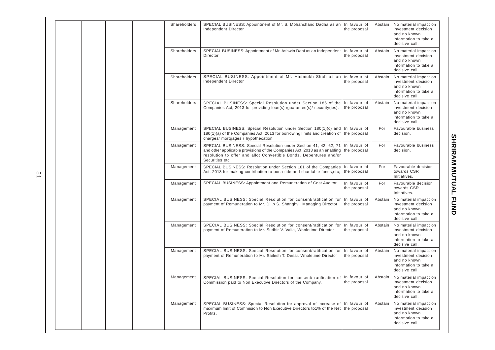|  | Shareholders | SPECIAL BUSINESS: Appointment of Mr. S. Mohanchand Dadha as an In favour of<br>Independent Director                                                                                                                                    | the proposal                 | Abstain | No material impact on<br>investment decision<br>and no known<br>information to take a<br>decisive call. |
|--|--------------|----------------------------------------------------------------------------------------------------------------------------------------------------------------------------------------------------------------------------------------|------------------------------|---------|---------------------------------------------------------------------------------------------------------|
|  | Shareholders | SPECIAL BUSINESS: Appointment of Mr. Ashwin Dani as an Independent   In favour of<br>Director                                                                                                                                          | the proposal                 | Abstain | No material impact on<br>investment decision<br>and no known<br>information to take a<br>decisive call. |
|  | Shareholders | SPECIAL BUSINESS: Appointment of Mr. Hasmukh Shah as an<br>Independent Director                                                                                                                                                        | In favour of<br>the proposal | Abstain | No material impact on<br>investment decision<br>and no known<br>information to take a<br>decisive call. |
|  | Shareholders | SPECIAL BUSINESS: Special Resolution under Section 186 of the<br>Companies Act, 2013 for providing loan(s) /guarantee(s)/ security(ies).                                                                                               | In favour of<br>the proposal | Abstain | No material impact on<br>investment decision<br>and no known<br>information to take a<br>decisive call. |
|  | Management   | SPECIAL BUSINESS: Special Resolution under Section 180(1)(c) and In favour of<br>$180(1)(a)$ of the Companies Act, 2013 for borrowing limits and creation of the proposal<br>charges/ mortgages / hypothecation.                       |                              | For     | Favourable business<br>decision.                                                                        |
|  | Management   | SPECIAL BUSINESS: Special Resolution under Section 41, 42, 62, 71<br>and other applicable provisions of the Companies Act, 2013 as an enabling<br>resolution to offer and allot Convertible Bonds, Debentures and/or<br>Securities etc | In favour of<br>the proposal | For     | Favourable business<br>decision.                                                                        |
|  | Management   | SPECIAL BUSINESS: Resolution under Section 181 of the Companies<br>Act, 2013 for making contribution to bona fide and charitable funds, etc;                                                                                           | In favour of<br>the proposal | For     | Favourable decision<br>towards CSR<br>Initiatives.                                                      |
|  | Management   | SPECIAL BUSINESS: Appointment and Remuneration of Cost Auditor.                                                                                                                                                                        | In favour of<br>the proposal | For     | Favourable decision<br>towards CSR<br>Initiatives.                                                      |
|  | Management   | SPECIAL BUSINESS: Special Resolution for consent/ratification for<br>payment of Remuneration to Mr. Dilip S. Shanghvi, Managing Director                                                                                               | In favour of<br>the proposal | Abstain | No material impact on<br>investment decision<br>and no known<br>information to take a<br>decisive call. |
|  | Management   | SPECIAL BUSINESS: Special Resolution for consent/ratification for<br>payment of Remuneration to Mr. Sudhir V. Valia, Wholetime Director                                                                                                | In favour of<br>the proposal | Abstain | No material impact on<br>investment decision<br>and no known<br>information to take a<br>decisive call. |
|  | Management   | SPECIAL BUSINESS: Special Resolution for consent/ratification for<br>payment of Remuneration to Mr. Sailesh T. Desai. Wholetime Director                                                                                               | In favour of<br>the proposal | Abstain | No material impact on<br>investment decision<br>and no known<br>information to take a<br>decisive call. |
|  | Management   | SPECIAL BUSINESS: Special Resolution for consent/ ratification of In favour of<br>Commission paid to Non Executive Directors of the Company.                                                                                           | the proposal                 | Abstain | No material impact on<br>investment decision<br>and no known<br>information to take a<br>decisive call. |
|  | Management   | SPECIAL BUSINESS: Special Resolution for approval of increase of In favour of<br>maximum limit of Commision to Non Executive Directors to 1% of the Net the proposal<br>Profits.                                                       |                              | Abstain | No material impact on<br>investment decision<br>and no known<br>information to take a<br>decisive call. |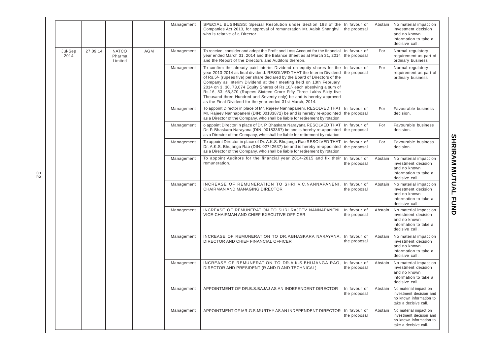|                 |                                               |     |            | Management                                                                                                                                                                                                                                                                                                                                                                                                                                                                                                                                                                                             | SPECIAL BUSINESS: Special Resolution under Section 188 of the In favour of<br>Companies Act 2013, for approval of remuneration Mr. Aalok Shanghvi,<br>who is relative of a Director.                                             | the proposal                                                                                      | Abstain                                                          | No material impact on<br>investment decision<br>and no known<br>information to take a<br>decisive call.                                                                                                                         |                                                                                                         |     |                                  |                                                        |                              |                                                         |                                                                                                      |                              |                                                                                                      |                                                                                                         |  |  |  |  |  |  |  |  |  |  |  |  |  |  |  |  |  |  |  |  |            |                                                                                                     |
|-----------------|-----------------------------------------------|-----|------------|--------------------------------------------------------------------------------------------------------------------------------------------------------------------------------------------------------------------------------------------------------------------------------------------------------------------------------------------------------------------------------------------------------------------------------------------------------------------------------------------------------------------------------------------------------------------------------------------------------|----------------------------------------------------------------------------------------------------------------------------------------------------------------------------------------------------------------------------------|---------------------------------------------------------------------------------------------------|------------------------------------------------------------------|---------------------------------------------------------------------------------------------------------------------------------------------------------------------------------------------------------------------------------|---------------------------------------------------------------------------------------------------------|-----|----------------------------------|--------------------------------------------------------|------------------------------|---------------------------------------------------------|------------------------------------------------------------------------------------------------------|------------------------------|------------------------------------------------------------------------------------------------------|---------------------------------------------------------------------------------------------------------|--|--|--|--|--|--|--|--|--|--|--|--|--|--|--|--|--|--|--|--|------------|-----------------------------------------------------------------------------------------------------|
| Jul-Sep<br>2014 | 27.09.14<br><b>NATCO</b><br>Pharma<br>Limited | AGM | Management | To receive, consider and adopt the Profit and Loss Account for the financial<br>year ended March 31, 2014 and the Balance Sheet as at March 31, 2014 the proposal<br>and the Report of the Directors and Auditors thereon.                                                                                                                                                                                                                                                                                                                                                                             | In favour of                                                                                                                                                                                                                     | For                                                                                               | Normal regulatory<br>requirement as part of<br>ordinary business |                                                                                                                                                                                                                                 |                                                                                                         |     |                                  |                                                        |                              |                                                         |                                                                                                      |                              |                                                                                                      |                                                                                                         |  |  |  |  |  |  |  |  |  |  |  |  |  |  |  |  |  |  |  |  |            |                                                                                                     |
|                 |                                               |     | Management | To confirm the already paid interim Dividend on equity shares for the In favour of<br>year 2013-2014 as final dividend. RESOLVED THAT the Interim Dividend<br>of Rs.5/- (rupees five) per share declared by the Board of Directors of the<br>Company as Interim Dividend at their meeting held on 13th February,<br>2014 on 3, 30, 73,074 Equity Shares of Rs.10/- each absolving a sum of<br>Rs.16, 53, 65,370 (Rupees Sixteen Crore Fifty Three Lakhs Sixty five<br>Thousand three Hundred and Seventy only) be and is hereby approved<br>as the Final Dividend for the year ended 31st March, 2014. | the proposal                                                                                                                                                                                                                     | For                                                                                               | Normal regulatory<br>requirement as part of<br>ordinary business |                                                                                                                                                                                                                                 |                                                                                                         |     |                                  |                                                        |                              |                                                         |                                                                                                      |                              |                                                                                                      |                                                                                                         |  |  |  |  |  |  |  |  |  |  |  |  |  |  |  |  |  |  |  |  |            |                                                                                                     |
|                 |                                               |     | Management | To appoint Director in place of Mr. Rajeev Nannapaneni. RESOLVED THAT<br>Mr. Rajeev Nannapaneni (DIN: 00183872) be and is hereby re-appointed<br>as a Director of the Company, who shall be liable for retirement by rotation.                                                                                                                                                                                                                                                                                                                                                                         | In favour of<br>the proposal                                                                                                                                                                                                     | For                                                                                               | Favourable business<br>decision.                                 |                                                                                                                                                                                                                                 |                                                                                                         |     |                                  |                                                        |                              |                                                         |                                                                                                      |                              |                                                                                                      |                                                                                                         |  |  |  |  |  |  |  |  |  |  |  |  |  |  |  |  |  |  |  |  |            |                                                                                                     |
|                 |                                               |     |            | Management                                                                                                                                                                                                                                                                                                                                                                                                                                                                                                                                                                                             | o appoint Director in place of Dr. P. Bhaskara Narayana RESOLVED THAT<br>Dr. P. Bhaskara Narayana (DIN: 00183367) be and is hereby re-appointed<br>as a Director of the Company, who shall be liable for retirement by rotation. | In favour of<br>the proposal                                                                      | For                                                              | Favourable business<br>decision.                                                                                                                                                                                                |                                                                                                         |     |                                  |                                                        |                              |                                                         |                                                                                                      |                              |                                                                                                      |                                                                                                         |  |  |  |  |  |  |  |  |  |  |  |  |  |  |  |  |  |  |  |  |            |                                                                                                     |
|                 |                                               |     |            |                                                                                                                                                                                                                                                                                                                                                                                                                                                                                                                                                                                                        |                                                                                                                                                                                                                                  |                                                                                                   | Management                                                       | To appoint Director in place of Dr. A.K.S. Bhujanga Rao RESOLVED THAT<br>Dr. A.K.S. Bhujanga Rao (DIN: 02742637) be and is hereby re-appointed<br>as a Director of the Company, who shall be liable for retirement by rotation. | In favour of<br>the proposal                                                                            | For | Favourable business<br>decision. |                                                        |                              |                                                         |                                                                                                      |                              |                                                                                                      |                                                                                                         |  |  |  |  |  |  |  |  |  |  |  |  |  |  |  |  |  |  |  |  |            |                                                                                                     |
|                 |                                               |     |            | Management                                                                                                                                                                                                                                                                                                                                                                                                                                                                                                                                                                                             | To appoint Auditors for the financial year 2014-2015 and fix their<br>remuneration.                                                                                                                                              | In favour of<br>the proposal                                                                      | Abstain                                                          | No material impact on<br>investment decision<br>and no known<br>information to take a<br>decisive call.                                                                                                                         |                                                                                                         |     |                                  |                                                        |                              |                                                         |                                                                                                      |                              |                                                                                                      |                                                                                                         |  |  |  |  |  |  |  |  |  |  |  |  |  |  |  |  |  |  |  |  |            |                                                                                                     |
|                 |                                               |     |            |                                                                                                                                                                                                                                                                                                                                                                                                                                                                                                                                                                                                        | Management                                                                                                                                                                                                                       | INCREASE OF REMUNERATION TO SHRI V.C.NANNAPANENI,<br>CHAIRMAN AND MANAGING DIRECTOR               | In favour of<br>the proposal                                     | Abstain                                                                                                                                                                                                                         | No material impact on<br>investment decision<br>and no known<br>information to take a<br>decisive call. |     |                                  |                                                        |                              |                                                         |                                                                                                      |                              |                                                                                                      |                                                                                                         |  |  |  |  |  |  |  |  |  |  |  |  |  |  |  |  |  |  |  |  |            |                                                                                                     |
|                 |                                               |     |            |                                                                                                                                                                                                                                                                                                                                                                                                                                                                                                                                                                                                        | Management                                                                                                                                                                                                                       | INCREASE OF REMUNERATION TO SHRI RAJEEV NANNAPANENI<br>VICE-CHAIRMAN AND CHIEF EXECUTIVE OFFICER. | In favour of<br>the proposal                                     | Abstain                                                                                                                                                                                                                         | No material impact on<br>investment decision<br>and no known<br>information to take a<br>decisive call. |     |                                  |                                                        |                              |                                                         |                                                                                                      |                              |                                                                                                      |                                                                                                         |  |  |  |  |  |  |  |  |  |  |  |  |  |  |  |  |  |  |  |  |            |                                                                                                     |
|                 |                                               |     |            |                                                                                                                                                                                                                                                                                                                                                                                                                                                                                                                                                                                                        |                                                                                                                                                                                                                                  |                                                                                                   |                                                                  |                                                                                                                                                                                                                                 |                                                                                                         |     |                                  |                                                        |                              | Management                                              | INCREASE OF REMUNERATION TO DR.P.BHASKARA NARAYANA,<br>DIRECTOR AND CHIEF FINANCIAL OFFICER          | In favour of<br>the proposal | Abstain                                                                                              | No material impact on<br>investment decision<br>and no known<br>information to take a<br>decisive call. |  |  |  |  |  |  |  |  |  |  |  |  |  |  |  |  |  |  |  |  |            |                                                                                                     |
|                 |                                               |     |            |                                                                                                                                                                                                                                                                                                                                                                                                                                                                                                                                                                                                        |                                                                                                                                                                                                                                  |                                                                                                   |                                                                  |                                                                                                                                                                                                                                 |                                                                                                         |     |                                  |                                                        |                              |                                                         |                                                                                                      |                              |                                                                                                      |                                                                                                         |  |  |  |  |  |  |  |  |  |  |  |  |  |  |  |  |  |  |  |  | Management | INCREASE OF REMUNERATION TO DR.A.K.S.BHUJANGA RAO<br>DIRECTOR AND PRESIDENT (R AND D AND TECHNICAL) |
|                 |                                               |     |            |                                                                                                                                                                                                                                                                                                                                                                                                                                                                                                                                                                                                        |                                                                                                                                                                                                                                  |                                                                                                   |                                                                  |                                                                                                                                                                                                                                 |                                                                                                         |     | Management                       | APPOINTMENT OF DR.B.S.BAJAJ AS AN INDEPENDENT DIRECTOR | In favour of<br>the proposal | Abstain                                                 | No material impact on<br>investment decision and<br>no known information to<br>take a decisive call. |                              |                                                                                                      |                                                                                                         |  |  |  |  |  |  |  |  |  |  |  |  |  |  |  |  |  |  |  |  |            |                                                                                                     |
|                 |                                               |     |            |                                                                                                                                                                                                                                                                                                                                                                                                                                                                                                                                                                                                        |                                                                                                                                                                                                                                  |                                                                                                   |                                                                  |                                                                                                                                                                                                                                 |                                                                                                         |     |                                  |                                                        | Management                   | APPOINTMENT OF MR.G.S.MURTHY AS AN INDEPENDENT DIRECTOR | In favour of<br>the proposal                                                                         | Abstain                      | No material impact on<br>investment decision and<br>no known information to<br>take a decisive call. |                                                                                                         |  |  |  |  |  |  |  |  |  |  |  |  |  |  |  |  |  |  |  |  |            |                                                                                                     |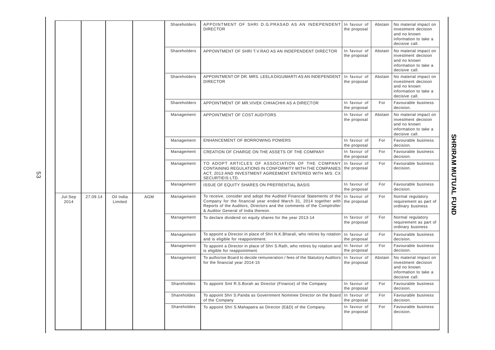|                 |          |                      |     | Shareholders | APPOINTMENT OF SHRI D.G.PRASAD AS AN INDEPENDENT In favour of<br><b>DIRECTOR</b>                                                                                                                                                                             | the proposal                 | Abstain | No material impact on<br>investment decision<br>and no known<br>information to take a<br>decisive call. |
|-----------------|----------|----------------------|-----|--------------|--------------------------------------------------------------------------------------------------------------------------------------------------------------------------------------------------------------------------------------------------------------|------------------------------|---------|---------------------------------------------------------------------------------------------------------|
|                 |          |                      |     | Shareholders | APPOINTMENT OF SHRI T.V.RAO AS AN INDEPENDENT DIRECTOR                                                                                                                                                                                                       | In favour of<br>the proposal | Abstain | No material impact on<br>investment decision<br>and no known<br>information to take a<br>decisive call. |
|                 |          |                      |     | Shareholders | APPOINTMENT OF DR. MRS. LEELA DIGUMARTI AS AN INDEPENDENT<br><b>DIRECTOR</b>                                                                                                                                                                                 | In favour of<br>the proposal | Abstain | No material impact on<br>investment decision<br>and no known<br>information to take a<br>decisive call. |
|                 |          |                      |     | Shareholders | APPOINTMENT OF MR. VIVEK CHHACHHI AS A DIRECTOR                                                                                                                                                                                                              | In favour of<br>the proposal | For     | Favourable business<br>decision.                                                                        |
|                 |          |                      |     | Management   | APPOINTMENT OF COST AUDITORS                                                                                                                                                                                                                                 | In favour of<br>the proposal | Abstain | No material impact on<br>investment decision<br>and no known<br>information to take a<br>decisive call. |
|                 |          |                      |     | Management   | ENHANCEMENT OF BORROWING POWERS                                                                                                                                                                                                                              | In favour of<br>the proposal | For     | Favourable business<br>decision.                                                                        |
|                 |          |                      |     | Management   | CREATION OF CHARGE ON THE ASSETS OF THE COMPANY                                                                                                                                                                                                              | In favour of<br>the proposal | For     | Favourable business<br>decision.                                                                        |
|                 |          |                      |     | Management   | TO ADOPT ARTICLES OF ASSOCIATION OF THE COMPANY<br>CONTAINING REGULATIONS IN CONFORMITY WITH THE COMPANIES<br>ACT, 2013 AND INVESTMENT AGREEMENT ENTERED WITH M/S. CX<br>SECURTIEIS LTD.                                                                     | In favour of<br>the proposal | For     | Favourable business<br>decision.                                                                        |
|                 |          |                      |     | Management   | <b>ISSUE OF EQUITY SHARES ON PREFRENTIAL BASIS</b>                                                                                                                                                                                                           | In favour of<br>the proposal | For     | Favourable business<br>decision.                                                                        |
| Jul-Sep<br>2014 | 27.09.14 | Oil India<br>Limited | AGM | Management   | To receive, consider and adopt the Audited Financial Statements of the<br>Company for the financial year ended March 31, 2014 together with<br>Reports of the Auditors, Directors and the comments of the Comptroller<br>& Auditor General of India thereon. | In favour of<br>the proposal | For     | Normal regulatory<br>requirement as part of<br>ordinary business                                        |
|                 |          |                      |     | Management   | To declare dividend on equity shares for the year 2013-14                                                                                                                                                                                                    | In favour of<br>the proposal | For     | Normal regulatory<br>requirement as part of<br>ordinary business                                        |
|                 |          |                      |     | Management   | To appoint a Director in place of Shri N.K.Bharali, who retires by rotation<br>and is eligible for reappointment.                                                                                                                                            | In favour of<br>the proposal | For     | Favourable business<br>decision.                                                                        |
|                 |          |                      |     | Management   | To appoint a Director in place of Shri S.Rath, who retires by rotation and<br>is eligible for reappointment.                                                                                                                                                 | In favour of<br>the proposal | For     | Favourable business<br>decision.                                                                        |
|                 |          |                      |     | Management   | To authorise Board to decide remuneration / fees of the Statutory Auditors<br>for the financial year 2014-15                                                                                                                                                 | In favour of<br>the proposal | Abstain | No material impact on<br>investment decision<br>and no known<br>information to take a<br>decisive call. |
|                 |          |                      |     | Shareholdes  | To appoint Smt R.S.Borah as Director (Finance) of the Company                                                                                                                                                                                                | In favour of<br>the proposal | For     | Favourable business<br>decision.                                                                        |
|                 |          |                      |     | Shareholdes  | To appoint Shri S.Panda as Government Nominee Director on the Board<br>of the Company                                                                                                                                                                        | In favour of<br>the proposal | For     | Favourable business<br>decision.                                                                        |
|                 |          |                      |     | Shareholdes  | To appoint Shri S.Mahapatra as Director (E&D) of the Company.                                                                                                                                                                                                | In favour of<br>the proposal | For     | Favourable business<br>decision.                                                                        |
|                 |          |                      |     |              |                                                                                                                                                                                                                                                              |                              |         |                                                                                                         |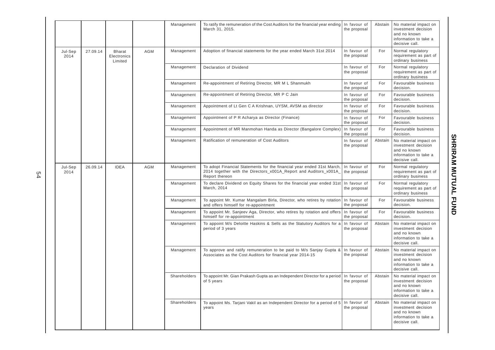|                 |          |                                         |     | Management                            | To ratify the remuneration of the Cost Auditors for the financial year ending<br>March 31, 2015.                                                              | In favour of<br>the proposal | Abstain    | No material impact on<br>investment decision<br>and no known<br>information to take a<br>decisive call. |                              |              |                                                                                                         |              |         |                                                                                                         |  |  |  |  |  |  |  |  |  |            |                                                                                                                                   |                              |         |                                                                                                         |
|-----------------|----------|-----------------------------------------|-----|---------------------------------------|---------------------------------------------------------------------------------------------------------------------------------------------------------------|------------------------------|------------|---------------------------------------------------------------------------------------------------------|------------------------------|--------------|---------------------------------------------------------------------------------------------------------|--------------|---------|---------------------------------------------------------------------------------------------------------|--|--|--|--|--|--|--|--|--|------------|-----------------------------------------------------------------------------------------------------------------------------------|------------------------------|---------|---------------------------------------------------------------------------------------------------------|
| Jul-Sep<br>2014 | 27.09.14 | <b>Bharat</b><br>Electronics<br>Limited | AGM | Management                            | Adoption of financial statements for the year ended March 31st 2014                                                                                           | In favour of<br>the proposal | For        | Normal regulatory<br>requirement as part of<br>ordinary business                                        |                              |              |                                                                                                         |              |         |                                                                                                         |  |  |  |  |  |  |  |  |  |            |                                                                                                                                   |                              |         |                                                                                                         |
|                 |          |                                         |     | Management<br>Declaration of Dividend |                                                                                                                                                               | In favour of<br>the proposal | For        | Normal regulatory<br>requirement as part of<br>ordinary business                                        |                              |              |                                                                                                         |              |         |                                                                                                         |  |  |  |  |  |  |  |  |  |            |                                                                                                                                   |                              |         |                                                                                                         |
|                 |          |                                         |     | Management                            | Re-appointment of Retiring Director, MR M L Shanmukh                                                                                                          | In favour of<br>the proposal | For        | Favourable business<br>decision.                                                                        |                              |              |                                                                                                         |              |         |                                                                                                         |  |  |  |  |  |  |  |  |  |            |                                                                                                                                   |                              |         |                                                                                                         |
|                 |          |                                         |     | Management                            | Re-appointment of Retiring Director, MR P C Jain                                                                                                              | In favour of<br>the proposal | For        | Favourable business<br>decision.                                                                        |                              |              |                                                                                                         |              |         |                                                                                                         |  |  |  |  |  |  |  |  |  |            |                                                                                                                                   |                              |         |                                                                                                         |
|                 |          |                                         |     | Management                            | Appointment of Lt Gen C A Krishnan, UYSM, AVSM as director                                                                                                    | In favour of<br>the proposal | For        | Favourable business<br>decision.                                                                        |                              |              |                                                                                                         |              |         |                                                                                                         |  |  |  |  |  |  |  |  |  |            |                                                                                                                                   |                              |         |                                                                                                         |
|                 |          |                                         |     | Management                            | Appointment of P R Acharya as Director (Finance)                                                                                                              | In favour of<br>the proposal | For        | Favourable business<br>decision.                                                                        |                              |              |                                                                                                         |              |         |                                                                                                         |  |  |  |  |  |  |  |  |  |            |                                                                                                                                   |                              |         |                                                                                                         |
|                 |          |                                         |     | Management                            | Appointment of MR Manmohan Handa as Director (Bangalore Complex)                                                                                              | In favour of<br>the proposal | For        | Favourable business<br>decision.                                                                        |                              |              |                                                                                                         |              |         |                                                                                                         |  |  |  |  |  |  |  |  |  |            |                                                                                                                                   |                              |         |                                                                                                         |
|                 |          |                                         |     | Management                            | Ratification of remuneration of Cost Auditors                                                                                                                 | In favour of<br>the proposal | Abstain    | No material impact on<br>investment decision<br>and no known<br>information to take a<br>decisive call. |                              |              |                                                                                                         |              |         |                                                                                                         |  |  |  |  |  |  |  |  |  |            |                                                                                                                                   |                              |         |                                                                                                         |
| Jul-Sep<br>2014 | 26.09.14 | <b>IDEA</b>                             | AGM | Management                            | To adopt Financial Statements for the financial year ended 31st March,<br>2014 together with the Directors_x001A_Report and Auditors_x001A_<br>Report thereon | In favour of<br>the proposal | For        | Normal regulatory<br>requirement as part of<br>ordinary business                                        |                              |              |                                                                                                         |              |         |                                                                                                         |  |  |  |  |  |  |  |  |  |            |                                                                                                                                   |                              |         |                                                                                                         |
|                 |          |                                         |     | Management                            | To declare Dividend on Equity Shares for the financial year ended 31st<br>March, 2014                                                                         | In favour of<br>the proposal | For        | Normal regulatory<br>requirement as part of<br>ordinary business                                        |                              |              |                                                                                                         |              |         |                                                                                                         |  |  |  |  |  |  |  |  |  |            |                                                                                                                                   |                              |         |                                                                                                         |
|                 |          |                                         |     | Management                            | To appoint Mr. Kumar Mangalam Birla, Director, who retires by rotation<br>and offers himself for re-appointment                                               | In favour of<br>the proposal | For        | Favourable business<br>decision.                                                                        |                              |              |                                                                                                         |              |         |                                                                                                         |  |  |  |  |  |  |  |  |  |            |                                                                                                                                   |                              |         |                                                                                                         |
|                 |          |                                         |     | Management                            | To appoint Mr. Sanjeev Aga, Director, who retires by rotation and offers<br>himself for re-appointment                                                        | In favour of<br>the proposal | For        | Favourable business<br>decision.                                                                        |                              |              |                                                                                                         |              |         |                                                                                                         |  |  |  |  |  |  |  |  |  |            |                                                                                                                                   |                              |         |                                                                                                         |
|                 |          |                                         |     |                                       |                                                                                                                                                               |                              | Management | To appoint M/s Deloitte Haskins & Sells as the Statutory Auditors for a<br>period of 3 years            | In favour of<br>the proposal | Abstain      | No material impact on<br>investment decision<br>and no known<br>information to take a<br>decisive call. |              |         |                                                                                                         |  |  |  |  |  |  |  |  |  |            |                                                                                                                                   |                              |         |                                                                                                         |
|                 |          |                                         |     |                                       |                                                                                                                                                               |                              |            |                                                                                                         |                              |              |                                                                                                         |              |         |                                                                                                         |  |  |  |  |  |  |  |  |  | Management | To approve and ratify remuneration to be paid to M/s Sanjay Gupta &<br>Associates as the Cost Auditors for financial year 2014-15 | In favour of<br>the proposal | Abstain | No material impact on<br>investment decision<br>and no known<br>information to take a<br>decisive call. |
|                 |          |                                         |     |                                       |                                                                                                                                                               |                              |            |                                                                                                         |                              | Shareholders | To appoint Mr. Gian Prakash Gupta as an Independent Director for a period In favour of<br>of 5 years    | the proposal | Abstain | No material impact on<br>investment decision<br>and no known<br>information to take a<br>decisive call. |  |  |  |  |  |  |  |  |  |            |                                                                                                                                   |                              |         |                                                                                                         |
|                 |          |                                         |     | Shareholders                          | To appoint Ms. Tarjani Vakil as an Independent Director for a period of 5 In favour of<br>years                                                               | the proposal                 | Abstain    | No material impact on<br>investment decision<br>and no known<br>information to take a<br>decisive call. |                              |              |                                                                                                         |              |         |                                                                                                         |  |  |  |  |  |  |  |  |  |            |                                                                                                                                   |                              |         |                                                                                                         |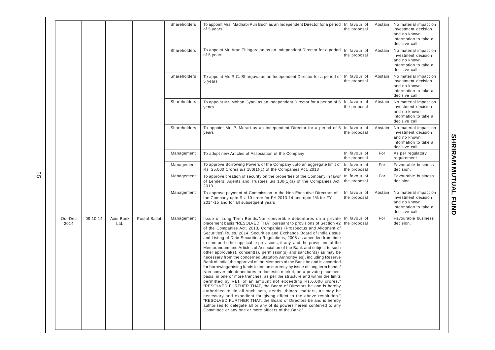|                 |          |                   |               | Shareholders | To appoint Mrs. Madhabi Puri Buch as an Independent Director for a period   In favour of<br>of 5 years                                                                                                                                                                                                                                                                                                                                                                                                                                                                                                                                                                                                                                                                                                                                                                                                                                                                                                                                                                                                                                                                                                                                                                                                                                                                                                                                                                                   | the proposal                 | Abstain | No material impact on<br>investment decision<br>and no known<br>information to take a<br>decisive call. |
|-----------------|----------|-------------------|---------------|--------------|------------------------------------------------------------------------------------------------------------------------------------------------------------------------------------------------------------------------------------------------------------------------------------------------------------------------------------------------------------------------------------------------------------------------------------------------------------------------------------------------------------------------------------------------------------------------------------------------------------------------------------------------------------------------------------------------------------------------------------------------------------------------------------------------------------------------------------------------------------------------------------------------------------------------------------------------------------------------------------------------------------------------------------------------------------------------------------------------------------------------------------------------------------------------------------------------------------------------------------------------------------------------------------------------------------------------------------------------------------------------------------------------------------------------------------------------------------------------------------------|------------------------------|---------|---------------------------------------------------------------------------------------------------------|
|                 |          |                   |               | Shareholders | To appoint Mr. Arun Thiagarajan as an Independent Director for a period<br>of 5 years                                                                                                                                                                                                                                                                                                                                                                                                                                                                                                                                                                                                                                                                                                                                                                                                                                                                                                                                                                                                                                                                                                                                                                                                                                                                                                                                                                                                    | In favour of<br>the proposal | Abstain | No material impact on<br>investment decision<br>and no known<br>information to take a<br>decisive call. |
|                 |          |                   |               | Shareholders | To appoint Mr. R.C. Bhargava as an Independent Director for a period of<br>5 years                                                                                                                                                                                                                                                                                                                                                                                                                                                                                                                                                                                                                                                                                                                                                                                                                                                                                                                                                                                                                                                                                                                                                                                                                                                                                                                                                                                                       | In favour of<br>the proposal | Abstain | No material impact on<br>investment decision<br>and no known<br>information to take a<br>decisive call. |
|                 |          |                   |               | Shareholders | To appoint Mr. Mohan Gyani as an Independent Director for a period of 5<br>years                                                                                                                                                                                                                                                                                                                                                                                                                                                                                                                                                                                                                                                                                                                                                                                                                                                                                                                                                                                                                                                                                                                                                                                                                                                                                                                                                                                                         | In favour of<br>the proposal | Abstain | No material impact on<br>investment decision<br>and no known<br>information to take a<br>decisive call. |
|                 |          |                   |               | Shareholders | To appoint Mr. P. Murari as an Independent Director for a period of 5<br>years                                                                                                                                                                                                                                                                                                                                                                                                                                                                                                                                                                                                                                                                                                                                                                                                                                                                                                                                                                                                                                                                                                                                                                                                                                                                                                                                                                                                           | In favour of<br>the proposal | Abstain | No material impact on<br>investment decision<br>and no known<br>information to take a<br>decisive call. |
|                 |          |                   |               | Management   | To adopt new Articles of Association of the Company                                                                                                                                                                                                                                                                                                                                                                                                                                                                                                                                                                                                                                                                                                                                                                                                                                                                                                                                                                                                                                                                                                                                                                                                                                                                                                                                                                                                                                      | In favour of<br>the proposal | For     | As per regulatory<br>requirement                                                                        |
|                 |          |                   |               | Management   | To approve Borrowing Powers of the Company upto an aggregate limit of<br>Rs. 25,000 Crores u/s 180(1)(c) of the Companies Act, 2013                                                                                                                                                                                                                                                                                                                                                                                                                                                                                                                                                                                                                                                                                                                                                                                                                                                                                                                                                                                                                                                                                                                                                                                                                                                                                                                                                      | In favour of<br>the proposal | For     | Favourable business<br>decision.                                                                        |
|                 |          |                   |               | Management   | To approve creation of security on the properties of the Company in favor<br>of Lenders, Agents and Trustees u/s 180(1)(a) of the Companies Act,<br>2013                                                                                                                                                                                                                                                                                                                                                                                                                                                                                                                                                                                                                                                                                                                                                                                                                                                                                                                                                                                                                                                                                                                                                                                                                                                                                                                                 | In favour of<br>the proposal | For     | Favourable business<br>decision.                                                                        |
|                 |          |                   |               | Management   | To approve payment of Commission to the Non-Executive Directors of<br>the Company upto Rs. 10 crore for FY 2013-14 and upto 1% for FY<br>2014-15 and for all subsequent years                                                                                                                                                                                                                                                                                                                                                                                                                                                                                                                                                                                                                                                                                                                                                                                                                                                                                                                                                                                                                                                                                                                                                                                                                                                                                                            | In favour of<br>the proposal | Abstain | No material impact on<br>investment decision<br>and no known<br>information to take a<br>decisive call. |
| Oct-Dec<br>2014 | 09.10.14 | Axis Bank<br>Ltd. | Postal Ballot | Management   | Issue of Long Term Bonds/Non-convertible debentures on a private<br>placement basis "RESOLVED THAT pursuant to provisions of Section 42<br>of the Companies Act, 2013, Companies (Prospectus and Allotment of<br>Securities) Rules, 2014, Securities and Exchange Board of India (Issue<br>and Listing of Debt Securities) Regulations, 2008 as amended from time<br>to time and other applicable provisions, if any, and the provisions of the<br>Memorandum and Articles of Association of the Bank and subject to such<br>other approval(s), consent(s), permission(s) and sanction(s) as may be<br>necessary from the concerned Statutory Authority(ies), including Reserve<br>Bank of India, the approval of the Members of the Bank be and is accorded<br>for borrowing/raising funds in Indian currency by issue of long term bonds/<br>Non-convertible debentures in domestic market, on a private placement<br>basis, in one or more tranches, as per the structure and within the limits<br>permitted by RBI, of an amount not exceeding Rs.6,000 crores."<br>"RESOLVED FURTHER THAT, the Board of Directors be and is hereby<br>authorised to do all such acts, deeds, things, matters, as may be<br>necessary and expedient for giving effect to the above resolution."<br>"RESOLVED FURTHER THAT, the Board of Directors be and is hereby<br>authorised to delegate all or any of its powers herein conferred to any<br>Committee or any one or more officers of the Bank." | In favour of<br>the proposal | For     | Favourable business<br>decision.                                                                        |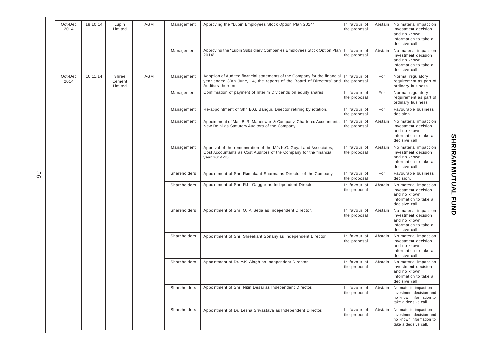| Oct-Dec<br>2014 | 18.10.14                               | Lupin<br>Limited | AGM        | Management                                                     | Approving the "Lupin Employees Stock Option Plan 2014"                                                                                                                 | In favour of<br>the proposal | Abstain                                                          | No material impact on<br>investment decision<br>and no known<br>information to take a<br>decisive call.        |                              |         |
|-----------------|----------------------------------------|------------------|------------|----------------------------------------------------------------|------------------------------------------------------------------------------------------------------------------------------------------------------------------------|------------------------------|------------------------------------------------------------------|----------------------------------------------------------------------------------------------------------------|------------------------------|---------|
|                 |                                        |                  |            | Management                                                     | Approving the "Lupin Subsidiary Companies Employees Stock Option Plan<br>2014"                                                                                         | In favour of<br>the proposal | Abstain                                                          | No material impact on<br>investment decision<br>and no known<br>information to take a<br>decisive call.        |                              |         |
| Oct-Dec<br>2014 | 10.11.14<br>Shree<br>Cement<br>Limited |                  | <b>AGM</b> | Management                                                     | Adoption of Audited financial statements of the Company for the financial<br>year ended 30th June, 14, the reports of the Board of Directors' and<br>Auditors thereon. | In favour of<br>the proposal | For                                                              | Normal regulatory<br>requirement as part of<br>ordinary business                                               |                              |         |
|                 |                                        |                  | Management | Confirmation of payment of Interim Dividends on equity shares. | In favour of<br>the proposal                                                                                                                                           | For                          | Normal regulatory<br>requirement as part of<br>ordinary business |                                                                                                                |                              |         |
|                 |                                        |                  |            | Management                                                     | Re-appointment of Shri B.G. Bangur, Director retiring by rotation.                                                                                                     | In favour of<br>the proposal | For                                                              | Favourable business<br>decision.                                                                               |                              |         |
|                 |                                        |                  |            | Management                                                     | Appointment of M/s. B. R. Maheswari & Company, Chartered Accountants,<br>New Delhi as Statutory Auditors of the Company.                                               | In favour of<br>the proposal | Abstain                                                          | No material impact on<br>investment decision<br>and no known<br>information to take a<br>decisive call.        |                              |         |
|                 |                                        |                  |            | Management                                                     | Approval of the remuneration of the M/s K.G. Goyal and Associates,<br>Cost Accountants as Cost Auditors of the Company for the financial<br>year 2014-15.              | In favour of<br>the proposal | Abstain                                                          | No material impact on<br>investment decision<br>and no known<br>information to take a<br>decisive call.        |                              |         |
|                 |                                        |                  |            | Shareholders                                                   | Appointment of Shri Ramakant Sharma as Director of the Company.                                                                                                        | In favour of<br>the proposal | For                                                              | Favourable business<br>decision.                                                                               |                              |         |
|                 |                                        |                  |            | Shareholders                                                   | Appointment of Shri R.L. Gaggar as Independent Director.                                                                                                               | In favour of<br>the proposal | Abstain                                                          | No material impact on<br>investment decision<br>and no known<br>information to take a<br>decisive call.        |                              |         |
|                 |                                        |                  |            | Shareholders                                                   | Appointment of Shri O. P. Setia as Independent Director.                                                                                                               | In favour of<br>the proposal | Abstain                                                          | No material impact on<br>investment decision<br>and no known<br>information to take a<br>decisive call.        |                              |         |
|                 |                                        |                  |            |                                                                |                                                                                                                                                                        |                              | Shareholders                                                     | Appointment of Shri Shreekant Sonany as Independent Director.                                                  | In favour of<br>the proposal | Abstain |
|                 |                                        |                  |            | Shareholders                                                   | Appointment of Dr. Y.K. Alagh as Independent Director.                                                                                                                 | In favour of<br>the proposal | Abstain                                                          | No material impact on<br>investment decision<br>and no known<br>information to take a<br>decisive call.        |                              |         |
|                 |                                        |                  |            | Shareholders                                                   | Appointment of Shri Nitin Desai as Independent Director.                                                                                                               | In favour of<br>the proposal |                                                                  | Abstain   No material impact on<br>investment decision and<br>no known information to<br>take a decisive call. |                              |         |
|                 |                                        |                  |            | Shareholders                                                   | Appointment of Dr. Leena Srivastava as Independent Director.                                                                                                           | In favour of<br>the proposal | Abstain                                                          | No material impact on<br>investment decision and<br>no known information to<br>take a decisive call.           |                              |         |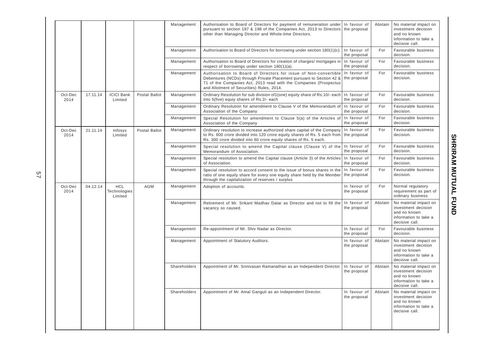|                 |          |                                              |               | Management   | Authorisation to Board of Directors for payment of remuneration under<br>pursuant to section 197 & 198 of the Companies Act, 2013 to Directors<br>other than Managing Director and Whole-time Directors.                                                   | In favour of<br>the proposal | Abstain | No material impact on<br>investment decision<br>and no known<br>information to take a<br>decisive call. |
|-----------------|----------|----------------------------------------------|---------------|--------------|------------------------------------------------------------------------------------------------------------------------------------------------------------------------------------------------------------------------------------------------------------|------------------------------|---------|---------------------------------------------------------------------------------------------------------|
|                 |          |                                              |               | Management   | Authorisation to Board of Directors for borrowing under section 180(1)(c)                                                                                                                                                                                  | In favour of<br>the proposal | For     | Favourable business<br>decision.                                                                        |
|                 |          |                                              |               | Management   | Authorisation to Board of Directors for creation of charges/ mortgages in<br>respect of borrowings under section 180(1)(a).                                                                                                                                | In favour of<br>the proposal | For     | Favourable business<br>decision.                                                                        |
|                 |          |                                              |               | Management   | Authorisation to Board of Directors for issue of Non-convertible<br>Debentures (NCDs) through Private Placement pursuant to Section 42 &<br>71 of the Companies Act, 2013 read with the Companies (Prospectus<br>and Allotment of Securities) Rules, 2014. | In favour of<br>the proposal | For     | Favourable business<br>decision.                                                                        |
| Oct-Dec<br>2014 | 17.11.14 | <b>ICICI Bank</b><br>Limited                 | Postal Ballot | Management   | Ordinary Resolution for sub division of 1 (one) equity share of Rs. 10/- each<br>into 5(five) equiy shares of Rs.2/- each                                                                                                                                  | In favour of<br>the proposal | For     | Favourable business<br>decision.                                                                        |
|                 |          |                                              |               | Management   | Ordinary Resolution for amendment to Clause V of the Memorandum of<br>Association of the Company                                                                                                                                                           | In favour of<br>the proposal | For     | Favourable business<br>decision.                                                                        |
|                 |          |                                              |               | Management   | Special Resolution for amendment to Clause 5(a) of the Articles of<br>Association of the Company                                                                                                                                                           | In favour of<br>the proposal | For     | Favourable business<br>decision.                                                                        |
| Oct-Dec<br>2014 | 21.11.14 | Infosys<br>Limited                           | Postal Ballot | Management   | Ordinary resolution to increase authorized share capital of the Company<br>to Rs. 600 crore divided into 120 crore equity shares of Rs. 5 each from<br>Rs. 300 crore divided into 60 crore equity shares of Rs. 5 each.                                    | In favour of<br>the proposal | For     | Favourable business<br>decision.                                                                        |
|                 |          |                                              |               | Management   | Special resolution to amend the Capital clause (Clause V) of the<br>Memorandum of Association.                                                                                                                                                             | In favour of<br>the proposal | For     | Favourable business<br>decision.                                                                        |
|                 |          |                                              |               | Management   | Special resolution to amend the Capital clause (Article 3) of the Articles<br>of Association.                                                                                                                                                              | In favour of<br>the proposal | For     | Favourable business<br>decision.                                                                        |
|                 |          |                                              |               | Management   | Special resolution to accord consent to the issue of bonus shares in the<br>ratio of one equity share for every one equity share held by the Member<br>through the capitalization of reserves / surplus                                                    | In favour of<br>the proposal | For     | Favourable business<br>decision.                                                                        |
| Oct-Dec<br>2014 | 04.12.14 | <b>HCL</b><br><b>Technologies</b><br>Limited | AGM           | Management   | Adoption of accounts.                                                                                                                                                                                                                                      | In favour of<br>the proposal | For     | Normal regulatory<br>requirement as part of<br>ordinary business                                        |
|                 |          |                                              |               | Management   | Retirement of Mr. Srikant Madhav Datar as Director and not to fill the<br>vacancy so caused.                                                                                                                                                               | In favour of<br>the proposal | Abstain | No material impact on<br>investment decision<br>and no known<br>information to take a<br>decisive call. |
|                 |          |                                              |               | Management   | Re-appointment of Mr. Shiv Nadar as Director.                                                                                                                                                                                                              | In favour of<br>the proposal | For     | Favourable business<br>decision.                                                                        |
|                 |          |                                              |               | Management   | Appointment of Statutory Auditors.                                                                                                                                                                                                                         | In favour of<br>the proposal | Abstain | No material impact on<br>investment decision<br>and no known<br>information to take a<br>decisive call. |
|                 |          |                                              |               | Shareholders | Appointment of Mr. Srinivasan Ramanathan as an Independent Director.                                                                                                                                                                                       | In favour of<br>the proposal | Abstain | No material impact on<br>investment decision<br>and no known<br>information to take a<br>decisive call. |
|                 |          |                                              |               | Shareholders | Appointment of Mr. Amal Ganguli as an Independent Director.                                                                                                                                                                                                | In favour of<br>the proposal | Abstain | No material impact on<br>investment decision<br>and no known<br>information to take a<br>decisive call. |
|                 |          |                                              |               |              |                                                                                                                                                                                                                                                            |                              |         |                                                                                                         |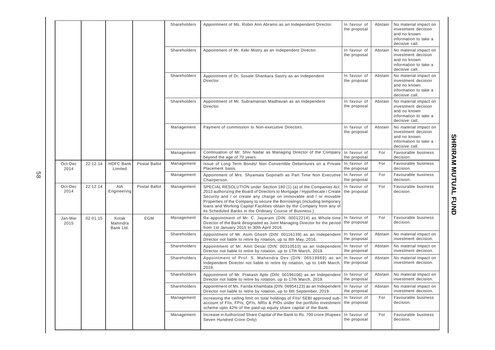|                 |          |                                |               | Shareholders | Appointment of Ms. Robin Ann Abrams as an Independent Director.                                                                                                                                                                                                                                                                                                                                                                       | In favour of<br>the proposal | Abstain | No material impact on<br>investment decision<br>and no known<br>information to take a<br>decisive call. |
|-----------------|----------|--------------------------------|---------------|--------------|---------------------------------------------------------------------------------------------------------------------------------------------------------------------------------------------------------------------------------------------------------------------------------------------------------------------------------------------------------------------------------------------------------------------------------------|------------------------------|---------|---------------------------------------------------------------------------------------------------------|
|                 |          |                                |               | Shareholders | Appointment of Mr. Keki Mistry as an Independent Director.                                                                                                                                                                                                                                                                                                                                                                            | In favour of<br>the proposal | Abstain | No material impact on<br>investment decision<br>and no known<br>information to take a<br>decisive call. |
|                 |          |                                |               | Shareholders | Appointment of Dr. Sosale Shankara Sastry as an Independent<br>Director.                                                                                                                                                                                                                                                                                                                                                              | In favour of<br>the proposal | Abstain | No material impact on<br>investment decision<br>and no known<br>information to take a<br>decisive call. |
|                 |          |                                |               | Shareholders | Appointment of Mr. Subramanian Madhavan as an Independent<br>Director.                                                                                                                                                                                                                                                                                                                                                                | In favour of<br>the proposal | Abstain | No material impact on<br>investment decision<br>and no known<br>information to take a<br>decisive call. |
|                 |          |                                |               | Management   | Payment of commission to Non-executive Directors.                                                                                                                                                                                                                                                                                                                                                                                     | In favour of<br>the proposal | Abstain | No material impact on<br>investment decision<br>and no known<br>information to take a<br>decisive call. |
|                 |          |                                |               | Management   | Continuation of Mr. Shiv Nadar as Managing Director of the Company<br>beyond the age of 70 years.                                                                                                                                                                                                                                                                                                                                     | In favour of<br>the proposal | For     | Favourable business<br>decision.                                                                        |
| Oct-Dec<br>2014 | 22.12.14 | <b>HDFC Bank</b><br>Limited    | Postal Ballot | Management   | Issue of Long Term Bonds/ Non Convertible Debentures on a Private<br>Placement basis.                                                                                                                                                                                                                                                                                                                                                 | In favour of<br>the proposal | For     | Favourable business<br>decision.                                                                        |
|                 |          |                                |               | Management   | Appointment of Mrs. Shyamala Gopinath as Part Time Non Executive<br>Chairperson.                                                                                                                                                                                                                                                                                                                                                      | In favour of<br>the proposal | For     | Favourable business<br>decision.                                                                        |
| Oct-Dec<br>2014 | 22.12.14 | AIA<br>Engineering             | Postal Ballot | Management   | SPECIAL RESOLUTION under Section 180 (1) (a) of the Companies Act<br>2013 authorizing the Board of Directors to Mortgage / Hypothecate / Create<br>Security and / or create any charge on immovable and / or movable<br>Properties of the Company to secure the Borrowings (including temporary<br>loans and Working Capital Facilities obtain by the Company from any of<br>its Scheduled Banks in the Ordinary Course of Business.) | In favour of<br>the proposal | For     | Favourable business<br>decision.                                                                        |
| Jan-Mar<br>2015 | 02.01.15 | Kotak<br>Mahindra<br>Bank Ltd. | <b>EGM</b>    | Management   | Re-appointment of Mr. C. Jayaram (DIN: 00012214) as Whole-time<br>Director of the Bank designated as Joint Managing Director for the period the proposal<br>from 1st January 2015 to 30th April 2016.                                                                                                                                                                                                                                 | In favour of                 | For     | Favourable business<br>decision.                                                                        |
|                 |          |                                |               | Shareholders | Appointment of Mr. Asim Ghosh (DIN: 00116139) as an Independent<br>Director not liable to retire by rotation, up to 8th May, 2016.                                                                                                                                                                                                                                                                                                    | In favour of<br>the proposal | Abstain | No material impact on<br>investment decision.                                                           |
|                 |          |                                |               | Shareholders | Appointment of Mr. Amit Desai (DIN: 00310510) as an Independent<br>Director not liable to retire by rotation, up to 17th March, 2019.                                                                                                                                                                                                                                                                                                 | In favour of<br>the proposal | Abstain | No material impact on<br>investment decision.                                                           |
|                 |          |                                |               | Shareholders | Appointment of Prof. S. Mahendra Dev (DIN: 06519869) as ar<br>Independent Director not liable to retire by rotation, up to 14th March.<br>2018.                                                                                                                                                                                                                                                                                       | In favour of<br>the proposal | Abstain | No material impact on<br>investment decision.                                                           |
|                 |          |                                |               | Shareholders | Appointment of Mr. Prakash Apte (DIN: 00196106) as an Independent<br>Director not liable to retire by rotation, up to 17th March, 2019.                                                                                                                                                                                                                                                                                               | In favour of<br>the proposal | Abstain | No material impact on<br>investment decision.                                                           |
|                 |          |                                |               | Shareholders | Appointment of Ms. Farida Khambata (DIN: 06954123) as an Independent In favour of<br>Director not liable to retire by rotation, up to 6th September, 2019.                                                                                                                                                                                                                                                                            | the proposal                 |         | Abstain   No material impact on<br>investment decision.                                                 |
|                 |          |                                |               | Management   | increasing the ceiling limit on total holdings of FIIs/ SEBI approved sub-<br>account of FIIs, FPIs, QFIs, NRIs & PIOs under the portfolio investment<br>scheme upto 42% of the paid-up equity share capital of the Bank.                                                                                                                                                                                                             | In favour of<br>the proposal | For     | Favourable business<br>decision.                                                                        |
|                 |          |                                |               | Management   | Increase in Authorized Share Capital of the Bank to Rs. 700 crore (Rupees)<br>Seven Hundred Crore Only)                                                                                                                                                                                                                                                                                                                               | In favour of<br>the proposal | For     | Favourable business<br>decision.                                                                        |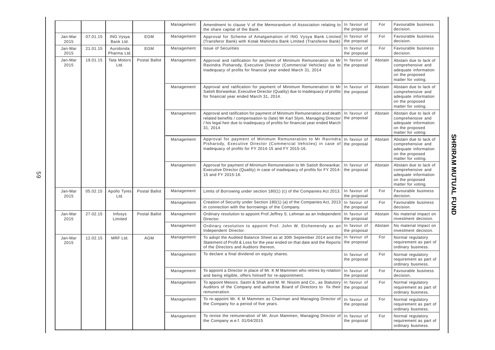|                 |          |                               |               | Management | Amendment to clause V of the Memorandum of Association relating to<br>the share capital of the Bank.                                                                                                                                                            | In favour of<br>the proposal | For     | Favourable business<br>decision.                                                                             |
|-----------------|----------|-------------------------------|---------------|------------|-----------------------------------------------------------------------------------------------------------------------------------------------------------------------------------------------------------------------------------------------------------------|------------------------------|---------|--------------------------------------------------------------------------------------------------------------|
| Jan-Mar<br>2015 | 07.01.15 | <b>ING Vysya</b><br>Bank Ltd. | EGM           | Management | Approval for Scheme of Amalgamation of ING Vysya Bank Limited<br>(Transferor Bank) with Kotak Mahindra Bank Limited (Transferee Bank)                                                                                                                           | In favour of<br>the proposal | For     | Favourable business<br>decision.                                                                             |
| Jan-Mar<br>2015 | 21.01.15 | Aurobinda<br>Pharma Ltd.      | EGM           | Management | <b>Issue of Securities</b>                                                                                                                                                                                                                                      | In favour of<br>the proposal | For     | Favourable business<br>decision.                                                                             |
| Jan-Mar<br>2015 | 19.01.15 | <b>Tata Motors</b><br>Ltd.    | Postal Ballot | Management | Approval and ratification for payment of Minimum Remuneration to Mi<br>Ravindra Pisharody, Executive Director (Commercial Vehicles) due to the proposal<br>inadequacy of profits for financial year ended March 31, 2014                                        | In favour of                 | Abstain | Abstain due to lack of<br>comprehensive and<br>adequate information<br>on the proposed<br>matter for voting. |
|                 |          |                               |               | Management | Approval and ratification for payment of Minimum Remuneration to Mr<br>Satish Borwankar, Executive Director (Quality) due to inadequacy of profits the proposal<br>for financial year ended March 31, 2014.                                                     | In favour of                 | Abstain | Abstain due to lack of<br>comprehensive and<br>adequate information<br>on the proposed<br>matter for voting. |
|                 |          |                               |               | Management | Approval and ratification for payment of Minimum Remuneration and death   In favour of<br>related benefits / compensation to (late) Mr Karl Slym, Managing Director<br>/ his legal heir due to inadequacy of profits for financial year ended March<br>31, 2014 | the proposal                 | Abstain | Abstain due to lack of<br>comprehensive and<br>adequate information<br>on the proposed<br>matter for voting. |
|                 |          |                               |               | Management | Approval for payment of Minimum Remuneration to Mr Ravindra In favour of<br>Pisharody, Executive Director (Commercial Vehicles) in case of<br>inadequacy of profits for FY 2014-15 and FY 2015-16.                                                              | the proposal                 | Abstain | Abstain due to lack of<br>comprehensive and<br>adequate information<br>on the proposed<br>matter for voting. |
|                 |          |                               |               | Management | Approval for payment of Minimum Remuneration to Mr Satish Borwankar,<br>Executive Director (Quality) in case of inadequacy of profits for FY 2014-<br>15 and FY 2015-16.                                                                                        | In favour of<br>the proposal | Abstain | Abstain due to lack of<br>comprehensive and<br>adequate information<br>on the proposed<br>matter for voting. |
| Jan-Mar<br>2015 | 05.02.15 | Apollo Tyres<br>Ltd.          | Postal Ballot | Management | Limits of Borrowing under section 180(1) (c) of the Companies Act 2013.                                                                                                                                                                                         | In favour of<br>the proposal | For     | Favourable business<br>decision.                                                                             |
|                 |          |                               |               | Management | Creation of Security under Section 180(1) (a) of the Companies Act, 2013<br>in connection with the borrowings of the Company.                                                                                                                                   | In favour of<br>the proposal | For     | Favourable business<br>decision.                                                                             |
| Jan-Mar<br>2015 | 27.02.15 | Infosys<br>Limited            | Postal Ballot | Management | Ordinary resolution to appoint Prof. Jeffrey S. Lehman as an Independent<br>Director.                                                                                                                                                                           | In favour of<br>the proposal | Abstain | No material impact on<br>investment decision.                                                                |
|                 |          |                               |               | Management | Ordinary resolution to appoint Prof. John W. Etchemendy as an<br>Independent Director.                                                                                                                                                                          | In favour of<br>the proposal | Abstain | No material impact on<br>investment decision.                                                                |
| Jan-Mar<br>2015 | 12.02.15 | MRF Ltd.                      | AGM           | Management | To adopt the Audited Balance Sheet as at 30th September 2014 and the<br>Statement of Profit & Loss for the year ended on that date and the Reports<br>of the Directors and Auditors thereon.                                                                    | In favour of<br>the proposal | For     | Normal regulatory<br>requirement as part of<br>ordinary business.                                            |
|                 |          |                               |               | Management | To declare a final dividend on equity shares.                                                                                                                                                                                                                   | In favour of<br>the proposal | For     | Normal regulatory<br>requirement as part of<br>ordinary business.                                            |
|                 |          |                               |               | Management | To appoint a Director in place of Mr. K M Mammen who retires by rotation<br>and being eligible, offers himself for re-appointment.                                                                                                                              | In favour of<br>the proposal | For     | Favourable business<br>decision.                                                                             |
|                 |          |                               |               | Management | To appoint Messrs. Sastri & Shah and M. M. Nissim and Co., as Statutory   In favour of<br>Auditors of the Company and authorise Board of Directors to fix their the proposal<br>remuneration.                                                                   |                              | For     | Normal regulatory<br>requirement as part of<br>ordinary business.                                            |
|                 |          |                               |               | Management | To re-appoint Mr. K M Mammen as Chairman and Managing Director of<br>the Company for a period of five years.                                                                                                                                                    | In favour of<br>the proposal | For     | Normal regulatory<br>requirement as part of<br>ordinary business.                                            |
|                 |          |                               |               | Management | To revise the remuneration of Mr. Arun Mammen, Managing Director of<br>the Company w.e.f. 01/04/2015                                                                                                                                                            | In favour of<br>the proposal | For     | Normal regulatory<br>requirement as part of<br>ordinary business.                                            |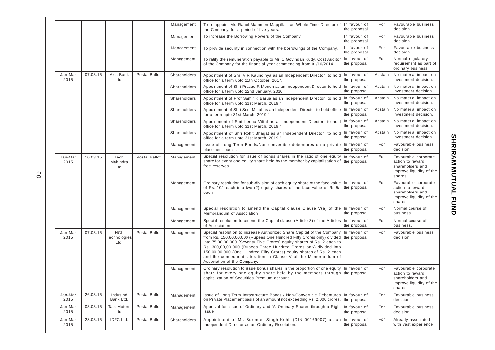|                 |          |                                    |                      | Management   | To re-appoint Mr. Rahul Mammen Mappillai as Whole-Time Director of<br>the Company, for a period of five years.                                                                                                                                                                                                                                                                                                                                                                       | In favour of<br>the proposal | For     | Favourable business<br>decision.                                                                   |
|-----------------|----------|------------------------------------|----------------------|--------------|--------------------------------------------------------------------------------------------------------------------------------------------------------------------------------------------------------------------------------------------------------------------------------------------------------------------------------------------------------------------------------------------------------------------------------------------------------------------------------------|------------------------------|---------|----------------------------------------------------------------------------------------------------|
|                 |          |                                    |                      | Management   | To increase the Borrowing Powers of the Company.                                                                                                                                                                                                                                                                                                                                                                                                                                     | In favour of<br>the proposal | For     | Favourable business<br>decision.                                                                   |
|                 |          |                                    |                      | Management   | To provide security in connection with the borrowings of the Company.                                                                                                                                                                                                                                                                                                                                                                                                                | In favour of<br>the proposal | For     | Favourable business<br>decision.                                                                   |
|                 |          |                                    |                      | Management   | To ratify the remuneration payable to Mr. C Govindan Kutty, Cost Audito<br>of the Company for the financial year commencing from 01/10/2014.                                                                                                                                                                                                                                                                                                                                         | In favour of<br>the proposal | For     | Normal regulatory<br>requirement as part of<br>ordinary business.                                  |
| Jan-Mar<br>2015 | 07.03.15 | Axis Bank<br>Ltd.                  | Postal Ballot        | Shareholders | Appointment of Shri V R Kaundinya as an Independent Director to hold<br>office for a term upto 11th October, 2017.                                                                                                                                                                                                                                                                                                                                                                   | In favour of<br>the proposal | Abstain | No material impact on<br>investment decision.                                                      |
|                 |          |                                    |                      | Shareholders | Appointment of Shri Prasad R Menon as an Independent Director to hold<br>office for a term upto 22nd January, 2016."                                                                                                                                                                                                                                                                                                                                                                 | In favour of<br>the proposal | Abstain | No material impact on<br>investment decision.                                                      |
|                 |          |                                    |                      | Shareholders | Appointment of Prof Samir K Barua as an Independent Director to hold<br>office for a term upto 31st March, 2019."                                                                                                                                                                                                                                                                                                                                                                    | In favour of<br>the proposal | Abstain | No material impact on<br>investment decision.                                                      |
|                 |          |                                    |                      | Shareholders | Appointment of Shri Som Mittal as an Independent Director to hold office<br>for a term upto 31st March, 2019."                                                                                                                                                                                                                                                                                                                                                                       | In favour of<br>the proposal | Abstain | No material impact on<br>investment decision.                                                      |
|                 |          |                                    |                      | Shareholders | Appointment of Smt Ireena Vittal as an Independent Director to hold<br>office for a term upto 31st March, 2019."                                                                                                                                                                                                                                                                                                                                                                     | In favour of<br>the proposal | Abstain | No material impact on<br>investment decision.                                                      |
|                 |          |                                    |                      | Shareholders | Appointment of Shri Rohit Bhagat as an Independent Director to hold<br>office for a term upto 31st March, 2019."                                                                                                                                                                                                                                                                                                                                                                     | In favour of<br>the proposal | Abstain | No material impact on<br>investment decision.                                                      |
|                 |          |                                    |                      | Management   | Issue of Long Term Bonds/Non-convertible debentures on a private<br>placement basis.                                                                                                                                                                                                                                                                                                                                                                                                 | In favour of<br>the proposal | For     | Favourable business<br>decision.                                                                   |
| Jan-Mar<br>2015 | 10.03.15 | Tech<br>Mahindra<br>Ltd.           | <b>Postal Ballot</b> | Management   | Special resolution for issue of bonus shares in the ratio of one equity<br>share for every one equity share held by the member by capitalisation of the proposal<br>free reserves                                                                                                                                                                                                                                                                                                    | In favour of                 | For     | Favourable corporate<br>action to reward<br>shareholders and<br>improve liquidity of the<br>shares |
|                 |          |                                    |                      | Management   | Ordinary resolution for sub-division of each equity share of the face value<br>of Rs. 10/- each into two (2) equity shares of the face value of Rs.5/-<br>each                                                                                                                                                                                                                                                                                                                       | In favour of<br>the proposal | For     | Favourable corporate<br>action to reward<br>shareholders and<br>improve liquidity of the<br>shares |
|                 |          |                                    |                      | Management   | Special resolution to amend the Capital clause Clause $V(a)$ of the In favour of<br>Memorandum of Association                                                                                                                                                                                                                                                                                                                                                                        | the proposal                 | For     | Normal course of<br>business.                                                                      |
|                 |          |                                    |                      | Management   | Special resolution to amend the Capital clause (Article 3) of the Articles<br>of Association                                                                                                                                                                                                                                                                                                                                                                                         | In favour of<br>the proposal | For     | Normal course of<br>business.                                                                      |
| Jan-Mar<br>2015 | 07.03.15 | <b>HCL</b><br>Technologies<br>Ltd. | Postal Ballot        | Management   | Special resolution to increase Authorized Share Capital of the Company<br>from Rs. 150,00,00,000 (Rupees One Hundred Fifty Crores only) divided the proposal<br>into 75,00,00,000 (Seventy Five Crores) equity shares of Rs. 2 each to<br>Rs. 300,00,00,000 (Rupees Three Hundred Crores only) divided into<br>150,00,00,000 (One Hundred Fifty Crores) equity shares of Rs. 2 each<br>and the consequent alteration in Clause V of the Memorandum of<br>Association of the Company. | In favour of                 | For     | Favourable business<br>decision.                                                                   |
|                 |          |                                    |                      | Management   | Ordinary resolution to issue bonus shares in the proportion of one equity $\vert$ In favour of<br>share for every one equity share held by the members through<br>capitalization of Securities Premium account.                                                                                                                                                                                                                                                                      | the proposal                 | For     | Favourable corporate<br>action to reward<br>shareholders and<br>improve liquidity of the<br>shares |
| Jan-Mar<br>2015 | 26.03.15 | Indusind<br>Bank Ltd.              | Postal Ballot        | Management   | Issue of Long Term Infrastructure Bonds / Non-Convertible Debentures<br>on Private Placement basis of an amount not exceeding Rs. 2,000 crores.                                                                                                                                                                                                                                                                                                                                      | In favour of<br>the proposal | For     | Favourable business<br>decision.                                                                   |
| Jan-Mar<br>2015 | 03.03.15 | <b>Tata Motors</b><br>Ltd.         | Postal Ballot        | Management   | Approval for issue of Ordinary and 'A' Ordinary Shares through a Right<br>Issue                                                                                                                                                                                                                                                                                                                                                                                                      | In favour of<br>the proposal | For     | Favourable business<br>decision.                                                                   |
| Jan-Mar<br>2015 | 28.03.15 | <b>IDFC Ltd.</b>                   | Postal Ballot        | Shareholders | Appointment of Mr. Surinder Singh Kohli (DIN 00169907) as an<br>Independent Director as an Ordinary Resolution.                                                                                                                                                                                                                                                                                                                                                                      | In favour of<br>the proposal | For     | Already associated<br>with vast experience                                                         |
|                 |          |                                    |                      |              |                                                                                                                                                                                                                                                                                                                                                                                                                                                                                      |                              |         |                                                                                                    |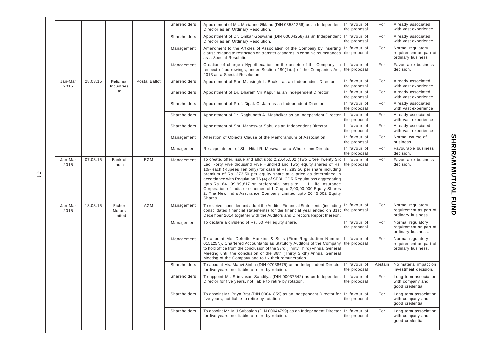|                 |          |                             |               | Shareholders | Appointment of Ms. Marianne Økland (DIN 03581266) as an Independent<br>Director as an Ordinary Resolution.                                                                                                                                                                                                                                                                                                                                                                                                                                                                                                    | In favour of<br>the proposal | For     | Already associated<br>with vast experience                        |
|-----------------|----------|-----------------------------|---------------|--------------|---------------------------------------------------------------------------------------------------------------------------------------------------------------------------------------------------------------------------------------------------------------------------------------------------------------------------------------------------------------------------------------------------------------------------------------------------------------------------------------------------------------------------------------------------------------------------------------------------------------|------------------------------|---------|-------------------------------------------------------------------|
|                 |          |                             |               | Shareholders | Appointment of Dr. Omkar Goswami (DIN 00004258) as an Independent<br>Director as an Ordinary Resolution.                                                                                                                                                                                                                                                                                                                                                                                                                                                                                                      | In favour of<br>the proposal | For     | Already associated<br>with vast experience                        |
|                 |          |                             |               | Management   | Amendment to the Articles of Association of the Company by inserting<br>clause relating to restriction on transfer of shares in certain circumstances<br>as a Special Resolution.                                                                                                                                                                                                                                                                                                                                                                                                                             | In favour of<br>the proposal | For     | Normal regulatory<br>requirement as part of<br>ordinary business  |
|                 |          |                             |               | Management   | Creation of charge / Hypothecation on the assets of the Company, in<br>respect of borrowings, under Section 180(1)(a) of the Companies Act,<br>2013 as a Special Resolution.                                                                                                                                                                                                                                                                                                                                                                                                                                  | In favour of<br>the proposal | For     | Favourable business<br>decision.                                  |
| Jan-Mar<br>2015 | 28.03.15 | Reliance<br>Industries      | Postal Ballot | Shareholders | Appointment of Shri Mansingh L. Bhakta as an Independent Director                                                                                                                                                                                                                                                                                                                                                                                                                                                                                                                                             | In favour of<br>the proposal | For     | Already associated<br>with vast experience                        |
|                 |          | Ltd.                        |               | Shareholders | Appointment of Dr. Dharam Vir Kapur as an Independent Director                                                                                                                                                                                                                                                                                                                                                                                                                                                                                                                                                | In favour of<br>the proposal | For     | Already associated<br>with vast experience                        |
|                 |          |                             |               | Shareholders | Appointment of Prof. Dipak C. Jain as an Independent Director                                                                                                                                                                                                                                                                                                                                                                                                                                                                                                                                                 | In favour of<br>the proposal | For     | Already associated<br>with vast experience                        |
|                 |          |                             |               | Shareholders | Appointment of Dr. Raghunath A. Mashelkar as an Independent Director                                                                                                                                                                                                                                                                                                                                                                                                                                                                                                                                          | In favour of<br>the proposal | For     | Already associated<br>with vast experience                        |
|                 |          |                             |               | Shareholders | Appointment of Shri Maheswar Sahu as an Independent Director                                                                                                                                                                                                                                                                                                                                                                                                                                                                                                                                                  | In favour of<br>the proposal | For     | Already associated<br>with vast experience                        |
|                 |          |                             |               | Management   | Alteration of Objects Clause of the Memorandum of Association                                                                                                                                                                                                                                                                                                                                                                                                                                                                                                                                                 | In favour of<br>the proposal | For     | Normal course of<br>business                                      |
|                 |          |                             |               | Management   | Re-appointment of Shri Hital R. Meswani as a Whole-time Director                                                                                                                                                                                                                                                                                                                                                                                                                                                                                                                                              | In favour of<br>the proposal | For     | Favourable business<br>decision.                                  |
| Jan-Mar<br>2015 | 07.03.15 | Bank of<br>India            | EGM           | Management   | To create, offer, issue and allot upto 2,26,45,502 (Two Crore Twenty Six<br>Lac, Forty Five thousand Five Hundred and Two) equity shares of Rs.<br>10/- each (Rupees Ten only) for cash at Rs. 283.50 per share including<br>premium of Rs. 273.50 per equity share at a price as determined in<br>accordance with Regulation 76 (4) of SEBI ICDR Regulations aggregating<br>upto Rs. 641,99,99,817 on preferential basis to: 1. Life Insurance<br>Corporation of India or schemes of LIC upto 2,00,00,000 Equity Shares<br>2. The New India Assurance Company Limited upto 26,45,502 Equity<br><b>Shares</b> | In favour of<br>the proposal | For     | Favourable business<br>decision.                                  |
| Jan-Mar<br>2015 | 13.03.15 | Eicher<br>Motors<br>Limited | AGM           | Management   | To receive, consider and adopt the Audited Financial Statements (including<br>consolidated financial statements) for the financial year ended on 31st<br>December 2014 together with the Auditors and Directors Report thereon.                                                                                                                                                                                                                                                                                                                                                                               | In favour of<br>the proposal | For     | Normal regulatory<br>requirement as part of<br>ordinary business. |
|                 |          |                             |               | Management   | To declare a dividend of Rs. 50 Per equity share.                                                                                                                                                                                                                                                                                                                                                                                                                                                                                                                                                             | In favour of<br>the proposal | For     | Normal regulatory<br>requirement as part of<br>ordinary business. |
|                 |          |                             |               | Management   | To appoint M/s Deloitte Haskins & Sells (Firm Registration Number<br>015125N), Chartered Accountants as Statutory Auditors of the Company<br>to hold office from the conclusion of the 33rd (Thirty Third) Annual General<br>Meeting until the conclusion of the 36th (Thirty Sixth) Annual General<br>Meeting of the Company and to fix their remuneration.                                                                                                                                                                                                                                                  | In favour of<br>the proposal | For     | Normal regulatory<br>requirement as part of<br>ordinary business. |
|                 |          |                             |               | Shareholders | To appoint Ms. Manvi Sinha (DIN 07038675) as an Independent Director<br>for five years, not liable to retire by rotation.                                                                                                                                                                                                                                                                                                                                                                                                                                                                                     | In favour of<br>the proposal | Abstain | No material impact on<br>investment decision.                     |
|                 |          |                             |               | Shareholders | To appoint Mr. Srinivasan Sandilya (DIN 00037542) as an Independent<br>Director for five years, not liable to retire by rotation.                                                                                                                                                                                                                                                                                                                                                                                                                                                                             | In favour of<br>the proposal | For     | Long term association<br>with company and<br>good credential      |
|                 |          |                             |               | Shareholders | To appoint Mr. Priya Brat (DIN 00041859) as an Independent Director for<br>five years, not liable to retire by rotation.                                                                                                                                                                                                                                                                                                                                                                                                                                                                                      | In favour of<br>the proposal | For     | Long term association<br>with company and<br>good credential      |
|                 |          |                             |               | Shareholders | To appoint Mr. M J Subbaiah (DIN 00044799) as an Independent Director<br>for five years, not liable to retire by rotation.                                                                                                                                                                                                                                                                                                                                                                                                                                                                                    | In favour of<br>the proposal | For     | Long term association<br>with company and<br>good credential      |
|                 |          |                             |               |              |                                                                                                                                                                                                                                                                                                                                                                                                                                                                                                                                                                                                               |                              |         |                                                                   |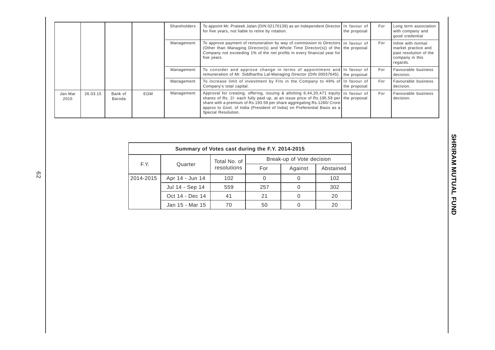|                 |          |                   |     | Shareholders | To appoint Mr. Prateek Jalan (DIN 02170139) as an Independent Director<br>for five years, not liable to retire by rotation.                                                                                                                                                                                                                                  | In favour of<br>the proposal | For | Long term association<br>with company and<br>good credential                                       |
|-----------------|----------|-------------------|-----|--------------|--------------------------------------------------------------------------------------------------------------------------------------------------------------------------------------------------------------------------------------------------------------------------------------------------------------------------------------------------------------|------------------------------|-----|----------------------------------------------------------------------------------------------------|
|                 |          |                   |     | Management   | To approve payment of remuneration by way of commission to Directors   In favour of<br>(Other than Managing Director(s) and Whole Time Director(s)) of the the proposal<br>Company not exceeding 1% of the net profits in every financial year for<br>five years.                                                                                            |                              | For | Inline with normal<br>market practice and<br>past resolution of the<br>company in this<br>regards. |
|                 |          |                   |     | Management   | To consider and approve change in terms of appointment and In favour of<br>remuneration of Mr. Siddhartha Lal-Managing Director (DIN 00037645). The proposal                                                                                                                                                                                                 |                              | For | Favourable business<br>decision.                                                                   |
|                 |          |                   |     | Management   | To increase limit of investment by FIIs in the Company to 49% of In favour of<br>Company's total capital.                                                                                                                                                                                                                                                    | the proposal                 | For | Favourable business<br>decision.                                                                   |
| Jan-Mar<br>2015 | 26.03.15 | Bank of<br>Baroda | EGM | Management   | Approval for creating, offering, issuing & allotting $6,44,20,471$ equity In favour of<br>shares of Rs. 2/- each fully paid up, at an issue price of Rs.195.59 per the proposal<br>share with a premium of Rs.193.59 per share aggregating Rs.1260/ Crore<br>approx to Govt. of India (President of India) on Preferential Basis as a<br>Special Resolution. |                              | For | Favourable business<br>decision.                                                                   |

|           |  | Summary of Votes cast during the F.Y. 2014-2015 |              |     |                           |           |  |
|-----------|--|-------------------------------------------------|--------------|-----|---------------------------|-----------|--|
|           |  |                                                 | Total No. of |     | Break-up of Vote decision |           |  |
| F.Y.      |  | Quarter                                         | resolutions  | For | Against                   | Abstained |  |
| 2014-2015 |  | Apr 14 - Jun 14                                 | 102          |     |                           | 102       |  |
|           |  | Jul 14 - Sep 14                                 | 559          | 257 |                           | 302       |  |
|           |  | Oct 14 - Dec 14                                 | 41           | 21  |                           | 20        |  |
|           |  | Jan 15 - Mar 15                                 | 70           | 50  |                           | 20        |  |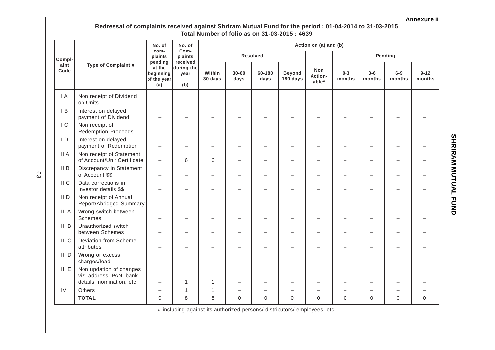#### **Annexure II**

## **Redressal of complaints received against Shriram Mutual Fund for the period : 01-04-2014 to 31-03-2015 Total Number of folio as on 31-03-2015 : 4639**

|                         |                                                                                | No. of                                               | No. of<br>Com-                        | Action on (a) and (b) |               |                |                           |                         |                   |                 |                 |                    |
|-------------------------|--------------------------------------------------------------------------------|------------------------------------------------------|---------------------------------------|-----------------------|---------------|----------------|---------------------------|-------------------------|-------------------|-----------------|-----------------|--------------------|
| Compl-                  |                                                                                | com-<br>plaints                                      |                                       | Resolved              |               |                |                           | Pending                 |                   |                 |                 |                    |
| aint<br>Code            | Type of Complaint #                                                            | pending<br>at the<br>beginning<br>of the year<br>(a) | received<br>during the<br>year<br>(b) | Within<br>30 days     | 30-60<br>days | 60-180<br>days | <b>Beyond</b><br>180 days | Non<br>Action-<br>able* | $0 - 3$<br>months | $3-6$<br>months | $6-9$<br>months | $9 - 12$<br>months |
| $\mathsf{I}$ A          | Non receipt of Dividend<br>on Units                                            |                                                      |                                       |                       |               |                |                           |                         |                   |                 |                 |                    |
| $\mathsf{I}$ B          | Interest on delayed<br>payment of Dividend                                     |                                                      |                                       |                       |               |                |                           |                         |                   |                 |                 |                    |
| $\mathsf{I} \mathsf{C}$ | Non receipt of<br><b>Redemption Proceeds</b>                                   |                                                      |                                       |                       |               |                |                           |                         |                   |                 |                 |                    |
| $\mathsf{I}$            | Interest on delayed<br>payment of Redemption                                   |                                                      |                                       |                       |               |                |                           |                         |                   |                 |                 |                    |
| II A                    | Non receipt of Statement<br>of Account/Unit Certificate                        |                                                      | 6                                     | 6                     |               |                |                           |                         |                   |                 |                 |                    |
| II B                    | Discrepancy in Statement<br>of Account \$\$                                    |                                                      |                                       |                       |               |                |                           |                         |                   |                 |                 |                    |
| II C                    | Data corrections in<br>Investor details \$\$                                   |                                                      |                                       |                       |               |                |                           |                         |                   |                 |                 |                    |
| $II$ D                  | Non receipt of Annual<br>Report/Abridged Summary                               |                                                      |                                       |                       |               |                |                           |                         |                   |                 |                 |                    |
| <b>III</b> A            | Wrong switch between<br><b>Schemes</b>                                         |                                                      |                                       |                       |               |                |                           |                         |                   |                 |                 |                    |
| III B                   | Unauthorized switch<br>between Schemes                                         |                                                      |                                       |                       |               |                |                           |                         |                   |                 |                 |                    |
| III <sub>C</sub>        | Deviation from Scheme<br>attributes                                            |                                                      |                                       |                       |               |                |                           |                         |                   |                 |                 |                    |
| III D                   | Wrong or excess<br>charges/load                                                |                                                      |                                       |                       |               |                |                           |                         |                   |                 |                 |                    |
| III E                   | Non updation of changes<br>viz. address, PAN, bank<br>details, nomination, etc |                                                      | 1                                     | 1                     |               |                |                           |                         |                   |                 |                 |                    |
| IV                      | Others                                                                         |                                                      | 1                                     | 1                     |               |                |                           |                         |                   |                 |                 |                    |
|                         | <b>TOTAL</b>                                                                   | $\mathbf 0$                                          | 8                                     | 8                     | $\Omega$      | $\Omega$       | 0                         | $\Omega$                | 0                 | $\mathbf 0$     | $\mathbf 0$     | $\overline{0}$     |

# including against its authorized persons/ distributors/ employees. etc.

63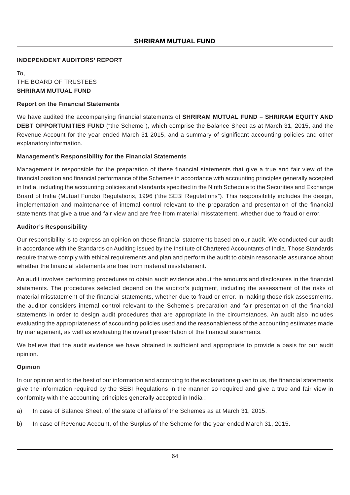## **INDEPENDENT AUDITORS' REPORT**

To, THE BOARD OF TRUSTEES **SHRIRAM MUTUAL FUND**

## **Report on the Financial Statements**

We have audited the accompanying financial statements of **SHRIRAM MUTUAL FUND – SHRIRAM EQUITY AND DEBT OPPORTUNITIES FUND** ("the Scheme"), which comprise the Balance Sheet as at March 31, 2015, and the Revenue Account for the year ended March 31 2015, and a summary of significant accounting policies and other explanatory information.

## **Management's Responsibility for the Financial Statements**

Management is responsible for the preparation of these financial statements that give a true and fair view of the financial position and financial performance of the Schemes in accordance with accounting principles generally accepted in India, including the accounting policies and standards specified in the Ninth Schedule to the Securities and Exchange Board of India (Mutual Funds) Regulations, 1996 ('the SEBI Regulations"). This responsibility includes the design, implementation and maintenance of internal control relevant to the preparation and presentation of the financial statements that give a true and fair view and are free from material misstatement, whether due to fraud or error.

## **Auditor's Responsibility**

Our responsibility is to express an opinion on these financial statements based on our audit. We conducted our audit in accordance with the Standards on Auditing issued by the Institute of Chartered Accountants of India. Those Standards require that we comply with ethical requirements and plan and perform the audit to obtain reasonable assurance about whether the financial statements are free from material misstatement.

An audit involves performing procedures to obtain audit evidence about the amounts and disclosures in the financial statements. The procedures selected depend on the auditor's judgment, including the assessment of the risks of material misstatement of the financial statements, whether due to fraud or error. In making those risk assessments, the auditor considers internal control relevant to the Scheme's preparation and fair presentation of the financial statements in order to design audit procedures that are appropriate in the circumstances. An audit also includes evaluating the appropriateness of accounting policies used and the reasonableness of the accounting estimates made by management, as well as evaluating the overall presentation of the financial statements.

We believe that the audit evidence we have obtained is sufficient and appropriate to provide a basis for our audit opinion.

## **Opinion**

In our opinion and to the best of our information and according to the explanations given to us, the financial statements give the information required by the SEBI Regulations in the manner so required and give a true and fair view in conformity with the accounting principles generally accepted in India :

- a) In case of Balance Sheet, of the state of affairs of the Schemes as at March 31, 2015.
- b) In case of Revenue Account, of the Surplus of the Scheme for the year ended March 31, 2015.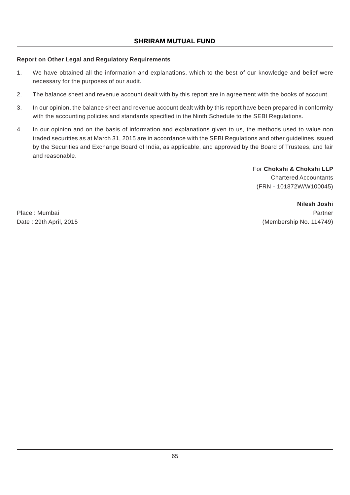# **Report on Other Legal and Regulatory Requirements**

- 1. We have obtained all the information and explanations, which to the best of our knowledge and belief were necessary for the purposes of our audit.
- 2. The balance sheet and revenue account dealt with by this report are in agreement with the books of account.
- 3. In our opinion, the balance sheet and revenue account dealt with by this report have been prepared in conformity with the accounting policies and standards specified in the Ninth Schedule to the SEBI Regulations.
- 4. In our opinion and on the basis of information and explanations given to us, the methods used to value non traded securities as at March 31, 2015 are in accordance with the SEBI Regulations and other guidelines issued by the Securities and Exchange Board of India, as applicable, and approved by the Board of Trustees, and fair and reasonable.

For **Chokshi & Chokshi LLP** Chartered Accountants (FRN - 101872W/W100045)

**Nilesh Joshi** Place : Mumbai **Partner** Date : 29th April, 2015 (Membership No. 114749)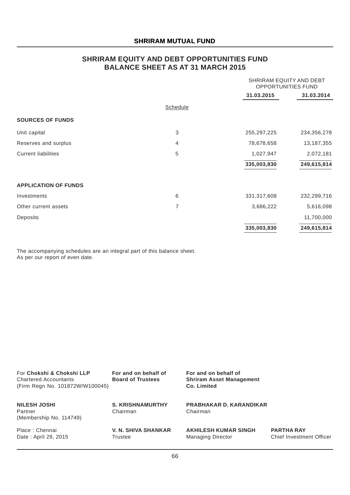# **SHRIRAM EQUITY AND DEBT OPPORTUNITIES FUND BALANCE SHEET AS AT 31 MARCH 2015**

|                             |          | SHRIRAM EQUITY AND DEBT<br>OPPORTUNITIES FUND |              |
|-----------------------------|----------|-----------------------------------------------|--------------|
|                             |          | 31.03.2015                                    | 31.03.2014   |
|                             | Schedule |                                               |              |
| <b>SOURCES OF FUNDS</b>     |          |                                               |              |
| Unit capital                | 3        | 255, 297, 225                                 | 234,356,278  |
| Reserves and surplus        | 4        | 78,678,658                                    | 13, 187, 355 |
| <b>Current liabilities</b>  | 5        | 1,027,947                                     | 2,072,181    |
|                             |          | 335,003,830                                   | 249,615,814  |
| <b>APPLICATION OF FUNDS</b> |          |                                               |              |
| Investments                 | 6        | 331,317,608                                   | 232,299,716  |
| Other current assets        | 7        | 3,686,222                                     | 5,616,098    |
| Deposits                    |          |                                               | 11,700,000   |
|                             |          | 335,003,830                                   | 249,615,814  |

The accompanying schedules are an integral part of this balance sheet. As per our report of even date.

| For Chokshi & Chokshi LLP<br><b>Chartered Accountants</b><br>(Firm Regn No. 101872W/W100045) | For and on behalf of<br><b>Board of Trustees</b> | For and on behalf of<br><b>Shriram Asset Management</b><br>Co. Limited |                                                      |
|----------------------------------------------------------------------------------------------|--------------------------------------------------|------------------------------------------------------------------------|------------------------------------------------------|
| <b>NILESH JOSHI</b><br>Partner<br>(Membership No. 114749)                                    | <b>S. KRISHNAMURTHY</b><br>Chairman              | <b>PRABHAKAR D. KARANDIKAR</b><br>Chairman                             |                                                      |
| Place: Chennai<br>Date: April 29, 2015                                                       | <b>V. N. SHIVA SHANKAR</b><br>Trustee            | <b>AKHILESH KUMAR SINGH</b><br><b>Managing Director</b>                | <b>PARTHA RAY</b><br><b>Chief Investment Officer</b> |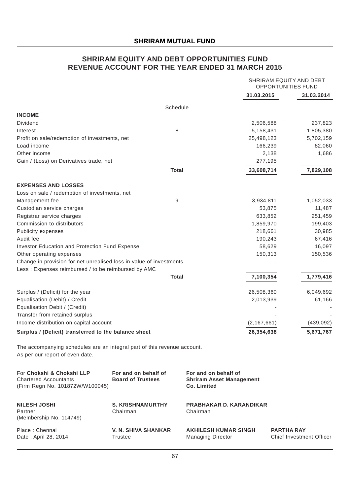# **SHRIRAM EQUITY AND DEBT OPPORTUNITIES FUND REVENUE ACCOUNT FOR THE YEAR ENDED 31 MARCH 2015**

|                                                                                                                            |                                                  |                                                                        | SHRIRAM EQUITY AND DEBT<br>OPPORTUNITIES FUND |                   |
|----------------------------------------------------------------------------------------------------------------------------|--------------------------------------------------|------------------------------------------------------------------------|-----------------------------------------------|-------------------|
|                                                                                                                            |                                                  |                                                                        | 31.03.2015                                    | 31.03.2014        |
|                                                                                                                            | Schedule                                         |                                                                        |                                               |                   |
| <b>INCOME</b>                                                                                                              |                                                  |                                                                        |                                               |                   |
| Dividend                                                                                                                   |                                                  |                                                                        | 2,506,588                                     | 237,823           |
| Interest                                                                                                                   | 8                                                |                                                                        | 5,158,431                                     | 1,805,380         |
| Profit on sale/redemption of investments, net                                                                              |                                                  |                                                                        | 25,498,123                                    | 5,702,159         |
| Load income                                                                                                                |                                                  |                                                                        | 166,239                                       | 82,060            |
| Other income                                                                                                               |                                                  |                                                                        | 2,138                                         | 1,686             |
| Gain / (Loss) on Derivatives trade, net                                                                                    |                                                  |                                                                        | 277,195                                       |                   |
|                                                                                                                            | <b>Total</b>                                     |                                                                        | 33,608,714                                    | 7,829,108         |
| <b>EXPENSES AND LOSSES</b>                                                                                                 |                                                  |                                                                        |                                               |                   |
| Loss on sale / redemption of investments, net                                                                              |                                                  |                                                                        |                                               |                   |
| Management fee                                                                                                             | 9                                                |                                                                        | 3,934,811                                     | 1,052,033         |
| Custodian service charges                                                                                                  |                                                  |                                                                        | 53,875                                        | 11,487            |
| Registrar service charges                                                                                                  |                                                  |                                                                        | 633,852                                       | 251,459           |
| Commission to distributors                                                                                                 |                                                  |                                                                        | 1,859,970                                     | 199,403           |
| Publicity expenses                                                                                                         |                                                  |                                                                        | 218,661                                       | 30,985            |
| Audit fee                                                                                                                  |                                                  |                                                                        | 190,243                                       | 67,416            |
| Investor Education and Protection Fund Expense                                                                             |                                                  |                                                                        | 58,629                                        | 16,097            |
| Other operating expenses                                                                                                   |                                                  |                                                                        | 150,313                                       | 150,536           |
| Change in provision for net unrealised loss in value of investments<br>Less: Expenses reimbursed / to be reimbursed by AMC |                                                  |                                                                        |                                               |                   |
|                                                                                                                            | <b>Total</b>                                     |                                                                        | 7,100,354                                     | 1,779,416         |
| Surplus / (Deficit) for the year                                                                                           |                                                  |                                                                        |                                               | 6,049,692         |
| Equalisation (Debit) / Credit                                                                                              |                                                  |                                                                        | 26,508,360<br>2,013,939                       | 61,166            |
| Equalisation Debit / (Credit)                                                                                              |                                                  |                                                                        |                                               |                   |
| Transfer from retained surplus                                                                                             |                                                  |                                                                        |                                               |                   |
| Income distribution on capital account                                                                                     |                                                  |                                                                        | (2, 167, 661)                                 | (439,092)         |
|                                                                                                                            |                                                  |                                                                        |                                               |                   |
| Surplus / (Deficit) transferred to the balance sheet                                                                       |                                                  |                                                                        | 26,354,638                                    | 5,671,767         |
| The accompanying schedules are an integral part of this revenue account.<br>As per our report of even date.                |                                                  |                                                                        |                                               |                   |
| For Chokshi & Chokshi LLP<br><b>Chartered Accountants</b><br>(Firm Regn No. 101872W/W100045)                               | For and on behalf of<br><b>Board of Trustees</b> | For and on behalf of<br><b>Shriram Asset Management</b><br>Co. Limited |                                               |                   |
| <b>NILESH JOSHI</b><br>Partner<br>(Membership No. 114749)                                                                  | <b>S. KRISHNAMURTHY</b><br>Chairman              | PRABHAKAR D. KARANDIKAR<br>Chairman                                    |                                               |                   |
| Place: Chennai                                                                                                             | <b>V. N. SHIVA SHANKAR</b>                       | <b>AKHILESH KUMAR SINGH</b>                                            |                                               | <b>PARTHA RAY</b> |

Date : April 28, 2014 Trustee Trustee Managing Director Chief Investment Officer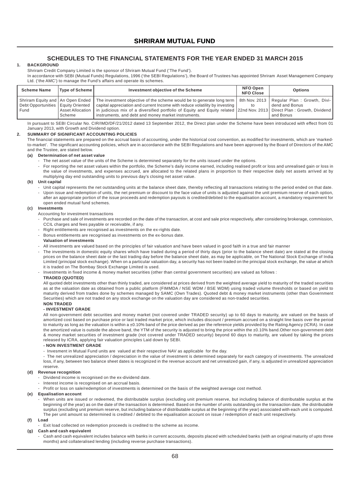## **SCHEDULES TO THE FINANCIAL STATEMENTS FOR THE YEAR ENDED 31 MARCH 2015**

#### **1. BACKGROUND**

Shriram Credit Company Limited is the sponsor of Shriram Mutual Fund ('The Fund').

In accordance with SEBI (Mutual Funds) Regulations, 1996 ('the SEBI Regulations'), the Board of Trustees has appointed Shriram Asset Management Company Ltd. ('the AMC') to manage the Fund's affairs and operate its schemes.

| <b>Scheme Name</b>                                                                 | <b>Type of Scheme</b>        | Investment objective of the Scheme                                                                                                                                                                                                                                                                                                     | NFO Open<br><b>NFO Close</b> | <b>Options</b>                                                             |
|------------------------------------------------------------------------------------|------------------------------|----------------------------------------------------------------------------------------------------------------------------------------------------------------------------------------------------------------------------------------------------------------------------------------------------------------------------------------|------------------------------|----------------------------------------------------------------------------|
| Shriram Equity and   An Open Ended<br>Debt Opportunities   Equity Oriented<br>Fund | I Asset Allocation<br>Scheme | The investment objective of the scheme would be to generate long term<br>capital appreciation and current Income with reduce volatility by investing  <br>in judicious mix of a diversified portfolio of Equity and Equity related 22nd Nov. 2013 Direct Plan: Growth, Dividend<br>instruments, and debt and money market instruments. | to                           | 8th Nov. 2013   Regular Plan: Growth, Divi-<br>dend and Bonus<br>and Bonus |

In pursuant to SEBI Circular No. CIR/IMD/DF/21/2012 dated 13 September 2012, the Direct plan under the Scheme have been introduced with effect from 01 January 2013, with Growth and Dividend option.

#### **2. SUMMARY OF SIGNIFICANT ACCOUNTING POLICIES**

The financial statements are prepared on the accrual basis of accounting, under the historical cost convention, as modified for investments, which are 'markedto-market'. The significant accounting policies, which are in accordance with the SEBI Regulations and have been approved by the Board of Directors of the AMC and the Trustee, are stated below.

#### **(a) Determination of net asset value**

- The net asset value of the units of the Scheme is determined separately for the units issued under the options.
- For reporting the net asset values within the portfolio, the Scheme's daily income earned, including realised profit or loss and unrealised gain or loss in the value of investments, and expenses accrued, are allocated to the related plans in proportion to their respective daily net assets arrived at by multiplying day end outstanding units to previous day's closing net asset value.

#### **(b) Unit capital**

- Unit capital represents the net outstanding units at the balance sheet date, thereby reflecting all transactions relating to the period ended on that date.
- Upon issue and redemption of units, the net premium or discount to the face value of units is adjusted against the unit premium reserve of each option, after an appropriate portion of the issue proceeds and redemption payouts is credited/debited to the equalisation account, a mandatory requirement for open ended mutual fund schemes.

#### **(c) Investments**

Accounting for investment transactions

- Purchase and sale of investments are recorded on the date of the transaction, at cost and sale price respectively, after considering brokerage, commission, CCIL charges and fees payable or receivable, if any.
- Right entitlements are recognised as investments on the ex-rights date.
- Bonus entitlements are recognised as investments on the ex-bonus date.

#### **Valuation of investments**

- All investments are valued based on the principles of fair valuation and have been valued in good faith in a true and fair manner
- The investments in domestic equity shares which have traded during a period of thirty days (prior to the balance sheet date) are stated at the closing prices on the balance sheet date or the last trading day before the balance sheet date, as may be applicable, on The National Stock Exchange of India Limited (principal stock exchange). When on a particular valuation day, a security has not been traded on the principal stock exchange, the value at which it is traded on The Bombay Stock Exchange Limited is used.
- Investments in fixed income & money market securities (other than central government securities) are valued as follows :

#### **TRADED (QUOTED)**

All quoted debt investments other than thinly traded, are considered at prices derived from the weighted average yield to maturity of the traded securities as at the valuation date as obtained from a public platform (FIMMDA / NSE WDM / BSE WDM) using traded volume thresholds or based on yield to maturity derived from trades done by schemes managed by SAMC (Own Trades). Quoted debt & money market instruments (other than Government Securities) which are not traded on any stock exchange on the valuation day are considered as non-traded securities.

### **NON TRADED**

#### **- INVESTMENT GRADE**

All non-government debt securities and money market (not covered under TRADED security) up to 60 days to maturity, are valued on the basis of amortized cost based on purchase price or last traded market price, which includes discount / premium accrued on a straight line basis over the period to maturity as long as the valuation is within a ±0.10% band of the price derived as per the reference yields provided by the Rating Agency (ICRA). In case the amortized value is outside the above band, the YTM of the security is adjusted to bring the price within the ±0.10% band.Other non-government debt & money market securities of investment grade (not covered under TRADED security) beyond 60 days to maturity, are valued by taking the prices released by ICRA, applying fair valuation principles Laid down by SEBI.

#### **- NON INVESTMENT GRADE**

- Invesment in Mutual Fund units are valued at their respective NAV as applicable for the day.

- The net unrealized appreciation / depreciation in the value of investment is determined separately for each category of investments. The unrealized loss, if any, between two balance sheet dates is recognized in the revenue account and net unrealized gain, if any, is adjusted in unrealized appreciation reserve.

#### **(d) Revenue recognition**

- Dividend income is recognised on the ex-dividend date.
- Interest income is recognised on an accrual basis.
- Profit or loss on sale/redemption of investments is determined on the basis of the weighted average cost method.

#### **(e) Equalisation account**

When units are issued or redeemed, the distributable surplus (excluding unit premium reserve, but including balance of distributable surplus at the beginning of the year) as on the date of the transaction is determined. Based on the number of units outstanding on the transaction date, the distributable surplus (excluding unit premium reserve, but including balance of distributable surplus at the beginning of the year) associated with each unit is computed. The per unit amount so determined is credited / debited to the equalisation account on issue / redemption of each unit respectively.

#### **(f) Load**

Exit load collected on redemption proceeds is credited to the scheme as income.

#### **(g) Cash and cash equivalent**

- Cash and cash equivalent includes balance with banks in current accounts, deposits placed with scheduled banks (with an original maturity of upto three months) and collateralised lending (including reverse purchase transactions).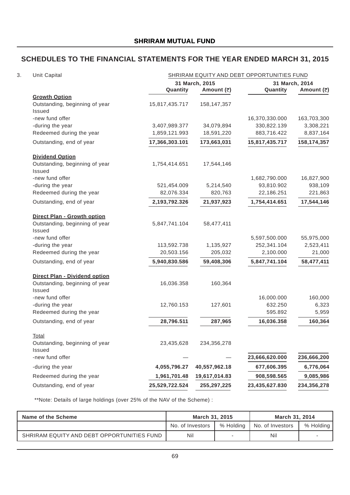# **SCHEDULES TO THE FINANCIAL STATEMENTS FOR THE YEAR ENDED MARCH 31, 2015**

 $3.$ 

| Unit Capital                                           | SHRIRAM EQUITY AND DEBT OPPORTUNITIES FUND |                |                       |                |  |  |  |
|--------------------------------------------------------|--------------------------------------------|----------------|-----------------------|----------------|--|--|--|
|                                                        |                                            | 31 March, 2015 |                       | 31 March, 2014 |  |  |  |
|                                                        | Quantity                                   | Amount (₹)     | Quantity              | Amount (₹)     |  |  |  |
| <b>Growth Option</b><br>Outstanding, beginning of year | 15,817,435.717                             | 158, 147, 357  |                       |                |  |  |  |
| Issued                                                 |                                            |                |                       |                |  |  |  |
| -new fund offer                                        |                                            |                | 16,370,330.000        | 163,703,300    |  |  |  |
| -during the year                                       | 3,407,989.377                              | 34,079,894     | 330,822.139           | 3,308,221      |  |  |  |
| Redeemed during the year                               | 1,859,121.993                              | 18,591,220     | 883,716.422           | 8,837,164      |  |  |  |
| Outstanding, end of year                               | 17,366,303.101                             | 173,663,031    | 15,817,435.717        | 158, 174, 357  |  |  |  |
| <b>Dividend Option</b>                                 |                                            |                |                       |                |  |  |  |
| Outstanding, beginning of year<br>Issued               | 1,754,414.651                              | 17,544,146     |                       |                |  |  |  |
| -new fund offer                                        |                                            |                | 1,682,790.000         | 16,827,900     |  |  |  |
| -during the year                                       | 521,454.009                                | 5,214,540      | 93,810.902            | 938,109        |  |  |  |
| Redeemed during the year                               | 82,076.334                                 | 820,763        | 22,186.251            | 221,863        |  |  |  |
| Outstanding, end of year                               | 2,193,792.326                              | 21,937,923     | 1,754,414.651         | 17,544,146     |  |  |  |
| Direct Plan - Growth option                            |                                            |                |                       |                |  |  |  |
| Outstanding, beginning of year<br>Issued               | 5,847,741.104                              | 58,477,411     |                       |                |  |  |  |
| -new fund offer                                        |                                            |                | 5,597,500.000         | 55,975,000     |  |  |  |
| -during the year                                       | 113,592.738                                | 1,135,927      | 252,341.104           | 2,523,411      |  |  |  |
| Redeemed during the year                               | 20,503.156                                 | 205,032        | 2,100.000             | 21,000         |  |  |  |
| Outstanding, end of year                               | 5,940,830.586                              | 59,408,306     | 5,847,741.104         | 58,477,411     |  |  |  |
| Direct Plan - Dividend option                          |                                            |                |                       |                |  |  |  |
| Outstanding, beginning of year                         | 16,036.358                                 | 160,364        |                       |                |  |  |  |
| Issued<br>-new fund offer                              |                                            |                |                       | 160,000        |  |  |  |
| -during the year                                       | 12,760.153                                 | 127,601        | 16,000.000<br>632.250 | 6,323          |  |  |  |
| Redeemed during the year                               |                                            |                | 595.892               | 5,959          |  |  |  |
| Outstanding, end of year                               | 28,796.511                                 | 287,965        | 16,036.358            | 160,364        |  |  |  |
|                                                        |                                            |                |                       |                |  |  |  |
| Total<br>Outstanding, beginning of year                | 23,435,628                                 | 234,356,278    |                       |                |  |  |  |
| Issued                                                 |                                            |                |                       |                |  |  |  |
| -new fund offer                                        |                                            |                | 23,666,620.000        | 236,666,200    |  |  |  |
| -during the year                                       | 4,055,796.27                               | 40,557,962.18  | 677,606.395           | 6,776,064      |  |  |  |
| Redeemed during the year                               | 1,961,701.48                               | 19,617,014.83  | 908,598.565           | 9,085,986      |  |  |  |
| Outstanding, end of year                               | 25,529,722.524                             | 255,297,225    | 23,435,627.830        | 234,356,278    |  |  |  |

\*\*Note: Details of large holdings (over 25% of the NAV of the Scheme) :

| Name of the Scheme                         | March 31, 2015   | March 31, 2014               |           |
|--------------------------------------------|------------------|------------------------------|-----------|
|                                            | No. of Investors | % Holding   No. of Investors | % Holding |
| SHRIRAM EQUITY AND DEBT OPPORTUNITIES FUND | Nil              | Nil                          |           |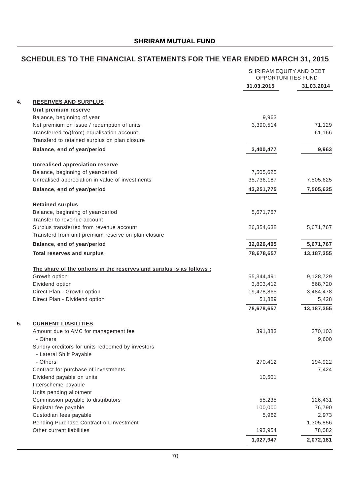# **SCHEDULES TO THE FINANCIAL STATEMENTS FOR THE YEAR ENDED MARCH 31, 2015**

|    |                                                                             | SHRIRAM EQUITY AND DEBT<br>OPPORTUNITIES FUND |                     |
|----|-----------------------------------------------------------------------------|-----------------------------------------------|---------------------|
|    |                                                                             | 31.03.2015                                    | 31.03.2014          |
| 4. | <b>RESERVES AND SURPLUS</b>                                                 |                                               |                     |
|    | Unit premium reserve                                                        |                                               |                     |
|    | Balance, beginning of year                                                  | 9,963                                         |                     |
|    | Net premium on issue / redemption of units                                  | 3,390,514                                     | 71,129              |
|    | Transferred to/(from) equalisation account                                  |                                               | 61,166              |
|    | Transferd to retained surplus on plan closure                               |                                               |                     |
|    | Balance, end of year/period                                                 | 3,400,477                                     | 9,963               |
|    | <b>Unrealised appreciation reserve</b>                                      |                                               |                     |
|    | Balance, beginning of year/period                                           | 7,505,625                                     |                     |
|    | Unrealised appreciation in value of investments                             | 35,736,187                                    | 7,505,625           |
|    | Balance, end of year/period                                                 | 43,251,775                                    | 7,505,625           |
|    | <b>Retained surplus</b>                                                     |                                               |                     |
|    | Balance, beginning of year/period                                           | 5,671,767                                     |                     |
|    | Transfer to revenue account                                                 |                                               |                     |
|    | Surplus transferred from revenue account                                    | 26,354,638                                    | 5,671,767           |
|    | Transferd from unit premium reserve on plan closure                         |                                               |                     |
|    | Balance, end of year/period                                                 | 32,026,405                                    | 5,671,767           |
|    | <b>Total reserves and surplus</b>                                           | 78,678,657                                    | 13, 187, 355        |
|    | The share of the options in the reserves and surplus is as follows :        |                                               |                     |
|    | Growth option                                                               | 55,344,491                                    | 9,128,729           |
|    | Dividend option                                                             | 3,803,412                                     | 568,720             |
|    | Direct Plan - Growth option                                                 | 19,478,865                                    | 3,484,478           |
|    | Direct Plan - Dividend option                                               | 51,889                                        | 5,428               |
|    |                                                                             | 78,678,657                                    | 13,187,355          |
| 5. | <b>CURRENT LIABILITIES</b>                                                  |                                               |                     |
|    | Amount due to AMC for management fee                                        | 391,883                                       | 270,103             |
|    | - Others                                                                    |                                               | 9,600               |
|    | Sundry creditors for units redeemed by investors<br>- Lateral Shift Payable |                                               |                     |
|    | - Others                                                                    | 270,412                                       | 194,922             |
|    | Contract for purchase of investments                                        |                                               | 7,424               |
|    | Dividend payable on units                                                   | 10,501                                        |                     |
|    | Interscheme payable                                                         |                                               |                     |
|    | Units pending allotment                                                     |                                               |                     |
|    | Commission payable to distributors                                          | 55,235                                        | 126,431             |
|    | Registar fee payable                                                        | 100,000                                       | 76,790              |
|    | Custodian fees payable                                                      | 5,962                                         | 2,973               |
|    | Pending Purchase Contract on Investment<br>Other current liabilities        | 193,954                                       | 1,305,856<br>78,082 |
|    |                                                                             |                                               |                     |
|    |                                                                             | 1,027,947                                     | 2,072,181           |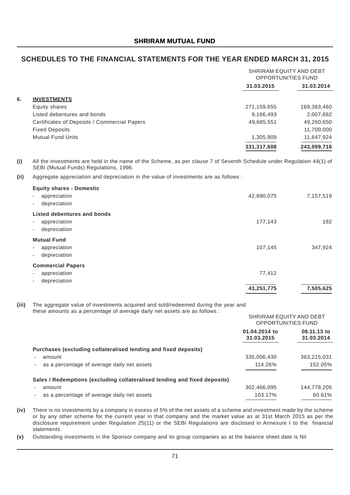# **SCHEDULES TO THE FINANCIAL STATEMENTS FOR THE YEAR ENDED MARCH 31, 2015**

|                                              |             | SHRIRAM EQUITY AND DEBT<br><b>OPPORTUNITIES FUND</b> |  |
|----------------------------------------------|-------------|------------------------------------------------------|--|
|                                              | 31.03.2015  | 31.03.2014                                           |  |
| 6.<br><b>INVESTMENTS</b>                     |             |                                                      |  |
| Equity shares                                | 271,159,655 | 169,383,460                                          |  |
| Listed debentures and bonds                  | 9,166,493   | 2,007,682                                            |  |
| Certificates of Deposits / Commercial Papers | 49,685,551  | 49,260,650                                           |  |
| <b>Fixed Deposits</b>                        |             | 11,700,000                                           |  |
| <b>Mutual Fund Units</b>                     | 1,305,909   | 11,647,924                                           |  |
|                                              | 331,317,608 | 243,999,716                                          |  |

**(i)** All the investments are held in the name of the Scheme, as per clause 7 of Seventh Schedule under Regulation 44(1) of SEBI (Mutual Funds) Regulations, 1996.

**(ii)** Aggregate appreciation and depreciation in the value of investments are as follows :

| <b>Equity shares - Domestic</b><br>appreciation<br>٠<br>depreciation<br>٠ | 42,890,075           | 7,157,519 |
|---------------------------------------------------------------------------|----------------------|-----------|
| Listed debentures and bonds<br>appreciation<br>٠<br>depreciation<br>٠     | 177,143              | 182       |
| <b>Mutual Fund</b><br>appreciation<br>٠<br>depreciation<br>٠              | 107,145              | 347,924   |
| <b>Commercial Papers</b><br>appreciation<br>٠<br>depreciation<br>٠        | 77,412<br>43,251,775 | 7,505,625 |

#### **(iii)** The aggregate value of investments acquired and sold/redeemed during the year and these amounts as a percentage of average daily net assets are as follows :

|                                                                           | SHRIRAM EQUITY AND DEBT<br><b>OPPORTUNITIES FUND</b> |                           |
|---------------------------------------------------------------------------|------------------------------------------------------|---------------------------|
|                                                                           | 01.04.2014 to<br>31.03.2015                          | 08.11.13 to<br>31.03.2014 |
| Purchases (excluding collateralised lending and fixed deposits)           |                                                      |                           |
| amount                                                                    | 335,006,430                                          | 363,215,031               |
| as a percentage of average daily net assets<br>$\overline{\phantom{a}}$   | 114.26%                                              | 152.05%                   |
| Sales / Redemptions (excluding collateralised lending and fixed deposits) |                                                      |                           |
| amount                                                                    | 302,466,095                                          | 144,778,205               |
| as a percentage of average daily net assets<br>$\overline{\phantom{a}}$   | 103.17%                                              | 60.61%                    |
|                                                                           |                                                      |                           |

- **(iv)** There is no investments by a company in excess of 5% of the net assets of a scheme and investment made by the scheme or by any other scheme for the current year in that company and the market value as at 31st March 2015 as per the disclosure requirement under Regulation 25(11) or the SEBI Regulations are disclosed in Annexure I to the financial statements.
- **(v)** Outstanding investments in the Sponsor company and its group companies as at the balance sheet date is Nil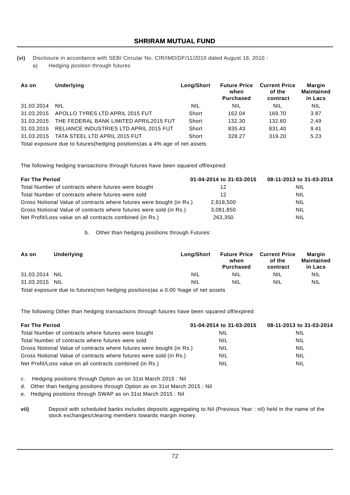**(vi)** Disclosure in accordance with SEBI Circular No. CIR/IMD/DF/11/2010 dated August 18, 2010 :

a) Hedging position through futures

| As on      | <b>Underlying</b>                                                            | Long/Short | <b>Future Price</b><br>when<br><b>Purchased</b> | <b>Current Price</b><br>of the<br>contract | Margin<br>Maintained<br>in Lacs |
|------------|------------------------------------------------------------------------------|------------|-------------------------------------------------|--------------------------------------------|---------------------------------|
| 31.03.2014 | NIL.                                                                         | NIL        | <b>NIL</b>                                      | NIL                                        | NIL                             |
| 31.03.2015 | APOLLO TYRES LTD APRIL 2015 FUT                                              | Short      | 162.04                                          | 169.70                                     | 3.87                            |
| 31.03.2015 | THE FEDERAL BANK LIMITED APRIL2015 FUT                                       | Short      | 132.30                                          | 132.60                                     | 2.49                            |
| 31.03.2015 | RELIANCE INDUSTRIES LTD APRIL 2015 FUT                                       | Short      | 835.43                                          | 831.40                                     | 9.41                            |
| 31.03.2015 | TATA STEEL LTD APRIL 2015 FUT                                                | Short      | 328.27                                          | 319.20                                     | 5.23                            |
|            | Tetal evening due to future (hedelian positionales of 10/ and of pot possion |            |                                                 |                                            |                                 |

Total exposure due to futures(hedging positions)as a 4% age of net assets

The following hedging transactions through futures have been squared off/expired:

| <b>For The Period</b>                                                | 01-04-2014 to 31-03-2015 | 08-11-2013 to 31-03-2014 |
|----------------------------------------------------------------------|--------------------------|--------------------------|
| Total Number of contracts where futures were bought                  | 12                       | NIL.                     |
| Total Number of contracts where futures were sold                    | 12                       | NIL.                     |
| Gross Notional Value of contracts where futures were bought (in Rs.) | 2.818.500                | <b>NIL</b>               |
| Gross Notional Value of contracts where futures were sold (in Rs.)   | 3,081,850                | <b>NIL</b>               |
| Net Profit/Loss value on all contracts combined (in Rs.)             | 263.350                  | <b>NIL</b>               |

### b. Other than hedging positions through Futures:

| As on          | <b>Underlying</b>                            | <b>Long/Short</b> | when<br><b>Purchased</b> | <b>Future Price Current Price</b><br>of the<br>contract | Margin<br><b>Maintained</b><br>in Lacs |
|----------------|----------------------------------------------|-------------------|--------------------------|---------------------------------------------------------|----------------------------------------|
| 31.03.2014 NIL |                                              | NIL               | NIL                      | <b>NIL</b>                                              | NIL.                                   |
| 31.03.2015 NIL |                                              | <b>NIL</b>        | NIL                      | NIL                                                     | NIL.                                   |
| _ _ _          | $\cdots$<br>.<br>$\sim$ $\sim$ $\sim$ $\sim$ |                   |                          |                                                         |                                        |

Total exposure due to futures(non hedging positions)as a 0.00 %age of net assets

The following Other than hedging transactions through futures have been squared off/expired:

| <b>For The Period</b>                                                | 01-04-2014 to 31-03-2015 | 08-11-2013 to 31-03-2014 |
|----------------------------------------------------------------------|--------------------------|--------------------------|
| Total Number of contracts where futures were bought                  | <b>NIL</b>               | <b>NIL</b>               |
| Total Number of contracts where futures were sold                    | <b>NIL</b>               | <b>NIL</b>               |
| Gross Notional Value of contracts where futures were bought (in Rs.) | <b>NIL</b>               | <b>NIL</b>               |
| Gross Notional Value of contracts where futures were sold (in Rs.)   | <b>NIL</b>               | <b>NIL</b>               |
| Net Profit/Loss value on all contracts combined (in Rs.)             | <b>NIL</b>               | <b>NIL</b>               |

- c. Hedging positions through Option as on 31st March 2015 : Nil
- d. Other than hedging positions through Option as on 31st March 2015 : Nil
- e. Hedging positions through SWAP as on 31st March 2015 : Nil
- **vii)** Deposit with scheduled banks includes deposits aggregating to Nil (Previous Year: nil) held in the name of the stock exchanges/clearing members towards margin money.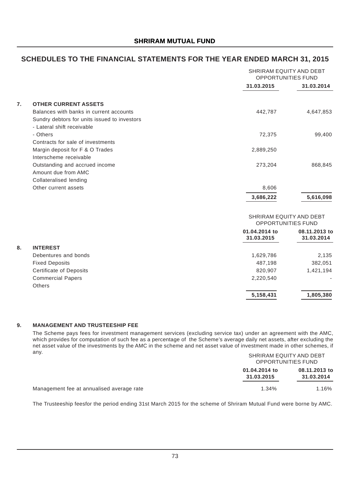## **SCHEDULES TO THE FINANCIAL STATEMENTS FOR THE YEAR ENDED MARCH 31, 2015**

|    |                                              | SHRIRAM EQUITY AND DEBT<br>OPPORTUNITIES FUND |                             |  |
|----|----------------------------------------------|-----------------------------------------------|-----------------------------|--|
|    |                                              | 31.03.2015                                    | 31.03.2014                  |  |
| 7. | <b>OTHER CURRENT ASSETS</b>                  |                                               |                             |  |
|    | Balances with banks in current accounts      | 442,787                                       | 4,647,853                   |  |
|    | Sundry debtors for units issued to investors |                                               |                             |  |
|    | - Lateral shift receivable                   |                                               |                             |  |
|    | - Others                                     | 72,375                                        | 99,400                      |  |
|    | Contracts for sale of investments            |                                               |                             |  |
|    | Margin deposit for F & O Trades              | 2,889,250                                     |                             |  |
|    | Interscheme receivable                       |                                               |                             |  |
|    | Outstanding and accrued income               | 273,204                                       | 868,845                     |  |
|    | Amount due from AMC                          |                                               |                             |  |
|    | Collateralised lending                       |                                               |                             |  |
|    | Other current assets                         | 8,606                                         |                             |  |
|    |                                              | 3,686,222                                     | 5,616,098                   |  |
|    |                                              | SHRIRAM EQUITY AND DEBT<br>OPPORTUNITIES FUND |                             |  |
|    |                                              | 01.04.2014 to<br>31.03.2015                   | 08.11.2013 to<br>31.03.2014 |  |
| 8. | <b>INTEREST</b>                              |                                               |                             |  |
|    | Debentures and bonds                         | 1,629,786                                     | 2,135                       |  |
|    | <b>Fixed Deposits</b>                        | 487,198                                       | 382,051                     |  |
|    | <b>Certificate of Deposits</b>               | 820,907                                       | 1,421,194                   |  |
|    | <b>Commercial Papers</b>                     | 2,220,540                                     |                             |  |
|    | Others                                       |                                               |                             |  |
|    |                                              | 5,158,431                                     | 1,805,380                   |  |

### **9. MANAGEMENT AND TRUSTEESHIP FEE**

The Scheme pays fees for investment management services (excluding service tax) under an agreement with the AMC, which provides for computation of such fee as a percentage of the Scheme's average daily net assets, after excluding the net asset value of the investments by the AMC in the scheme and net asset value of investment made in other schemes, if any.

| $\mathbf{u}$ .                            | SHRIRAM EQUITY AND DEBT<br>OPPORTUNITIES FUND |                             |  |  |
|-------------------------------------------|-----------------------------------------------|-----------------------------|--|--|
|                                           | 01.04.2014 to<br>31.03.2015                   | 08.11.2013 to<br>31.03.2014 |  |  |
| Management fee at annualised average rate | 1.34%                                         | 1.16%                       |  |  |

The Trusteeship feesfor the period ending 31st March 2015 for the scheme of Shriram Mutual Fund were borne by AMC.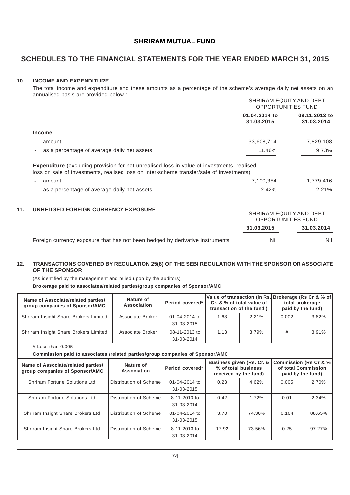## **SCHEDULES TO THE FINANCIAL STATEMENTS FOR THE YEAR ENDED MARCH 31, 2015**

### **10. INCOME AND EXPENDITURE**

The total income and expenditure and these amounts as a percentage of the scheme's average daily net assets on an annualised basis are provided below : SHRIRAM EQUITY AND DEBT

|                                                                                                                                                                                               |                             | SHRIRAM EQUITY AND DEBT<br><b>OPPORTUNITIES FUND</b> |  |  |
|-----------------------------------------------------------------------------------------------------------------------------------------------------------------------------------------------|-----------------------------|------------------------------------------------------|--|--|
|                                                                                                                                                                                               | 01.04.2014 to<br>31.03.2015 | 08.11.2013 to<br>31.03.2014                          |  |  |
| <b>Income</b>                                                                                                                                                                                 |                             |                                                      |  |  |
| amount                                                                                                                                                                                        | 33,608,714                  | 7,829,108                                            |  |  |
| as a percentage of average daily net assets                                                                                                                                                   | 11.46%                      | 9.73%                                                |  |  |
| <b>Expenditure</b> (excluding provision for net unrealised loss in value of investments, realised<br>loss on sale of investments, realised loss on inter-scheme transfer/sale of investments) |                             |                                                      |  |  |
| amount                                                                                                                                                                                        | 7,100,354                   | 1,779,416                                            |  |  |
| as a percentage of average daily net assets                                                                                                                                                   | 2.42%                       | 2.21%                                                |  |  |
| 11.<br>UNHEDGED FOREIGN CURRENCY EXPOSURE                                                                                                                                                     | SHRIRAM EQUITY AND DEBT     |                                                      |  |  |

|                                                                              | <b>OPPORTUNITIES FUND</b> |            |  |
|------------------------------------------------------------------------------|---------------------------|------------|--|
|                                                                              | 31.03.2015                | 31.03.2014 |  |
| Foreign currency exposure that has not been hedged by derivative instruments | Nil                       | Nil        |  |

#### **12. TRANSACTIONS COVERED BY REGULATION 25(8) OF THE SEBI REGULATION WITH THE SPONSOR OR ASSOCIATE OF THE SPONSOR**

(As identified by the management and relied upon by the auditors)

**Brokerage paid to associates/related parties/group companies of Sponsor/AMC**

| Name of Associate/related parties/<br>group companies of Sponsor/AMC                                 | Nature of<br>Association | Period covered*                   | Value of transaction (in Rs.<br>Cr. & % of total value of<br>transaction of the fund) |        | Brokerage (Rs Cr & % of<br>total brokerage<br>paid by the fund)   |        |
|------------------------------------------------------------------------------------------------------|--------------------------|-----------------------------------|---------------------------------------------------------------------------------------|--------|-------------------------------------------------------------------|--------|
| Shriram Insight Share Brokers Limited                                                                | Associate Broker         | $01 - 04 - 2014$ to<br>31-03-2015 | 1.63                                                                                  | 2.21%  | 0.002                                                             | 3.82%  |
| Shriram Insight Share Brokers Limited                                                                | Associate Broker         | 08-11-2013 to<br>31-03-2014       | 1.13                                                                                  | 3.79%  | #                                                                 | 3.91%  |
| # Less than $0.005$<br>Commission paid to associates /related parties/group companies of Sponsor/AMC |                          |                                   |                                                                                       |        |                                                                   |        |
| Name of Associate/related parties/<br>group companies of Sponsor/AMC                                 | Nature of<br>Association | Period covered*                   | Business given (Rs. Cr. &<br>% of total business<br>received by the fund)             |        | Commission (Rs Cr & %<br>of total Commission<br>paid by the fund) |        |
| Shriram Fortune Solutions Ltd                                                                        | Distribution of Scheme   | 01-04-2014 to<br>31-03-2015       | 0.23                                                                                  | 4.62%  | 0.005                                                             | 2.70%  |
| Shriram Fortune Solutions Ltd                                                                        | Distribution of Scheme   | 8-11-2013 to<br>31-03-2014        | 0.42                                                                                  | 1.72%  | 0.01                                                              | 2.34%  |
| Shriram Insight Share Brokers Ltd                                                                    | Distribution of Scheme   | 01-04-2014 to<br>31-03-2015       | 3.70                                                                                  | 74.30% | 0.164                                                             | 88.65% |
| Shriram Insight Share Brokers Ltd                                                                    | Distribution of Scheme   | 8-11-2013 to<br>31-03-2014        | 17.92                                                                                 | 73.56% | 0.25                                                              | 97.27% |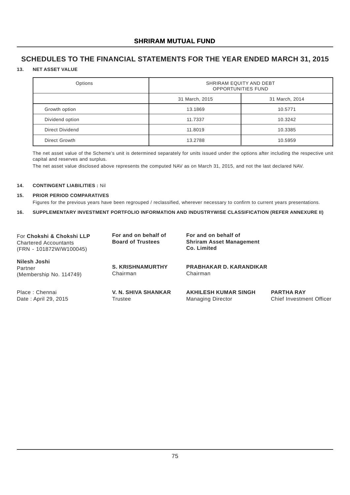## **SCHEDULES TO THE FINANCIAL STATEMENTS FOR THE YEAR ENDED MARCH 31, 2015**

### **13. NET ASSET VALUE**

| Options         | SHRIRAM EQUITY AND DEBT<br><b>OPPORTUNITIES FUND</b> |                |  |  |
|-----------------|------------------------------------------------------|----------------|--|--|
|                 | 31 March, 2015                                       | 31 March, 2014 |  |  |
| Growth option   | 13.1869                                              | 10.5771        |  |  |
| Dividend option | 11.7337                                              | 10.3242        |  |  |
| Direct Dividend | 11.8019                                              | 10.3385        |  |  |
| Direct Growth   | 13.2788                                              | 10.5959        |  |  |

The net asset value of the Scheme's unit is determined separately for units issued under the options after including the respective unit capital and reserves and surplus.

The net asset value disclosed above represents the computed NAV as on March 31, 2015, and not the last declared NAV.

## **14. CONTINGENT LIABILITIES :** Nil

#### **15. PRIOR PERIOD COMPARATIVES**

Figures for the previous years have been regrouped / reclassified, wherever necessary to confirm to current years presentations.

**16. SUPPLEMENTARY INVESTMENT PORTFOLIO INFORMATION AND INDUSTRYWISE CLASSIFICATION (REFER ANNEXURE II)**

| For Chokshi & Chokshi LLP<br><b>Chartered Accountants</b><br>(FRN - 101872W/W100045) | For and on behalf of<br><b>Board of Trustees</b> | For and on behalf of<br><b>Shriram Asset Management</b><br>Co. Limited |                                               |  |  |
|--------------------------------------------------------------------------------------|--------------------------------------------------|------------------------------------------------------------------------|-----------------------------------------------|--|--|
| Nilesh Joshi<br>Partner<br>(Membership No. 114749)                                   | <b>S. KRISHNAMURTHY</b><br>Chairman              | <b>PRABHAKAR D. KARANDIKAR</b><br>Chairman                             |                                               |  |  |
| Place: Chennai<br>Date: April 29, 2015                                               | V. N. SHIVA SHANKAR<br>Trustee                   | <b>AKHILESH KUMAR SINGH</b><br><b>Managing Director</b>                | <b>PARTHA RAY</b><br>Chief Investment Officer |  |  |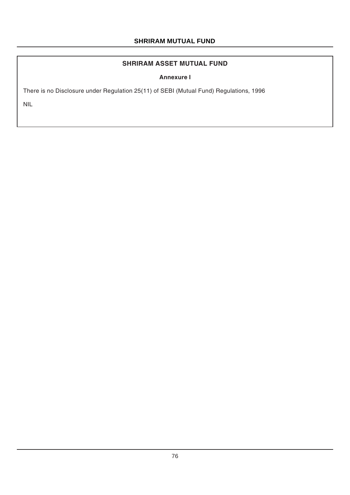## **SHRIRAM ASSET MUTUAL FUND**

**Annexure I**

There is no Disclosure under Regulation 25(11) of SEBI (Mutual Fund) Regulations, 1996

NIL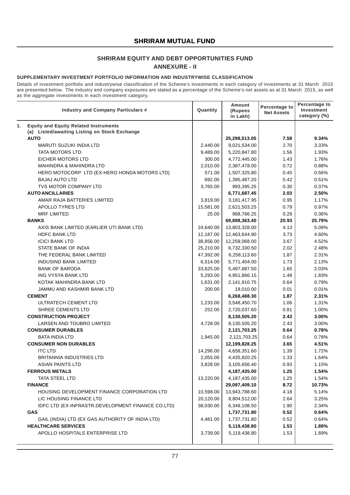## **SHRIRAM EQUITY AND DEBT OPPORTUNITIES FUND**

**ANNEXURE - II**

#### **SUPPLEMENTARY INVESTMENT PORTFOLIO INFORMATION AND INDUSTRYWISE CLASSIFICATION**

Details of investment portfolio and industrywise classification of the Scheme's investments in each category of investments at 31 March 2015 are presented below. The industry and company exposures are stated as a percentage of the Scheme's net assets as at 31 March 2015, as well as the aggregate investments in each investment category.

| <b>Industry and Company Particulars #</b>          | Quantity  | <b>Amount</b><br>(Rupees<br>in Lakh) | Percentage to<br><b>Net Assets</b> | Percentage to<br>Investment<br>category (%) |
|----------------------------------------------------|-----------|--------------------------------------|------------------------------------|---------------------------------------------|
| <b>Equity and Equity Related Instruments</b><br>1. |           |                                      |                                    |                                             |
| (a) Listed/awaiting Listing on Stock Exchange      |           |                                      |                                    |                                             |
| <b>AUTO</b>                                        |           | 25,298,513.05                        | 7.58                               | 9.34%                                       |
| <b>MARUTI SUZUKI INDIA LTD</b>                     | 2,440.00  | 9,021,534.00                         | 2.70                               | 3.33%                                       |
| <b>TATA MOTORS LTD</b>                             | 9,489.00  | 5,220,847.80                         | 1.56                               | 1.93%                                       |
| EICHER MOTORS LTD                                  | 300.00    | 4,772,445.00                         | 1.43                               | 1.76%                                       |
| <b>MAHINDRA &amp; MAHINDRA LTD</b>                 | 2,010.00  | 2,387,478.00                         | 0.72                               | 0.88%                                       |
| HERO MOTOCORP LTD (EX-HERO HONDA MOTORS LTD)       | 571.00    | 1,507,325.80                         | 0.45                               | 0.56%                                       |
| <b>BAJAJ AUTO LTD</b>                              | 692.00    | 1,395,487.20                         | 0.42                               | 0.51%                                       |
| TVS MOTOR COMPANY LTD                              | 3,765.00  | 993,395.25                           | 0.30                               | 0.37%                                       |
| <b>AUTO ANCILLARIES</b>                            |           | 6,771,687.45                         | 2.03                               | 2.50%                                       |
| AMAR RAJA BATTERIES LIMITED                        | 3,819.00  | 3,181,417.95                         | 0.95                               | 1.17%                                       |
| APOLLO TYRES LTD                                   | 15,581.00 | 2,621,503.25                         | 0.79                               | 0.97%                                       |
| <b>MRF LIMITED</b>                                 | 25.00     | 968,766.25                           | 0.29                               | 0.36%                                       |
| <b>BANKS</b>                                       |           | 69,898,363.40                        | 20.93                              | 25.79%                                      |
| AXIS BANK LIMITED (EARLIER UTI BANK LTD)           | 24,640.00 | 13,803,328.00                        | 4.13                               | 5.09%                                       |
| <b>HDFC BANK LTD</b>                               | 12,187.00 | 12,463,644.90                        | 3.73                               | 4.60%                                       |
| <b>ICICI BANK LTD</b>                              | 38,856.00 | 12,259,068.00                        | 3.67                               | 4.52%                                       |
| STATE BANK OF INDIA                                | 25,210.00 | 6,732,330.50                         | 2.02                               | 2.48%                                       |
| THE FEDERAL BANK LIMITED                           | 47,392.00 | 6,258,113.60                         | 1.87                               | 2.31%                                       |
| <b>INDUSIND BANK LIMITED</b>                       | 6,514.00  | 5,771,404.00                         | 1.73                               | 2.13%                                       |
| <b>BANK OF BARODA</b>                              | 33,625.00 | 5,497,687.50                         | 1.65                               | 2.03%                                       |
| ING VYSYA BANK LTD                                 | 5,293.00  | 4,951,866.15                         | 1.48                               | 1.83%                                       |
| KOTAK MAHINDRA BANK LTD                            | 1,631.00  | 2,141,910.75                         | 0.64                               | 0.79%                                       |
| JAMMU AND KASHMIR BANK LTD                         | 200.00    | 19,010.00                            | 0.01                               | 0.01%                                       |
| <b>CEMENT</b>                                      |           | 6,268,488.30                         | 1.87                               | 2.31%                                       |
| ULTRATECH CEMENT LTD                               | 1,233.00  | 3,548,450.70                         | 1.06                               | 1.31%                                       |
| SHREE CEMENTS LTD                                  | 252.00    | 2,720,037.60                         | 0.81                               | 1.00%                                       |
| <b>CONSTRUCTION PROJECT</b>                        |           | 8,130,505.20                         | 2.43<br>2.43                       | 3.00%                                       |
| LARSEN AND TOUBRO LIMITED                          | 4,728.00  | 8,130,505.20                         |                                    | 3.00%                                       |
| <b>CONSUMER DURABLES</b><br><b>BATA INDIA LTD</b>  | 1,945.00  | 2,121,703.25                         | 0.64<br>0.64                       | 0.78%<br>0.78%                              |
| <b>CONSUMER NON DURABLES</b>                       |           | 2,121,703.25<br>12,199,828.25        | 3.65                               | 4.51%                                       |
| <b>ITC LTD</b>                                     | 14,296.00 | 4,658,351.60                         | 1.39                               | 1.72%                                       |
| <b>BRITANNIA INDUSTRIES LTD</b>                    | 2,055.00  | 4,435,820.25                         | 1.33                               | 1.64%                                       |
| <b>ASIAN PAINTS LTD</b>                            | 3,828.00  | 3,105,656.40                         | 0.93                               | 1.15%                                       |
| <b>FERROUS METALS</b>                              |           | 4,187,435.00                         | 1.25                               | 1.54%                                       |
| TATA STEEL LTD                                     | 13,220.00 | 4,187,435.00                         | 1.25                               | 1.54%                                       |
| <b>FINANCE</b>                                     |           | 29,097,409.10                        | 8.72                               | 10.73%                                      |
| HOUSING DEVELOPMENT FINANCE CORPORATION LTD        | 10,598.00 | 13,943,788.60                        | 4.18                               | 5.14%                                       |
| LIC HOUSING FINANCE LTD                            | 20,120.00 | 8,804,512.00                         | 2.64                               | 3.25%                                       |
| IDFC LTD (EX-INFRASTR.DEVELOPMENT FINANCE CO.LTD)  | 38,030.00 | 6,349,108.50                         | 1.90                               | 2.34%                                       |
| <b>GAS</b>                                         |           | 1,737,731.80                         | 0.52                               | 0.64%                                       |
| GAIL (INDIA) LTD (EX GAS AUTHORITY OF INDIA LTD)   | 4,481.00  | 1,737,731.80                         | 0.52                               | 0.64%                                       |
| <b>HEALTHCARE SERVICES</b>                         |           | 5,119,438.80                         | 1.53                               | 1.89%                                       |
| APOLLO HOSPITALS ENTERPRISE LTD                    | 3,739.00  | 5,119,438.80                         | 1.53                               | 1.89%                                       |
|                                                    |           |                                      |                                    |                                             |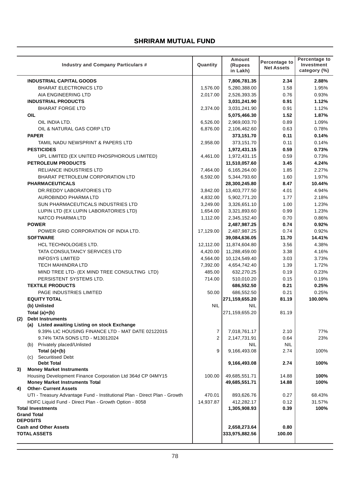|                 | <b>Industry and Company Particulars #</b>                                                           | Quantity   | Amount<br>(Rupees              | Percentage to     | Percentage to<br><b>Investment</b> |
|-----------------|-----------------------------------------------------------------------------------------------------|------------|--------------------------------|-------------------|------------------------------------|
|                 |                                                                                                     |            | in Lakh)                       | <b>Net Assets</b> | category (%)                       |
|                 |                                                                                                     |            |                                |                   |                                    |
|                 | <b>INDUSTRIAL CAPITAL GOODS</b>                                                                     |            | 7,806,781.35                   | 2.34              | 2.88%                              |
|                 | <b>BHARAT ELECTRONICS LTD</b>                                                                       | 1,576.00   | 5,280,388.00                   | 1.58              | 1.95%                              |
|                 | AIA ENGINEERING LTD                                                                                 | 2,017.00   | 2,526,393.35                   | 0.76              | 0.93%                              |
|                 | <b>INDUSTRIAL PRODUCTS</b>                                                                          |            | 3,031,241.90                   | 0.91              | 1.12%                              |
|                 | <b>BHARAT FORGE LTD</b>                                                                             | 2,374.00   | 3,031,241.90                   | 0.91              | 1.12%                              |
|                 | <b>OIL</b>                                                                                          |            | 5,075,466.30                   | 1.52              | 1.87%                              |
|                 | OIL INDIA LTD.                                                                                      | 6,526.00   | 2,969,003.70                   | 0.89              | 1.09%                              |
|                 | OIL & NATURAL GAS CORP LTD                                                                          | 6,876.00   | 2,106,462.60                   | 0.63              | 0.78%                              |
|                 | <b>PAPER</b>                                                                                        |            | 373,151.70                     | 0.11              | 0.14%                              |
|                 | TAMIL NADU NEWSPRINT & PAPERS LTD                                                                   | 2,958.00   | 373,151.70                     | 0.11              | 0.14%                              |
|                 | <b>PESTICIDES</b>                                                                                   |            | 1,972,431.15                   | 0.59              | 0.73%                              |
|                 | UPL LIMITED (EX UNITED PHOSPHOROUS LIMITED)                                                         | 4,461.00   | 1,972,431.15                   | 0.59              | 0.73%                              |
|                 | <b>PETROLEUM PRODUCTS</b>                                                                           |            | 11,510,057.60                  | 3.45              | 4.24%                              |
|                 | <b>RELIANCE INDUSTRIES LTD</b>                                                                      | 7,464.00   | 6,165,264.00                   | 1.85              | 2.27%                              |
|                 | BHARAT PETROLEUM CORPORATION LTD                                                                    | 6,592.00   | 5,344,793.60                   | 1.60              | 1.97%                              |
|                 | <b>PHARMACEUTICALS</b>                                                                              |            | 28,300,245.80                  | 8.47              | 10.44%                             |
|                 | DR.REDDY LABORATORIES LTD                                                                           | 3,842.00   | 13,403,777.50                  | 4.01              | 4.94%                              |
|                 | AUROBINDO PHARMA LTD                                                                                | 4,832.00   | 5,902,771.20                   | 1.77              | 2.18%                              |
|                 | SUN PHARMACEUTICALS INDUSTRIES LTD                                                                  | 3,249.00   | 3,326,651.10                   | 1.00              | 1.23%                              |
|                 | LUPIN LTD (EX LUPIN LABORATORIES LTD)                                                               | 1,654.00   | 3,321,893.60                   | 0.99              | 1.23%                              |
|                 | NATCO PHARMA LTD                                                                                    | 1,112.00   | 2,345,152.40                   | 0.70              | 0.86%                              |
|                 | <b>POWER</b>                                                                                        |            | 2,487,987.25                   | 0.74              | 0.92%                              |
|                 | POWER GRID CORPORATION OF INDIA LTD.                                                                | 17,129.00  | 2,487,987.25                   | 0.74              | 0.92%                              |
|                 | <b>SOFTWARE</b>                                                                                     |            | 39,084,636.05                  | 11.70             | 14.41%                             |
|                 | <b>HCL TECHNOLOGIES LTD.</b>                                                                        | 12,112.00  | 11,874,604.80                  | 3.56              | 4.38%                              |
|                 | TATA CONSULTANCY SERVICES LTD                                                                       | 4,420.00   | 11,288,459.00                  | 3.38              | 4.16%                              |
|                 | <b>INFOSYS LIMITED</b>                                                                              | 4,564.00   | 10,124,549.40                  | 3.03              | 3.73%                              |
|                 | <b>TECH MAHINDRA LTD</b>                                                                            | 7,392.00   | 4,654,742.40                   | 1.39              | 1.72%                              |
|                 | MIND TREE LTD- (EX MIND TREE CONSULTING LTD)                                                        | 485.00     | 632,270.25                     | 0.19              | 0.23%                              |
|                 | PERSISTENT SYSTEMS LTD.                                                                             | 714.00     | 510,010.20                     | 0.15              | 0.19%                              |
|                 | <b>TEXTILE PRODUCTS</b>                                                                             |            | 686,552.50                     | 0.21              | 0.25%                              |
|                 | PAGE INDUSTRIES LIMITED                                                                             | 50.00      | 686,552.50                     | 0.21              | 0.25%                              |
|                 | <b>EQUITY TOTAL</b>                                                                                 |            | 271,159,655.20                 | 81.19             | 100.00%                            |
|                 | (b) Unlisted                                                                                        | <b>NIL</b> | NIL                            |                   |                                    |
|                 | Total $(a)+(b)$                                                                                     |            | 271,159,655.20                 | 81.19             |                                    |
| (2)             | <b>Debt Instruments</b>                                                                             |            |                                |                   |                                    |
|                 | (a) Listed awaiting Listing on stock Exchange                                                       |            |                                |                   |                                    |
|                 | 9.39% LIC HOUSING FINANCE LTD - MAT DATE 02122015                                                   | 7          | 7,018,761.17                   | 2.10              | 77%                                |
|                 | 9.74% TATA SONS LTD - M13012024                                                                     | 2          | 2,147,731.91                   | 0.64              | 23%                                |
|                 | (b) Privately placed/Unlisted                                                                       |            | NIL                            | <b>NIL</b>        |                                    |
|                 | Total $(a)+(b)$                                                                                     | 9          | 9,166,493.08                   | 2.74              | 100%                               |
|                 | <b>Securitised Debt</b><br>(C)                                                                      |            |                                |                   |                                    |
|                 | <b>Debt Total</b>                                                                                   |            | 9,166,493.08                   | 2.74              | 100%                               |
| 3)              | <b>Money Market Instruments</b>                                                                     |            |                                |                   |                                    |
|                 | Housing Development Finance Corporation Ltd 364d CP 04MY15<br><b>Money Market Instruments Total</b> | 100.00     | 49,685,551.71<br>49,685,551.71 | 14.88<br>14.88    | 100%<br>100%                       |
| 4)              | <b>Other- Current Assets</b>                                                                        |            |                                |                   |                                    |
|                 | UTI - Treasury Advantage Fund - Institutional Plan - Direct Plan - Growth                           | 470.01     | 893,626.76                     | 0.27              | 68.43%                             |
|                 | HDFC Liquid Fund - Direct Plan - Growth Option - 8058                                               |            | 412,282.17                     | 0.12              | 31.57%                             |
|                 | <b>Total Investments</b>                                                                            | 14,937.87  | 1,305,908.93                   | 0.39              | 100%                               |
|                 | <b>Grand Total</b>                                                                                  |            |                                |                   |                                    |
| <b>DEPOSITS</b> |                                                                                                     |            |                                |                   |                                    |
|                 | <b>Cash and Other Assets</b>                                                                        |            | 2,658,273.64                   | 0.80              |                                    |
|                 | <b>TOTAL ASSETS</b>                                                                                 |            | 333,975,882.56                 | 100.00            |                                    |
|                 |                                                                                                     |            |                                |                   |                                    |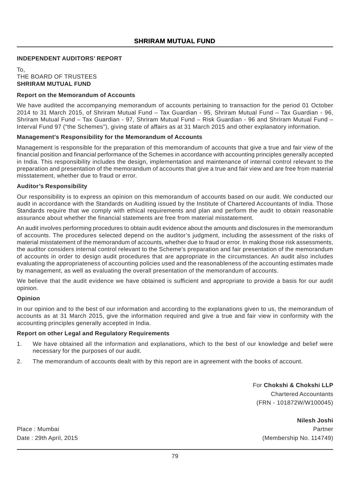## **INDEPENDENT AUDITORS' REPORT**

To, THE BOARD OF TRUSTEES **SHRIRAM MUTUAL FUND**

### **Report on the Memorandum of Accounts**

We have audited the accompanying memorandum of accounts pertaining to transaction for the period 01 October 2014 to 31 March 2015, of Shriram Mutual Fund – Tax Guardian - 95, Shriram Mutual Fund – Tax Guardian - 96, Shriram Mutual Fund – Tax Guardian - 97, Shriram Mutual Fund – Risk Guardian - 96 and Shriram Mutual Fund – Interval Fund 97 ("the Schemes"), giving state of affairs as at 31 March 2015 and other explanatory information.

### **Management's Responsibility for the Memorandum of Accounts**

Management is responsible for the preparation of this memorandum of accounts that give a true and fair view of the financial position and financial performance of the Schemes in accordance with accounting principles generally accepted in India. This responsibility includes the design, implementation and maintenance of internal control relevant to the preparation and presentation of the memorandum of accounts that give a true and fair view and are free from material misstatement, whether due to fraud or error.

### **Auditor's Responsibility**

Our responsibility is to express an opinion on this memorandum of accounts based on our audit. We conducted our audit in accordance with the Standards on Auditing issued by the Institute of Chartered Accountants of India. Those Standards require that we comply with ethical requirements and plan and perform the audit to obtain reasonable assurance about whether the financial statements are free from material misstatement.

An audit involves performing procedures to obtain audit evidence about the amounts and disclosures in the memorandum of accounts. The procedures selected depend on the auditor's judgment, including the assessment of the risks of material misstatement of the memorandum of accounts, whether due to fraud or error. In making those risk assessments, the auditor considers internal control relevant to the Scheme's preparation and fair presentation of the memorandum of accounts in order to design audit procedures that are appropriate in the circumstances. An audit also includes evaluating the appropriateness of accounting policies used and the reasonableness of the accounting estimates made by management, as well as evaluating the overall presentation of the memorandum of accounts.

We believe that the audit evidence we have obtained is sufficient and appropriate to provide a basis for our audit opinion.

### **Opinion**

In our opinion and to the best of our information and according to the explanations given to us, the memorandum of accounts as at 31 March 2015, give the information required and give a true and fair view in conformity with the accounting principles generally accepted in India.

### **Report on other Legal and Regulatory Requirements**

- 1. We have obtained all the information and explanations, which to the best of our knowledge and belief were necessary for the purposes of our audit.
- 2. The memorandum of accounts dealt with by this report are in agreement with the books of account.

For **Chokshi & Chokshi LLP** Chartered Accountants (FRN - 101872W/W100045)

**Nilesh Joshi** Place : Mumbai Partner Date : 29th April, 2015 (Membership No. 114749)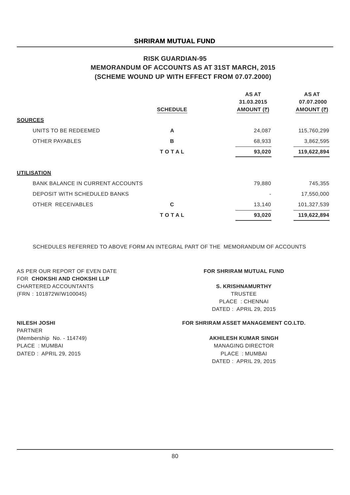## **RISK GUARDIAN-95 MEMORANDUM OF ACCOUNTS AS AT 31ST MARCH, 2015 (SCHEME WOUND UP WITH EFFECT FROM 07.07.2000)**

|                                         | <b>SCHEDULE</b> | <b>AS AT</b><br>31.03.2015<br>AMOUNT (₹) | <b>AS AT</b><br>07.07.2000<br>AMOUNT (₹) |
|-----------------------------------------|-----------------|------------------------------------------|------------------------------------------|
| <b>SOURCES</b>                          |                 |                                          |                                          |
| UNITS TO BE REDEEMED                    | A               | 24,087                                   | 115,760,299                              |
| <b>OTHER PAYABLES</b>                   | B               | 68,933                                   | 3,862,595                                |
|                                         | <b>TOTAL</b>    | 93,020                                   | 119,622,894                              |
| <b>UTILISATION</b>                      |                 |                                          |                                          |
| <b>BANK BALANCE IN CURRENT ACCOUNTS</b> |                 | 79,880                                   | 745,355                                  |
| DEPOSIT WITH SCHEDULED BANKS            |                 |                                          | 17,550,000                               |
| OTHER RECEIVABLES                       | C               | 13,140                                   | 101,327,539                              |
|                                         | TOTAL           | 93,020                                   | 119,622,894                              |

SCHEDULES REFERRED TO ABOVE FORM AN INTEGRAL PART OF THE MEMORANDUM OF ACCOUNTS

AS PER OUR REPORT OF EVEN DATE **FOR SHRIRAM MUTUAL FUND** FOR **CHOKSHI AND CHOKSHI LLP** CHARTERED ACCOUNTANTS **S. KRISHNAMURTHY** (FRN : 101872W/W100045) TRUSTEE

PLACE : CHENNAI DATED : APRIL 29, 2015

PARTNER (Membership No. - 114749) **AKHILESH KUMAR SINGH** PLACE : MUMBAI MANAGING DIRECTOR DATED : APRIL 29, 2015 PLACE : MUMBAI

### **NILESH JOSHI FOR SHRIRAM ASSET MANAGEMENT CO.LTD.**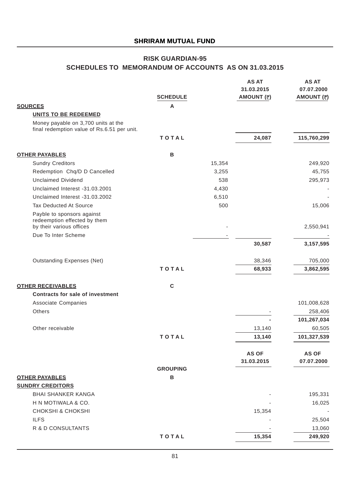## **RISK GUARDIAN-95 SCHEDULES TO MEMORANDUM OF ACCOUNTS AS ON 31.03.2015**

|                                                                                        | <b>SCHEDULE</b> |        | <b>AS AT</b><br>31.03.2015<br>AMOUNT (₹) | <b>AS AT</b><br>07.07.2000<br>AMOUNT (₹) |
|----------------------------------------------------------------------------------------|-----------------|--------|------------------------------------------|------------------------------------------|
| <b>SOURCES</b>                                                                         | A               |        |                                          |                                          |
| <b>UNITS TO BE REDEEMED</b>                                                            |                 |        |                                          |                                          |
| Money payable on 3,700 units at the<br>final redemption value of Rs.6.51 per unit.     |                 |        |                                          |                                          |
|                                                                                        | <b>TOTAL</b>    |        | 24,087                                   | 115,760,299                              |
| <b>OTHER PAYABLES</b>                                                                  | в               |        |                                          |                                          |
| <b>Sundry Creditors</b>                                                                |                 | 15,354 |                                          | 249,920                                  |
| Redemption Chq/D D Cancelled                                                           |                 | 3,255  |                                          | 45,755                                   |
| <b>Unclaimed Dividend</b>                                                              |                 | 538    |                                          | 295,973                                  |
| Unclaimed Interest -31.03.2001                                                         |                 | 4,430  |                                          |                                          |
| Unclaimed Interest -31.03.2002                                                         |                 | 6,510  |                                          |                                          |
| <b>Tax Deducted At Source</b>                                                          |                 | 500    |                                          | 15,006                                   |
| Payble to sponsors against<br>redeemption effected by them<br>by their various offices |                 |        |                                          | 2,550,941                                |
| Due To Inter Scheme                                                                    |                 |        |                                          |                                          |
|                                                                                        |                 |        | 30,587                                   | 3, 157, 595                              |
| <b>Outstanding Expenses (Net)</b>                                                      |                 |        | 38,346                                   | 705,000                                  |
|                                                                                        | TOTAL           |        | 68,933                                   | 3,862,595                                |
| <b>OTHER RECEIVABLES</b>                                                               | $\mathbf C$     |        |                                          |                                          |
| <b>Contracts for sale of investment</b>                                                |                 |        |                                          |                                          |
| Associate Companies                                                                    |                 |        |                                          | 101,008,628                              |
| Others                                                                                 |                 |        |                                          | 258,406                                  |
|                                                                                        |                 |        |                                          | 101,267,034                              |
| Other receivable                                                                       |                 |        | 13,140                                   | 60,505                                   |
|                                                                                        | TOTAL           |        | 13,140                                   | 101,327,539                              |
|                                                                                        |                 |        | <b>AS OF</b>                             | <b>AS OF</b>                             |
|                                                                                        |                 |        | 31.03.2015                               | 07.07.2000                               |
|                                                                                        | <b>GROUPING</b> |        |                                          |                                          |
| <b>OTHER PAYABLES</b><br><b>SUNDRY CREDITORS</b>                                       | $\, {\bf B}$    |        |                                          |                                          |
| <b>BHAI SHANKER KANGA</b>                                                              |                 |        |                                          | 195,331                                  |
| H N MOTIWALA & CO.                                                                     |                 |        |                                          | 16,025                                   |
| <b>CHOKSHI &amp; CHOKSHI</b>                                                           |                 |        | 15,354                                   |                                          |
| <b>ILFS</b>                                                                            |                 |        |                                          | 25,504                                   |
| R & D CONSULTANTS                                                                      |                 |        |                                          | 13,060                                   |
|                                                                                        | <b>TOTAL</b>    |        | 15,354                                   | 249,920                                  |
|                                                                                        |                 |        |                                          |                                          |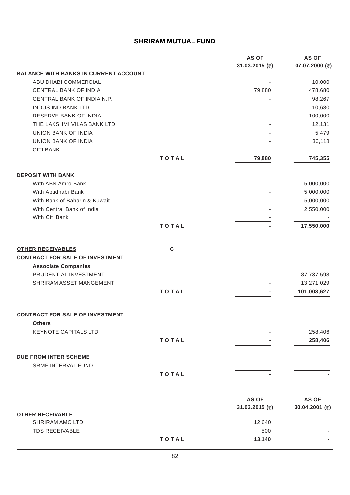|                                                                                                  |              | <b>AS OF</b><br>31.03.2015 (₹) | <b>AS OF</b><br>07.07.2000 (₹) |
|--------------------------------------------------------------------------------------------------|--------------|--------------------------------|--------------------------------|
| <b>BALANCE WITH BANKS IN CURRENT ACCOUNT</b>                                                     |              |                                |                                |
| ABU DHABI COMMERCIAL                                                                             |              |                                | 10,000                         |
| CENTRAL BANK OF INDIA                                                                            |              | 79,880                         | 478,680                        |
| CENTRAL BANK OF INDIA N.P.                                                                       |              |                                | 98,267                         |
| INDUS IND BANK LTD.                                                                              |              |                                | 10,680                         |
| RESERVE BANK OF INDIA                                                                            |              |                                | 100,000                        |
| THE LAKSHMI VILAS BANK LTD.                                                                      |              |                                | 12,131                         |
| UNION BANK OF INDIA                                                                              |              |                                | 5,479                          |
| UNION BANK OF INDIA                                                                              |              |                                | 30,118                         |
| <b>CITI BANK</b>                                                                                 |              |                                |                                |
|                                                                                                  | TOTAL        | 79,880                         | 745,355                        |
| <b>DEPOSIT WITH BANK</b>                                                                         |              |                                |                                |
| With ABN Amro Bank                                                                               |              |                                | 5,000,000                      |
| With Abudhabi Bank                                                                               |              |                                | 5,000,000                      |
| With Bank of Baharin & Kuwait                                                                    |              |                                | 5,000,000                      |
| With Central Bank of India                                                                       |              |                                | 2,550,000                      |
| With Citi Bank                                                                                   |              |                                |                                |
|                                                                                                  | TOTAL        |                                | 17,550,000                     |
| <b>OTHER RECEIVABLES</b><br><b>CONTRACT FOR SALE OF INVESTMENT</b><br><b>Associate Companies</b> | $\mathbf c$  |                                |                                |
| PRUDENTIAL INVESTMENT                                                                            |              |                                | 87,737,598                     |
| SHRIRAM ASSET MANGEMENT                                                                          |              |                                | 13,271,029                     |
|                                                                                                  | <b>TOTAL</b> |                                | 101,008,627                    |
| <b>CONTRACT FOR SALE OF INVESTMENT</b>                                                           |              |                                |                                |
| <b>Others</b>                                                                                    |              |                                |                                |
| <b>KEYNOTE CAPITALS LTD</b>                                                                      |              |                                | 258,406                        |
|                                                                                                  | <b>TOTAL</b> |                                | 258,406                        |
| <b>DUE FROM INTER SCHEME</b>                                                                     |              |                                |                                |
| <b>SRMF INTERVAL FUND</b>                                                                        |              |                                |                                |
|                                                                                                  | TOTAL        |                                |                                |
|                                                                                                  |              | <b>AS OF</b>                   | <b>AS OF</b>                   |
|                                                                                                  |              | 31.03.2015 (₹)                 | 30.04.2001 (₹)                 |
| <b>OTHER RECEIVABLE</b><br>SHRIRAM AMC LTD                                                       |              | 12,640                         |                                |
| <b>TDS RECEIVABLE</b>                                                                            |              | 500                            |                                |
|                                                                                                  | <b>TOTAL</b> | 13,140                         |                                |
|                                                                                                  |              |                                |                                |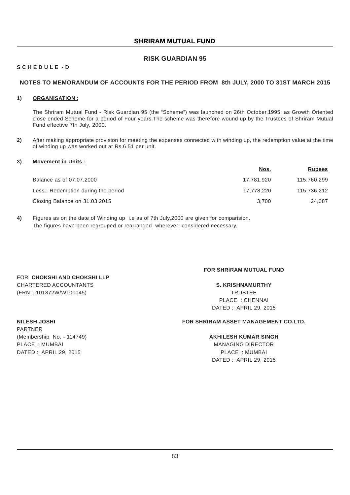## **RISK GUARDIAN 95**

## **S C H E D U L E - D**

### **NOTES TO MEMORANDUM OF ACCOUNTS FOR THE PERIOD FROM 8th JULY, 2000 TO 31ST MARCH 2015**

#### **1) ORGANISATION :**

The Shriram Mutual Fund - Risk Guardian 95 (the "Scheme") was launched on 26th October,1995, as Growth Oriented close ended Scheme for a period of Four years.The scheme was therefore wound up by the Trustees of Shriram Mutual Fund effective 7th July, 2000.

**2)** After making appropriate provision for meeting the expenses connected with winding up, the redemption value at the time of winding up was worked out at Rs.6.51 per unit.

#### **3) Movement in Units :**

|                                    | Nos.       | <b>Rupees</b> |
|------------------------------------|------------|---------------|
| Balance as of 07.07.2000           | 17.781.920 | 115,760,299   |
| Less: Redemption during the period | 17.778.220 | 115,736,212   |
| Closing Balance on 31.03.2015      | 3.700      | 24.087        |

**4)** Figures as on the date of Winding up i.e as of 7th July,2000 are given for comparision. The figures have been regrouped or rearranged wherever considered necessary.

#### **FOR SHRIRAM MUTUAL FUND**

CHARTERED ACCOUNTANTS **S. KRISHNAMURTHY** (FRN : 101872W/W100045) TRUSTEE PLACE : CHENNAI DATED : APRIL 29, 2015

PARTNER (Membership No. - 114749) **AKHILESH KUMAR SINGH** PLACE : MUMBAI MANAGING DIRECTOR DATED : APRIL 29, 2015 PLACE : MUMBAI

FOR **CHOKSHI AND CHOKSHI LLP**

## **NILESH JOSHI FOR SHRIRAM ASSET MANAGEMENT CO.LTD.**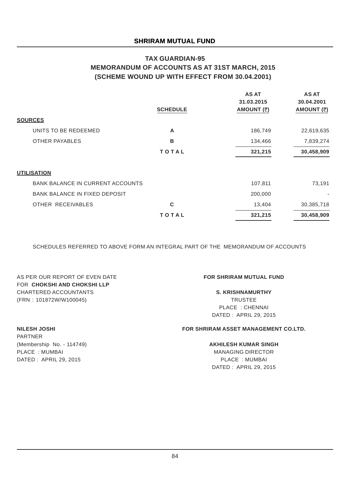## **TAX GUARDIAN-95 MEMORANDUM OF ACCOUNTS AS AT 31ST MARCH, 2015 (SCHEME WOUND UP WITH EFFECT FROM 30.04.2001)**

|                                         |                 | <b>AS AT</b><br>31.03.2015 | <b>AS AT</b><br>30.04.2001 |
|-----------------------------------------|-----------------|----------------------------|----------------------------|
|                                         | <b>SCHEDULE</b> | AMOUNT (₹)                 | AMOUNT (₹)                 |
| <b>SOURCES</b>                          |                 |                            |                            |
| UNITS TO BE REDEEMED                    | A               | 186,749                    | 22,619,635                 |
| <b>OTHER PAYABLES</b>                   | B               | 134,466                    | 7,839,274                  |
|                                         | <b>TOTAL</b>    | 321,215                    | 30,458,909                 |
| <b>UTILISATION</b>                      |                 |                            |                            |
| <b>BANK BALANCE IN CURRENT ACCOUNTS</b> |                 | 107,811                    | 73,191                     |
| <b>BANK BALANCE IN FIXED DEPOSIT</b>    |                 | 200,000                    |                            |
| OTHER RECEIVABLES                       | C               | 13,404                     | 30,385,718                 |
|                                         | <b>TOTAL</b>    | 321,215                    | 30,458,909                 |

SCHEDULES REFERRED TO ABOVE FORM AN INTEGRAL PART OF THE MEMORANDUM OF ACCOUNTS

AS PER OUR REPORT OF EVEN DATE **FOR SHRIRAM MUTUAL FUND** FOR **CHOKSHI AND CHOKSHI LLP** CHARTERED ACCOUNTANTS **S. KRISHNAMURTHY** (FRN : 101872W/W100045) TRUSTEE

PLACE : CHENNAI DATED : APRIL 29, 2015

## **NILESH JOSHI FOR SHRIRAM ASSET MANAGEMENT CO.LTD.**

#### (Membership No. - 114749) **AKHILESH KUMAR SINGH**

DATED : APRIL 29, 2015

# PARTNER PLACE : MUMBAI MANAGING DIRECTOR DATED : APRIL 29, 2015 PLACE : MUMBAI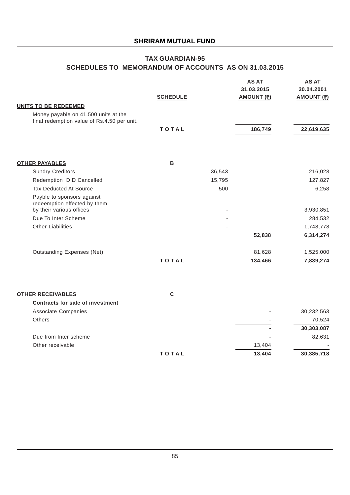## **TAX GUARDIAN-95 SCHEDULES TO MEMORANDUM OF ACCOUNTS AS ON 31.03.2015**

|                                                                                        | <b>SCHEDULE</b> |        | <b>AS AT</b><br>31.03.2015<br>AMOUNT (₹) | <b>AS AT</b><br>30.04.2001<br>AMOUNT (₹) |
|----------------------------------------------------------------------------------------|-----------------|--------|------------------------------------------|------------------------------------------|
| <b>UNITS TO BE REDEEMED</b><br>Money payable on 41,500 units at the                    |                 |        |                                          |                                          |
| final redemption value of Rs.4.50 per unit.                                            |                 |        |                                          |                                          |
|                                                                                        | TOTAL           |        | 186,749                                  | 22,619,635                               |
| <b>OTHER PAYABLES</b>                                                                  | $\, {\bf B}$    |        |                                          |                                          |
| <b>Sundry Creditors</b>                                                                |                 | 36,543 |                                          | 216,028                                  |
| Redemption D D Cancelled                                                               |                 | 15,795 |                                          | 127,827                                  |
| Tax Deducted At Source                                                                 |                 | 500    |                                          | 6,258                                    |
| Payble to sponsors against<br>redeemption effected by them<br>by their various offices |                 |        |                                          | 3,930,851                                |
| Due To Inter Scheme                                                                    |                 |        |                                          | 284,532                                  |
| <b>Other Liabilities</b>                                                               |                 |        |                                          | 1,748,778                                |
|                                                                                        |                 |        | 52,838                                   | 6,314,274                                |
| <b>Outstanding Expenses (Net)</b>                                                      |                 |        | 81,628                                   | 1,525,000                                |
|                                                                                        | <b>TOTAL</b>    |        | 134,466                                  | 7,839,274                                |
|                                                                                        |                 |        |                                          |                                          |
| <b>OTHER RECEIVABLES</b>                                                               | $\mathbf c$     |        |                                          |                                          |
| <b>Contracts for sale of investment</b>                                                |                 |        |                                          |                                          |
| Associate Companies<br>Others                                                          |                 |        |                                          | 30,232,563                               |
|                                                                                        |                 |        |                                          | 70,524                                   |
| Due from Inter scheme                                                                  |                 |        |                                          | 30,303,087<br>82,631                     |
| Other receivable                                                                       |                 |        | 13,404                                   |                                          |
|                                                                                        | <b>TOTAL</b>    |        | 13,404                                   | 30,385,718                               |
|                                                                                        |                 |        |                                          |                                          |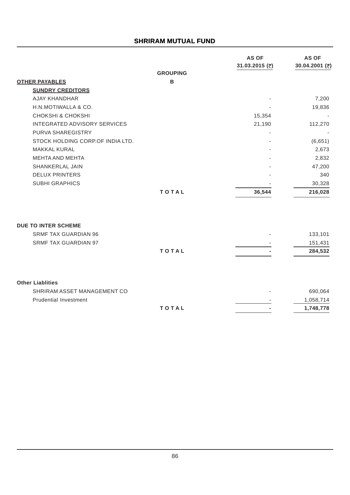|                                  |                 | <b>AS OF</b><br>31.03.2015 (₹) | <b>AS OF</b><br>30.04.2001 (₹) |
|----------------------------------|-----------------|--------------------------------|--------------------------------|
|                                  | <b>GROUPING</b> |                                |                                |
| <b>OTHER PAYABLES</b>            | B               |                                |                                |
| <b>SUNDRY CREDITORS</b>          |                 |                                |                                |
| <b>AJAY KHANDHAR</b>             |                 |                                | 7,200                          |
| H.N.MOTIWALLA & CO.              |                 |                                | 19,836                         |
| <b>CHOKSHI &amp; CHOKSHI</b>     |                 | 15,354                         |                                |
| INTEGRATED ADVISORY SERVICES     |                 | 21,190                         | 112,270                        |
| PURVA SHAREGISTRY                |                 |                                |                                |
| STOCK HOLDING CORP.OF INDIA LTD. |                 |                                | (6,651)                        |
| <b>MAKKAL KURAL</b>              |                 |                                | 2,673                          |
| <b>MEHTA AND MEHTA</b>           |                 |                                | 2,832                          |
| SHANKERLAL JAIN                  |                 |                                | 47,200                         |
| <b>DELUX PRINTERS</b>            |                 |                                | 340                            |
| <b>SUBHI GRAPHICS</b>            |                 |                                | 30,328                         |
|                                  | <b>TOTAL</b>    | 36,544                         | 216,028                        |
| <b>DUE TO INTER SCHEME</b>       |                 |                                |                                |
| <b>SRMF TAX GUARDIAN 96</b>      |                 |                                | 133,101                        |
| <b>SRMF TAX GUARDIAN 97</b>      |                 |                                | 151,431                        |
|                                  | TOTAL           |                                | 284,532                        |
|                                  |                 |                                |                                |
| <b>Other Liablities</b>          |                 |                                |                                |
| SHRIRAM ASSET MANAGEMENT CO      |                 |                                | 690,064                        |
| <b>Prudential Investment</b>     |                 |                                | 1,058,714                      |
|                                  | <b>TOTAL</b>    |                                | 1,748,778                      |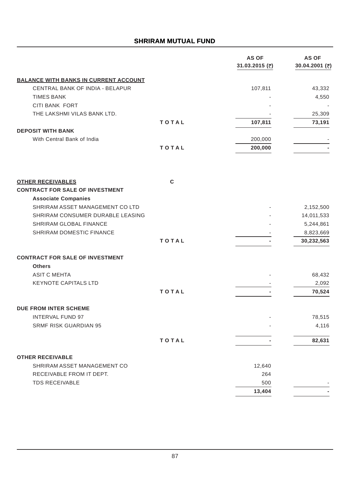|                                                                    |              | <b>AS OF</b><br>31.03.2015 (₹) | <b>AS OF</b><br>30.04.2001 (₹) |
|--------------------------------------------------------------------|--------------|--------------------------------|--------------------------------|
| <b>BALANCE WITH BANKS IN CURRENT ACCOUNT</b>                       |              |                                |                                |
| CENTRAL BANK OF INDIA - BELAPUR                                    |              | 107,811                        | 43,332                         |
| <b>TIMES BANK</b>                                                  |              |                                | 4,550                          |
| CITI BANK FORT                                                     |              |                                |                                |
| THE LAKSHMI VILAS BANK LTD.                                        |              |                                | 25,309                         |
|                                                                    | <b>TOTAL</b> | 107,811                        | 73,191                         |
| <b>DEPOSIT WITH BANK</b>                                           |              |                                |                                |
| With Central Bank of India                                         |              | 200,000                        |                                |
|                                                                    | TOTAL        | 200,000                        |                                |
|                                                                    |              |                                |                                |
| <b>OTHER RECEIVABLES</b><br><b>CONTRACT FOR SALE OF INVESTMENT</b> | $\mathbf c$  |                                |                                |
| <b>Associate Companies</b>                                         |              |                                |                                |
| SHRIRAM ASSET MANAGEMENT CO LTD                                    |              |                                | 2,152,500                      |
| SHRIRAM CONSUMER DURABLE LEASING                                   |              |                                | 14,011,533                     |
| SHRIRAM GLOBAL FINANCE                                             |              |                                | 5,244,861                      |
| SHRIRAM DOMESTIC FINANCE                                           |              |                                | 8,823,669                      |
|                                                                    | <b>TOTAL</b> |                                | 30,232,563                     |
| <b>CONTRACT FOR SALE OF INVESTMENT</b>                             |              |                                |                                |
| <b>Others</b>                                                      |              |                                |                                |
| <b>ASIT C MEHTA</b>                                                |              |                                | 68,432                         |
| <b>KEYNOTE CAPITALS LTD</b>                                        | <b>TOTAL</b> |                                | 2,092                          |
|                                                                    |              |                                | 70,524                         |
| <b>DUE FROM INTER SCHEME</b><br><b>INTERVAL FUND 97</b>            |              |                                | 78,515                         |
| <b>SRMF RISK GUARDIAN 95</b>                                       |              |                                | 4,116                          |
|                                                                    | <b>TOTAL</b> |                                | 82,631                         |
| <b>OTHER RECEIVABLE</b>                                            |              |                                |                                |
| SHRIRAM ASSET MANAGEMENT CO                                        |              | 12,640                         |                                |
| RECEIVABLE FROM IT DEPT.                                           |              | 264                            |                                |
| TDS RECEIVABLE                                                     |              | 500                            |                                |
|                                                                    |              | 13,404                         |                                |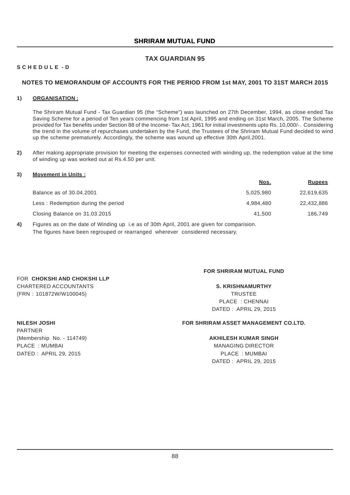## **TAX GUARDIAN 95**

## **S C H E D U L E - D**

### **NOTES TO MEMORANDUM OF ACCOUNTS FOR THE PERIOD FROM 1st MAY, 2001 TO 31ST MARCH 2015**

#### **1) ORGANISATION :**

The Shriram Mutual Fund - Tax Guardian 95 (the "Scheme") was launched on 27th December, 1994, as close ended Tax Saving Scheme for a period of Ten years commencing from 1st April, 1995 and ending on 31st March, 2005. The Scheme provided for Tax benefits under Section 88 of the Income- Tax Act, 1961 for initial investments upto Rs. 10,000/-. Considering the trend in the volume of repurchases undertaken by the Fund, the Trustees of the Shriram Mutual Fund decided to wind up the scheme prematurely. Accordingly, the scheme was wound up effective 30th April,2001.

**2)** After making appropriate provision for meeting the expenses connected with winding up, the redemption value at the time of winding up was worked out at Rs.4.50 per unit.

#### **3) Movement in Units :**

| <u>Nos.</u> | <b>Rupees</b> |
|-------------|---------------|
| 5.025.980   | 22,619,635    |
| 4.984.480   | 22,432,886    |
| 41.500      | 186.749       |
|             |               |

**4)** Figures as on the date of Winding up i.e as of 30th April, 2001 are given for comparision. The figures have been regrouped or rearranged wherever considered necessary.

#### **FOR SHRIRAM MUTUAL FUND**

## CHARTERED ACCOUNTANTS **S. KRISHNAMURTHY** (FRN : 101872W/W100045) TRUSTEE PLACE : CHENNAI DATED : APRIL 29, 2015

PARTNER (Membership No. - 114749) **AKHILESH KUMAR SINGH** PLACE : MUMBAI MANAGING DIRECTOR DATED : APRIL 29, 2015 PLACE : MUMBAI

FOR **CHOKSHI AND CHOKSHI LLP**

## **NILESH JOSHI FOR SHRIRAM ASSET MANAGEMENT CO.LTD.**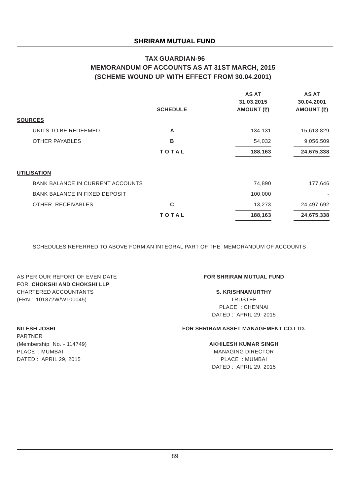## **TAX GUARDIAN-96 MEMORANDUM OF ACCOUNTS AS AT 31ST MARCH, 2015 (SCHEME WOUND UP WITH EFFECT FROM 30.04.2001)**

|                                         |                 | <b>AS AT</b><br>31.03.2015 | <b>AS AT</b><br>30.04.2001 |
|-----------------------------------------|-----------------|----------------------------|----------------------------|
|                                         | <b>SCHEDULE</b> | AMOUNT (₹)                 | AMOUNT (₹)                 |
| <b>SOURCES</b>                          |                 |                            |                            |
| UNITS TO BE REDEEMED                    | A               | 134,131                    | 15,618,829                 |
| <b>OTHER PAYABLES</b>                   | в               | 54,032                     | 9,056,509                  |
|                                         | <b>TOTAL</b>    | 188,163                    | 24,675,338                 |
| <b>UTILISATION</b>                      |                 |                            |                            |
| <b>BANK BALANCE IN CURRENT ACCOUNTS</b> |                 | 74,890                     | 177,646                    |
| <b>BANK BALANCE IN FIXED DEPOSIT</b>    |                 | 100,000                    |                            |
| OTHER RECEIVABLES                       | C               | 13,273                     | 24,497,692                 |
|                                         | TOTAL           | 188,163                    | 24,675,338                 |

SCHEDULES REFERRED TO ABOVE FORM AN INTEGRAL PART OF THE MEMORANDUM OF ACCOUNTS

AS PER OUR REPORT OF EVEN DATE **FOR SHRIRAM MUTUAL FUND** FOR **CHOKSHI AND CHOKSHI LLP** CHARTERED ACCOUNTANTS **S. KRISHNAMURTHY** (FRN : 101872W/W100045) TRUSTEE

PLACE : CHENNAI DATED : APRIL 29, 2015

### **NILESH JOSHI FOR SHRIRAM ASSET MANAGEMENT CO.LTD.**

#### (Membership No. - 114749) **AKHILESH KUMAR SINGH**

DATED : APRIL 29, 2015 **PLACE** : MUMBAI DATED : APRIL 29, 2015

PARTNER PLACE : MUMBAI MANAGING DIRECTOR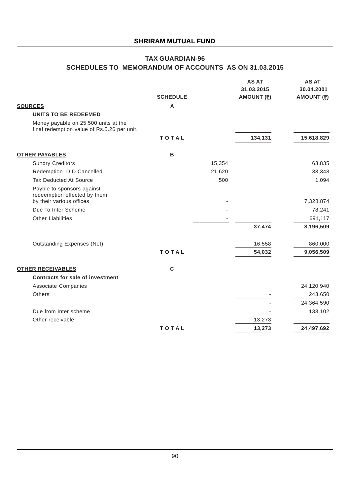## **TAX GUARDIAN-96 SCHEDULES TO MEMORANDUM OF ACCOUNTS AS ON 31.03.2015**

|                                                                                     |                 |        | <b>AS AT</b><br>31.03.2015 | <b>AS AT</b><br>30.04.2001 |
|-------------------------------------------------------------------------------------|-----------------|--------|----------------------------|----------------------------|
|                                                                                     | <b>SCHEDULE</b> |        | AMOUNT (₹)                 | AMOUNT (₹)                 |
| <b>SOURCES</b>                                                                      | A               |        |                            |                            |
| <b>UNITS TO BE REDEEMED</b>                                                         |                 |        |                            |                            |
| Money payable on 25,500 units at the<br>final redemption value of Rs.5.26 per unit. |                 |        |                            |                            |
|                                                                                     | <b>TOTAL</b>    |        | 134,131                    | 15,618,829                 |
| <b>OTHER PAYABLES</b>                                                               | B               |        |                            |                            |
| <b>Sundry Creditors</b>                                                             |                 | 15,354 |                            | 63,835                     |
| Redemption D D Cancelled                                                            |                 | 21,620 |                            | 33,348                     |
| <b>Tax Deducted At Source</b>                                                       |                 | 500    |                            | 1,094                      |
| Payble to sponsors against<br>redeemption effected by them                          |                 |        |                            |                            |
| by their various offices                                                            |                 |        |                            | 7,328,874                  |
| Due To Inter Scheme                                                                 |                 |        |                            | 78,241                     |
| <b>Other Liabilities</b>                                                            |                 |        |                            | 691,117                    |
|                                                                                     |                 |        | 37,474                     | 8,196,509                  |
| <b>Outstanding Expenses (Net)</b>                                                   |                 |        | 16,558                     | 860,000                    |
|                                                                                     | TOTAL           |        | 54,032                     | 9,056,509                  |
| <b>OTHER RECEIVABLES</b>                                                            | $\mathbf C$     |        |                            |                            |
| <b>Contracts for sale of investment</b>                                             |                 |        |                            |                            |
| Associate Companies                                                                 |                 |        |                            | 24,120,940                 |
| Others                                                                              |                 |        |                            | 243,650                    |
|                                                                                     |                 |        |                            | 24,364,590                 |
| Due from Inter scheme                                                               |                 |        |                            | 133,102                    |
| Other receivable                                                                    |                 |        | 13,273                     |                            |
|                                                                                     | <b>TOTAL</b>    |        | 13,273                     | 24,497,692                 |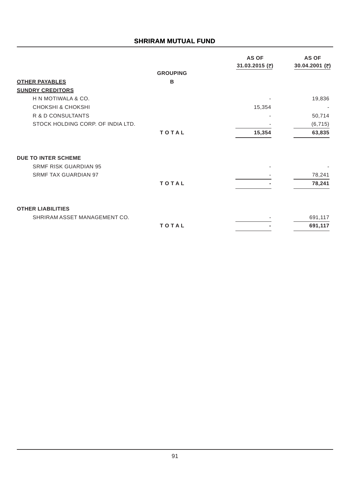|                                   | <b>GROUPING</b> | <b>AS OF</b><br>31.03.2015 (₹) | <b>AS OF</b><br>30.04.2001 (₹) |
|-----------------------------------|-----------------|--------------------------------|--------------------------------|
| <b>OTHER PAYABLES</b>             | B               |                                |                                |
| <b>SUNDRY CREDITORS</b>           |                 |                                |                                |
| H N MOTIWALA & CO.                |                 |                                | 19,836                         |
| <b>CHOKSHI &amp; CHOKSHI</b>      |                 | 15,354                         |                                |
| R & D CONSULTANTS                 |                 |                                | 50,714                         |
| STOCK HOLDING CORP. OF INDIA LTD. |                 |                                | (6, 715)                       |
|                                   | TOTAL           | 15,354                         | 63,835                         |
| <b>DUE TO INTER SCHEME</b>        |                 |                                |                                |
| <b>SRMF RISK GUARDIAN 95</b>      |                 |                                |                                |
| <b>SRMF TAX GUARDIAN 97</b>       |                 |                                | 78,241                         |
|                                   | <b>TOTAL</b>    |                                | 78,241                         |
| <b>OTHER LIABILITIES</b>          |                 |                                |                                |
| SHRIRAM ASSET MANAGEMENT CO.      |                 |                                | 691,117                        |
|                                   | TOTAL           |                                | 691,117                        |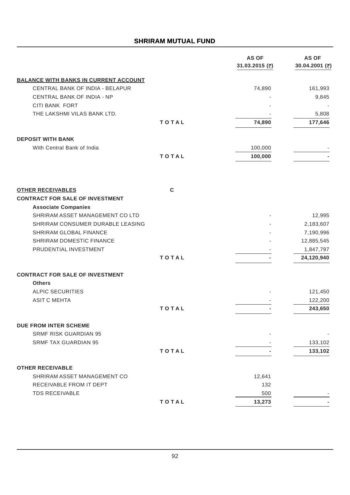|                                                                    |              | <b>AS OF</b><br>31.03.2015 (₹) | <b>AS OF</b><br>30.04.2001 (₹) |
|--------------------------------------------------------------------|--------------|--------------------------------|--------------------------------|
| <b>BALANCE WITH BANKS IN CURRENT ACCOUNT</b>                       |              |                                |                                |
| CENTRAL BANK OF INDIA - BELAPUR                                    |              | 74,890                         | 161,993                        |
| CENTRAL BANK OF INDIA - NP                                         |              |                                | 9,845                          |
| <b>CITI BANK FORT</b>                                              |              |                                |                                |
| THE LAKSHMI VILAS BANK LTD.                                        |              |                                | 5,808                          |
|                                                                    | <b>TOTAL</b> | 74,890                         | 177,646                        |
| <b>DEPOSIT WITH BANK</b>                                           |              |                                |                                |
| With Central Bank of India                                         |              | 100,000                        |                                |
|                                                                    | <b>TOTAL</b> | 100,000                        |                                |
|                                                                    |              |                                |                                |
| <b>OTHER RECEIVABLES</b><br><b>CONTRACT FOR SALE OF INVESTMENT</b> | $\mathbf c$  |                                |                                |
| <b>Associate Companies</b>                                         |              |                                |                                |
| SHRIRAM ASSET MANAGEMENT CO LTD                                    |              |                                | 12,995                         |
| SHRIRAM CONSUMER DURABLE LEASING                                   |              |                                | 2,183,607                      |
| SHRIRAM GLOBAL FINANCE                                             |              |                                | 7,190,996                      |
| SHRIRAM DOMESTIC FINANCE                                           |              |                                | 12,885,545                     |
| PRUDENTIAL INVESTMENT                                              |              |                                | 1,847,797                      |
|                                                                    | <b>TOTAL</b> |                                | 24,120,940                     |
| <b>CONTRACT FOR SALE OF INVESTMENT</b>                             |              |                                |                                |
| <b>Others</b>                                                      |              |                                |                                |
| <b>ALPIC SECURITIES</b>                                            |              |                                | 121,450                        |
| <b>ASIT C MEHTA</b>                                                |              |                                | 122,200                        |
|                                                                    | <b>TOTAL</b> |                                | 243,650                        |
| <b>DUE FROM INTER SCHEME</b>                                       |              |                                |                                |
| <b>SRMF RISK GUARDIAN 95</b>                                       |              |                                |                                |
| <b>SRMF TAX GUARDIAN 95</b>                                        |              |                                | 133,102                        |
|                                                                    | <b>TOTAL</b> |                                | 133,102                        |
|                                                                    |              |                                |                                |
| <b>OTHER RECEIVABLE</b>                                            |              |                                |                                |
| SHRIRAM ASSET MANAGEMENT CO                                        |              | 12,641                         |                                |
| RECEIVABLE FROM IT DEPT<br><b>TDS RECEIVABLE</b>                   |              | 132<br>500                     |                                |
|                                                                    | <b>TOTAL</b> | 13,273                         |                                |
|                                                                    |              |                                |                                |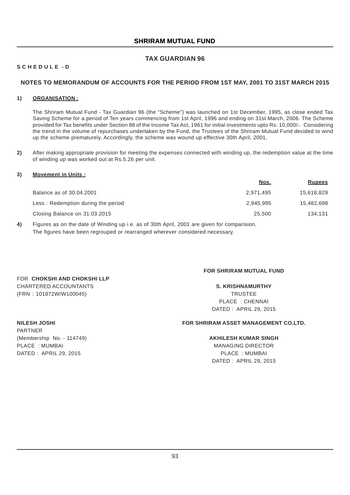## **TAX GUARDIAN 96**

## **S C H E D U L E - D**

### **NOTES TO MEMORANDUM OF ACCOUNTS FOR THE PERIOD FROM 1ST MAY, 2001 TO 31ST MARCH 2015**

#### **1) ORGANISATION :**

The Shriram Mutual Fund - Tax Guardian 96 (the "Scheme") was launched on 1st December, 1995, as close ended Tax Saving Scheme for a period of Ten years commencing from 1st April, 1996 and ending on 31st March, 2006. The Scheme provided for Tax benefits under Section 88 of the Income Tax Act, 1961 for initial investments upto Rs. 10,000/-. Considering the trend in the volume of repurchases undertaken by the Fund, the Trustees of the Shriram Mutual Fund decided to wind up the scheme prematurely. Accordingly, the scheme was wound up effective 30th April, 2001.

**2)** After making appropriate provision for meeting the expenses connected with winding up, the redemption value at the time of winding up was worked out at Rs.5.26 per unit.

#### **3) Movement in Units :**

|                                    | <u>Nos.</u> | <b>Rupees</b> |
|------------------------------------|-------------|---------------|
| Balance as of 30.04.2001           | 2.971.495   | 15,618,829    |
| Less: Redemption during the period | 2.945.995   | 15,482,698    |
| Closing Balance on 31.03.2015      | 25.500      | 134.131       |
|                                    |             |               |

**4)** Figures as on the date of Winding up i.e. as of 30th April, 2001 are given for comparision. The figures have been regrouped or rearranged wherever considered necessary.

#### **FOR SHRIRAM MUTUAL FUND**

## CHARTERED ACCOUNTANTS **S. KRISHNAMURTHY** (FRN : 101872W/W100045) TRUSTEE PLACE : CHENNAI DATED : APRIL 29, 2015

PARTNER (Membership No. - 114749) **AKHILESH KUMAR SINGH** PLACE : MUMBAI MANAGING DIRECTOR DATED : APRIL 29, 2015 PLACE : MUMBAI

FOR **CHOKSHI AND CHOKSHI LLP**

## **NILESH JOSHI FOR SHRIRAM ASSET MANAGEMENT CO.LTD.**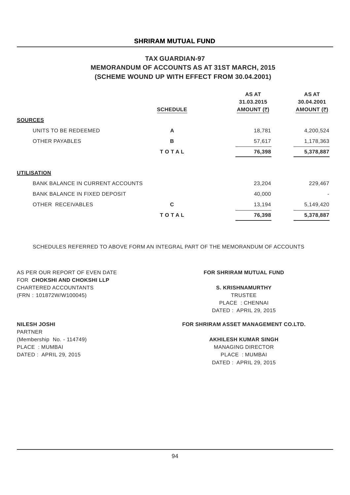## **TAX GUARDIAN-97 MEMORANDUM OF ACCOUNTS AS AT 31ST MARCH, 2015 (SCHEME WOUND UP WITH EFFECT FROM 30.04.2001)**

|                                         | <b>SCHEDULE</b> | <b>AS AT</b><br>31.03.2015<br>AMOUNT (₹) | <b>AS AT</b><br>30.04.2001<br>AMOUNT (₹) |
|-----------------------------------------|-----------------|------------------------------------------|------------------------------------------|
| <b>SOURCES</b>                          |                 |                                          |                                          |
| UNITS TO BE REDEEMED                    | A               | 18,781                                   | 4,200,524                                |
| <b>OTHER PAYABLES</b>                   | B               | 57,617                                   | 1,178,363                                |
|                                         | <b>TOTAL</b>    | 76,398                                   | 5,378,887                                |
| <b>UTILISATION</b>                      |                 |                                          |                                          |
| <b>BANK BALANCE IN CURRENT ACCOUNTS</b> |                 | 23,204                                   | 229,467                                  |
| <b>BANK BALANCE IN FIXED DEPOSIT</b>    |                 | 40,000                                   |                                          |
| OTHER RECEIVABLES                       | C               | 13,194                                   | 5,149,420                                |
|                                         | TOTAL           | 76,398                                   | 5,378,887                                |

SCHEDULES REFERRED TO ABOVE FORM AN INTEGRAL PART OF THE MEMORANDUM OF ACCOUNTS

AS PER OUR REPORT OF EVEN DATE **FOR SHRIRAM MUTUAL FUND** FOR **CHOKSHI AND CHOKSHI LLP** CHARTERED ACCOUNTANTS **S. KRISHNAMURTHY** (FRN : 101872W/W100045) TRUSTEE

PLACE : CHENNAI DATED : APRIL 29, 2015

PARTNER (Membership No. - 114749) **AKHILESH KUMAR SINGH** PLACE : MUMBAI MANAGING DIRECTOR DATED : APRIL 29, 2015 PLACE : MUMBAI

## **NILESH JOSHI FOR SHRIRAM ASSET MANAGEMENT CO.LTD.**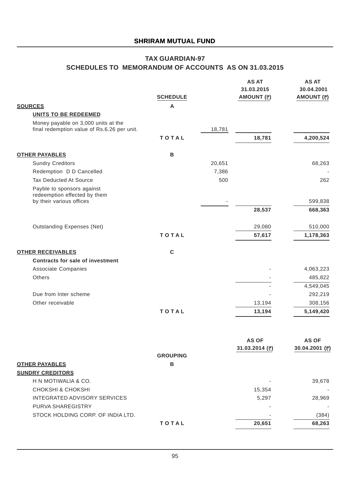# **TAX GUARDIAN-97**

## **SCHEDULES TO MEMORANDUM OF ACCOUNTS AS ON 31.03.2015**

|                                                                                    | <b>SCHEDULE</b>           |        | <b>AS AT</b><br>31.03.2015<br>AMOUNT (₹) | <b>AS AT</b><br>30.04.2001<br>AMOUNT (₹) |
|------------------------------------------------------------------------------------|---------------------------|--------|------------------------------------------|------------------------------------------|
| <b>SOURCES</b>                                                                     | $\boldsymbol{\mathsf{A}}$ |        |                                          |                                          |
| <b>UNITS TO BE REDEEMED</b>                                                        |                           |        |                                          |                                          |
| Money payable on 3,000 units at the<br>final redemption value of Rs.6.26 per unit. |                           | 18,781 |                                          |                                          |
|                                                                                    | TOTAL                     |        | 18,781                                   | 4,200,524                                |
| <b>OTHER PAYABLES</b>                                                              | В                         |        |                                          |                                          |
| <b>Sundry Creditors</b>                                                            |                           | 20,651 |                                          | 68,263                                   |
| Redemption D D Cancelled                                                           |                           | 7,386  |                                          |                                          |
| Tax Deducted At Source                                                             |                           | 500    |                                          | 262                                      |
| Payble to sponsors against<br>redeemption effected by them                         |                           |        |                                          |                                          |
| by their various offices                                                           |                           |        |                                          | 599,838                                  |
|                                                                                    |                           |        | 28,537                                   | 668,363                                  |
| <b>Outstanding Expenses (Net)</b>                                                  |                           |        | 29,080                                   | 510,000                                  |
|                                                                                    | <b>TOTAL</b>              |        | 57,617                                   | 1,178,363                                |
| <b>OTHER RECEIVABLES</b>                                                           | $\mathbf C$               |        |                                          |                                          |
| Contracts for sale of investment                                                   |                           |        |                                          |                                          |
| Associate Companies                                                                |                           |        |                                          | 4,063,223                                |
| Others                                                                             |                           |        |                                          | 485,822                                  |
|                                                                                    |                           |        |                                          | 4,549,045                                |
| Due from Inter scheme                                                              |                           |        |                                          | 292,219                                  |
| Other receivable                                                                   |                           |        | 13,194                                   | 308,156                                  |
|                                                                                    | <b>TOTAL</b>              |        | 13,194                                   | 5,149,420                                |
|                                                                                    |                           |        |                                          |                                          |
|                                                                                    |                           |        | <b>AS OF</b>                             | <b>AS OF</b>                             |
|                                                                                    |                           |        | 31.03.2014 (₹)                           | 30.04.2001 (₹)                           |
|                                                                                    | <b>GROUPING</b>           |        |                                          |                                          |
| <b>OTHER PAYABLES</b>                                                              | $\, {\bf B}$              |        |                                          |                                          |
| <b>SUNDRY CREDITORS</b>                                                            |                           |        |                                          |                                          |
| H N MOTIWALIA & CO.                                                                |                           |        |                                          | 39,678                                   |
| <b>CHOKSHI &amp; CHOKSHI</b>                                                       |                           |        | 15,354                                   |                                          |

INTEGRATED ADVISORY SERVICES 6.297 28,969 PURVA SHAREGISTRY And the state of the state of the state of the state of the state of the state of the state of the state of the state of the state of the state of the state of the state of the state of the state of the s STOCK HOLDING CORP. OF INDIA LTD. (384) T O T A L 20,651 68,263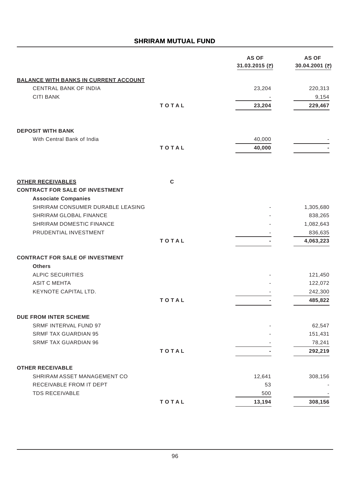|                                                                                                  |              | <b>AS OF</b><br>31.03.2015 (₹) | <b>AS OF</b><br>30.04.2001 (₹) |
|--------------------------------------------------------------------------------------------------|--------------|--------------------------------|--------------------------------|
| <b>BALANCE WITH BANKS IN CURRENT ACCOUNT</b>                                                     |              |                                |                                |
| <b>CENTRAL BANK OF INDIA</b>                                                                     |              | 23,204                         | 220,313                        |
| <b>CITI BANK</b>                                                                                 |              |                                | 9,154                          |
|                                                                                                  | TOTAL        | 23,204                         | 229,467                        |
| <b>DEPOSIT WITH BANK</b>                                                                         |              |                                |                                |
| With Central Bank of India                                                                       |              | 40,000                         |                                |
|                                                                                                  | <b>TOTAL</b> | 40,000                         |                                |
|                                                                                                  |              |                                |                                |
| <b>OTHER RECEIVABLES</b><br><b>CONTRACT FOR SALE OF INVESTMENT</b><br><b>Associate Companies</b> | $\mathbf C$  |                                |                                |
| SHRIRAM CONSUMER DURABLE LEASING                                                                 |              |                                | 1,305,680                      |
| SHRIRAM GLOBAL FINANCE                                                                           |              |                                | 838,265                        |
| SHRIRAM DOMESTIC FINANCE                                                                         |              |                                | 1,082,643                      |
| PRUDENTIAL INVESTMENT                                                                            |              |                                | 836,635                        |
|                                                                                                  | TOTAL        |                                | 4,063,223                      |
| <b>CONTRACT FOR SALE OF INVESTMENT</b>                                                           |              |                                |                                |
| <b>Others</b>                                                                                    |              |                                |                                |
| <b>ALPIC SECURITIES</b>                                                                          |              |                                | 121,450                        |
| <b>ASIT C MEHTA</b>                                                                              |              |                                | 122,072                        |
| KEYNOTE CAPITAL LTD.                                                                             |              |                                | 242,300                        |
|                                                                                                  | <b>TOTAL</b> |                                | 485,822                        |
| DUE FROM INTER SCHEME                                                                            |              |                                |                                |
| SRMF INTERVAL FUND 97                                                                            |              |                                | 62,547                         |
| <b>SRMF TAX GUARDIAN 95</b>                                                                      |              |                                | 151,431                        |
| <b>SRMF TAX GUARDIAN 96</b>                                                                      | <b>TOTAL</b> |                                | 78,241                         |
|                                                                                                  |              |                                | 292,219                        |
| <b>OTHER RECEIVABLE</b><br>SHRIRAM ASSET MANAGEMENT CO                                           |              | 12,641                         | 308,156                        |
| RECEIVABLE FROM IT DEPT                                                                          |              | 53                             |                                |
| TDS RECEIVABLE                                                                                   |              | 500                            |                                |
|                                                                                                  | TOTAL        | 13,194                         | 308,156                        |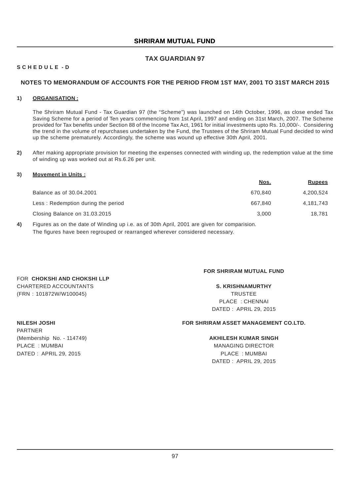## **TAX GUARDIAN 97**

## **S C H E D U L E - D**

### **NOTES TO MEMORANDUM OF ACCOUNTS FOR THE PERIOD FROM 1ST MAY, 2001 TO 31ST MARCH 2015**

### **1) ORGANISATION :**

The Shriram Mutual Fund - Tax Guardian 97 (the "Scheme") was launched on 14th October, 1996, as close ended Tax Saving Scheme for a period of Ten years commencing from 1st April, 1997 and ending on 31st March, 2007. The Scheme provided for Tax benefits under Section 88 of the Income Tax Act, 1961 for initial investments upto Rs. 10,000/-. Considering the trend in the volume of repurchases undertaken by the Fund, the Trustees of the Shriram Mutual Fund decided to wind up the scheme prematurely. Accordingly, the scheme was wound up effective 30th April, 2001.

**2)** After making appropriate provision for meeting the expenses connected with winding up, the redemption value at the time of winding up was worked out at Rs.6.26 per unit.

#### **3) Movement in Units :**

|                                    | <u>Nos.</u> | <u>Rupees</u> |
|------------------------------------|-------------|---------------|
| Balance as of 30.04.2001           | 670.840     | 4,200,524     |
| Less: Redemption during the period | 667.840     | 4,181,743     |
| Closing Balance on 31.03.2015      | 3.000       | 18,781        |
|                                    |             |               |

**4)** Figures as on the date of Winding up i.e. as of 30th April, 2001 are given for comparision. The figures have been regrouped or rearranged wherever considered necessary.

#### **FOR SHRIRAM MUTUAL FUND**

## CHARTERED ACCOUNTANTS **S. KRISHNAMURTHY** (FRN : 101872W/W100045) TRUSTEE PLACE : CHENNAI DATED : APRIL 29, 2015

PARTNER (Membership No. - 114749) **AKHILESH KUMAR SINGH** PLACE : MUMBAI MANAGING DIRECTOR DATED : APRIL 29. 2015 2008 2008 2014 20:30 20:40 20:40 20:40 20:40 20:40 20:40 20:40 20:40 20:40 20:40 20:40

FOR **CHOKSHI AND CHOKSHI LLP**

## **NILESH JOSHI FOR SHRIRAM ASSET MANAGEMENT CO.LTD.**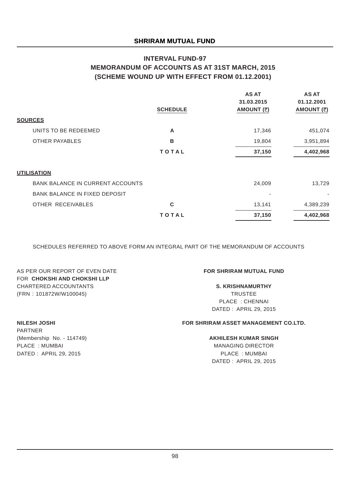## **INTERVAL FUND-97 MEMORANDUM OF ACCOUNTS AS AT 31ST MARCH, 2015 (SCHEME WOUND UP WITH EFFECT FROM 01.12.2001)**

|                                         | <b>SCHEDULE</b> | <b>AS AT</b><br>31.03.2015<br>AMOUNT (₹) | <b>AS AT</b><br>01.12.2001<br>AMOUNT (₹) |
|-----------------------------------------|-----------------|------------------------------------------|------------------------------------------|
| <b>SOURCES</b>                          |                 |                                          |                                          |
| UNITS TO BE REDEEMED                    | A               | 17,346                                   | 451,074                                  |
| <b>OTHER PAYABLES</b>                   | B               | 19,804                                   | 3,951,894                                |
|                                         | <b>TOTAL</b>    | 37,150                                   | 4,402,968                                |
| <b>UTILISATION</b>                      |                 |                                          |                                          |
| <b>BANK BALANCE IN CURRENT ACCOUNTS</b> |                 | 24,009                                   | 13,729                                   |
| <b>BANK BALANCE IN FIXED DEPOSIT</b>    |                 | ٠                                        |                                          |
| OTHER RECEIVABLES                       | C               | 13,141                                   | 4,389,239                                |
|                                         | TOTAL           | 37,150                                   | 4,402,968                                |

SCHEDULES REFERRED TO ABOVE FORM AN INTEGRAL PART OF THE MEMORANDUM OF ACCOUNTS

AS PER OUR REPORT OF EVEN DATE **FOR SHRIRAM MUTUAL FUND** FOR **CHOKSHI AND CHOKSHI LLP** CHARTERED ACCOUNTANTS **S. KRISHNAMURTHY** (FRN : 101872W/W100045) TRUSTEE

PLACE : CHENNAI DATED : APRIL 29, 2015

PARTNER (Membership No. - 114749) **AKHILESH KUMAR SINGH** PLACE : MUMBAI MANAGING DIRECTOR DATED : APRIL 29, 2015 PLACE : MUMBAI

## **NILESH JOSHI FOR SHRIRAM ASSET MANAGEMENT CO.LTD.**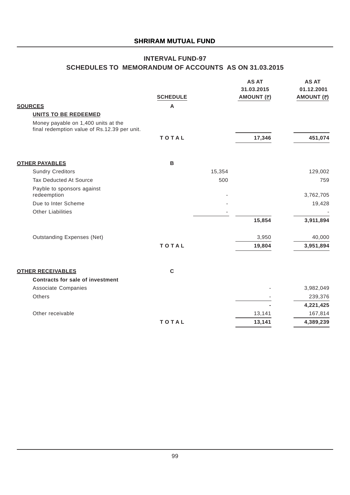## **INTERVAL FUND-97 SCHEDULES TO MEMORANDUM OF ACCOUNTS AS ON 31.03.2015**

|                                                                                     | <b>SCHEDULE</b> |        | <b>AS AT</b><br>31.03.2015<br>AMOUNT (₹) | <b>AS AT</b><br>01.12.2001<br>AMOUNT (₹) |
|-------------------------------------------------------------------------------------|-----------------|--------|------------------------------------------|------------------------------------------|
| <b>SOURCES</b>                                                                      | A               |        |                                          |                                          |
| <b>UNITS TO BE REDEEMED</b>                                                         |                 |        |                                          |                                          |
| Money payable on 1,400 units at the<br>final redemption value of Rs.12.39 per unit. |                 |        |                                          |                                          |
|                                                                                     | <b>TOTAL</b>    |        | 17,346                                   | 451,074                                  |
| <b>OTHER PAYABLES</b>                                                               | B               |        |                                          |                                          |
| <b>Sundry Creditors</b>                                                             |                 | 15,354 |                                          | 129,002                                  |
| <b>Tax Deducted At Source</b>                                                       |                 | 500    |                                          | 759                                      |
| Payble to sponsors against<br>redeemption                                           |                 |        |                                          | 3,762,705                                |
| Due to Inter Scheme                                                                 |                 |        |                                          | 19,428                                   |
| <b>Other Liabilities</b>                                                            |                 |        |                                          |                                          |
|                                                                                     |                 |        | 15,854                                   | 3,911,894                                |
| <b>Outstanding Expenses (Net)</b>                                                   |                 |        | 3,950                                    | 40,000                                   |
|                                                                                     | <b>TOTAL</b>    |        | 19,804                                   | 3,951,894                                |
| <b>OTHER RECEIVABLES</b>                                                            | $\mathbf c$     |        |                                          |                                          |
| <b>Contracts for sale of investment</b>                                             |                 |        |                                          |                                          |
| Associate Companies                                                                 |                 |        |                                          | 3,982,049                                |
| Others                                                                              |                 |        |                                          | 239,376                                  |
|                                                                                     |                 |        |                                          | 4,221,425                                |
| Other receivable                                                                    |                 |        | 13,141                                   | 167,814                                  |
|                                                                                     | <b>TOTAL</b>    |        | 13,141                                   | 4,389,239                                |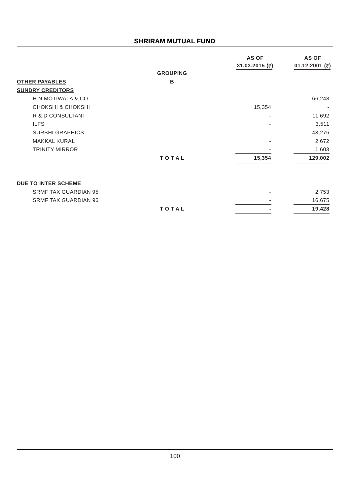|                              |                 | <b>AS OF</b><br>31.03.2015 (₹) | <b>AS OF</b><br>01.12.2001 (₹) |
|------------------------------|-----------------|--------------------------------|--------------------------------|
|                              | <b>GROUPING</b> |                                |                                |
| <b>OTHER PAYABLES</b>        | B               |                                |                                |
| <b>SUNDRY CREDITORS</b>      |                 |                                |                                |
| H N MOTIWALA & CO.           |                 |                                | 66,248                         |
| <b>CHOKSHI &amp; CHOKSHI</b> |                 | 15,354                         | ٠                              |
| R & D CONSULTANT             |                 | ٠                              | 11,692                         |
| <b>ILFS</b>                  |                 | ۰                              | 3,511                          |
| <b>SURBHI GRAPHICS</b>       |                 | ٠                              | 43,276                         |
| <b>MAKKAL KURAL</b>          |                 | ٠                              | 2,672                          |
| <b>TRINITY MIRROR</b>        |                 |                                | 1,603                          |
|                              | <b>TOTAL</b>    | 15,354                         | 129,002                        |
| <b>DUE TO INTER SCHEME</b>   |                 |                                |                                |
| <b>SRMF TAX GUARDIAN 95</b>  |                 |                                | 2,753                          |
| <b>SRMF TAX GUARDIAN 96</b>  |                 |                                | 16,675                         |
|                              | <b>TOTAL</b>    |                                | 19,428                         |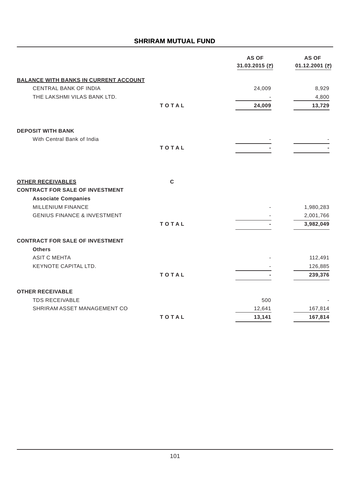|                                                                      |              | <b>AS OF</b><br>31.03.2015 (₹) | <b>AS OF</b><br>01.12.2001 (₹) |
|----------------------------------------------------------------------|--------------|--------------------------------|--------------------------------|
| <b>BALANCE WITH BANKS IN CURRENT ACCOUNT</b>                         |              |                                |                                |
| CENTRAL BANK OF INDIA                                                |              | 24,009                         | 8,929                          |
| THE LAKSHMI VILAS BANK LTD.                                          |              |                                | 4,800                          |
|                                                                      | TOTAL        | 24,009                         | 13,729                         |
| <b>DEPOSIT WITH BANK</b>                                             |              |                                |                                |
| With Central Bank of India                                           |              |                                |                                |
|                                                                      | <b>TOTAL</b> |                                |                                |
|                                                                      |              |                                |                                |
| <b>OTHER RECEIVABLES</b>                                             | $\mathbf c$  |                                |                                |
| <b>CONTRACT FOR SALE OF INVESTMENT</b><br><b>Associate Companies</b> |              |                                |                                |
| MILLENIUM FINANCE                                                    |              |                                | 1,980,283                      |
| <b>GENIUS FINANCE &amp; INVESTMENT</b>                               |              |                                | 2,001,766                      |
|                                                                      | <b>TOTAL</b> |                                | 3,982,049                      |
| <b>CONTRACT FOR SALE OF INVESTMENT</b>                               |              |                                |                                |
| <b>Others</b>                                                        |              |                                |                                |
| <b>ASIT C MEHTA</b>                                                  |              |                                | 112,491                        |
| KEYNOTE CAPITAL LTD.                                                 |              |                                | 126,885                        |
|                                                                      | <b>TOTAL</b> |                                | 239,376                        |
| <b>OTHER RECEIVABLE</b>                                              |              |                                |                                |
| <b>TDS RECEIVABLE</b>                                                |              | 500                            |                                |
| SHRIRAM ASSET MANAGEMENT CO                                          |              | 12,641                         | 167,814                        |
|                                                                      | <b>TOTAL</b> | 13,141                         | 167,814                        |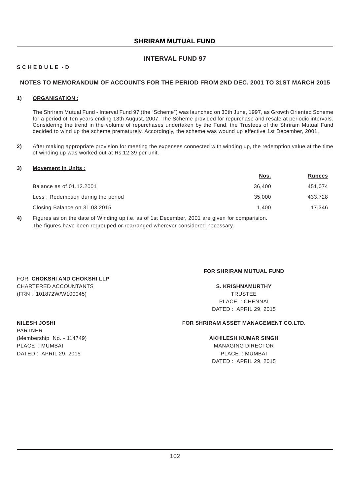## **INTERVAL FUND 97**

## **S C H E D U L E - D**

### **NOTES TO MEMORANDUM OF ACCOUNTS FOR THE PERIOD FROM 2ND DEC. 2001 TO 31ST MARCH 2015**

### **1) ORGANISATION :**

The Shriram Mutual Fund - Interval Fund 97 (the "Scheme") was launched on 30th June, 1997, as Growth Oriented Scheme for a period of Ten years ending 13th August, 2007. The Scheme provided for repurchase and resale at periodic intervals. Considering the trend in the volume of repurchases undertaken by the Fund, the Trustees of the Shriram Mutual Fund decided to wind up the scheme prematurely. Accordingly, the scheme was wound up effective 1st December, 2001.

**2)** After making appropriate provision for meeting the expenses connected with winding up, the redemption value at the time of winding up was worked out at Rs.12.39 per unit.

#### **3) Movement in Units :**

|                                    | <u>Nos.</u> | <b>Rupees</b> |
|------------------------------------|-------------|---------------|
| Balance as of 01.12.2001           | 36,400      | 451.074       |
| Less: Redemption during the period | 35,000      | 433.728       |
| Closing Balance on 31.03.2015      | 1.400       | 17.346        |

**4)** Figures as on the date of Winding up i.e. as of 1st December, 2001 are given for comparision. The figures have been regrouped or rearranged wherever considered necessary.

#### **FOR SHRIRAM MUTUAL FUND**

CHARTERED ACCOUNTANTS **S. KRISHNAMURTHY** (FRN : 101872W/W100045) TRUSTEE PLACE : CHENNAI DATED : APRIL 29, 2015

PARTNER (Membership No. - 114749) **AKHILESH KUMAR SINGH** PLACE : MUMBAI MANAGING DIRECTOR DATED : APRIL 29. 2015 2008 2008 2014 20:30 20:40 20:40 20:40 20:40 20:40 20:40 20:40 20:40 20:40 20:40 20:40

FOR **CHOKSHI AND CHOKSHI LLP**

## **NILESH JOSHI FOR SHRIRAM ASSET MANAGEMENT CO.LTD.**